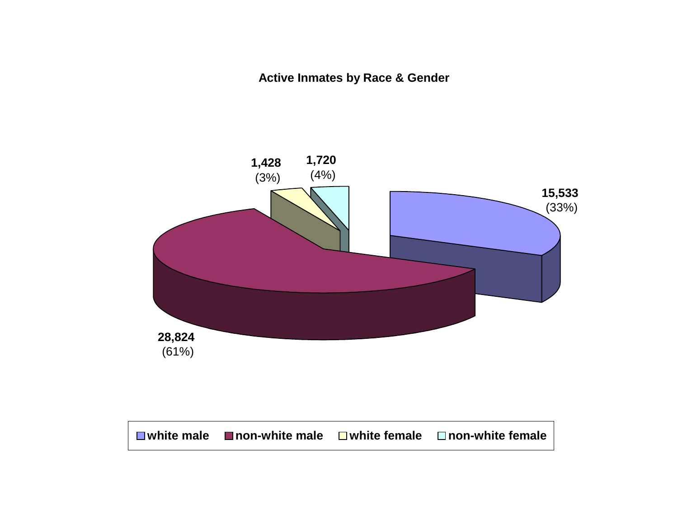**Active Inmates by Race & Gender**

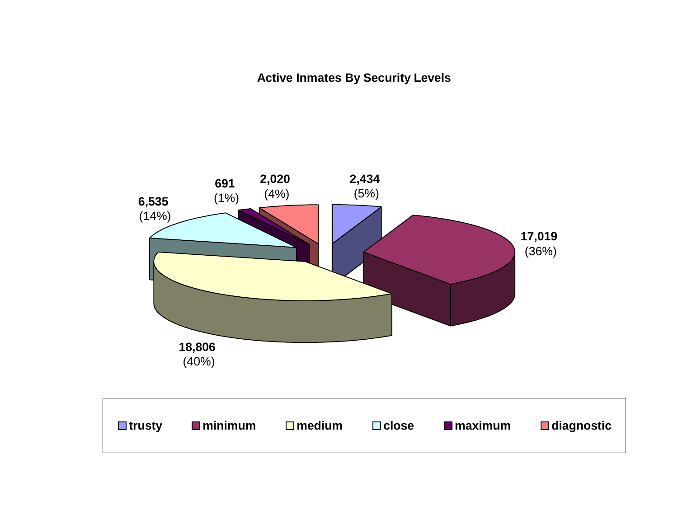**Active Inmates By Security Levels**

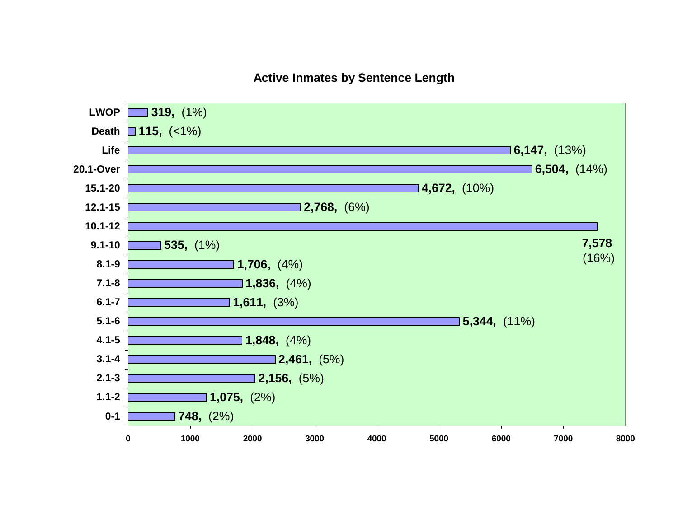#### **Active Inmates by Sentence Length**

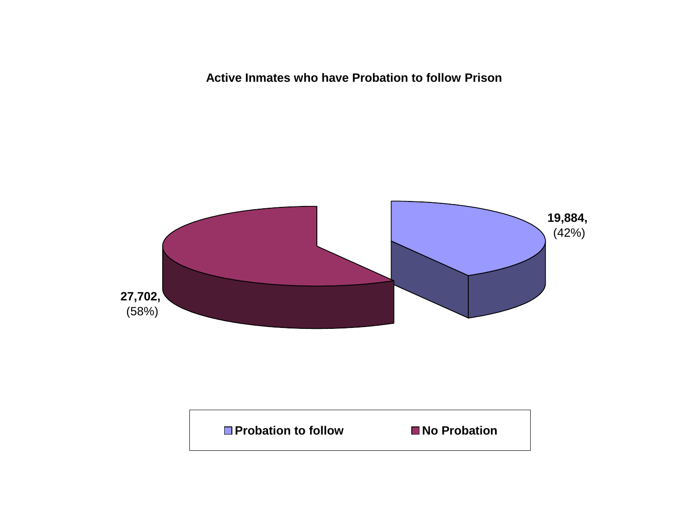**Active Inmates who have Probation to follow Prison**



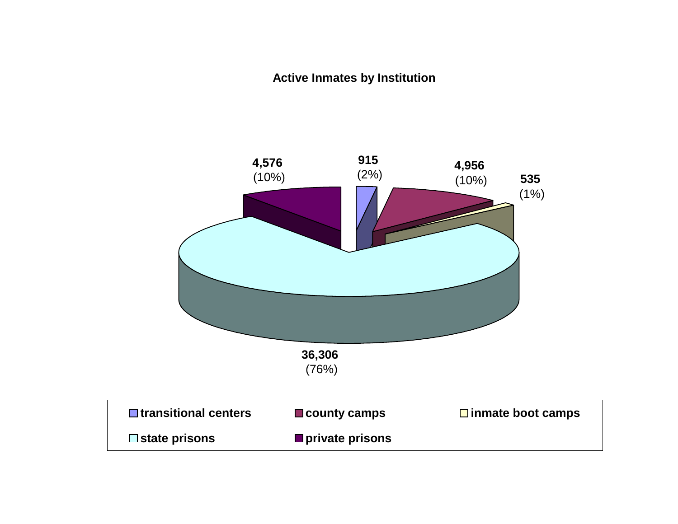### **Active Inmates by Institution**

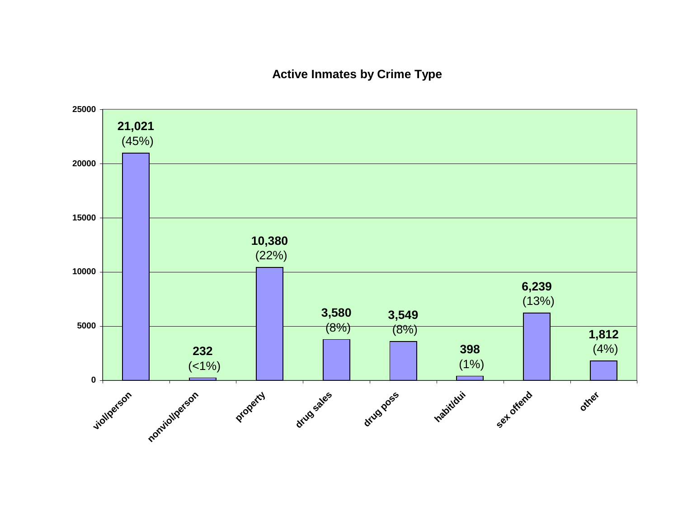#### **Active Inmates by Crime Type**

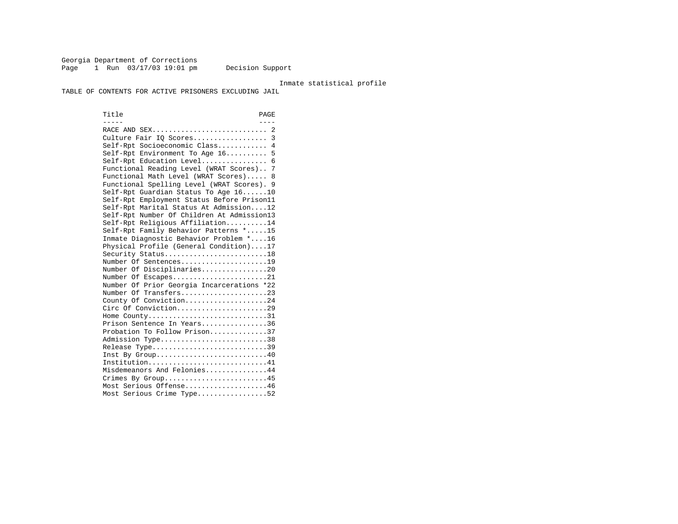Georgia Department of Corrections Page 1 Run 03/17/03 19:01 pm Decision Support

#### Inmate statistical profile

TABLE OF CONTENTS FOR ACTIVE PRISONERS EXCLUDING JAIL

Title PAGE ----- ---- RACE AND SEX............................ 2 Culture Fair IQ Scores.................. 3 Self-Rpt Socioeconomic Class............ 4 Self-Rpt Environment To Age 16.......... 5 Self-Rpt Education Level................ 6 Functional Reading Level (WRAT Scores).. 7 Functional Math Level (WRAT Scores)..... 8 Functional Spelling Level (WRAT Scores). 9 Self-Rpt Guardian Status To Age 16......10 Self-Rpt Employment Status Before Prison11 Self-Rpt Marital Status At Admission....12 Self-Rpt Number Of Children At Admission13 Self-Rpt Religious Affiliation..........14 Self-Rpt Family Behavior Patterns \*.....15 Inmate Diagnostic Behavior Problem \*....16 Physical Profile (General Condition)....17 Security Status...........................18 Number Of Sentences.....................19 Number Of Disciplinaries................20 Number Of Escapes........................21 Number Of Prior Georgia Incarcerations \*22 Number Of Transfers.....................23 County Of Conviction....................24 Circ Of Conviction......................29 Home County................................31 Prison Sentence In Years................36 Probation To Follow Prison..............37Admission Type.............................38 Release Type...............................39 Inst By Group.............................40 Institution...............................41 Misdemeanors And Felonies...............44 Crimes By Group...........................45 Most Serious Offense....................46 Most Serious Crime Type.................52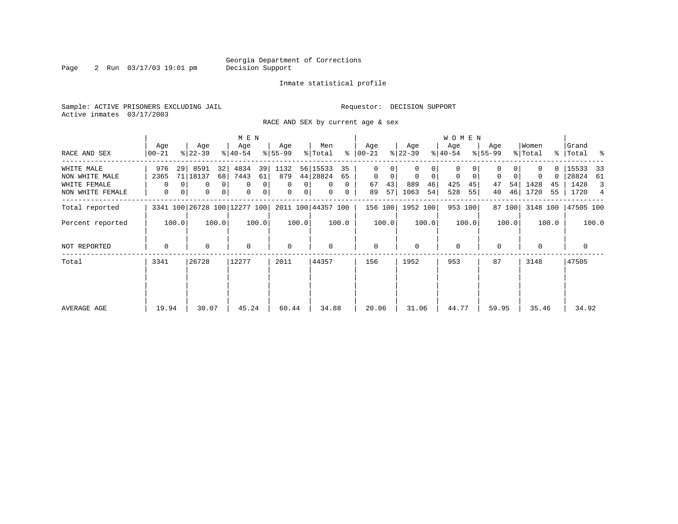Page 2 Run 03/17/03 19:01 pm

#### Inmate statistical profile

Sample: ACTIVE PRISONERS EXCLUDING JAIL **Requestor: DECISION SUPPORT** Active inmates 03/17/2003

RACE AND SEX by current age & sex

|                                                                  |                       |                                                                            | M E N                                                                            |                                                                     |                                                                                   |                                                |                                                       | W O M E N                                             |                                     |                                           |                                                        |
|------------------------------------------------------------------|-----------------------|----------------------------------------------------------------------------|----------------------------------------------------------------------------------|---------------------------------------------------------------------|-----------------------------------------------------------------------------------|------------------------------------------------|-------------------------------------------------------|-------------------------------------------------------|-------------------------------------|-------------------------------------------|--------------------------------------------------------|
| RACE AND SEX                                                     | Age<br>$00 - 21$      | Age<br>$ 22-39 $                                                           | Age<br>$ 40-54 $                                                                 | Age<br>$ 55-99 $                                                    | Men<br>ွေ<br>% Total                                                              | Age<br>$ 00-21$                                | Age<br>$ 22-39 $                                      | Age<br>$ 40-54 $                                      | Age<br>$8 55-99$                    | Women<br>% Total                          | Grand<br>%   Total %                                   |
| WHITE MALE<br>NON WHITE MALE<br>WHITE FEMALE<br>NON WHITE FEMALE | 976<br>2365<br>0<br>0 | 8591<br>32<br>29 <br>71 18137<br>68<br>0<br>$\overline{0}$<br>0<br>0<br> 0 | 4834<br>39<br>7443<br>61<br>$\mathbf 0$<br>$\overline{0}$<br>0<br>0 <sup>1</sup> | 1132<br>879<br>$\mathbf 0$<br>0 <sup>1</sup><br>0<br>0 <sup>1</sup> | 56 15533<br>35<br>44 28824<br>65<br>$\mathbf{0}$<br>$\Omega$<br>$\mathbf{0}$<br>0 | 0<br>$\mathbf{0}$<br>0<br>43<br>67<br>57<br>89 | $\overline{0}$<br>$\Omega$<br>889<br>46<br>1063<br>54 | 0<br>$\circ$<br>$\mathbf 0$<br>425<br>45<br>528<br>55 | $\mathbf 0$<br>54<br>47<br>46<br>40 | $\Omega$<br>0<br>1428<br>45<br>1720<br>55 | 15533<br>33<br>28824<br>- 61<br>1428<br>3<br>1720<br>4 |
| Total reported                                                   |                       | 3341 100 26728 100 12277 100                                               |                                                                                  |                                                                     | 2011 100 44357 100                                                                | 156 100                                        | 1952 100                                              | 953 100                                               | 87 100                              | 3148 100                                  | 47505 100                                              |
| Percent reported                                                 | 100.0                 | 100.0                                                                      | 100.0                                                                            | 100.0                                                               | 100.0                                                                             | 100.0                                          | 100.0                                                 | 100.0                                                 | 100.0                               | 100.0                                     | 100.0                                                  |
| NOT REPORTED                                                     | $\Omega$              | 0                                                                          | $\mathbf 0$                                                                      | $\mathbf 0$                                                         | 0                                                                                 | $\mathbf{0}$                                   | $\Omega$                                              | $\mathbf{0}$                                          | 0                                   | $\mathbf 0$                               | 0                                                      |
| Total                                                            | 3341                  | 26728                                                                      | 12277                                                                            | 2011                                                                | 44357                                                                             | 156                                            | 1952                                                  | 953                                                   | 87                                  | 3148                                      | 47505                                                  |
| AVERAGE AGE                                                      | 19.94                 | 30.07                                                                      | 45.24                                                                            | 60.44                                                               | 34.88                                                                             | 20.06                                          | 31.06                                                 | 44.77                                                 | 59.95                               | 35.46                                     | 34.92                                                  |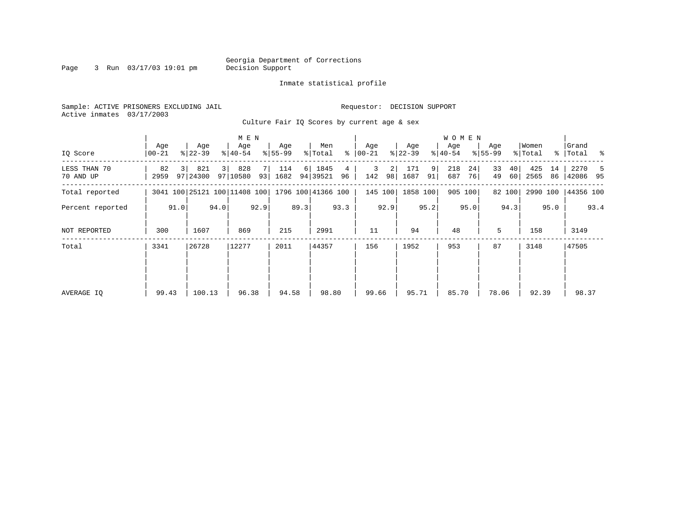### Georgia Department of Corrections<br>Decision Support

Page 3 Run  $03/17/03$  19:01 pm

#### Inmate statistical profile

Sample: ACTIVE PRISONERS EXCLUDING JAIL **Requestor: DECISION SUPPORT** Active inmates 03/17/2003

Culture Fair IQ Scores by current age & sex

|                           |                  |      |                                                 |                | M E N            |           |                  |      |                  |                      |                      |          |                  |                      | <b>WOMEN</b>     |          |                    |          |                  |          |                      |      |
|---------------------------|------------------|------|-------------------------------------------------|----------------|------------------|-----------|------------------|------|------------------|----------------------|----------------------|----------|------------------|----------------------|------------------|----------|--------------------|----------|------------------|----------|----------------------|------|
| IQ Score                  | Age<br>$00 - 21$ |      | Age<br>$ 22 - 39 $                              |                | Age<br>$ 40-54 $ |           | Age<br>$8 55-99$ |      | Men<br>% Total   |                      | Age<br>$8   00 - 21$ |          | Age<br>$ 22-39 $ |                      | Age<br>$8 40-54$ |          | Age<br>$8155 - 99$ |          | Women<br>% Total |          | Grand<br>%   Total % |      |
| LESS THAN 70<br>70 AND UP | 82<br>2959       |      | 821<br>97 24300                                 | $\overline{3}$ | 828<br>97 10580  | 7 I<br>93 | 114<br>1682      | 6    | 1845<br>94 39521 | $\overline{4}$<br>96 | 3<br>142             | 2 <br>98 | 171<br>1687      | 9 <sup>1</sup><br>91 | 218<br>687       | 24<br>76 | 33<br>49           | 40<br>60 | 425<br>2565      | 14<br>86 | 2270<br>42086 95     |      |
| Total reported            |                  |      | 3041 100 25121 100 11408 100 1796 100 41366 100 |                |                  |           |                  |      |                  |                      |                      | 145 100  | 1858 100         |                      |                  | 905 100  |                    | 82 100   | 2990 100         |          | 44356 100            |      |
| Percent reported          |                  | 91.0 |                                                 | 94.0           |                  | 92.9      |                  | 89.3 |                  | 93.3                 |                      | 92.9     |                  | 95.2                 |                  | 95.0     |                    | 94.3     |                  | 95.0     |                      | 93.4 |
| NOT REPORTED              | 300              |      | 1607                                            |                | 869              |           | 215              |      | 2991             |                      | 11                   |          | 94               |                      | 48               |          | 5                  |          | 158              |          | 3149                 |      |
| Total                     | 3341             |      | 26728                                           |                | 12277            |           | 2011             |      | 44357            |                      | 156                  |          | 1952             |                      | 953              |          | 87                 |          | 3148             |          | 47505                |      |
| AVERAGE IQ                | 99.43            |      | 100.13                                          |                | 96.38            |           | 94.58            |      | 98.80            |                      | 99.66                |          | 95.71            |                      | 85.70            |          | 78.06              |          | 92.39            |          | 98.37                |      |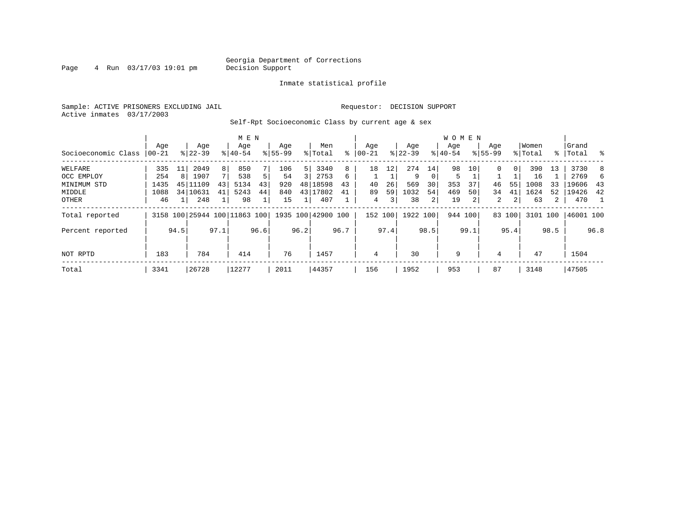Page  $4$  Run  $03/17/03$  19:01 pm

#### Inmate statistical profile

Sample: ACTIVE PRISONERS EXCLUDING JAIL **Requestor: DECISION SUPPORT** Active inmates 03/17/2003

Self-Rpt Socioeconomic Class by current age & sex

|                     |          |      |           |      | M E N                        |      |             |      |                    |      |            |      |           |          | <b>WOMEN</b> |      |             |                |          |             |           |      |
|---------------------|----------|------|-----------|------|------------------------------|------|-------------|------|--------------------|------|------------|------|-----------|----------|--------------|------|-------------|----------------|----------|-------------|-----------|------|
|                     | Age      |      | Age       |      | Age                          |      | Age         |      | Men                |      | Age        |      | Age       |          | Age          |      | Age         |                | Women    |             | Grand     |      |
| Socioeconomic Class | $ 00-21$ |      | $8 22-39$ |      | $8 40-54$                    |      | $8155 - 99$ |      | % Total            | ៖    | $ 00 - 21$ | ៖    | $22 - 39$ |          | $ 40-54 $    |      | $8155 - 99$ |                | % Total  | $\approx$ 1 | Total     | ႜ    |
| WELFARE             | 335      | 11   | 2049      | 8    | 850                          |      | 106         | 5    | 3340               | 8    | 18         | 12   | 274       | 14       | 98           | 10   | 0           | 0 <sup>1</sup> | 390      | 13          | 3730      | 8    |
| OCC EMPLOY          | 254      | 8    | 1907      | 7    | 538                          | 5    | 54          |      | 2753               | 6    |            |      | 9         | $\Omega$ | 5            |      |             |                | 16       |             | 2769      | 6.   |
| MINIMUM STD         | 1435     | 45   | 11109     | 43   | 5134                         | 43   | 920         | 48   | 18598              | 43   | 40         | 26   | 569       | 30       | 353          | 37   | 46          | 55             | 1008     | 33          | 19606     | -43  |
| MIDDLE              | 1088     |      | 34 10631  | 41   | 5243                         | 44   | 840         |      | 43 17802           | 41   | 89         | 59   | 1032      | 54       | 469          | 50   | 34          | 41             | 1624     | 52          | 19426     | 42   |
| OTHER               | 46       |      | 248       |      | 98                           |      | 15          |      | 407                |      | 4          | 3    | 38        | 2        | 19           |      | 2           | $\overline{2}$ | 63       | 2           | 470       |      |
| Total reported      |          |      |           |      | 3158 100 25944 100 11863 100 |      |             |      | 1935 100 42900 100 |      | 152 100    |      | 1922 100  |          | 944 100      |      |             | 83 100         | 3101 100 |             | 46001 100 |      |
| Percent reported    |          | 94.5 |           | 97.1 |                              | 96.6 |             | 96.2 |                    | 96.7 |            | 97.4 |           | 98.5     |              | 99.1 |             | 95.4           |          | 98.5        |           | 96.8 |
| NOT RPTD            | 183      |      | 784       |      | 414                          |      | 76          |      | 1457               |      | 4          |      | 30        |          | 9            |      | 4           |                | 47       |             | 1504      |      |
| Total               | 3341     |      | 26728     |      | 12277                        |      | 2011        |      | 44357              |      | 156        |      | 1952      |          | 953          |      | 87          |                | 3148     |             | 47505     |      |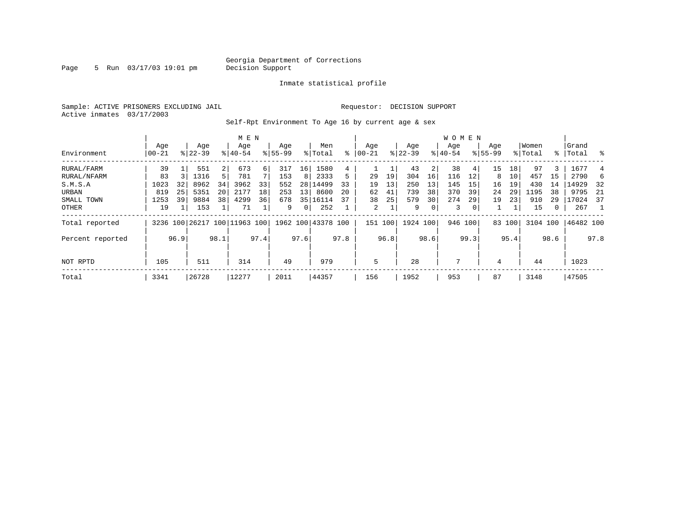Page 5 Run 03/17/03 19:01 pm

#### Inmate statistical profile

Sample: ACTIVE PRISONERS EXCLUDING JAIL **Requestor: DECISION SUPPORT** Active inmates 03/17/2003

Self-Rpt Environment To Age 16 by current age & sex

|                  |              |      |                    |                | M E N                        |      |                    |                 |                    |      |                  |      |                  |      | W O M E N        |                |                    |        |                  |      |                |      |
|------------------|--------------|------|--------------------|----------------|------------------------------|------|--------------------|-----------------|--------------------|------|------------------|------|------------------|------|------------------|----------------|--------------------|--------|------------------|------|----------------|------|
| Environment      | Age<br>00-21 |      | Age<br>$8122 - 39$ |                | Age<br>$8140 - 54$           |      | Age<br>$8155 - 99$ |                 | Men<br>% Total     | ⊱    | Aqe<br>$ 00-21 $ |      | Age<br>$ 22-39 $ |      | Aqe<br>$ 40-54 $ |                | Age<br>$8155 - 99$ |        | Women<br>% Total | ႜ    | Grand<br>Total | ႜ    |
|                  |              |      |                    |                |                              |      |                    |                 |                    |      |                  |      |                  |      |                  |                |                    |        |                  |      |                |      |
| RURAL/FARM       | 39           |      | 551                | 2 <sup>1</sup> | 673                          | 6    | 317                | 16              | 1580               | 4    |                  |      | 43               | 2    | 38               | 41             | 15                 | 18     | 97               | 3    | 1677           | 4    |
| RURAL/NFARM      | 83           |      | 1316               | 5 <sup>1</sup> | 781                          |      | 153                | 8               | 2333               | 5.   | 29               | 19   | 304              | 16   | 116              | 12             | 8                  | 10     | 457              | 15   | 2790           |      |
| S.M.S.A          | 1023         | 32   | 8962               | 34             | 3962                         | 33   | 552                |                 | 28 14499           | 33   | 19               | 13   | 250              | 13   | 145              | 15             | 16                 | 19     | 430              | 14   | 14929          | 32   |
| URBAN            | 819          | 25   | 5351               | 20             | 2177                         | 18   | 253                | 13 <sup>1</sup> | 8600               | 20   | 62               | 41   | 739              | 38   | 370              | 39             | 24                 | 29     | 1195             | 38   | 9795           | -21  |
| SMALL TOWN       | 1253         | 39   | 9884               | 38             | 4299                         | 36   | 678                |                 | 35 16114           | 37   | 38               | 25   | 579              | 30   | 274              | 29             | 19                 | 23     | 910              | 29   | 17024          | - 37 |
| OTHER            | 19           |      | 153                |                | 71                           |      | 9                  | 0 <sup>1</sup>  | 252                |      | 2                |      | 9                | 0    | 3                | 0 <sup>1</sup> |                    |        | 15               | 0    | 267            |      |
| Total reported   |              |      |                    |                | 3236 100 26217 100 11963 100 |      |                    |                 | 1962 100 43378 100 |      | 151 100          |      | 1924 100         |      | 946 100          |                |                    | 83 100 | 3104 100         |      | 46482 100      |      |
| Percent reported |              | 96.9 |                    | 98.1           |                              | 97.4 |                    | 97.6            |                    | 97.8 |                  | 96.8 |                  | 98.6 |                  | 99.3           |                    | 95.4   |                  | 98.6 |                | 97.8 |
| NOT RPTD         | 105          |      | 511                |                | 314                          |      | 49                 |                 | 979                |      | 5                |      | 28               |      | 7                |                | 4                  |        | 44               |      | 1023           |      |
|                  |              |      |                    |                |                              |      |                    |                 |                    |      |                  |      |                  |      |                  |                |                    |        |                  |      |                |      |
| Total            | 3341         |      | 26728              |                | 12277                        |      | 2011               |                 | 44357              |      | 156              |      | 1952             |      | 953              |                | 87                 |        | 3148             |      | 47505          |      |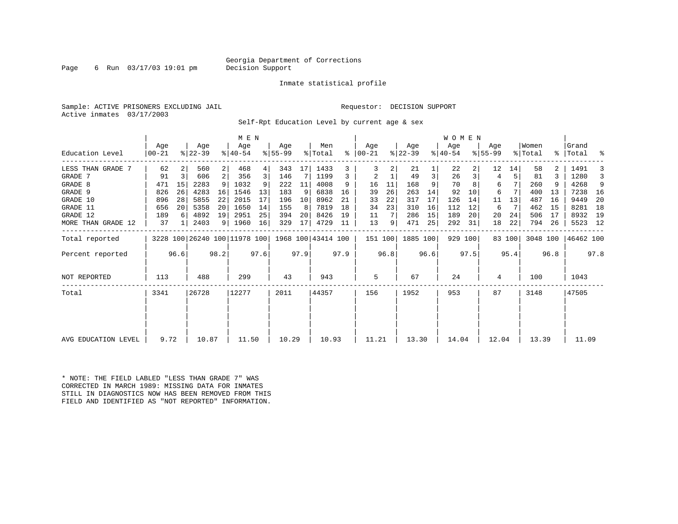### Georgia Department of Corrections<br>Decision Support

Page 6 Run  $03/17/03$  19:01 pm

Inmate statistical profile

Sample: ACTIVE PRISONERS EXCLUDING JAIL **Requestor: DECISION SUPPORT** Active inmates 03/17/2003

Self-Rpt Education Level by current age & sex

|                     |                |      |                              |                | M E N              |      |                  |      |                    |      |                      |      |                  |      | WOMEN            |         |                  |        |                  |      |                    |      |
|---------------------|----------------|------|------------------------------|----------------|--------------------|------|------------------|------|--------------------|------|----------------------|------|------------------|------|------------------|---------|------------------|--------|------------------|------|--------------------|------|
| Education Level     | Age<br>  00-21 |      | Age<br>$ 22-39 $             |                | Age<br>$8140 - 54$ |      | Age<br>$8 55-99$ |      | Men<br>% Total     |      | Age<br>$8   00 - 21$ |      | Age<br>$ 22-39 $ |      | Age<br>$ 40-54 $ |         | Age<br>$8 55-99$ |        | Women<br>% Total |      | Grand<br>%   Total | ႜ    |
| LESS THAN GRADE 7   | 62             |      | 560                          | $\overline{2}$ | 468                | 4    | 343              | 17   | 1433               |      |                      | 2    | 21               |      | 22               |         | 12               | 14     | 58               |      | 1491               |      |
| GRADE 7             | 91             | 3    | 606                          | 2 <sup>1</sup> | 356                | 3    | 146              | 7    | 1199               | 3    | 2                    |      | 49               | 3    | 26               |         | 4                |        | 81               |      | 1280               |      |
| GRADE 8             | 471            | 15   | 2283                         | 9 <sup>1</sup> | 1032               | 9    | 222              | 11   | 4008               | 9    | 16                   | 11   | 168              | 9    | 70               |         | 6                |        | 260              |      | 4268               | 9    |
| GRADE 9             | 826            | 26   | 4283                         | 16             | 1546               | 13   | 183              | 9    | 6838               | 16   | 39                   | 26   | 263              | 14   | 92               | 10      | 6                |        | 400              | 13   | 7238               | - 16 |
| GRADE 10            | 896            | 28   | 5855                         | 22             | 2015               | 17   | 196              | 10   | 8962               | 21   | 33                   | 22   | 317              | 17   | 126              | 14      | 11               | 13     | 487              | 16   | 9449               | 20   |
| GRADE 11            | 656            | 20   | 5358                         | 20             | 1650               | 14   | 155              | 8    | 7819               | 18   | 34                   | 23   | 310              | 16   | 112              | 12      | 6                | 7      | 462              | 15   | 8281               | 18   |
| GRADE 12            | 189            | 6    | 4892                         | 19             | 2951               | 25   | 394              | 20   | 8426               | 19   | 11                   |      | 286              | 15   | 189              | 20      | 20               | 24     | 506              | 17   | 8932               | 19   |
| MORE THAN GRADE 12  | 37             |      | 2403                         |                | 9   1960           | 16   | 329              | 17   | 4729               | 11   | 13                   | 9    | 471              | 25   | 292              | 31      | 18               | 22     | 794              | 26   | 5523 12            |      |
| Total reported      |                |      | 3228 100 26240 100 11978 100 |                |                    |      |                  |      | 1968 100 43414 100 |      | 151 100              |      | 1885 100         |      |                  | 929 100 |                  | 83 100 | 3048 100         |      | 46462 100          |      |
| Percent reported    |                | 96.6 |                              | 98.2           |                    | 97.6 |                  | 97.9 |                    | 97.9 |                      | 96.8 |                  | 96.6 |                  | 97.5    |                  | 95.4   |                  | 96.8 |                    | 97.8 |
| NOT REPORTED        | 113            |      | 488                          |                | 299                |      | 43               |      | 943                |      | 5                    |      | 67               |      | 24               |         | 4                |        | 100              |      | 1043               |      |
| Total               | 3341           |      | 26728                        |                | 12277              |      | 2011             |      | 44357              |      | 156                  |      | 1952             |      | 953              |         | 87               |        | 3148             |      | 47505              |      |
|                     |                |      |                              |                |                    |      |                  |      |                    |      |                      |      |                  |      |                  |         |                  |        |                  |      |                    |      |
|                     |                |      |                              |                |                    |      |                  |      |                    |      |                      |      |                  |      |                  |         |                  |        |                  |      |                    |      |
| AVG EDUCATION LEVEL | 9.72           |      | 10.87                        |                | 11.50              |      | 10.29            |      | 10.93              |      | 11.21                |      | 13.30            |      | 14.04            |         | 12.04            |        | 13.39            |      | 11.09              |      |

\* NOTE: THE FIELD LABLED "LESS THAN GRADE 7" WAS CORRECTED IN MARCH 1989: MISSING DATA FOR INMATES STILL IN DIAGNOSTICS NOW HAS BEEN REMOVED FROM THIS FIELD AND IDENTIFIED AS "NOT REPORTED" INFORMATION.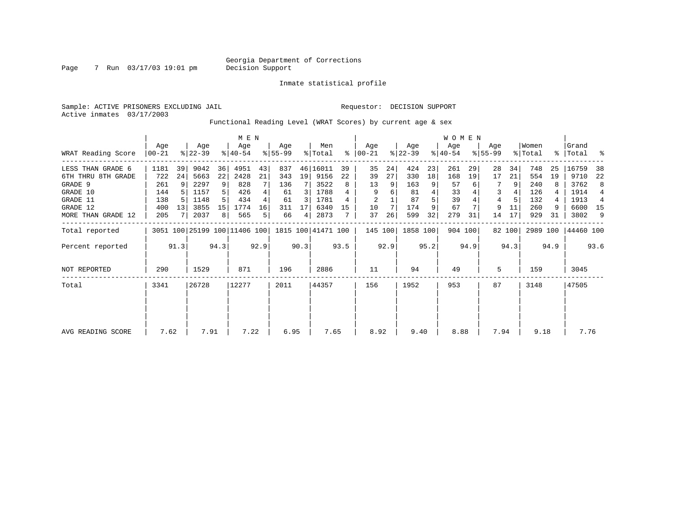Inmate statistical profile

Page 7 Run  $03/17/03$  19:01 pm

Sample: ACTIVE PRISONERS EXCLUDING JAIL Requestor: DECISION SUPPORT Active inmates 03/17/2003

Functional Reading Level (WRAT Scores) by current age & sex

|                     |                 |      |                  |      | M E N                                           |      |                  |      |                |      |                  |      |                  |      | <b>WOMEN</b>     |         |                    |        |                  |      |                    |                |
|---------------------|-----------------|------|------------------|------|-------------------------------------------------|------|------------------|------|----------------|------|------------------|------|------------------|------|------------------|---------|--------------------|--------|------------------|------|--------------------|----------------|
| WRAT Reading Score  | Age<br>$ 00-21$ |      | Age<br>$ 22-39 $ |      | Age<br>$ 40-54 $                                |      | Aqe<br>$ 55-99 $ |      | Men<br>% Total | ႜ    | Age<br>$00 - 21$ |      | Age<br>$ 22-39 $ |      | Age<br>$ 40-54 $ |         | Age<br>$8155 - 99$ |        | Women<br>% Total |      | Grand<br>%   Total | ႜ              |
| LESS THAN GRADE 6   | 1181            | 39   | 9042             | 36   | 4951                                            | 43   | 837              |      | 46 16011       | 39   | 35               | 24   | 424              | 23   | 261              | 29      | 28                 | 34     | 748              | 25   | 16759              | 38             |
| 6TH THRU 8TH GRADE  | 722             | 24   | 5663             | 22   | 2428                                            | 21   | 343              | 19   | 9156           | 22   | 39               | 27   | 330              | 18   | 168              | 19      | 17                 | 21     | 554              | 19   | 9710               | 22             |
| GRADE 9             | 261             |      | 2297             | 9    | 828                                             |      | 136              |      | 3522           | 8    | 13               | 9    | 163              | 9    | 57               |         |                    | 9      | 240              |      | 3762               | 8              |
| GRADE 10            | 144             |      | 1157             |      | 426                                             |      | 61               | 3    | 1788           |      | 9                | 6    | 81               |      | 33               |         | 3                  |        | 126              |      | 1914               | $\overline{4}$ |
| GRADE 11            | 138             |      | 1148             |      | 434                                             |      | 61               | 3    | 1781           |      | $\overline{2}$   |      | 87               |      | 39               |         | 4                  |        | 132              |      | 1913               | 4              |
| GRADE 12            | 400             | 13   | 3855             | 15   | 1774                                            | 16   | 311              |      | 6340           | 15   | 10               |      | 174              |      | 67               |         | 9                  | 11     | 260              | 9    | 6600               | 15             |
| MORE THAN GRADE 12  | 205             |      | 2037             | 8    | 565                                             | 5.   | 66               | 4    | 2873           |      | 37               | 26   | 599              | 32   | 279              | 31      | 14                 | 17     | 929              | 31   | 3802               | 9              |
| Total reported      |                 |      |                  |      | 3051 100 25199 100 11406 100 1815 100 41471 100 |      |                  |      |                |      | 145 100          |      | 1858 100         |      |                  | 904 100 |                    | 82 100 | 2989 100         |      | 44460 100          |                |
| Percent reported    |                 | 91.3 |                  | 94.3 |                                                 | 92.9 |                  | 90.3 |                | 93.5 |                  | 92.9 |                  | 95.2 |                  | 94.9    |                    | 94.3   |                  | 94.9 |                    | 93.6           |
| <b>NOT REPORTED</b> | 290             |      | 1529             |      | 871                                             |      | 196              |      | 2886           |      | 11               |      | 94               |      | 49               |         | 5                  |        | 159              |      | 3045               |                |
| Total               | 3341            |      | 26728            |      | 12277                                           |      | 2011             |      | 44357          |      | 156              |      | 1952             |      | 953              |         | 87                 |        | 3148             |      | 47505              |                |
|                     |                 |      |                  |      |                                                 |      |                  |      |                |      |                  |      |                  |      |                  |         |                    |        |                  |      |                    |                |
|                     |                 |      |                  |      |                                                 |      |                  |      |                |      |                  |      |                  |      |                  |         |                    |        |                  |      |                    |                |
| AVG READING SCORE   | 7.62            |      | 7.91             |      | 7.22                                            |      | 6.95             |      | 7.65           |      | 8.92             |      | 9.40             |      | 8.88             |         | 7.94               |        | 9.18             |      | 7.76               |                |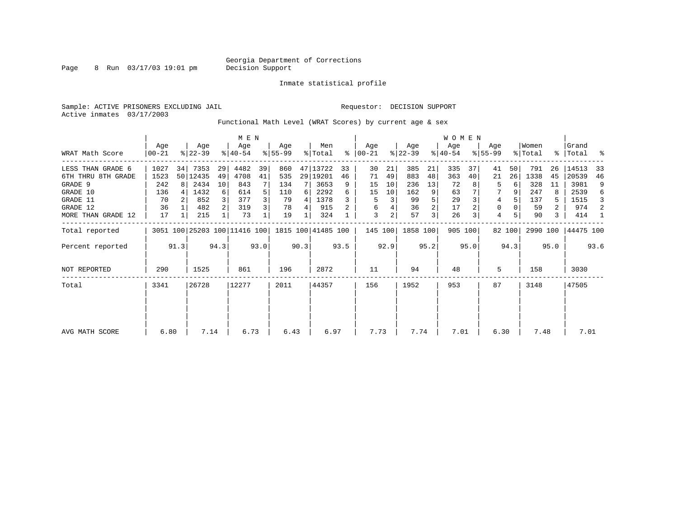Page 8 Run  $03/17/03$  19:01 pm

Inmate statistical profile

Sample: ACTIVE PRISONERS EXCLUDING JAIL **Requestor: DECISION SUPPORT** Active inmates 03/17/2003

Functional Math Level (WRAT Scores) by current age & sex

|                    |                  |      |                              |                | M E N            |      |                 |      |                    |      |                 |                |                  |      | WOMEN            |         |                    |        |                  |      |                    |      |
|--------------------|------------------|------|------------------------------|----------------|------------------|------|-----------------|------|--------------------|------|-----------------|----------------|------------------|------|------------------|---------|--------------------|--------|------------------|------|--------------------|------|
| WRAT Math Score    | Age<br>$00 - 21$ |      | Age<br>$ 22-39 $             |                | Age<br>$ 40-54 $ |      | Aqe<br>$ 55-99$ |      | Men<br>% Total     | ွေ   | Aqe<br>$ 00-21$ |                | Age<br>$ 22-39 $ |      | Age<br>$ 40-54 $ |         | Age<br>$8155 - 99$ |        | Women<br>% Total |      | Grand<br>%   Total | ႜ    |
| LESS THAN GRADE 6  | 1027             | 34   | 7353                         | 29             | 4482             | 39   | 860             |      | 47 13722           | 33   | 30              | 21             | 385              | 21   | 335              | 37      | 41                 | 50     | 791              | 26   | 14513              | 33   |
| 6TH THRU 8TH GRADE | 1523             |      | 50 12435                     | 49             | 4708             | 41   | 535             |      | 29 19201           | 46   | 71              | 49             | 883              | 48   | 363              | 40      | 21                 | 26     | 1338             | 45   | 20539              | 46   |
| GRADE 9            | 242              | 8    | 2434                         | 10             | 843              |      | 134             |      | 3653               | 9    | 15              | 10             | 236              | 13   | 72               |         | 5                  | 6      | 328              | 11   | 3981               | 9    |
| GRADE 10           | 136              |      | 1432                         | 6              | 614              |      | 110             | 6    | 2292               | 6    | 15              | 10             | 162              | 9    | 63               |         |                    |        | 247              |      | 2539               | 6    |
| GRADE 11           | 70               |      | 852                          | $\overline{3}$ | 377              | 3    | 79              | 4    | 1378               |      | 5               | 3              | 99               |      | 29               |         | 4                  |        | 137              | 5    | 1515               | 3    |
| GRADE 12           | 36               |      | 482                          | 2 <sup>1</sup> | 319              | 3    | 78              | 4    | 915                |      | 6               | 4              | 36               | 2    | 17               |         | 0                  |        | 59               | 2    | 974                | 2    |
| MORE THAN GRADE 12 | 17               |      | 215                          |                | 73               |      | 19              |      | 324                |      | 3               | $\overline{a}$ | 57               | 3    | 26               |         | $\overline{4}$     |        | 90               | 3    | 414                |      |
| Total reported     |                  |      | 3051 100 25203 100 11416 100 |                |                  |      |                 |      | 1815 100 41485 100 |      | 145 100         |                | 1858 100         |      |                  | 905 100 |                    | 82 100 | 2990 100         |      | 44475 100          |      |
| Percent reported   |                  | 91.3 |                              | 94.3           |                  | 93.0 |                 | 90.3 |                    | 93.5 |                 | 92.9           |                  | 95.2 |                  | 95.0    |                    | 94.3   |                  | 95.0 |                    | 93.6 |
| NOT REPORTED       | 290              |      | 1525                         |                | 861              |      | 196             |      | 2872               |      | 11              |                | 94               |      | 48               |         | 5                  |        | 158              |      | 3030               |      |
| Total              | 3341             |      | 26728                        |                | 12277            |      | 2011            |      | 44357              |      | 156             |                | 1952             |      | 953              |         | 87                 |        | 3148             |      | 47505              |      |
|                    |                  |      |                              |                |                  |      |                 |      |                    |      |                 |                |                  |      |                  |         |                    |        |                  |      |                    |      |
| AVG MATH SCORE     | 6.80             |      | 7.14                         |                | 6.73             |      | 6.43            |      | 6.97               |      | 7.73            |                | 7.74             |      | 7.01             |         | 6.30               |        | 7.48             |      | 7.01               |      |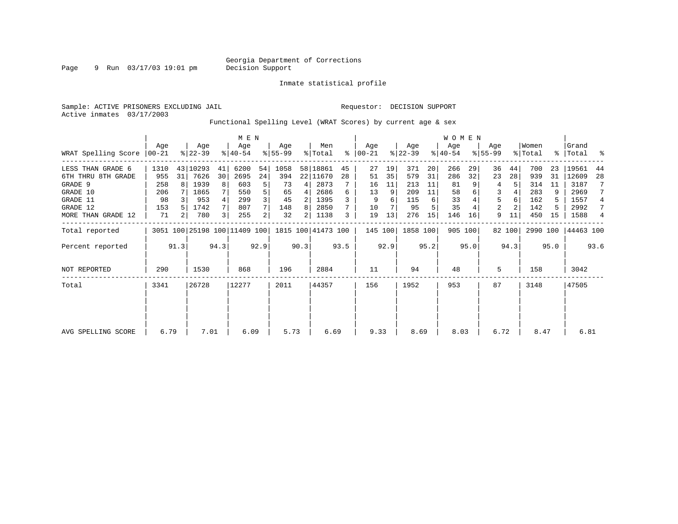Page 9 Run  $03/17/03$  19:01 pm

Inmate statistical profile

Sample: ACTIVE PRISONERS EXCLUDING JAIL **Requestor: DECISION SUPPORT** Active inmates 03/17/2003

Functional Spelling Level (WRAT Scores) by current age & sex

|                             |      |      |                              |                | M E N            |                |                 |      |                    |      |                 |      |                  |      | <b>WOMEN</b>     |         |                    |        |                  |      |                    |                |
|-----------------------------|------|------|------------------------------|----------------|------------------|----------------|-----------------|------|--------------------|------|-----------------|------|------------------|------|------------------|---------|--------------------|--------|------------------|------|--------------------|----------------|
| WRAT Spelling Score   00-21 | Aqe  |      | Age<br>$ 22-39 $             |                | Age<br>$ 40-54 $ |                | Aqe<br>$ 55-99$ |      | Men<br>% Total     | ွေ   | Aqe<br>$ 00-21$ |      | Age<br>$ 22-39 $ |      | Age<br>$ 40-54 $ |         | Age<br>$8155 - 99$ |        | Women<br>% Total |      | Grand<br>%   Total | ್ಠಿ            |
| LESS THAN GRADE 6           | 1310 |      | 43 10293                     | 41             | 6200             | 54             | 1058            |      | 58 18861           | 45   | 27              | 19   | 371              | 20   | 266              | 29      | 36                 | 44     | 700              | 23   | 19561              | 44             |
| 6TH THRU 8TH GRADE          | 955  | 31   | 7626                         | 30             | 2695             | 24             | 394             |      | 22 11670           | 28   | 51              | 35   | 579              | 31   | 286              | 32      | 23                 | 28     | 939              | 31   | 12609              | 28             |
| GRADE 9                     | 258  |      | 1939                         | 8              | 603              | 5              | 73              | 4    | 2873               |      | 16              | 11   | 213              | 11   | 81               |         | 4                  |        | 314              | 11   | 3187               |                |
| GRADE 10                    | 206  |      | 1865                         |                | 550              | 5              | 65              | 4    | 2686               | б    | 13              | 9    | 209              | 11   | 58               |         | 3                  |        | 283              | 9    | 2969               |                |
| GRADE 11                    | 98   |      | 953                          | 4              | 299              | 3              | 45              |      | 1395               |      | 9               | 6    | 115              | 6    | 33               |         | 5                  |        | 162              |      | 1557               | 4              |
| GRADE 12                    | 153  |      | 1742                         | 7 <sup>1</sup> | 807              |                | 148             | 8    | 2850               |      | 10              |      | 95               |      | 35               |         | 2                  |        | 142              |      | 2992               | 7              |
| MORE THAN GRADE 12          | 71   | 2    | 780                          | 3              | 255              | 2 <sub>1</sub> | 32              | 2    | 1138               | 3    | 19              | 13   | 276              | 15   | 146              | 16      | 9                  | 11     | 450              | 15   | 1588               | $\overline{4}$ |
| Total reported              |      |      | 3051 100 25198 100 11409 100 |                |                  |                |                 |      | 1815 100 41473 100 |      | 145 100         |      | 1858 100         |      |                  | 905 100 |                    | 82 100 | 2990 100         |      | 44463 100          |                |
| Percent reported            |      | 91.3 |                              | 94.3           |                  | 92.9           |                 | 90.3 |                    | 93.5 |                 | 92.9 |                  | 95.2 |                  | 95.0    |                    | 94.3   |                  | 95.0 |                    | 93.6           |
| NOT REPORTED                | 290  |      | 1530                         |                | 868              |                | 196             |      | 2884               |      | 11              |      | 94               |      | 48               |         | 5                  |        | 158              |      | 3042               |                |
| Total                       | 3341 |      | 26728                        |                | 12277            |                | 2011            |      | 44357              |      | 156             |      | 1952             |      | 953              |         | 87                 |        | 3148             |      | 47505              |                |
|                             |      |      |                              |                |                  |                |                 |      |                    |      |                 |      |                  |      |                  |         |                    |        |                  |      |                    |                |
| AVG SPELLING SCORE          | 6.79 |      | 7.01                         |                | 6.09             |                | 5.73            |      | 6.69               |      | 9.33            |      | 8.69             |      | 8.03             |         | 6.72               |        | 8.47             |      | 6.81               |                |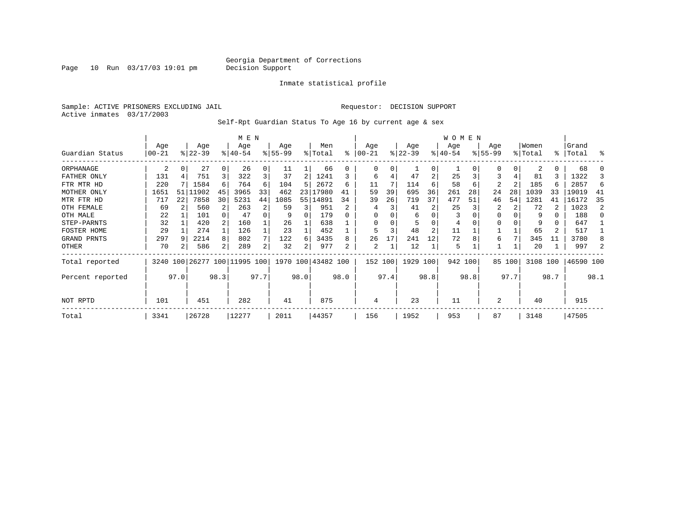Page  $10$  Run  $03/17/03$  19:01 pm

#### Inmate statistical profile

Sample: ACTIVE PRISONERS EXCLUDING JAIL Requestor: DECISION SUPPORT Active inmates 03/17/2003

Self-Rpt Guardian Status To Age 16 by current age & sex

|                  |           | M E N |           |      |                         |      |           |      |                    |      |          |      |           |                | WOMEN     |      |                |        |          |           |           |      |
|------------------|-----------|-------|-----------|------|-------------------------|------|-----------|------|--------------------|------|----------|------|-----------|----------------|-----------|------|----------------|--------|----------|-----------|-----------|------|
|                  | Age       |       | Age       |      | Age                     |      | Age       |      | Men                |      | Age      |      | Age       |                | Age       |      | Age            |        | Women    |           | Grand     |      |
| Guardian Status  | $00 - 21$ |       | $ 22-39 $ |      | $8140 - 54$             |      | $8 55-99$ |      | % Total            | ፠    | $ 00-21$ |      | $ 22-39 $ |                | $8 40-54$ |      | $8155 - 99$    |        | % Total  | $\approx$ | Total     | ႜ    |
| ORPHANAGE        | 2         |       | 27        |      | 26                      | 0    | 11        |      | 66                 |      | 0        | 0    |           | $\Omega$       |           |      |                | 0      | 2        | 0         | 68        |      |
| FATHER ONLY      | 131       |       | 751       | 3    | 322                     | 3    | 37        |      | 1241               |      | 6        |      | 47        | $\overline{2}$ | 25        |      | 3              | 4      | 81       | 3         | 1322      |      |
| FTR MTR HD       | 220       |       | 1584      | 6    | 764                     | 6    | 104       | 5    | 2672               | 6    | 11       |      | 114       | 6              | 58        | 6    | $\overline{c}$ | 2      | 185      | 6         | 2857      | 6    |
| MOTHER ONLY      | 1651      | 51    | 11902     | 45   | 3965                    | 33   | 462       | 23   | 17980              | 41   | 59       | 39   | 695       | 36             | 261       | 28   | 24             | 28     | 1039     | 33        | 19019     | 41   |
| MTR FTR HD       | 717       | 22    | 7858      | 30   | 5231                    | 44   | 1085      | 55   | 14891              | 34   | 39       | 26   | 719       | 37             | 477       | 51   | 46             | 54     | 1281     | 41        | 16172     | 35   |
| OTH FEMALE       | 69        |       | 560       |      | 263                     | 2    | 59        |      | 951                |      | 4        |      | 41        |                | 25        |      | 2              |        | 72       |           | 1023      | 2    |
| OTH MALE         | 22        |       | 101       |      | 47                      | 0    | 9         | O    | 179                |      | $\Omega$ |      | 6         | $\Omega$       | 3         |      |                |        | 9        | 0         | 188       |      |
| STEP-PARNTS      | 32        |       | 420       |      | 160                     |      | 26        |      | 638                |      | $\Omega$ |      |           |                | 4         |      |                |        | 9        | 0         | 647       |      |
| FOSTER HOME      | 29        |       | 274       |      | 126                     |      | 23        |      | 452                |      | 5        | 3    | 48        | 2              | 11        |      |                |        | 65       |           | 517       |      |
| GRAND PRNTS      | 297       |       | 2214      | 8    | 802                     |      | 122       | 6    | 3435               |      | 26       | 17   | 241       | 12             | 72        |      | 6              |        | 345      | 11        | 3780      |      |
| OTHER            | 70        |       | 586       | 2    | 289                     | 2    | 32        | 2    | 977                |      | 2        |      | 12        |                | 5         |      |                |        | 20       |           | 997       |      |
| Total reported   | 3240      |       |           |      | 100 26277 100 11995 100 |      |           |      | 1970 100 43482 100 |      | 152 100  |      | 1929 100  |                | 942 100   |      |                | 85 100 | 3108 100 |           | 46590 100 |      |
| Percent reported |           | 97.0  |           | 98.3 |                         | 97.7 |           | 98.0 |                    | 98.0 |          | 97.4 |           | 98.8           |           | 98.8 |                | 97.7   |          | 98.7      |           | 98.1 |
| NOT RPTD         | 101       |       | 451       |      | 282                     |      | 41        |      | 875                |      | 4        |      | 23        |                | 11        |      | 2              |        | 40       |           | 915       |      |
| Total            | 3341      |       | 26728     |      | 12277                   |      | 2011      |      | 44357              |      | 156      |      | 1952      |                | 953       |      | 87             |        | 3148     |           | 47505     |      |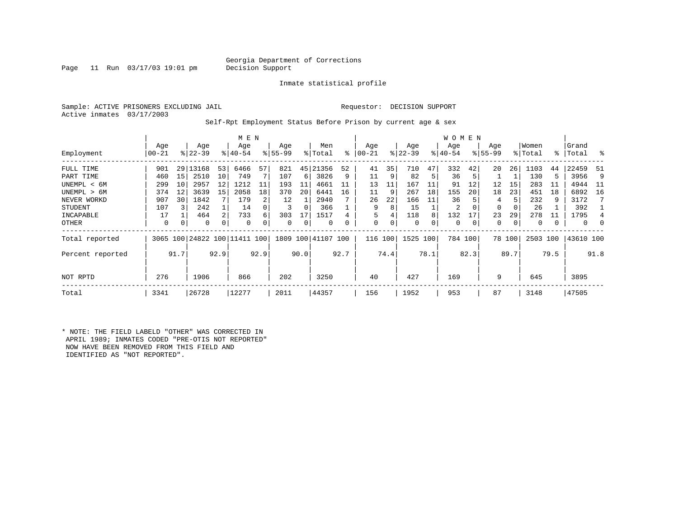### Georgia Department of Corrections<br>Decision Support

Page 11 Run  $03/17/03$  19:01 pm

Inmate statistical profile

Sample: ACTIVE PRISONERS EXCLUDING JAIL Requestor: DECISION SUPPORT Active inmates 03/17/2003

Self-Rpt Employment Status Before Prison by current age & sex

|                  |                  |      |                  |      | M E N                        |      |                  |      |                |      |                |      |                  |      | W O M E N        |         |                    |             |                  |               |                |          |
|------------------|------------------|------|------------------|------|------------------------------|------|------------------|------|----------------|------|----------------|------|------------------|------|------------------|---------|--------------------|-------------|------------------|---------------|----------------|----------|
| Employment       | Age<br>$00 - 21$ |      | Age<br>$8 22-39$ |      | Age<br>$8 40-54$             |      | Age<br>$8 55-99$ |      | Men<br>% Total | ៖    | Age<br>  00-21 |      | Age<br>$ 22-39 $ |      | Age<br>$ 40-54 $ |         | Age<br>$8155 - 99$ |             | Women<br>% Total | $\frac{1}{6}$ | Grand<br>Total | ိ        |
|                  |                  |      |                  |      |                              |      |                  |      |                |      |                |      |                  |      |                  |         |                    |             |                  |               |                |          |
| FULL TIME        | 901              |      | 29 13168         | 53   | 6466                         | 57   | 821              | 45   | 21356          | 52   | 41             | 35   | 710              | 47   | 332              | 42      | 20                 | 26          | 1103             | 44            | 22459          | -51      |
| PART TIME        | 460              | 15   | 2510             | 10   | 749                          |      | 107              | 6    | 3826           | 9    | 11             | 9    | 82               | 5    | 36               | 5       |                    |             | 130              | 5             | 3956           | 9        |
| UNEMPL < 6M      | 299              | 10   | 2957             | 12   | 1212                         | 11   | 193              | 11   | 4661           |      | 13             | 11   | 167              | 11   | 91               | 12      | 12                 | 15          | 283              | 11            | 4944           | 11       |
| UNEMPL > 6M      | 374              | 12   | 3639             | 15   | 2058                         | 18   | 370              | 20   | 6441           | 16   | 11             | 9    | 267              | 18   | 155              | 20      | 18                 | 23          | 451              | 18            | 6892           | 16       |
| NEVER WORKD      | 907              | 30   | 1842             |      | 179                          |      | 12               |      | 2940           |      | 26             | 22   | 166              | 11   | 36               |         | 4                  |             | 232              | 9             | 3172           |          |
| <b>STUDENT</b>   | 107              |      | 242              |      | 14                           |      | 3                | 0    | 366            |      | 9              | 8    | 15               |      | 2                | 0       | 0                  |             | 26               |               | 392            |          |
| INCAPABLE        | 17               |      | 464              | 2    | 733                          | 6    | 303              |      | 1517           |      | 5              |      | 118              | 8    | 132              | 17      | 23                 | 29          | 278              | 11            | 1795           |          |
| OTHER            | 0                | 0    | 0                | 0    | $\Omega$                     |      | 0                | 0    | 0              |      | 0              | 0    | 0                | 0    | $\Omega$         | 0       | 0                  | $\mathbf 0$ | 0                |               | 0              | $\Omega$ |
| Total reported   |                  |      |                  |      | 3065 100 24822 100 11411 100 |      | 1809             |      | 100 41107 100  |      | 116            | 100  | 1525 100         |      |                  | 784 100 |                    | 78 100      | 2503 100         |               | 43610 100      |          |
| Percent reported |                  | 91.7 |                  | 92.9 |                              | 92.9 |                  | 90.0 |                | 92.7 |                | 74.4 |                  | 78.1 |                  | 82.3    |                    | 89.7        |                  | 79.5          |                | 91.8     |
| NOT RPTD         | 276              |      | 1906             |      | 866                          |      | 202              |      | 3250           |      | 40             |      | 427              |      | 169              |         | 9                  |             | 645              |               | 3895           |          |
| Total            | 3341             |      | 26728            |      | 12277                        |      | 2011             |      | 44357          |      | 156            |      | 1952             |      | 953              |         | 87                 |             | 3148             |               | 47505          |          |

\* NOTE: THE FIELD LABELD "OTHER" WAS CORRECTED IN APRIL 1989; INMATES CODED "PRE-OTIS NOT REPORTED" NOW HAVE BEEN REMOVED FROM THIS FIELD AND IDENTIFIED AS "NOT REPORTED".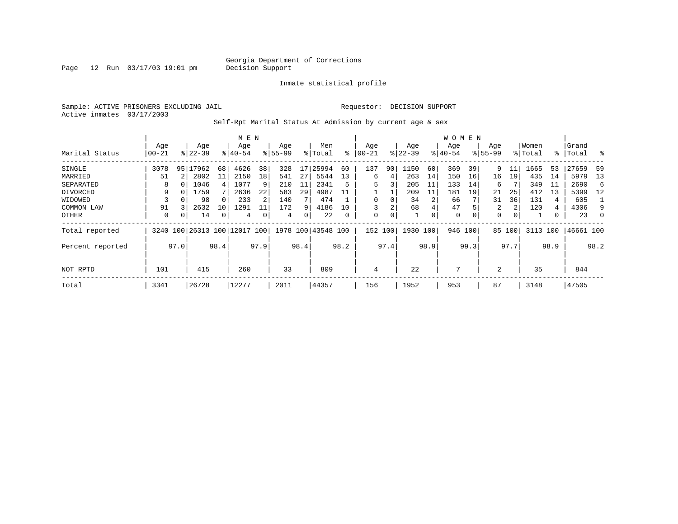Page 12 Run 03/17/03 19:01 pm

Inmate statistical profile

Sample: ACTIVE PRISONERS EXCLUDING JAIL Requestor: DECISION SUPPORT Active inmates 03/17/2003

Self-Rpt Marital Status At Admission by current age & sex

|                  |           |          |                          |      | M E N     |                |             |      |                    |      |           |      |           |      | <b>WOMEN</b> |         |             |          |          |      |           |               |
|------------------|-----------|----------|--------------------------|------|-----------|----------------|-------------|------|--------------------|------|-----------|------|-----------|------|--------------|---------|-------------|----------|----------|------|-----------|---------------|
|                  | Age       |          | Age                      |      | Age       |                | Age         |      | Men                |      | Age       |      | Age       |      | Age          |         | Age         |          | Women    |      | Grand     |               |
| Marital Status   | $00 - 21$ |          | $ 22-39 $                |      | $8 40-54$ |                | $8155 - 99$ |      | % Total            | ⊱    | $00 - 21$ |      | $ 22-39 $ |      | $ 40-54$     |         | $8155 - 99$ |          | % Total  |      | %   Total | $\frac{8}{6}$ |
| SINGLE           | 3078      | 95       | 17962                    | 68   | 4626      | 38             | 328         | 17   | 25994              | 60   | 137       | 90   | 1150      | 60   | 369          | 39      | 9           |          | 1665     | 53   | 27659     | 59            |
| MARRIED          | 51        |          | 2802                     | 11   | 2150      | 18             | 541         | 27   | 5544               | 13   | 6         | 4    | 263       | 14   | 150          | 16      | 16          | 19       | 435      | 14   | 5979      | - 13          |
| SEPARATED        | 8         |          | 1046                     | 4    | 1077      | 9              | 210         | 11   | 2341               | 5    | 5         | 3    | 205       | 11   | 133          | 14      | 6           |          | 349      | -11  | 2690      | -6            |
| DIVORCED         | 9         | O        | 1759                     |      | 2636      | 22             | 583         | 29   | 4987               | 11   |           |      | 209       | 11   | 181          | 19      | 21          | 25       | 412      | 13   | 5399      | 12            |
| WIDOWED          |           |          | 98                       |      | 233       | $\overline{2}$ | 140         |      | 474                |      |           | 0    | 34        |      | 66           |         | 31          | 36       | 131      | 4    | 605       |               |
| COMMON LAW       | 91        |          | 2632                     | 10   | 1291      |                | 172         | 9    | 4186               | 10   |           | 2    | 68        |      | 47           |         | 2           | 2        | 120      | 4    | 4306      | 9             |
| OTHER            | 0         | $\Omega$ | 14                       | 0    | 4         |                | 4           | 0    | 22                 | 0    | 0         | 0    |           | 0    | $\mathbf 0$  | 0       | 0           | $\Omega$ |          |      | 23        | 0             |
| Total reported   |           |          | 3240 100 26313 100 12017 |      |           | 100            |             |      | 1978 100 43548 100 |      | 152       | 100  | 1930 100  |      |              | 946 100 | 85          | 100      | 3113 100 |      | 46661 100 |               |
| Percent reported |           | 97.0     |                          | 98.4 |           | 97.9           |             | 98.4 |                    | 98.2 |           | 97.4 |           | 98.9 |              | 99.3    |             | 97.7     |          | 98.9 |           | 98.2          |
| NOT RPTD         | 101       |          | 415                      |      | 260       |                | 33          |      | 809                |      | 4         |      | 22        |      | 7            |         | 2           |          | 35       |      | 844       |               |
| Total            | 3341      |          | 26728                    |      | 12277     |                | 2011        |      | 44357              |      | 156       |      | 1952      |      | 953          |         | 87          |          | 3148     |      | 47505     |               |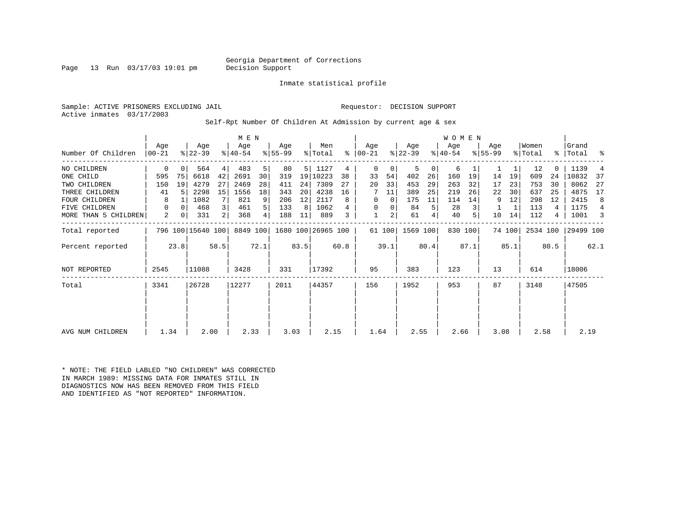Page 13 Run 03/17/03 19:01 pm

Inmate statistical profile

Sample: ACTIVE PRISONERS EXCLUDING JAIL Requestor: DECISION SUPPORT Active inmates 03/17/2003

Self-Rpt Number Of Children At Admission by current age & sex

|                      | Age       |          | Age               |      | M E N<br>Age |      | Age       |                 | Men                         |      | Age       |                | Age             |                | <b>WOMEN</b><br>Age |         | Age       |        | Women    |      | Grand     |                |
|----------------------|-----------|----------|-------------------|------|--------------|------|-----------|-----------------|-----------------------------|------|-----------|----------------|-----------------|----------------|---------------------|---------|-----------|--------|----------|------|-----------|----------------|
| Number Of Children   | $ 00-21 $ |          | $ 22-39 $         |      | $ 40-54 $    |      | $8 55-99$ |                 | % Total                     | ፟ዼ   | $ 00-21 $ |                | $ 22-39 $       |                | $ 40-54 $           |         | $8 55-99$ |        | % Total  | ႜႜ   | Total     | ್ಠಿ            |
| NO CHILDREN          | 0         | $\Omega$ | 564               | 4    | 483          | 5    | 80        | 5 <sup>1</sup>  | 1127                        | 4    | $\Omega$  | 0              | 5               | 0 <sup>1</sup> | 6                   |         |           | 1      | 12       |      | 1139      |                |
| ONE CHILD            | 595       | 75       | 6618              | 42   | 2691         | 30   | 319       |                 | 19 10223                    | 38   | 33        | 54             | 402             | 26             | 160                 | 19      | 14        | 19     | 609      | 24   | 10832     | 37             |
| TWO CHILDREN         | 150       | 19       | 4279              | 27   | 2469         | 28   | 411       | 24              | 7309                        | 27   | 20        | 33             | 453             | 29             | 263                 | 32      | 17        | 23     | 753      | 30   | 8062      | 27             |
| THREE CHILDREN       | 41        | 5        | 2298              | 15   | 1556         | 18   | 343       | 20 <sub>1</sub> | 4238                        | 16   |           | 11             | 389             | 25             | 219                 | 26      | 22        | 30     | 637      | 25   | 4875      | 17             |
| <b>FOUR CHILDREN</b> | 8         |          | 1082              | 7    | 821          | 9    | 206       | 12              | 2117                        | 8    | $\Omega$  | $\mathbf 0$    | 175             | 11             | 114                 | 14      | 9         | 12     | 298      | 12   | 2415      | 8              |
| FIVE CHILDREN        | 0         | $\Omega$ | 468               |      | 461          | 5    | 133       | 8               | 1062                        |      | $\Omega$  | 0              | 84              | 5              | 28                  |         |           |        | 113      | 4    | 1175      | $\overline{4}$ |
| MORE THAN 5 CHILDREN | 2         | 0        | 331               |      | 368          | 4    | 188       | 11              | 889                         |      |           | 2 <sub>1</sub> | 61              | 4              | 40                  |         | 10        | 14     | 112      | 4    | 1001      | 3              |
| Total reported       |           |          | 796 100 15640 100 |      |              |      |           |                 | 8849 100 1680 100 26965 100 |      |           |                | 61 100 1569 100 |                |                     | 830 100 |           | 74 100 | 2534 100 |      | 29499 100 |                |
| Percent reported     |           | 23.8     |                   | 58.5 |              | 72.1 |           | 83.5            |                             | 60.8 |           | 39.1           |                 | 80.4           |                     | 87.1    |           | 85.1   |          | 80.5 |           | 62.1           |
| <b>NOT REPORTED</b>  | 2545      |          | 11088             |      | 3428         |      | 331       |                 | 17392                       |      | 95        |                | 383             |                | 123                 |         | 13        |        | 614      |      | 18006     |                |
| Total                | 3341      |          | 26728             |      | 12277        |      | 2011      |                 | 44357                       |      | 156       |                | 1952            |                | 953                 |         | 87        |        | 3148     |      | 47505     |                |
|                      |           |          |                   |      |              |      |           |                 |                             |      |           |                |                 |                |                     |         |           |        |          |      |           |                |
|                      |           |          |                   |      |              |      |           |                 |                             |      |           |                |                 |                |                     |         |           |        |          |      |           |                |
| AVG NUM CHILDREN     | 1.34      |          | 2.00              |      | 2.33         |      | 3.03      |                 | 2.15                        |      | 1.64      |                | 2.55            |                | 2.66                |         | 3.08      |        | 2.58     |      | 2.19      |                |

\* NOTE: THE FIELD LABLED "NO CHILDREN" WAS CORRECTED IN MARCH 1989: MISSING DATA FOR INMATES STILL IN DIAGNOSTICS NOW HAS BEEN REMOVED FROM THIS FIELD AND IDENTIFIED AS "NOT REPORTED" INFORMATION.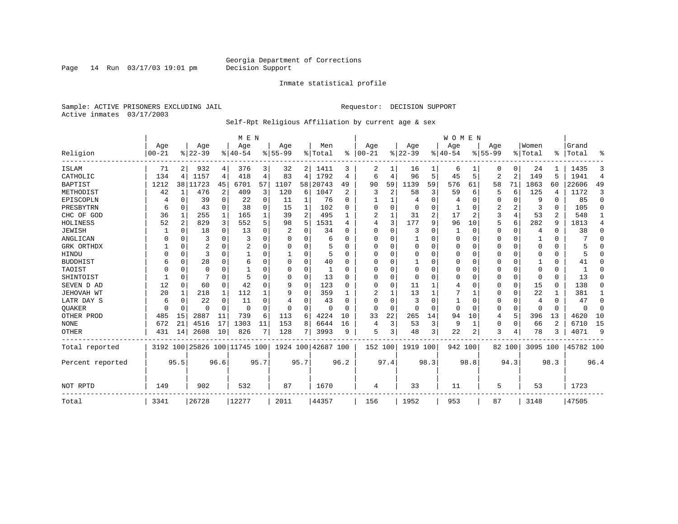Page 14 Run 03/17/03 19:01 pm

#### Inmate statistical profile

Sample: ACTIVE PRISONERS EXCLUDING JAIL **Requestor: DECISION SUPPORT** Active inmates 03/17/2003

#### Self-Rpt Religious Affiliation by current age & sex

|                  |                   |                |                  |                | M E N                        |      |                  |      |                    |                |                   |          |                 |                | <b>WOMEN</b>     |          |                  |                |                  |          |                |                |
|------------------|-------------------|----------------|------------------|----------------|------------------------------|------|------------------|------|--------------------|----------------|-------------------|----------|-----------------|----------------|------------------|----------|------------------|----------------|------------------|----------|----------------|----------------|
| Religion         | Age<br>$ 00 - 21$ |                | Age<br>$8 22-39$ |                | Age<br>$ 40-54$              |      | Age<br>$8 55-99$ |      | Men<br>% Total     | $\approx$      | Age<br>$ 00 - 21$ |          | Age<br>$ 22-39$ |                | Aqe<br>$8 40-54$ |          | Age<br>$8 55-99$ |                | Women<br>% Total | ፠        | Grand<br>Total | ዱ              |
| <b>ISLAM</b>     | 71                | 2              | 932              | 4              | 376                          | 3    | 32               | 2    | 1411               | 3              | 2                 | 1        | 16              |                | 6                |          | Ω                | 0              | 24               |          | 1435           | 3              |
| CATHOLIC         | 134               | 4              | 1157             | 4              | 418                          | 4    | 83               | 4    | 1792               | 4              | 6                 | 4        | 96              | 5              | 45               | 5        | $\overline{2}$   | $\overline{2}$ | 149              | 5        | 1941           | $\overline{4}$ |
| <b>BAPTIST</b>   | 1212              |                | 38 11723         | 45             | 6701                         | 57   | 1107             | 58   | 20743              | 49             | 90                | 59       | 1139            | 59             | 576              | 61       | 58               | 71             | 1863             | 60       | 22606          | 49             |
| METHODIST        | 42                | 1              | 476              | $\overline{c}$ | 409                          | 3    | 120              | 6    | 1047               | $\overline{2}$ | 3                 | 2        | 58              | 3              | 59               | 6        | 5                | 6              | 125              | 4        | 1172           | 3              |
| EPISCOPLN        |                   | 0              | 39               | 0              | 22                           | 0    | 11               | 1    | 76                 | $\Omega$       |                   | 1        | $\overline{4}$  | 0              |                  | 0        | 0                | 0              | 9                | 0        | 85             | $\mathbf 0$    |
| PRESBYTRN        | 6                 | 0              | 43               | $\mathbf 0$    | 38                           | 0    | 15               | 1    | 102                | $\Omega$       | $\Omega$          | $\Omega$ | $\mathbf 0$     | 0              |                  | 0        | 2                | 2              | 3                | $\Omega$ | 105            | $\Omega$       |
| CHC OF GOD       | 36                | 1              | 255              | $\mathbf{1}$   | 165                          |      | 39               | 2    | 495                |                | 2                 | 1        | 31              | $\overline{2}$ | 17               | 2        | 3                | $\overline{4}$ | 53               | 2        | 548            | 1              |
| HOLINESS         | 52                | $\overline{2}$ | 829              | 3              | 552                          | 5    | 98               | 5    | 1531               | 4              | 4                 | 3        | 177             | 9              | 96               | 10       | 5                | 6              | 282              | 9        | 1813           | 4              |
| <b>JEWISH</b>    |                   | $\Omega$       | 18               | 0              | 13                           | 0    |                  | 0    | 34                 | $\Omega$       | 0                 | 0        | 3               | U              |                  | $\Omega$ | 0                | 0              | 4                | $\Omega$ | 38             | $\Omega$       |
| ANGLICAN         | O                 | 0              | 3                | 0              | 3                            | O    | O                | 0    | 6                  | ∩              | 0                 | U        |                 | U              | 0                | 0        | 0                | 0              |                  | 0        |                | $\Omega$       |
| GRK ORTHDX       |                   | 0              | 2                | $\Omega$       | 2                            | O    | n                | 0    |                    | $\Omega$       | O                 | $\Omega$ | $\mathbf 0$     | U              | 0                | $\Omega$ | 0                | $\Omega$       | $\Omega$         | $\Omega$ |                | $\Omega$       |
| HINDU            |                   | $\Omega$       | 3                | $\Omega$       |                              | O    |                  | 0    | 5                  | ∩              | $\Omega$          | $\Omega$ | $\mathbf 0$     | $\Omega$       | $\Omega$         | $\Omega$ | 0                | $\Omega$       | $\Omega$         | $\Omega$ |                | $\Omega$       |
| <b>BUDDHIST</b>  |                   | $\Omega$       | 28               | $\Omega$       | 6                            | O    | $\Omega$         | 0    | 40                 | $\Omega$       | 0                 | O        | $\mathbf{1}$    | U              | 0                | $\Omega$ | 0                | $\Omega$       |                  | $\Omega$ | 41             | $\Omega$       |
| TAOIST           |                   | $\Omega$       | 0                | $\Omega$       |                              |      | 0                | 0    |                    | $\Omega$       | 0                 | $\Omega$ | $\mathbf 0$     | U              | 0                | $\Omega$ | 0                | $\Omega$       | $\Omega$         | $\Omega$ | $\overline{1}$ | $\Omega$       |
| SHINTOIST        |                   | $\Omega$       |                  | $\Omega$       | 5                            | O    | O                | O    | 13                 | $\Omega$       | $\Omega$          | $\Omega$ | $\mathbf 0$     | O              | U                | $\Omega$ | 0                | $\Omega$       | $\Omega$         | $\Omega$ | 13             | $\Omega$       |
| SEVEN D AD       | 12                | $\Omega$       | 60               | 0              | 42                           |      | 9                | O    | 123                | $\Omega$       | O                 | $\Omega$ | 11              |                | 4                | $\Omega$ | 0                | 0              | 15               | $\Omega$ | 138            | $\Omega$       |
| JEHOVAH WT       | 20                | 1              | 218              | 1              | 112                          |      | 9                | 0    | 359                |                |                   | 1        | 13              |                |                  | 1        | 0                | 0              | 22               |          | 381            | 1              |
| LATR DAY S       | 6                 | 0              | 22               | $\Omega$       | 11                           |      |                  | 0    | 43                 | $\Omega$       | O                 | O        | 3               | U              | 1                | $\Omega$ | 0                | 0              | 4                | $\Omega$ | 47             | $\Omega$       |
| <b>OUAKER</b>    | U                 | $\mathbf 0$    | U                | $\mathbf 0$    | 0                            | O    | $\Omega$         | 0    | 0                  | ∩              | $\Omega$          | $\Omega$ | $\mathbf 0$     | O              | $\Omega$         | $\Omega$ | 0                | $\mathbf 0$    | $\Omega$         | $\Omega$ | $\Omega$       | 0              |
| OTHER PROD       | 485               | 15             | 2887             | 11             | 739                          | 6    | 113              | 6    | 4224               | 10             | 33                | 22       | 265             | 14             | 94               | 10       | 4                | 5              | 396              | 13       | 4620           | 10             |
| <b>NONE</b>      | 672               | 21             | 4516             | 17             | 1303                         | 11   | 153              | 8    | 6644               | 16             | 4                 | 3        | 53              | 3              | 9                | 1        | 0                | $\Omega$       | 66               | 2        | 6710           | 15             |
| <b>OTHER</b>     | 431               | 14             | 2608             | 10             | 826                          |      | 128              | 7    | 3993               | 9              | 5                 | 3        | 48              | 3              | 22               | 2        | 3                | 4              | 78               | 3        | 4071           | 9              |
| Total reported   |                   |                |                  |                | 3192 100 25826 100 11745 100 |      |                  |      | 1924 100 42687 100 |                | 152 100           |          | 1919 100        |                | 942 100          |          |                  | 82 100         | 3095 100         |          | 45782 100      |                |
| Percent reported |                   | 95.5           |                  | 96.6           |                              | 95.7 |                  | 95.7 |                    | 96.2           |                   | 97.4     |                 | 98.3           |                  | 98.8     |                  | 94.3           |                  | 98.3     |                | 96.4           |
| NOT RPTD         | 149               |                | 902              |                | 532                          |      | 87               |      | 1670               |                | 4                 |          | 33              |                | 11               |          | 5                |                | 53               |          | 1723           |                |
| Total            | 3341              |                | 26728            |                | 12277                        |      | 2011             |      | 44357              |                | 156               |          | 1952            |                | 953              |          | 87               |                | 3148             |          | 47505          |                |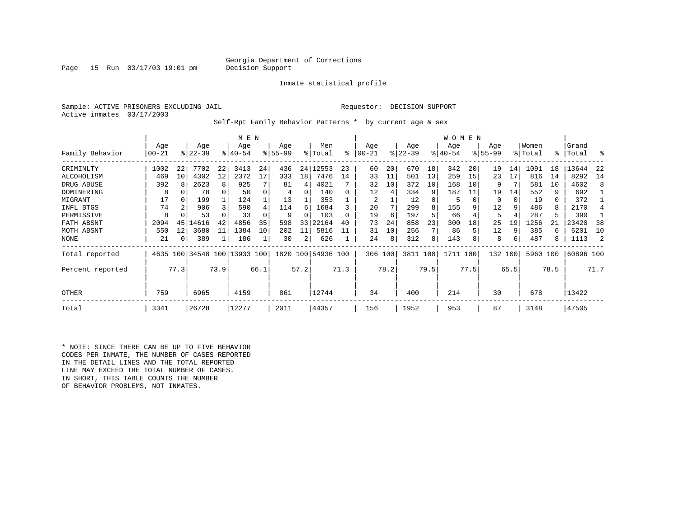### Georgia Department of Corrections<br>Decision Support

Page 15 Run  $03/17/03$  19:01 pm

Inmate statistical profile

Sample: ACTIVE PRISONERS EXCLUDING JAIL Requestor: DECISION SUPPORT Active inmates 03/17/2003

Self-Rpt Family Behavior Patterns \* by current age & sex

|                  |           |                 |                              |      | M E N     |      |                 |      |                    |      |          |      |                  |      | <b>WOMEN</b> |      |                 |      |          |      |           |      |
|------------------|-----------|-----------------|------------------------------|------|-----------|------|-----------------|------|--------------------|------|----------|------|------------------|------|--------------|------|-----------------|------|----------|------|-----------|------|
|                  | Age       |                 | Age<br>$ 22-39 $             |      | Age       |      | Age<br>$ 55-99$ |      | Men                | ႜ    | Age      |      | Age<br>$ 22-39 $ |      | Age          |      | Age<br>$ 55-99$ |      | Women    | °≈   | Grand     | ႜ    |
| Family Behavior  | $00 - 21$ |                 |                              |      | $8 40-54$ |      |                 |      | % Total            |      | $ 00-21$ |      |                  |      | $ 40-54 $    |      |                 |      | % Total  |      | Total     |      |
| CRIMINLTY        | 1002      | 22              | 7702                         | 22   | 3413      | 24   | 436             | 24   | 12553              | 23   | 60       | 20   | 670              | 18   | 342          | 20   | 19              | 14   | 1091     | 18   | 13644     | 22   |
| ALCOHOLISM       | 469       | 10 <sup>1</sup> | 4302                         | 12   | 2372      | 17   | 333             | 18   | 7476               | 14   | 33       | 11   | 501              | 13   | 259          | 15   | 23              | 17   | 816      | 14   | 8292      | 14   |
| DRUG ABUSE       | 392       |                 | 2623                         | 8    | 925       |      | 81              | 4    | 4021               |      | 32       | 10   | 372              | 10   | 168          | 10   | 9               |      | 581      | 10   | 4602      | 8    |
| DOMINERING       | 8         |                 | 78                           |      | 50        |      | 4               | 0    | 140                |      | 12       | 4    | 334              | 9    | 187          | 11   | 19              | 14   | 552      | 9    | 692       |      |
| MIGRANT          | 17        |                 | 199                          |      | 124       |      | 13              |      | 353                |      | 2        |      | 12               |      | 5            |      | 0               |      | 19       | 0    | 372       |      |
| INFL BTGS        | 74        |                 | 906                          |      | 590       |      | 114             | 6    | 1684               |      | 20       |      | 299              |      | 155          |      | 12              | 9    | 486      | 8    | 2170      |      |
| PERMISSIVE       | 8         |                 | 53                           |      | 33        |      | 9               | O    | 103                |      | 19       | 6    | 197              |      | 66           |      | 5               | 4    | 287      | 5    | 390       |      |
| FATH ABSNT       | 2094      | 45              | 14616                        | 42   | 4856      | 35   | 598             | 33   | 22164              | 40   | 73       | 24   | 858              | 23   | 300          | 18   | 25              | 19   | 1256     | 21   | 23420     | 38   |
| MOTH ABSNT       | 550       | 12              | 3680                         | 11   | 1384      | 10   | 202             | 11   | 5816               |      | 31       | 10   | 256              |      | 86           |      | 12              | 9    | 385      | 6    | 6201      | 10   |
| NONE             | 21        |                 | 389                          |      | 186       |      | 30              | 2    | 626                |      | 24       | 8    | 312              | 8    | 143          |      | 8               | 6    | 487      | 8    | 1113      |      |
| Total reported   |           |                 | 4635 100 34548 100 13933 100 |      |           |      |                 |      | 1820 100 54936 100 |      | 306 100  |      | 3811 100         |      | 1711 100     |      | 132             | 100  | 5960 100 |      | 60896 100 |      |
| Percent reported |           | 77.3            |                              | 73.9 |           | 66.1 |                 | 57.2 |                    | 71.3 |          | 78.2 |                  | 79.5 |              | 77.5 |                 | 65.5 |          | 78.5 |           | 71.7 |
| OTHER            | 759       |                 | 6965                         |      | 4159      |      | 861             |      | 12744              |      | 34       |      | 400              |      | 214          |      | 30              |      | 678      |      | 13422     |      |
| Total            | 3341      |                 | 26728                        |      | 12277     |      | 2011            |      | 44357              |      | 156      |      | 1952             |      | 953          |      | 87              |      | 3148     |      | 47505     |      |

\* NOTE: SINCE THERE CAN BE UP TO FIVE BEHAVIOR CODES PER INMATE, THE NUMBER OF CASES REPORTED IN THE DETAIL LINES AND THE TOTAL REPORTED LINE MAY EXCEED THE TOTAL NUMBER OF CASES. IN SHORT, THIS TABLE COUNTS THE NUMBER OF BEHAVIOR PROBLEMS, NOT INMATES.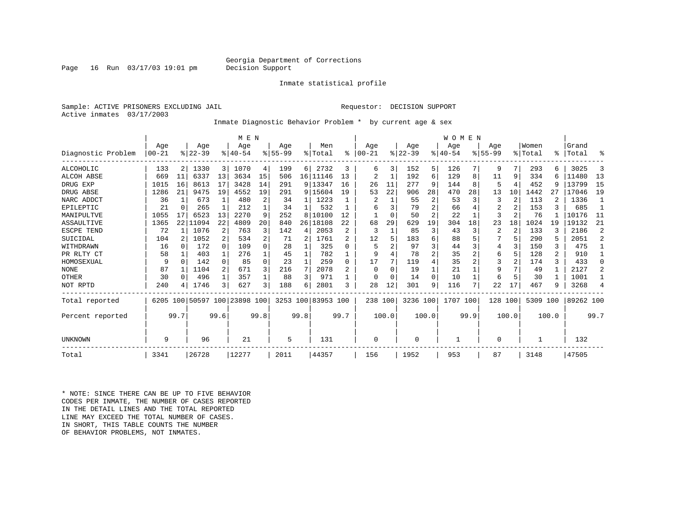### Georgia Department of Corrections<br>Decision Support

Inmate statistical profile

Sample: ACTIVE PRISONERS EXCLUDING JAIL Requestor: DECISION SUPPORT Active inmates 03/17/2003

Inmate Diagnostic Behavior Problem \* by current age & sex

|                    |                |          |                  |                | M E N                        |              |                    |                 |                    |                |                  |          |                  |          | WOMEN           |      |                    |       |                  |                |                    |                |
|--------------------|----------------|----------|------------------|----------------|------------------------------|--------------|--------------------|-----------------|--------------------|----------------|------------------|----------|------------------|----------|-----------------|------|--------------------|-------|------------------|----------------|--------------------|----------------|
| Diagnostic Problem | Age<br>  00-21 |          | Age<br>$8 22-39$ |                | Age<br>$8 40-54$             |              | Age<br>$8155 - 99$ |                 | Men<br>% Total     | $\approx$      | Age<br>$00 - 21$ |          | Age<br>$ 22-39 $ |          | Age<br>$ 40-54$ |      | Age<br>$8155 - 99$ |       | Women<br>% Total |                | Grand<br>%   Total | ៖              |
| <b>ALCOHOLIC</b>   | 133            | 2        | 1330             | 3 <sup>1</sup> | 1070                         | 4            | 199                | 6               | 2732               | 3              | 6                | 3        | 152              | 5        | 126             |      | 9                  | 7     | 293              |                | 3025               | 3              |
| <b>ALCOH ABSE</b>  | 669            | 11       | 6337             | 13             | 3634                         | 15           | 506                |                 | 16 11146           | 13             | $\overline{2}$   |          | 192              | 6        | 129             | 8    | 11                 | 9     | 334              |                | 11480              | 13             |
| DRUG EXP           | 1015           | 16       | 8613             | 17             | 3428                         | 14           | 291                |                 | 9 13347            | 16             | 26               | 11       | 277              | 9        | 144             | 8    | 5                  | 4     | 452              | q              | 13799              | 15             |
| DRUG ABSE          | 1286           | 21       | 9475             | 19             | 4552                         | 19           | 291                |                 | 9 15604            | 19             | 53               | 22       | 906              | 28       | 470             | 28   | 13                 | 10    | 1442             | 27             | 17046              | 19             |
| NARC ADDCT         | 36             |          | 673              |                | 480                          | 2            | 34                 |                 | 1223               |                |                  |          | 55               | 2        | 53              | २    | 3                  | 2     | 113              |                | 1336               | -1             |
| EPILEPTIC          | 21             | 0        | 265              |                | 212                          |              | 34                 |                 | 532                |                | 6                |          | 79               | 2        | 66              |      | 2                  | 2     | 153              |                | 685                | 1              |
| MANIPULTVE         | 1055           | 17       | 6523             | 13             | 2270                         | 9            | 252                | 8               | 10100              | 12             |                  | $\Omega$ | 50               | 2        | 22              |      | 3                  | 2     | 76               |                | 10176              | -11            |
| ASSAULTIVE         | 1365           | 22       | 11094            | 22             | 4809                         | 20           | 840                | 26 <sub>1</sub> | 18108              | 2.2            | 68               | 29       | 629              | 19       | 304             | 18   | 23                 | 18    | 1024             | 19             | 19132              | 21             |
| ESCPE TEND         | 72             |          | 1076             | 2              | 763                          |              | 142                | 4               | 2053               |                | २                |          | 85               | 3        | 43              | 3    | 2                  | 2     | 133              |                | 2186               | 2              |
| SUICIDAL           | 104            |          | 1052             | 2              | 534                          | 2            | 71                 | 2               | 1761               |                | 12               |          | 183              | 6        | 88              |      |                    | 5     | 290              |                | 2051               | $\overline{2}$ |
| WITHDRAWN          | 16             | ∩        | 172              | $\Omega$       | 109                          | <sup>n</sup> | 28                 |                 | 325                | <sup>n</sup>   |                  |          | 97               |          | 44              |      | 4                  |       | 150              |                | 475                |                |
| PR RLTY CT         | 58             |          | 403              | 1              | 276                          |              | 45                 |                 | 782                |                | 9                |          | 78               | 2        | 35              |      | 6                  | 5     | 128              | $\overline{2}$ | 910                | 1              |
| HOMOSEXUAL         | 9              | $\Omega$ | 142              | $\Omega$       | 85                           | $\Omega$     | 23                 |                 | 259                | <sup>0</sup>   | 17               |          | 119              | 4        | 35              |      | 3                  |       | 174              | 3              | 433                | 0              |
| <b>NONE</b>        | 87             |          | 1104             | 2              | 671                          |              | 216                | 7               | 2078               | $\overline{c}$ | O                | $\Omega$ | 19               |          | 21              |      | 9                  |       | 49               |                | 2127               | $\overline{2}$ |
| OTHER              | 30             | $\Omega$ | 496              | 1              | 357                          |              | 88                 | 3               | 971                |                | $\Omega$         | $\Omega$ | 14               | $\Omega$ | 10              |      | 6                  | 5     | 30               |                | 1001               |                |
| NOT RPTD           | 240            |          | 1746             | 3 <sub>1</sub> | 627                          |              | 188                | 6               | 2801               | ζ              | 28               | 12       | 301              | 9        | 116             |      | 22                 | 17    | 467              |                | 3268               | 4              |
| Total reported     |                |          |                  |                | 6205 100 50597 100 23898 100 |              |                    |                 | 3253 100 83953 100 |                | 238 100          |          | 3236 100         |          | 1707 100        |      | 128 100            |       | 5309             | 100            | 89262 100          |                |
| Percent reported   |                | 99.7     |                  | 99.6           |                              | 99.8         |                    | 99.8            |                    | 99.7           |                  | 100.0    |                  | 100.0    |                 | 99.9 |                    | 100.0 |                  | 100.0          |                    | 99.7           |
| UNKNOWN            | 9              |          | 96               |                | 21                           |              | 5                  |                 | 131                |                | $\Omega$         |          | $\Omega$         |          |                 |      | 0                  |       |                  |                | 132                |                |
| Total              | 3341           |          | 26728            |                | 12277                        |              | 2011               |                 | 44357              |                | 156              |          | 1952             |          | 953             |      | 87                 |       | 3148             |                | 47505              |                |

\* NOTE: SINCE THERE CAN BE UP TO FIVE BEHAVIOR CODES PER INMATE, THE NUMBER OF CASES REPORTED IN THE DETAIL LINES AND THE TOTAL REPORTED LINE MAY EXCEED THE TOTAL NUMBER OF CASES.IN SHORT, THIS TABLE COUNTS THE NUMBER OF BEHAVIOR PROBLEMS, NOT INMATES.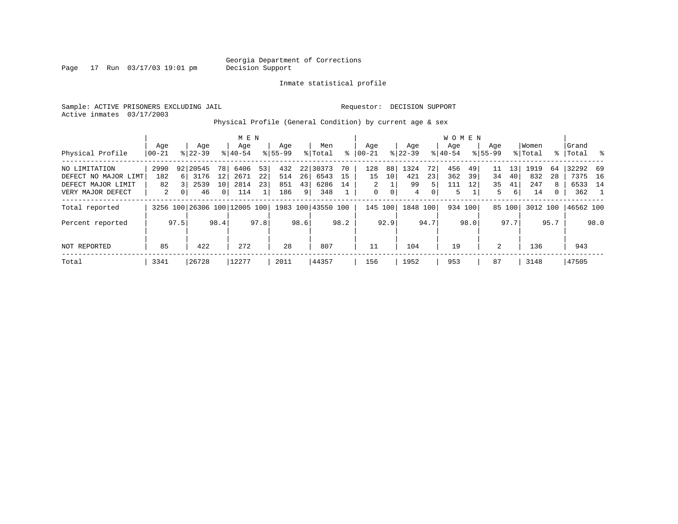Page 17 Run 03/17/03 19:01 pm

Inmate statistical profile

Sample: ACTIVE PRISONERS EXCLUDING JAIL Requestor: DECISION SUPPORT Active inmates 03/17/2003

Physical Profile (General Condition) by current age & sex

|                      |       |      |                              |                | M E N     |      |             |      |                    |      |                |                 |           |                | WOMEN     |      |             |        |          |      |           |      |
|----------------------|-------|------|------------------------------|----------------|-----------|------|-------------|------|--------------------|------|----------------|-----------------|-----------|----------------|-----------|------|-------------|--------|----------|------|-----------|------|
|                      | Aqe   |      | Age                          |                | Age       |      | Aqe         |      | Men                |      | Aqe            |                 | Aqe       |                | Aqe       |      | Aqe         |        | Women    |      | Grand     |      |
| Physical Profile     | 00-21 |      | $8 22-39$                    |                | $8 40-54$ |      | $8155 - 99$ |      | % Total            | ႜ    | $ 00 - 21$     |                 | $ 22-39 $ |                | $8 40-54$ |      | $8155 - 99$ |        | % Total  | ∻    | Total     | - 옹  |
| NO LIMITATION        | 2990  |      | 92 20545                     | 78             | 6406      | 53   | 432         |      | 22 30373           | 70   | 128            | 88              | 1324      | 72             | 456       | 49   | 11          | 13     | 1919     | -64  | 32292 69  |      |
| DEFECT NO MAJOR LIMT | 182   | 6 I  | 3176                         | 12             | 2671      | 22   | 514         | 26   | 6543               | 15   | 15             | 10 <sup>1</sup> | 421       | 23             | 362       | 39   | 34          | 40     | 832      | 28   | 7375 16   |      |
| DEFECT MAJOR LIMIT   | 82    |      | 2539                         | 10             | 2814      | 23   | 851         | 43   | 6286               | 14   | $\overline{2}$ |                 | 99        | 5.             | 111       | 12   | 35          | 41     | 247      | 8    | 6533 14   |      |
| VERY MAJOR DEFECT    | 2     | 01   | 46                           | $\overline{0}$ | 114       | 1    | 186         | 9    | 348                |      | $\mathbf 0$    | 0               | 4         | 0 <sup>1</sup> | 5         |      | 5           | 6      | 14       | 0    | 362       |      |
| Total reported       |       |      | 3256 100 26306 100 12005 100 |                |           |      |             |      | 1983 100 43550 100 |      |                | 145 100         | 1848 100  |                | 934 100   |      |             | 85 100 | 3012 100 |      | 46562 100 |      |
| Percent reported     |       | 97.5 |                              | 98.4           |           | 97.8 |             | 98.6 |                    | 98.2 |                | 92.9            |           | 94.7           |           | 98.0 |             | 97.7   |          | 95.7 |           | 98.0 |
| NOT REPORTED         | 85    |      | 422                          |                | 272       |      | 28          |      | 807                |      | 11             |                 | 104       |                | 19        |      | 2           |        | 136      |      | 943       |      |
| Total                | 3341  |      | 26728                        |                | 12277     |      | 2011        |      | 44357              |      | 156            |                 | 1952      |                | 953       |      | 87          |        | 3148     |      | 47505     |      |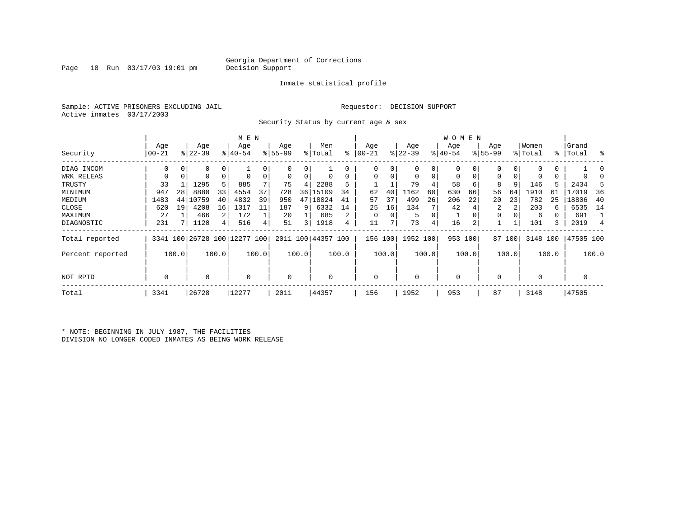Page 18 Run  $03/17/03$  19:01 pm

#### Inmate statistical profile

Sample: ACTIVE PRISONERS EXCLUDING JAIL Requestor: DECISION SUPPORT Active inmates 03/17/2003

Security Status by current age & sex

|                  |           |       |           |                | M E N                        |       |           |       |                    |       |            |          |             |       | <b>WOMEN</b> |       |           |          |          |       |           |       |
|------------------|-----------|-------|-----------|----------------|------------------------------|-------|-----------|-------|--------------------|-------|------------|----------|-------------|-------|--------------|-------|-----------|----------|----------|-------|-----------|-------|
|                  | Age       |       | Age       |                | Age                          |       | Age       |       | Men                |       | Age        |          | Age         |       | Age          |       | Age       |          | Women    |       | Grand     |       |
| Security         | $00 - 21$ |       | $ 22-39 $ |                | $8 40-54$                    |       | $8 55-99$ |       | % Total            | နွ    | $ 00 - 21$ |          | $ 22 - 39 $ |       | $ 40-54 $    |       | $8 55-99$ |          | % Total  |       | %   Total | ႜ     |
| DIAG INCOM       | 0         |       |           | 0              |                              |       | $\Omega$  | 0     |                    |       | $\Omega$   |          | 0           | 0     | 0            |       |           | $\Omega$ |          | 0     |           |       |
| WRK RELEAS       | 0         | 0     |           | $\mathbf 0$    | $\Omega$                     |       | 0         | 0     |                    |       | $\Omega$   |          | $\mathbf 0$ | 0     | 0            | 0     | 0         | 0        | 0        | 0     |           |       |
| TRUSTY           | 33        |       | 1295      | 5              | 885                          |       | 75        | 4     | 2288               | 5     |            |          | 79          |       | 58           | 6     | 8         | 9        | 146      |       | 2434      |       |
| MINIMUM          | 947       | 28    | 8880      | 33             | 4554                         | 37    | 728       | 36    | 15109              | 34    | 62         | 40       | 1162        | 60    | 630          | 66    | 56        | 64       | 1910     | 61    | 17019     | 36    |
| MEDIUM           | 1483      | 44    | 10759     | 40             | 4832                         | 39    | 950       | 47    | 18024              | 41    | 57         | 37       | 499         | 26    | 206          | 22    | 20        | 23       | 782      | 25    | 18806     | 40    |
| CLOSE            | 620       | 19    | 4208      | 16             | 1317                         | 11    | 187       | 9     | 6332               | 14    | 25         | 16       | 134         |       | 42           |       | 2         | 2        | 203      | 6     | 6535      | 14    |
| MAXIMUM          | 27        |       | 466       | 2              | 172                          |       | 20        |       | 685                | 2     | $\Omega$   | $\Omega$ | 5           | 0     |              |       | 0         |          | 6        |       | 691       |       |
| DIAGNOSTIC       | 231       |       | 1120      | $\overline{4}$ | 516                          |       | 51        | 3     | 1918               | 4     | 11         |          | 73          | 4     | 16           | 2     |           |          | 101      | 3     | 2019      | 4     |
| Total reported   |           |       |           |                | 3341 100 26728 100 12277 100 |       |           |       | 2011 100 44357 100 |       | 156        | 100      | 1952 100    |       | 953 100      |       |           | 87 100   | 3148 100 |       | 47505 100 |       |
| Percent reported |           | 100.0 |           | 100.0          |                              | 100.0 |           | 100.0 |                    | 100.0 |            | 100.0    |             | 100.0 |              | 100.0 |           | 100.0    |          | 100.0 |           | 100.0 |
| NOT RPTD         | 0         |       | $\Omega$  |                | $\Omega$                     |       | $\Omega$  |       |                    |       | $\Omega$   |          | $\mathbf 0$ |       | $\Omega$     |       |           |          | $\Omega$ |       |           |       |
| Total            | 3341      |       | 26728     |                | 12277                        |       | 2011      |       | 44357              |       | 156        |          | 1952        |       | 953          |       | 87        |          | 3148     |       | 47505     |       |

\* NOTE: BEGINNING IN JULY 1987, THE FACILITIES DIVISION NO LONGER CODED INMATES AS BEING WORK RELEASE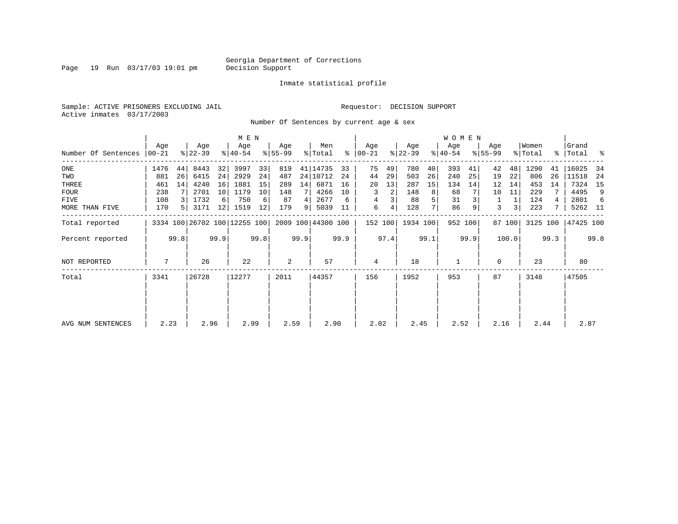Page 19 Run 03/17/03 19:01 pm

#### Inmate statistical profile

Sample: ACTIVE PRISONERS EXCLUDING JAIL Requestor: DECISION SUPPORT Active inmates 03/17/2003

Number Of Sentences by current age & sex

|                     |           |                |           |      | M E N                        |      |           |      |                    |      |                |      |           |      | <b>WOMEN</b> |      |             |                |          |      |             |      |
|---------------------|-----------|----------------|-----------|------|------------------------------|------|-----------|------|--------------------|------|----------------|------|-----------|------|--------------|------|-------------|----------------|----------|------|-------------|------|
|                     | Age       |                | Age       |      | Age                          |      | Age       |      | Men                |      | Age            |      | Age       |      | Age          |      | Age         |                | Women    |      | Grand       |      |
| Number Of Sentences | $00 - 21$ |                | $ 22-39 $ |      | $ 40-54 $                    |      | $8 55-99$ |      | % Total            |      | $8   00 - 21$  |      | $ 22-39 $ |      | $ 40-54 $    |      | $8155 - 99$ |                | % Total  |      | %   Total % |      |
| ONE                 | 1476      | 44             | 8443      | 32   | 3997                         | 33   | 819       |      | 41   14735         | 33   | 75             | 49   | 780       | 40   | 393          | 41   | 42          | 48             | 1290     | 41   | 16025       | -34  |
| TWO                 | 881       | 26             | 6415      | 24   | 2929                         | 24   | 487       |      | 24 10712           | 24   | 44             | 29   | 503       | 26   | 240          | 25   | 19          | 22             | 806      | 26   | 11518       | -24  |
| THREE               | 461       | 14             | 4240      | 16   | 1881                         | 15   | 289       | 14   | 6871               | 16   | 20             | 13   | 287       | 15   | 134          | 14   | 12          | 14             | 453      | 14   | 7324        | 15   |
| <b>FOUR</b>         | 238       |                | 2701      | 10   | 1179                         | 10   | 148       |      | 4266               | 10   | 3              | 2    | 148       | 8    | 68           |      | 10          | 11             | 229      |      | 4495        | 9    |
| FIVE                | 108       |                | 1732      | 6    | 750                          | 6    | 87        | 4    | 2677               | 6    | 4              |      | 88        |      | 31           |      |             |                | 124      |      | 2801        | 6    |
| MORE THAN FIVE      | 170       | 5 <sup>1</sup> | 3171      | 12   | 1519                         | 12   | 179       | 9    | 5039               | 11   | 6              | 4    | 128       |      | 86           |      | 3           | 3 <sub>1</sub> | 223      |      | 5262 11     |      |
| Total reported      |           |                |           |      | 3334 100 26702 100 12255 100 |      |           |      | 2009 100 44300 100 |      | 152 100        |      | 1934 100  |      | 952 100      |      |             | 87 100         | 3125 100 |      | 47425 100   |      |
| Percent reported    |           | 99.8           |           | 99.9 |                              | 99.8 |           | 99.9 |                    | 99.9 |                | 97.4 |           | 99.1 |              | 99.9 |             | 100.0          |          | 99.3 |             | 99.8 |
| NOT REPORTED        | 7         |                | 26        |      | 22                           |      | 2         |      | 57                 |      | $\overline{4}$ |      | 18        |      | $\mathbf{1}$ |      | 0           |                | 23       |      | 80          |      |
| Total               | 3341      |                | 26728     |      | 12277                        |      | 2011      |      | 44357              |      | 156            |      | 1952      |      | 953          |      | 87          |                | 3148     |      | 47505       |      |
|                     |           |                |           |      |                              |      |           |      |                    |      |                |      |           |      |              |      |             |                |          |      |             |      |
| AVG NUM SENTENCES   | 2.23      |                | 2.96      |      | 2.99                         |      | 2.59      |      | 2.90               |      | 2.02           |      | 2.45      |      | 2.52         |      | 2.16        |                | 2.44     |      | 2.87        |      |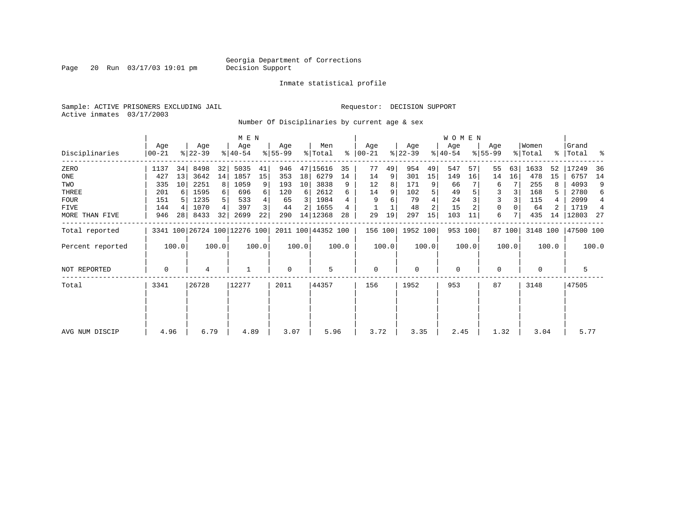Page 20 Run 03/17/03 19:01 pm

#### Inmate statistical profile

Sample: ACTIVE PRISONERS EXCLUDING JAIL Requestor: DECISION SUPPORT Active inmates 03/17/2003

Number Of Disciplinaries by current age & sex

|                  |                  |       |                              |                | M E N            |       |                  |                 |                    |       |                  |       |                  |                | W O M E N        |         |                  |        |                  |       |                      |                |
|------------------|------------------|-------|------------------------------|----------------|------------------|-------|------------------|-----------------|--------------------|-------|------------------|-------|------------------|----------------|------------------|---------|------------------|--------|------------------|-------|----------------------|----------------|
| Disciplinaries   | Age<br>$00 - 21$ |       | Age<br>$ 22-39 $             |                | Age<br>$ 40-54 $ |       | Age<br>$8 55-99$ |                 | Men<br>% Total     | ႜ     | Age<br>$ 00-21 $ |       | Age<br>$ 22-39 $ |                | Age<br>$ 40-54 $ |         | Age<br>$8 55-99$ |        | Women<br>% Total |       | Grand<br>%   Total % |                |
| ZERO             | 1137             | 34    | 8498                         | 32             | 5035             | 41    | 946              |                 | 47 15616           | 35    | 77               | 49    | 954              | 49             | 547              | 57      | 55               | 63     | 1633             | 52    | 17249                | 36             |
| ONE              | 427              | 13    | 3642                         | 14             | 1857             | 15    | 353              | 18 <sup>1</sup> | 6279               | 14    | 14               | 9     | 301              | 15             | 149              | 16      | 14               | 16     | 478              | 15    | 6757                 | 14             |
| TWO              | 335              | 10    | 2251                         | 8 <sup>1</sup> | 1059             | 9     | 193              | 10              | 3838               | 9     | 12               | 8     | 171              |                | 66               |         | 6                |        | 255              |       | 4093                 | 9              |
| THREE            | 201              | 6     | 1595                         | $6 \mid$       | 696              | 6     | 120              | 6               | 2612               | 6     | 14               |       | 102              |                | 49               |         | 3                |        | 168              | 5.    | 2780                 | 6              |
| <b>FOUR</b>      | 151              |       | 1235                         | 5              | 533              | 4     | 65               | 3               | 1984               |       | 9                | 6     | 79               |                | 24               |         |                  |        | 115              |       | 2099                 | 4              |
| FIVE             | 144              | 4     | 1070                         | $\overline{4}$ | 397              | 3     | 44               | 2               | 1655               |       |                  |       | 48               | $\overline{c}$ | 15               |         | 0                |        | 64               |       | 1719                 | $\overline{4}$ |
| MORE THAN FIVE   | 946              | 28    | 8433                         | 32             | 2699             | 22    | 290              |                 | 14 12368           | 28    | 29               | 19    | 297              | 15             | 103              | 11      | 6                |        | 435              | 14    | 12803                | - 27           |
| Total reported   |                  |       | 3341 100 26724 100 12276 100 |                |                  |       |                  |                 | 2011 100 44352 100 |       | 156 100          |       | 1952 100         |                |                  | 953 100 |                  | 87 100 | 3148 100         |       | 47500 100            |                |
| Percent reported |                  | 100.0 |                              | 100.0          |                  | 100.0 |                  | 100.0           |                    | 100.0 |                  | 100.0 |                  | 100.0          |                  | 100.0   |                  | 100.0  |                  | 100.0 |                      | 100.0          |
| NOT REPORTED     | 0                |       | 4                            |                |                  |       | $\mathbf 0$      |                 | 5                  |       | 0                |       | 0                |                | 0                |         | 0                |        | 0                |       | 5                    |                |
| Total            | 3341             |       | 26728                        |                | 12277            |       | 2011             |                 | 44357              |       | 156              |       | 1952             |                | 953              |         | 87               |        | 3148             |       | 47505                |                |
|                  |                  |       |                              |                |                  |       |                  |                 |                    |       |                  |       |                  |                |                  |         |                  |        |                  |       |                      |                |
| AVG NUM DISCIP   | 4.96             |       | 6.79                         |                | 4.89             |       | 3.07             |                 | 5.96               |       | 3.72             |       | 3.35             |                | 2.45             |         | 1.32             |        | 3.04             |       | 5.77                 |                |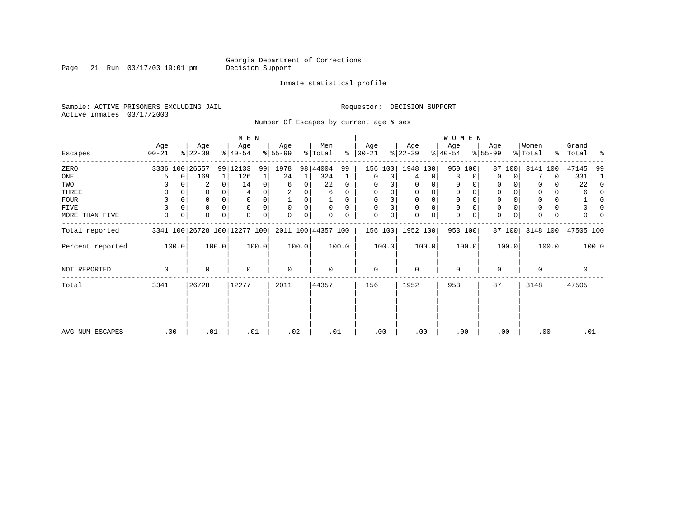Page 21 Run  $03/17/03$  19:01 pm

#### Inmate statistical profile

Sample: ACTIVE PRISONERS EXCLUDING JAIL Requestor: DECISION SUPPORT Active inmates 03/17/2003

Number Of Escapes by current age & sex

|                  |                |             |                  |          | M E N                        |       |                 |       |                    |          |                  |          |                  |             | W O M E N        |             |                  |             |                  |       |                      |          |
|------------------|----------------|-------------|------------------|----------|------------------------------|-------|-----------------|-------|--------------------|----------|------------------|----------|------------------|-------------|------------------|-------------|------------------|-------------|------------------|-------|----------------------|----------|
| Escapes          | Age<br>  00-21 |             | Age<br>$ 22-39 $ |          | Age<br>$8 40-54$             |       | Age<br>$ 55-99$ |       | Men<br>% Total     | ៖        | Age<br>$ 00-21 $ |          | Age<br>$ 22-39 $ |             | Age<br>$ 40-54 $ |             | Age<br>$8 55-99$ |             | Women<br>% Total |       | Grand<br>%   Total % |          |
| ZERO             |                |             | 3336 100 26557   | 99       | 12133                        | 99    | 1978            | 98    | 44004              | 99       | 156              | 100      | 1948 100         |             |                  | 950 100     | 87               | 100         | 3141             | 100   | 47145                | 99       |
| ONE              | 5              | 0           | 169              | 1        | 126                          |       | 24              | 1     | 324                |          | $\mathbf 0$      | 0        | 4                | 0           | 3                | 0           | $\Omega$         | 0           |                  | 0     | 331                  | 1        |
| TWO              | 0              |             | 2                | 0        | 14                           | 0     | 6               | 0     | 22                 | 0        | 0                |          | 0                |             | 0                | 0           | 0                |             |                  | 0     | 22                   | $\Omega$ |
| THREE            | 0              |             | 0                |          |                              |       |                 |       | 6                  | $\Omega$ | 0                |          | 0                | 0           | $\mathbf 0$      |             | 0                |             |                  | 0     | 6                    | $\Omega$ |
| FOUR             | 0              |             | 0                | $\Omega$ |                              |       |                 | O     |                    | $\Omega$ | $\Omega$         | $\Omega$ | $\Omega$         | $\mathbf 0$ | $\mathbf 0$      | $\cap$      | $\Omega$         |             |                  | 0     |                      | $\Omega$ |
| FIVE             | 0              |             | 0                | $\Omega$ | $\Omega$                     |       | $\Omega$        | 0     | $\Omega$           | $\Omega$ |                  |          | 0                | $\mathbf 0$ | $\mathbf 0$      | $\Omega$    | 0                |             |                  | 0     |                      | 0        |
| MORE THAN FIVE   | 0              | $\mathbf 0$ | 0                | $\Omega$ |                              |       | $\Omega$        | 0     |                    | 0        | $\Omega$         | 0        | $\Omega$         | 0           | $\mathbf 0$      | $\mathbf 0$ | $\Omega$         | $\mathbf 0$ |                  | 0     |                      |          |
| Total reported   |                |             |                  |          | 3341 100 26728 100 12277 100 |       |                 |       | 2011 100 44357 100 |          | 156 100          |          | 1952 100         |             |                  | 953 100     |                  | 87 100      | 3148 100         |       | 47505 100            |          |
| Percent reported |                | 100.0       |                  | 100.0    |                              | 100.0 |                 | 100.0 |                    | 100.0    |                  | 100.0    |                  | 100.0       |                  | 100.0       |                  | 100.0       |                  | 100.0 |                      | 100.0    |
| NOT REPORTED     | 0              |             | 0                |          | 0                            |       | 0               |       | 0                  |          | 0                |          | $\mathbf 0$      |             | $\mathbf 0$      |             | 0                |             | 0                |       | 0                    |          |
| Total            | 3341           |             | 26728            |          | 12277                        |       | 2011            |       | 44357              |          | 156              |          | 1952             |             | 953              |             | 87               |             | 3148             |       | 47505                |          |
|                  |                |             |                  |          |                              |       |                 |       |                    |          |                  |          |                  |             |                  |             |                  |             |                  |       |                      |          |
|                  |                |             |                  |          |                              |       |                 |       |                    |          |                  |          |                  |             |                  |             |                  |             |                  |       |                      |          |
| AVG NUM ESCAPES  |                | .00         | .01              |          | .01                          |       | .02             |       | .01                |          | .00              |          | .00              |             | .00              |             |                  | .00         | .00              |       | .01                  |          |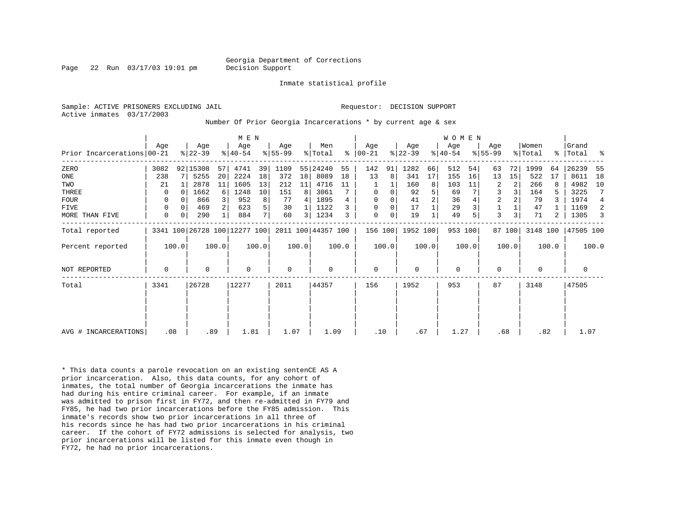Page 22 Run 03/17/03 19:01 pm Decision Support

Inmate statistical profile

Active inmates 03/17/2003

Sample: ACTIVE PRISONERS EXCLUDING JAIL **Requestor: DECISION SUPPORT** 

Number Of Prior Georgia Incarcerations \* by current age & sex

|                            | Age         |              | Age       |       | M E N<br>Age                 |                | Age         |       | Men                |       | Age           |       | Age       |                | <b>WOMEN</b><br>Age |       | Age            |        | Women    |       | Grand       |                |
|----------------------------|-------------|--------------|-----------|-------|------------------------------|----------------|-------------|-------|--------------------|-------|---------------|-------|-----------|----------------|---------------------|-------|----------------|--------|----------|-------|-------------|----------------|
| Prior Incarcerations 00-21 |             |              | $ 22-39 $ |       | $8 40-54$                    |                | $8 55-99$   |       | % Total            |       | $8   00 - 21$ |       | $ 22-39 $ |                | $ 40-54 $           |       | $8155 - 99$    |        | % Total  |       | %   Total   | ್ಠಿ            |
| ZERO                       | 3082        |              | 92 15308  | 57    | 4741                         | 39             | 1109        |       | 55 24240           | 55    | 142           | 91    | 1282      | 66             | 512                 | 54    | 63             | 72     | 1999     | 64    | 26239       | 55             |
| ONE                        | 238         |              | 5255      | 20    | 2224                         | 18             | 372         | 18    | 8089               | 18    | 13            | 8     | 341       | 17             | 155                 | 16    | 13             | 15     | 522      | 17    | 8611        | 18             |
| TWO                        | 21          |              | 2878      | 11    | 1605                         | 13             | 212         | 11    | 4716               | 11    |               |       | 160       | 8              | 103                 | 11    | 2              | 2      | 266      | 8     | 4982        | 10             |
| THREE                      | 0           | <sup>0</sup> | 1662      | 6     | 1248                         | 10             | 151         | 8     | 3061               |       | 0             | 0     | 92        | 5              | 69                  |       | 3              |        | 164      |       | 3225        | 7              |
| FOUR                       | 0           | $\Omega$     | 866       | 3     | 952                          | 8              | 77          | 4     | 1895               |       | $\Omega$      |       | 41        | $\overline{2}$ | 36                  |       | $\overline{2}$ |        | 79       |       | 1974        | $\overline{4}$ |
| FIVE                       | $\Omega$    | $\Omega$     | 469       |       | 623                          | 5              | 30          |       | 1122               |       | $\Omega$      | 0     | 17        |                | 29                  |       |                |        | 47       |       | 1169        | 2              |
| MORE THAN FIVE             | 0           | 0            | 290       |       | 884                          | 7 <sup>1</sup> | 60          | 3     | 1234               | 3     | $\mathbf 0$   | 0     | 19        |                | 49                  |       | 3              |        | 71       | 2     | 1305        | 3              |
| Total reported             |             |              |           |       | 3341 100 26728 100 12277 100 |                |             |       | 2011 100 44357 100 |       | 156 100       |       | 1952 100  |                | 953 100             |       |                | 87 100 | 3148 100 |       | 47505 100   |                |
| Percent reported           |             | 100.0        |           | 100.0 |                              | 100.0          |             | 100.0 |                    | 100.0 |               | 100.0 |           | 100.0          |                     | 100.0 |                | 100.0  |          | 100.0 |             | 100.0          |
| <b>NOT REPORTED</b>        | $\mathbf 0$ |              | $\Omega$  |       | $\Omega$                     |                | $\mathbf 0$ |       | 0                  |       | $\mathbf 0$   |       | $\Omega$  |                | 0                   |       | $\Omega$       |        | $\Omega$ |       | $\mathbf 0$ |                |
| Total                      | 3341        |              | 26728     |       | 12277                        |                | 2011        |       | 44357              |       | 156           |       | 1952      |                | 953                 |       | 87             |        | 3148     |       | 47505       |                |
|                            |             |              |           |       |                              |                |             |       |                    |       |               |       |           |                |                     |       |                |        |          |       |             |                |
|                            |             |              |           |       |                              |                |             |       |                    |       |               |       |           |                |                     |       |                |        |          |       |             |                |
| AVG # INCARCERATIONS       | .08         |              |           | .89   | 1.81                         |                | 1.07        |       | 1.09               |       | .10           |       | .67       |                | 1.27                |       | .68            |        | .82      |       | 1.07        |                |

\* This data counts a parole revocation on an existing sentenCE AS A prior incarceration. Also, this data counts, for any cohort of inmates, the total number of Georgia incarcerations the inmate has had during his entire criminal career. For example, if an inmate was admitted to prison first in FY72, and then re-admitted in FY79 and FY85, he had two prior incarcerations before the FY85 admission. This inmate's records show two prior incarcerations in all three of his records since he has had two prior incarcerations in his criminal career. If the cohort of FY72 admissions is selected for analysis, two prior incarcerations will be listed for this inmate even though in FY72, he had no prior incarcerations.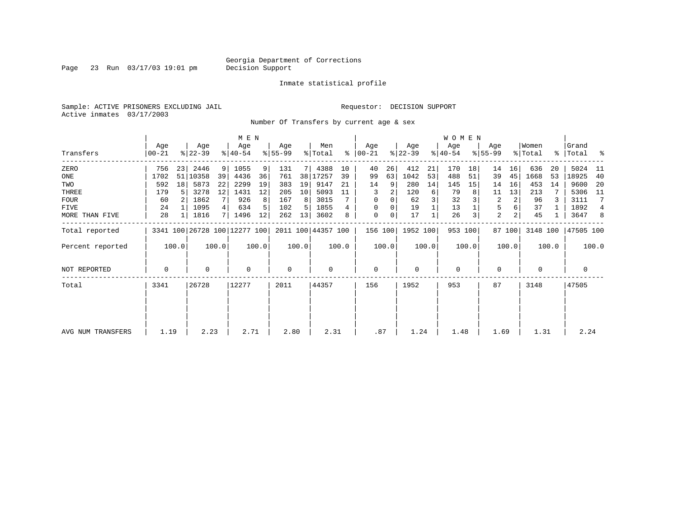Page 23 Run 03/17/03 19:01 pm

#### Inmate statistical profile

Sample: ACTIVE PRISONERS EXCLUDING JAIL **Requestor: DECISION SUPPORT** Active inmates 03/17/2003

Number Of Transfers by current age & sex

|                   |                |       |                              |       | M E N            |       |                  |       |                    |       |                  |       |                  |       | WOMEN            |         |                  |                |                              |       |                    |                |
|-------------------|----------------|-------|------------------------------|-------|------------------|-------|------------------|-------|--------------------|-------|------------------|-------|------------------|-------|------------------|---------|------------------|----------------|------------------------------|-------|--------------------|----------------|
| Transfers         | Age<br>  00-21 |       | Age<br>$ 22-39 $             |       | Age<br>$ 40-54 $ |       | Age<br>$ 55-99 $ |       | Men<br>% Total     | ∻     | Age<br>$ 00-21 $ |       | Age<br>$ 22-39 $ |       | Age<br>$ 40-54 $ |         | Age<br>$ 55-99 $ |                | Women<br>$\frac{1}{2}$ Total |       | Grand<br>% Total % |                |
| ZERO              | 756            | 23    | 2446                         | 9     | 1055             | 9     | 131              |       | 4388               | 10    | 40               | 26    | 412              | 21    | 170              | 18      | 14               | 16             | 636                          | 20    | 5024               | - 11           |
| ONE               | 1702           |       | 51 10358                     | 39    | 4436             | 36    | 761              | 38    | 17257              | 39    | 99               | 63    | 1042             | 53    | 488              | 51      | 39               | 45             | 1668                         | 53    | 18925              | 40             |
| TWO               | 592            | 18    | 5873                         | 22    | 2299             | 19    | 383              | 19    | 9147               | 21    | 14               | 9     | 280              | 14    | 145              | 15      | 14               | 16             | 453                          | 14    | 9600               | -20            |
| THREE             | 179            | 5     | 3278                         | 12    | 1431             | 12    | 205              | 10    | 5093               | 11    | 3                | 2     | 120              | 6     | 79               |         | 11               | 13             | 213                          |       | 5306               | - 11           |
| <b>FOUR</b>       | 60             |       | 1862                         |       | 926              |       | 167              | 8     | 3015               |       | $\Omega$         | 0     | 62               | 3     | 32               |         | 2                | 2              | 96                           |       | 3111               | 7              |
| FIVE              | 24             |       | 1095                         | 4     | 634              |       | 102              | 5     | 1855               | 4     | 0                | 0     | 19               |       | 13               |         | 5                |                | 37                           |       | 1892               | $\overline{4}$ |
| MORE THAN FIVE    | 28             |       | 1816                         | 7 I   | 1496             | 12    | 262              | 13    | 3602               | 8     | $\mathbf 0$      | 0     | 17               |       | 26               | 3       | $\overline{a}$   | 2 <sub>1</sub> | 45                           |       | 3647               | 8              |
| Total reported    |                |       | 3341 100 26728 100 12277 100 |       |                  |       |                  |       | 2011 100 44357 100 |       | 156 100          |       | 1952 100         |       |                  | 953 100 |                  | 87 100         | 3148 100                     |       | 47505 100          |                |
| Percent reported  |                | 100.0 |                              | 100.0 |                  | 100.0 |                  | 100.0 |                    | 100.0 |                  | 100.0 |                  | 100.0 |                  | 100.0   |                  | 100.0          |                              | 100.0 |                    | 100.0          |
| NOT REPORTED      | 0              |       | 0                            |       | $\mathbf 0$      |       | 0                |       | $\mathbf 0$        |       | $\mathbf 0$      |       | $\mathbf 0$      |       | $\mathbf 0$      |         | 0                |                | 0                            |       | 0                  |                |
| Total             | 3341           |       | 26728                        |       | 12277            |       | 2011             |       | 44357              |       | 156              |       | 1952             |       | 953              |         | 87               |                | 3148                         |       | 47505              |                |
|                   |                |       |                              |       |                  |       |                  |       |                    |       |                  |       |                  |       |                  |         |                  |                |                              |       |                    |                |
|                   |                |       |                              |       |                  |       |                  |       |                    |       |                  |       |                  |       |                  |         |                  |                |                              |       |                    |                |
| AVG NUM TRANSFERS | 1.19           |       | 2.23                         |       | 2.71             |       | 2.80             |       | 2.31               |       | .87              |       | 1.24             |       | 1.48             |         | 1.69             |                | 1.31                         |       | 2.24               |                |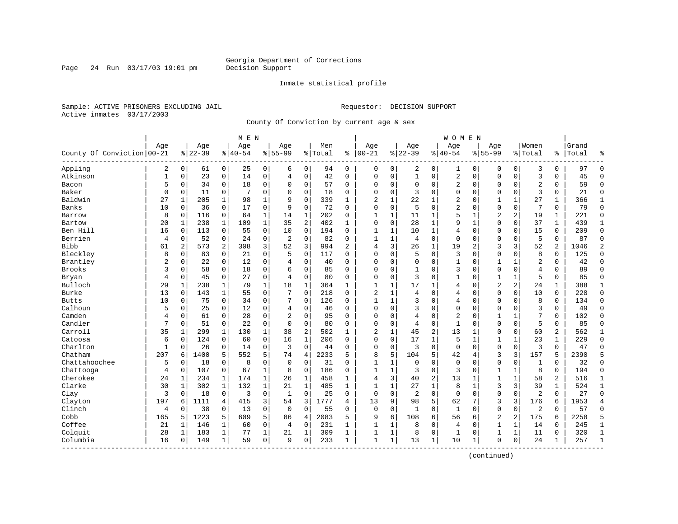Page 24 Run  $03/17/03$  19:01 pm

#### Inmate statistical profile

Sample: ACTIVE PRISONERS EXCLUDING JAIL **Requestor: DECISION SUPPORT** Active inmates 03/17/2003

County Of Conviction by current age & sex

|                            |              |                |           |                | M E N    |                |                |                |         |                |                |              |                |              | <b>WOMEN</b>   |              |                |              |                |              |       |                |
|----------------------------|--------------|----------------|-----------|----------------|----------|----------------|----------------|----------------|---------|----------------|----------------|--------------|----------------|--------------|----------------|--------------|----------------|--------------|----------------|--------------|-------|----------------|
|                            | Age          |                | Age       |                | Age      |                | Aqe            |                | Men     |                | Age            |              | Age            |              | Age            |              | Aqe            |              | Women          |              | Grand |                |
| County Of Conviction 00-21 |              |                | $8 22-39$ |                | $ 40-54$ |                | $8 55-99$      |                | % Total | ႜ              | $ 00-21$       |              | $ 22-39$       |              | $8140 - 54$    |              | $8155 - 99$    |              | % Total        | ႜ            | Total | ٩,             |
| Appling                    | 2            | $\overline{0}$ | 61        | $\overline{0}$ | 25       | $\overline{0}$ | 6              | 0              | 94      | 0              | 0              | 0            | 2              | 0            | 1              | 0            | 0              | 0            | 3              | 0            | 97    | $\Omega$       |
| Atkinson                   | $\mathbf{1}$ | 0              | 23        | $\mathbf 0$    | 14       | 0              | 4              | $\mathbf 0$    | 42      | $\Omega$       | $\Omega$       | 0            | $\mathbf 1$    | 0            | 2              | $\mathbf 0$  | $\mathbf{0}$   | $\Omega$     | $\overline{3}$ | $\Omega$     | 45    | $\Omega$       |
| Bacon                      | 5            | 0              | 34        | $\mathbf 0$    | 18       | 0              | $\Omega$       | $\mathbf 0$    | 57      | $\Omega$       | $\Omega$       | 0            | $\mathbf 0$    | 0            | 2              | $\mathbf 0$  | $\Omega$       | $\Omega$     | $\overline{2}$ | 0            | 59    | $\Omega$       |
| Baker                      | $\Omega$     | 0              | 11        | 0              | 7        | 0              | $\Omega$       | $\mathbf 0$    | 18      | $\Omega$       | $\Omega$       | $\Omega$     | 3              | $\Omega$     | 0              | $\mathbf 0$  | $\Omega$       | 0            | $\mathbf{z}$   | $\Omega$     | 21    | $\Omega$       |
| Baldwin                    | 27           | 1              | 205       | 1              | 98       | 1              | 9              | $\Omega$       | 339     | $\mathbf{1}$   | $\overline{2}$ | 1            | 22             | 1            | 2              | $\Omega$     | 1              | $\mathbf{1}$ | 27             | $\mathbf 1$  | 366   | $\mathbf{1}$   |
| Banks                      | 10           | $\Omega$       | 36        | $\mathbf 0$    | 17       | 0              | 9              | $\mathbf 0$    | 72      | $\Omega$       | $\Omega$       | 0            | 5              | 0            | 2              | $\mathbf 0$  | $\Omega$       | $\mathbf 0$  | 7              | 0            | 79    | $\Omega$       |
| Barrow                     | 8            | 0              | 116       | 0              | 64       | 1              | 14             | $\mathbf 1$    | 202     | 0              | 1              | 1            | 11             | 1            | 5              | 1            | 2              | 2            | 19             | 1            | 221   | $\Omega$       |
| Bartow                     | 20           | $\mathbf{1}$   | 238       | $\mathbf{1}$   | 109      | $\mathbf{1}$   | 35             | 2              | 402     | $\mathbf{1}$   | $\Omega$       | 0            | 28             | $\mathbf{1}$ | 9              | $\mathbf 1$  | $\Omega$       | $\Omega$     | 37             | $\mathbf{1}$ | 439   | $\mathbf{1}$   |
| Ben Hill                   | 16           | $\Omega$       | 113       | $\mathbf 0$    | 55       | 0              | 10             | $\Omega$       | 194     | $\Omega$       | $\mathbf{1}$   | 1            | 10             | $\mathbf{1}$ | 4              | $\mathbf 0$  | $\Omega$       | $\Omega$     | 15             | $\mathbf 0$  | 209   | $\Omega$       |
| Berrien                    | 4            | $\mathbf 0$    | 52        | $\mathbf 0$    | 24       | 0              | 2              | $\mathbf 0$    | 82      | $\Omega$       | $\mathbf{1}$   | $\mathbf{1}$ | 4              | $\mathbf 0$  | $\Omega$       | $\mathbf 0$  | $\Omega$       | $\Omega$     | 5              | $\Omega$     | 87    | $\Omega$       |
| <b>Bibb</b>                | 61           | 2              | 573       | 2              | 308      | 3              | 52             | 3              | 994     | $\overline{a}$ | 4              | 3            | 26             | 1            | 19             | 2            | 3              | 3            | 52             | 2            | 1046  | $\overline{2}$ |
| Bleckley                   | 8            | $\Omega$       | 83        | $\Omega$       | 21       | 0              | 5              | $\Omega$       | 117     | $\Omega$       | $\Omega$       | 0            | 5              | 0            | 3              | $\Omega$     | $\Omega$       | $\Omega$     | 8              | $\mathbf 0$  | 125   | $\Omega$       |
| Brantley                   | 2            | 0              | 22        | $\mathbf 0$    | 12       | 0              | 4              | $\mathbf 0$    | 40      | $\Omega$       | $\Omega$       | 0            | 0              | $\Omega$     | $\mathbf{1}$   | $\Omega$     | 1              | $\mathbf 1$  | $\overline{c}$ | 0            | 42    | $\Omega$       |
| <b>Brooks</b>              | 3            | 0              | 58        | $\mathbf 0$    | 18       | 0              | 6              | $\Omega$       | 85      | $\Omega$       | $\Omega$       | 0            | 1              | $\Omega$     | 3              | $\Omega$     | $\mathbf 0$    | 0            | 4              | 0            | 89    | $\Omega$       |
| Bryan                      | 4            | 0              | 45        | 0              | 27       | 0              | 4              | 0              | 80      | 0              | $\Omega$       | 0            | 3              | 0            | 1              | 0            | 1              | 1            | 5              | 0            | 85    | $\Omega$       |
| Bulloch                    | 29           | 1              | 238       | 1              | 79       | 1              | 18             | 1              | 364     | 1              | 1              | 1            | 17             | 1            | 4              | $\mathbf 0$  | $\overline{2}$ | 2            | 24             | 1            | 388   | 1              |
| Burke                      | 13           | $\Omega$       | 143       | $\mathbf{1}$   | 55       | 0              | 7              | $\Omega$       | 218     | $\Omega$       | 2              | 1            | 4              | $\Omega$     | 4              | $\Omega$     | $\Omega$       | $\Omega$     | 10             | $\Omega$     | 228   | $\Omega$       |
| <b>Butts</b>               | 10           | $\Omega$       | 75        | $\Omega$       | 34       | 0              | 7              | $\Omega$       | 126     | $\Omega$       | $\mathbf{1}$   | $\mathbf{1}$ | 3              | $\Omega$     | $\overline{4}$ | $\Omega$     | $\Omega$       | $\Omega$     | 8              | 0            | 134   | $\Omega$       |
| Calhoun                    | 5            | 0              | 25        | $\mathbf 0$    | 12       | 0              | 4              | $\mathbf 0$    | 46      | $\Omega$       | $\Omega$       | $\Omega$     | 3              | $\Omega$     | $\Omega$       | $\mathbf 0$  | $\Omega$       | $\Omega$     | 3              | $\Omega$     | 49    | $\Omega$       |
| Camden                     | 4            | $\Omega$       | 61        | 0              | 28       | 0              | $\overline{2}$ | $\Omega$       | 95      | $\Omega$       | $\Omega$       | $\Omega$     | 4              | $\Omega$     | $\overline{2}$ | $\mathbf 0$  | $\mathbf{1}$   | $\mathbf{1}$ | 7              | $\Omega$     | 102   | $\Omega$       |
| Candler                    | 7            | 0              | 51        | 0              | 22       | 0              | $\Omega$       | $\mathbf 0$    | 80      | $\Omega$       | $\Omega$       | 0            | 4              | 0            | 1              | $\mathbf 0$  | $\Omega$       | $\Omega$     | 5              | 0            | 85    | $\Omega$       |
| Carroll                    | 35           | 1              | 299       | 1              | 130      | $\mathbf 1$    | 38             | 2              | 502     | $\mathbf{1}$   | 2              | 1            | 45             | 2            | 13             | 1            | $\Omega$       | 0            | 60             | 2            | 562   | 1              |
| Catoosa                    | 6            | 0              | 124       | 0              | 60       | 0              | 16             | 1              | 206     | $\Omega$       | $\Omega$       | 0            | 17             | 1            | 5              | 1            | $\mathbf{1}$   | 1            | 23             | $\mathbf{1}$ | 229   | $\Omega$       |
| Charlton                   | 1            | 0              | 26        | $\overline{0}$ | 14       | 0              | 3              | $\mathbf 0$    | 44      | 0              | 0              | 0            | 3              | 0            | $\mathbf{0}$   | $\mathbf 0$  | $\mathbf 0$    | $\mathbf 0$  | 3              | 0            | 47    | $\Omega$       |
| Chatham                    | 207          | 6              | 1400      | 5              | 552      | 5              | 74             | $\overline{4}$ | 2233    | 5              | 8              | 5            | 104            | 5            | 42             | 4            | 3              | 3            | 157            | 5            | 2390  | 5              |
| Chattahoochee              | 5            | $\Omega$       | 18        | $\mathbf 0$    | 8        | 0              | $\Omega$       | $\Omega$       | 31      | $\Omega$       | $\mathbf{1}$   | 1            | $\Omega$       | $\Omega$     | $\mathbf 0$    | $\Omega$     | $\mathbf{0}$   | $\mathbf 0$  | 1              | $\Omega$     | 32    | $\Omega$       |
| Chattooga                  | 4            | 0              | 107       | $\mathbf 0$    | 67       | $\mathbf 1$    | 8              | $\mathbf 0$    | 186     | $\Omega$       | $\mathbf{1}$   | $\mathbf{1}$ | 3              | $\Omega$     | 3              | $\mathbf 0$  | 1              | 1            | 8              | 0            | 194   | $\Omega$       |
| Cherokee                   | 24           | 1              | 234       | 1              | 174      | $\mathbf 1$    | 26             | 1              | 458     | $\mathbf{1}$   | 4              | 3            | 40             | 2            | 13             | $\mathbf{1}$ | $\mathbf{1}$   | $\mathbf{1}$ | 58             | 2            | 516   | $\mathbf{1}$   |
| Clarke                     | 30           | 1              | 302       | 1              | 132      | $\mathbf 1$    | 21             | $\mathbf{1}$   | 485     | $\mathbf{1}$   | 1              | 1            | 27             | 1            | 8              | 1            | 3              | 3            | 39             | $\mathbf{1}$ | 524   | $\mathbf{1}$   |
| Clay                       | 3            | 0              | 18        | $\mathsf{O}$   | 3        | 0              | 1              | $\Omega$       | 25      | 0              | 0              | 0            | $\overline{2}$ | 0            | $\mathbf 0$    | $\mathbf 0$  | 0              | $\mathbf 0$  | $\overline{2}$ | 0            | 27    | $\Omega$       |
| Clayton                    | 197          | 6              | 1111      | 4              | 415      | 3 <sup>1</sup> | 54             | 3              | 1777    | 4              | 13             | 9            | 98             | 5            | 62             | 7            | 3              | 3            | 176            | 6            | 1953  | $\overline{4}$ |
| Clinch                     | 4            | 0              | 38        | $\mathbf 0$    | 13       | 0              | $\mathbf 0$    | 0              | 55      | $\Omega$       | $\mathbf 0$    | 0            | 1              | 0            | 1              | $\mathbf 0$  | $\mathbf 0$    | $\mathbf 0$  | 2              | 0            | 57    | $\Omega$       |
| Cobb                       | 165          | 5              | 1223      | 5              | 609      | 5              | 86             | $\overline{4}$ | 2083    | 5              | 9              | 6            | 108            | 6            | 56             | 6            | $\overline{2}$ | 2            | 175            | 6            | 2258  | 5              |
| Coffee                     | 21           | 1              | 146       | 1              | 60       | 0              | 4              | $\mathbf 0$    | 231     | $\mathbf{1}$   | $\mathbf{1}$   | 1            | 8              | $\Omega$     | $\overline{4}$ | $\mathbf 0$  | $\mathbf{1}$   | $\mathbf 1$  | 14             | 0            | 245   | $\mathbf{1}$   |
| Colquit                    | 28           | 1              | 183       | $\mathbf 1$    | 77       | 1              | 21             | 1              | 309     | $\mathbf{1}$   | 1              | 1            | 8              | 0            | 1              | 0            | $\mathbf{1}$   | 1            | 11             | 0            | 320   | $\mathbf{1}$   |
| Columbia                   | 16           | 0              | 149       | 1              | 59       | 0              | 9              | $\mathbf 0$    | 233     | 1              | $\mathbf{1}$   | 1            | 13             | 1            | 10             | 1            | 0              | 0            | 24             | 1            | 257   | $\mathbf{1}$   |
|                            |              |                |           |                |          |                |                |                |         |                |                |              |                |              |                |              |                |              |                |              |       |                |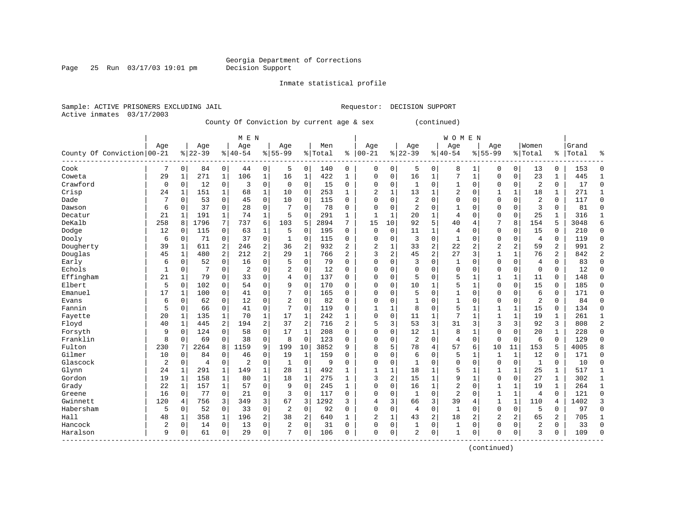Page 25 Run  $03/17/03$  19:01 pm

Inmate statistical profile

Active inmates 03/17/2003

Sample: ACTIVE PRISONERS EXCLUDING JAIL Requestor: DECISION SUPPORT

County Of Conviction by current age & sex (continued)

|                            |                |              |                |              | M E N          |              |                |                |         |                |              |    |                |          | <b>WOMEN</b>   |              |                |              |                |               |       |                |
|----------------------------|----------------|--------------|----------------|--------------|----------------|--------------|----------------|----------------|---------|----------------|--------------|----|----------------|----------|----------------|--------------|----------------|--------------|----------------|---------------|-------|----------------|
|                            | Age            |              | Age            |              | Age            |              | Age            |                | Men     |                | Age          |    | Age            |          | Age            |              | Age            |              | Women          |               | Grand |                |
| County Of Conviction 00-21 |                |              | $8 22-39$      |              | $ 40-54$       |              | $8155 - 99$    |                | % Total | ి              | $ 00 - 21$   | %  | $22 - 39$      |          | $8140 - 54$    |              | $8 55-99$      |              | % Total        | $\frac{1}{6}$ | Total | န္             |
| Cook                       | 7              | 0            | 84             | $\mathbf 0$  | 44             | 0            | 5              | $\mathbf 0$    | 140     | 0              | 0            | 0  | 5              | 0        | 8              |              | 0              | 0            | 13             | 0             | 153   | $\Omega$       |
| Coweta                     | 29             | $\mathbf{1}$ | 271            | $\mathbf{1}$ | 106            | $\mathbf{1}$ | 16             | 1              | 422     | $\mathbf{1}$   | 0            | 0  | 16             | 1        | 7              | $\mathbf{1}$ | $\Omega$       | 0            | 23             | $\mathbf{1}$  | 445   | 1              |
| Crawford                   | 0              | $\Omega$     | 12             | $\mathbf 0$  | 3              | $\mathbf 0$  | $\mathbf 0$    | 0              | 15      | $\Omega$       | $\Omega$     | 0  | 1              | $\Omega$ | $\mathbf{1}$   | $\Omega$     | $\Omega$       | $\Omega$     | $\overline{2}$ | $\Omega$      | 17    | $\Omega$       |
| Crisp                      | 24             | 1            | 151            | 1            | 68             | $\mathbf{1}$ | 10             | 0              | 253     | $\mathbf{1}$   | 2            | 1  | 13             | 1        | 2              | $\mathbf 0$  | 1              | 1            | 18             | 1             | 271   | 1              |
| Dade                       |                | 0            | 53             | 0            | 45             | $\mathbf 0$  | 10             | $\mathbf 0$    | 115     | 0              | O            | 0  | $\overline{2}$ | $\Omega$ | 0              | $\Omega$     | $\Omega$       | 0            | $\overline{2}$ | 0             | 117   | $\Omega$       |
| Dawson                     | 6              | 0            | 37             | 0            | 28             | $\mathbf 0$  |                | $\mathbf 0$    | 78      | 0              | $\Omega$     | 0  | $\overline{2}$ | $\Omega$ | $\mathbf{1}$   | $\Omega$     | $\Omega$       | $\Omega$     | 3              | $\Omega$      | 81    | $\Omega$       |
| Decatur                    | 21             | 1            | 191            | 1            | 74             | $\mathbf 1$  | 5              | 0              | 291     | 1              | $\mathbf{1}$ | 1  | 20             | 1        | 4              | $\Omega$     | $\Omega$       | 0            | 25             | 1             | 316   | $\mathbf{1}$   |
| DeKalb                     | 258            | 8            | 1796           | 7            | 737            | 6            | 103            | 5              | 2894    | 7              | 15           | 10 | 92             | 5        | 40             | 4            | 7              | 8            | 154            | 5             | 3048  | 6              |
| Dodge                      | 12             | 0            | 115            | $\mathbf 0$  | 63             | $\mathbf 1$  | 5              | 0              | 195     | 0              | 0            | 0  | 11             | 1        | 4              | $\Omega$     | $\mathbf 0$    | 0            | 15             | 0             | 210   | $\mathbf 0$    |
| Dooly                      | 6              | 0            | 71             | 0            | 37             | 0            | $\mathbf{1}$   | $\mathbf 0$    | 115     | 0              | 0            | 0  | 3              | 0        | $\mathbf{1}$   | $\Omega$     | $\Omega$       | 0            | $\overline{4}$ | 0             | 119   | $\Omega$       |
| Dougherty                  | 39             | 1            | 611            | 2            | 246            | 2            | 36             | $\overline{c}$ | 932     | 2              | 2            | 1  | 33             | 2        | 22             | 2            | $\overline{2}$ | 2            | 59             | 2             | 991   | 2              |
| Douglas                    | 45             | 1            | 480            | 2            | 212            | 2            | 29             | $\mathbf{1}$   | 766     | $\overline{a}$ | 3            | 2  | 45             | 2        | 27             | 3            | $\mathbf{1}$   | 1            | 76             | 2             | 842   | $\overline{2}$ |
| Early                      | 6              | 0            | 52             | $\mathbf 0$  | 16             | $\mathbf 0$  | 5              | $\mathbf 0$    | 79      | 0              | 0            | 0  | 3              | 0        | 1              | $\Omega$     | $\mathbf 0$    | 0            | $\overline{4}$ | 0             | 83    | $\Omega$       |
| Echols                     | $\mathbf{1}$   | 0            |                | $\mathbf 0$  | $\overline{2}$ | $\mathbf 0$  | $\overline{2}$ | $\mathbf 0$    | 12      | 0              | 0            | 0  | $\Omega$       | $\Omega$ | 0              | 0            | 0              | 0            | $\mathbf 0$    | 0             | 12    | $\Omega$       |
| Effingham                  | 21             | $\mathbf{1}$ | 79             | 0            | 33             | $\mathbf 0$  | 4              | $\mathbf 0$    | 137     | 0              | $\Omega$     | 0  | 5              | $\Omega$ | 5              | 1            | 1              | $\mathbf{1}$ | 11             | 0             | 148   | $\Omega$       |
| Elbert                     | 5              | $\Omega$     | 102            | $\Omega$     | 54             | $\mathbf 0$  | 9              | $\mathbf 0$    | 170     | 0              | $\Omega$     | 0  | 10             | 1        | 5              | 1            | $\Omega$       | $\Omega$     | 15             | $\Omega$      | 185   | $\Omega$       |
| Emanuel                    | 17             | $\mathbf{1}$ | 100            | $\mathbf 0$  | 41             | $\mathbf 0$  | 7              | $\mathbf 0$    | 165     | $\Omega$       | $\Omega$     | 0  | 5              | $\Omega$ | $\mathbf{1}$   | $\Omega$     | $\Omega$       | $\Omega$     | 6              | 0             | 171   | $\Omega$       |
| Evans                      | 6              | 0            | 62             | 0            | 12             | $\mathsf 0$  | $\overline{2}$ | $\mathbf 0$    | 82      | 0              | 0            | 0  |                | 0        | $\mathbf{1}$   | $\Omega$     | $\Omega$       | 0            | $\overline{2}$ | 0             | 84    | $\Omega$       |
| Fannin                     | 5              | 0            | 66             | 0            | 41             | $\mathsf 0$  | 7              | 0              | 119     | 0              | 1            |    | 8              | $\Omega$ | 5              | $\mathbf{1}$ | $\mathbf{1}$   | 1            | 15             | 0             | 134   | $\Omega$       |
| Fayette                    | 20             | 1            | 135            | 1            | 70             | $\mathbf 1$  | 17             | 1              | 242     | $\mathbf{1}$   | $\Omega$     | 0  | 11             | 1        | 7              | 1            | $\mathbf{1}$   | 1            | 19             | 1             | 261   | 1              |
| Floyd                      | 40             | 1            | 445            | 2            | 194            | 2            | 37             | 2              | 716     | $\overline{a}$ | 5            | 3  | 53             | 3        | 31             | 3            | 3              | 3            | 92             | 3             | 808   | $\overline{2}$ |
| Forsyth                    | 9              | $\mathbf 0$  | 124            | $\mathbf 0$  | 58             | 0            | 17             | $\mathbf{1}$   | 208     | 0              | $\Omega$     | 0  | 12             | 1        | 8              | $\mathbf{1}$ | $\Omega$       | $\Omega$     | 20             | $\mathbf{1}$  | 228   | $\Omega$       |
| Franklin                   | 8              | $\mathbf 0$  | 69             | 0            | 38             | 0            | 8              | $\mathbf 0$    | 123     | 0              | 0            | 0  | $\overline{2}$ | 0        | $\overline{4}$ | $\mathbf 0$  | $\mathbf{0}$   | $\mathbf 0$  | 6              | 0             | 129   | $\Omega$       |
| Fulton                     | 230            |              | 2264           | 8            | 1159           | 9            | 199            | 10             | 3852    | 9              | 8            | 5  | 78             | 4        | 57             | 6            | 10             | 11           | 153            | 5             | 4005  |                |
| Gilmer                     | 10             | $\mathbf 0$  | 84             | $\mathbf 0$  | 46             | 0            | 19             | $\mathbf{1}$   | 159     | $\Omega$       | $\Omega$     | 0  | 6              | 0        | 5              | 1            | $\mathbf{1}$   | $\mathbf{1}$ | 12             | $\mathbf 0$   | 171   | $\Omega$       |
| Glascock                   | $\overline{2}$ | 0            | $\overline{4}$ | $\mathbf 0$  | $\overline{2}$ | 0            | 1              | $\mathbf 0$    | 9       | 0              | $\Omega$     | 0  | 1              | 0        | 0              | $\Omega$     | $\Omega$       | $\mathbf 0$  | 1              | 0             | 10    | $\mathbf 0$    |
| Glynn                      | 24             | 1            | 291            | 1            | 149            | $\mathbf 1$  | 28             | 1              | 492     | 1              | $\mathbf{1}$ | 1  | 18             | 1        | 5              | 1            | 1              | 1            | 25             | 1             | 517   | 1              |
| Gordon                     | 19             | $\mathbf{1}$ | 158            | 1            | 80             | $\mathbf{1}$ | 18             | 1              | 275     | 1              | 3            | 2  | 15             | 1        | 9              | $\mathbf{1}$ | $\Omega$       | $\Omega$     | 27             | 1             | 302   | $\mathbf{1}$   |
| Grady                      | 22             | 1            | 157            | 1            | 57             | $\mathbf 0$  | 9              | $\Omega$       | 245     | $\mathbf{1}$   | $\Omega$     | 0  | 16             | 1        | $\overline{2}$ | $\Omega$     | $\mathbf{1}$   | $\mathbf{1}$ | 19             | $\mathbf{1}$  | 264   | $\mathbf{1}$   |
| Greene                     | 16             | $\Omega$     | 77             | $\mathbf 0$  | 21             | $\mathbf 0$  | 3              | $\mathbf 0$    | 117     | $\Omega$       | $\Omega$     | 0  | 1              | $\Omega$ | 2              | $\Omega$     | $\mathbf{1}$   | 1            | $\overline{4}$ | $\Omega$      | 121   | $\Omega$       |
| Gwinnett                   | 120            | 4            | 756            | 3            | 349            | 3            | 67             | 3              | 1292    | 3              | 4            | 3  | 66             | 3        | 39             | 4            | 1              | 1            | 110            | 4             | 1402  | 3              |
| Habersham                  | 5              | 0            | 52             | 0            | 33             | 0            | 2              | $\mathbf 0$    | 92      | 0              | 0            | 0  | 4              | 0        | $1\,$          | 0            | $\Omega$       | 0            | 5              | 0             | 97    | $\Omega$       |
| Hall                       | 48             | 1            | 358            | $\mathbf 1$  | 196            | 2            | 38             | 2              | 640     | $\mathbf{1}$   | 2            | 1  | 43             | 2        | 18             | 2            | $\overline{2}$ | 2            | 65             | 2             | 705   | $\mathbf{1}$   |
| Hancock                    | $\overline{a}$ | 0            | 14             | $\mathbf 0$  | 13             | 0            | $\overline{2}$ | $\mathbf 0$    | 31      | $\Omega$       | 0            | 0  | 1              | 0        | 1              | $\Omega$     | $\Omega$       | 0            | $\overline{c}$ | 0             | 33    | $\Omega$       |
| Haralson                   | 9              | 0            | 61             | 0            | 29             | 0            | 7              | 0              | 106     | $\Omega$       | $\Omega$     | 0  | $\overline{2}$ | 0        | $\mathbf{1}$   | $\Omega$     | $\Omega$       | 0            | κ              | 0             | 109   | $\Omega$       |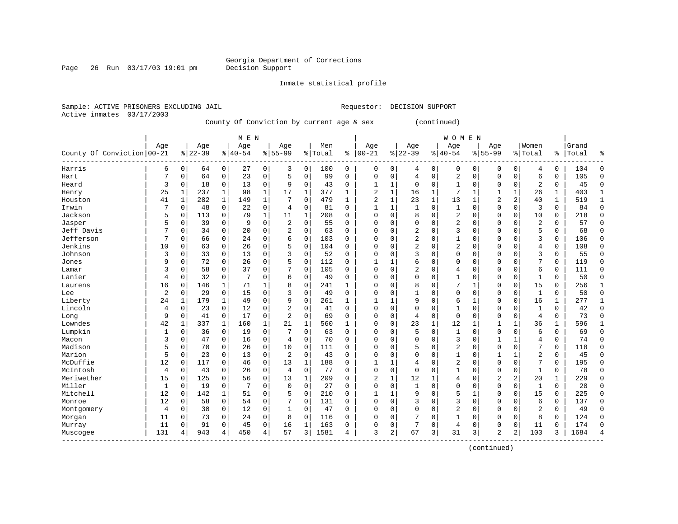Page 26 Run  $03/17/03$  19:01 pm

Inmate statistical profile

Active inmates 03/17/2003

Sample: ACTIVE PRISONERS EXCLUDING JAIL Requestor: DECISION SUPPORT

County Of Conviction by current age & sex (continued)

|                            |                |              |           |              | M E N     |              |                |              |         |              |                |   |                |          | <b>WOMEN</b> |              |                |                |                |              |       |                |
|----------------------------|----------------|--------------|-----------|--------------|-----------|--------------|----------------|--------------|---------|--------------|----------------|---|----------------|----------|--------------|--------------|----------------|----------------|----------------|--------------|-------|----------------|
|                            | Age            |              | Age       |              | Age       |              | Age            |              | Men     |              | Age            |   | Age            |          | Age          |              | Age            |                | Women          |              | Grand |                |
| County Of Conviction 00-21 |                |              | $8 22-39$ |              | $8 40-54$ |              | $8155 - 99$    |              | % Total | ి            | $00 - 21$      | % | $22 - 39$      |          | $8 40-54$    |              | $8155 - 99$    |                | % Total        | %            | Total | ႜ              |
| Harris                     | 6              | 0            | 64        | 0            | 27        | 0            | 3              | 0            | 100     | 0            | 0              | 0 | 4              | 0        | 0            | 0            | 0              | 0              | 4              | 0            | 104   | O              |
| Hart                       | 7              | $\mathbf 0$  | 64        | $\mathbf 0$  | 23        | $\mathbf 0$  | 5              | $\mathbf 0$  | 99      | 0            | 0              | 0 | $\overline{4}$ | 0        | 2            | $\mathbf 0$  | $\Omega$       | 0              | 6              | 0            | 105   | $\Omega$       |
| Heard                      | 3              | $\Omega$     | 18        | $\mathbf 0$  | 13        | $\mathbf 0$  | 9              | 0            | 43      | 0            |                | 1 | $\Omega$       | $\Omega$ | $\mathbf{1}$ | $\Omega$     | $\Omega$       | $\Omega$       | $\overline{2}$ | 0            | 45    | $\Omega$       |
| Henry                      | 25             | 1            | 237       | 1            | 98        | $\mathbf 1$  | 17             | 1            | 377     | $\mathbf{1}$ | 2              | 1 | 16             | 1        | 7            | 1            |                | 1              | 26             | 1            | 403   | 1              |
| Houston                    | 41             | $\mathbf{1}$ | 282       | 1            | 149       | $\mathbf{1}$ | 7              | $\mathbf 0$  | 479     | $\mathbf{1}$ | $\overline{2}$ | 1 | 23             | 1        | 13           | $\mathbf{1}$ | $\overline{2}$ | 2              | 40             | $\mathbf{1}$ | 519   | $\mathbf{1}$   |
| Irwin                      | 7              | 0            | 48        | 0            | 22        | 0            | 4              | 0            | 81      | $\Omega$     | $\mathbf{1}$   | 1 | $\mathbf{1}$   | $\Omega$ | $\mathbf{1}$ | $\Omega$     | $\Omega$       | $\Omega$       | 3              | $\Omega$     | 84    | $\Omega$       |
| Jackson                    | 5              | 0            | 113       | $\mathbf 0$  | 79        | $\mathbf 1$  | 11             | 1            | 208     | $\Omega$     | O              | 0 | 8              | $\Omega$ | 2            | $\Omega$     | $\Omega$       | 0              | 10             | 0            | 218   | $\Omega$       |
| Jasper                     | 5              | 0            | 39        | 0            | 9         | 0            | $\overline{2}$ | $\mathbf 0$  | 55      | 0            | 0              | 0 | $\Omega$       | $\Omega$ | 2            | $\Omega$     | $\Omega$       | 0              | $\overline{c}$ | 0            | 57    | $\Omega$       |
| Jeff Davis                 | 7              | 0            | 34        | 0            | 20        | 0            | $\overline{2}$ | $\mathbf 0$  | 63      | 0            | 0              | 0 | 2              | $\Omega$ | 3            | 0            | $\Omega$       | 0              | 5              | 0            | 68    | $\mathbf 0$    |
| Jefferson                  | 7              | 0            | 66        | $\mathbf 0$  | 24        | $\mathbf 0$  | б              | $\mathbf 0$  | 103     | O            | Ω              | 0 |                | $\Omega$ |              | $\Omega$     | $\Omega$       | $\Omega$       | 3              | 0            | 106   | $\Omega$       |
| Jenkins                    | 10             | $\Omega$     | 63        | $\mathbf 0$  | 26        | $\mathbf 0$  | 5              | $\mathbf 0$  | 104     | 0            | Ω              | 0 | $\overline{2}$ | $\Omega$ | 2            | $\Omega$     | $\Omega$       | 0              | 4              | 0            | 108   | ∩              |
| Johnson                    | 3              | 0            | 33        | $\mathbf 0$  | 13        | $\mathbf 0$  | 3              | $\mathbf 0$  | 52      | 0            | 0              | 0 | 3              | $\Omega$ | 0            | $\Omega$     | $\Omega$       | $\Omega$       | 3              | 0            | 55    | ∩              |
| Jones                      | 9              | $\mathbf 0$  | 72        | $\mathbf 0$  | 26        | $\mathbf 0$  | 5              | $\mathbf 0$  | 112     | 0            |                | 1 | 6              | $\Omega$ | 0            | $\Omega$     | $\Omega$       | $\Omega$       | 7              | $\Omega$     | 119   | $\Omega$       |
| Lamar                      | 3              | 0            | 58        | 0            | 37        | $\mathbf 0$  |                | $\mathbf 0$  | 105     | 0            | 0              | 0 | 2              | $\Omega$ | 4            | $\Omega$     | $\Omega$       | $\Omega$       | 6              | $\Omega$     | 111   | $\Omega$       |
| Lanier                     | 4              | 0            | 32        | $\mathbf 0$  | 7         | $\mathbf 0$  | 6              | 0            | 49      | $\Omega$     | 0              | 0 | $\Omega$       | 0        | 1            | $\Omega$     | $\Omega$       | $\Omega$       | 1              | $\Omega$     | 50    | $\Omega$       |
| Laurens                    | 16             | 0            | 146       | 1            | 71        | 1            | 8              | 0            | 241     | $\mathbf{1}$ | $\Omega$       | 0 | 8              | $\Omega$ | 7            | 1            | $\Omega$       | 0              | 15             | 0            | 256   | $\mathbf{1}$   |
| Lee                        | $\overline{2}$ | $\mathbf 0$  | 29        | $\mathbf 0$  | 15        | 0            | 3              | $\mathbf 0$  | 49      | $\Omega$     | O              | 0 |                | $\Omega$ | $\Omega$     | $\mathbf 0$  | $\Omega$       | 0              | 1              | 0            | 50    | $\Omega$       |
| Liberty                    | 24             | 1            | 179       | 1            | 49        | $\mathsf 0$  | 9              | $\mathbf 0$  | 261     | $\mathbf{1}$ | -1             |   | 9              | $\Omega$ | 6            | 1            | $\Omega$       | 0              | 16             | 1            | 277   | $\mathbf{1}$   |
| Lincoln                    | 4              | 0            | 23        | 0            | 12        | $\mathsf 0$  | $\overline{2}$ | $\mathbf 0$  | 41      | O            | $\Omega$       | 0 | $\Omega$       | $\Omega$ |              | $\Omega$     | $\Omega$       | $\Omega$       | $\mathbf{1}$   | 0            | 42    | $\Omega$       |
| Long                       | 9              | $\mathbf 0$  | 41        | $\mathbf 0$  | 17        | $\mathbf 0$  | $\overline{2}$ | $\mathbf 0$  | 69      | $\Omega$     | $\Omega$       | 0 | 4              | 0        | $\mathbf 0$  | $\Omega$     | $\Omega$       | $\Omega$       | $\overline{4}$ | 0            | 73    | $\Omega$       |
| Lowndes                    | 42             | 1            | 337       | $\mathbf{1}$ | 160       | $\mathbf{1}$ | 21             | $\mathbf{1}$ | 560     | 1            | 0              | 0 | 23             | 1        | 12           | 1            |                | 1              | 36             | 1            | 596   |                |
| Lumpkin                    | 1              | 0            | 36        | $\mathbf 0$  | 19        | $\mathbf 0$  |                | $\mathbf 0$  | 63      | $\Omega$     | 0              | 0 | 5              | $\Omega$ | 1            | $\Omega$     | $\Omega$       | $\Omega$       | 6              | 0            | 69    | $\Omega$       |
| Macon                      | 3              | 0            | 47        | $\mathbf 0$  | 16        | 0            | $\overline{4}$ | $\mathbf 0$  | 70      | $\Omega$     | 0              | 0 | $\Omega$       | $\Omega$ | 3            | $\Omega$     | $\mathbf{1}$   | 1              | 4              | 0            | 74    | $\Omega$       |
| Madison                    | 5              | 0            | 70        | $\mathbf 0$  | 26        | $\mathbf 0$  | 10             | $\mathbf 0$  | 111     | 0            | 0              | 0 | 5              | $\Omega$ | 2            | 0            | $\Omega$       | $\Omega$       | 7              | 0            | 118   | $\Omega$       |
| Marion                     | 5              | 0            | 23        | $\mathbf 0$  | 13        | 0            | $\overline{c}$ | 0            | 43      | $\Omega$     | $\Omega$       | 0 | $\Omega$       | $\Omega$ | 1            | $\Omega$     | 1              | 1              | $\overline{2}$ | 0            | 45    | $\Omega$       |
| McDuffie                   | 12             | 0            | 117       | 0            | 46        | 0            | 13             | 1            | 188     | 0            |                |   | 4              | $\Omega$ | 2            | $\Omega$     | $\Omega$       | $\Omega$       | 7              | 0            | 195   | $\Omega$       |
| McIntosh                   | 4              | 0            | 43        | 0            | 26        | 0            | $\overline{4}$ | 0            | 77      | O            | $\Omega$       | 0 | $\Omega$       | $\Omega$ |              | $\Omega$     | $\Omega$       | 0              | $\mathbf{1}$   | 0            | 78    | $\Omega$       |
| Meriwether                 | 15             | $\Omega$     | 125       | 0            | 56        | $\mathbf 0$  | 13             | 1            | 209     | O            | 2              | 1 | 12             | 1        | 4            | 0            | $\overline{2}$ | $\overline{2}$ | 20             | $\mathbf{1}$ | 229   | $\Omega$       |
| Miller                     | $\mathbf{1}$   | $\Omega$     | 19        | 0            | 7         | $\mathbf 0$  | 0              | $\mathbf 0$  | 27      | 0            | 0              | 0 | $\mathbf{1}$   | $\Omega$ | $\Omega$     | $\Omega$     | $\Omega$       | 0              | $\mathbf{1}$   | 0            | 28    | $\Omega$       |
| Mitchell                   | 12             | 0            | 142       | 1            | 51        | $\mathbf 0$  | 5              | 0            | 210     | 0            | -1             | 1 | 9              | $\Omega$ | 5            | 1            | $\Omega$       | 0              | 15             | 0            | 225   | $\Omega$       |
| Monroe                     | 12             | 0            | 58        | $\mathbf 0$  | 54        | $\mathbf 0$  |                | 0            | 131     | 0            | 0              | 0 | 3              | 0        | 3            | $\mathbf 0$  | $\Omega$       | 0              | 6              | 0            | 137   | $\Omega$       |
| Montgomery                 | 4              | 0            | 30        | $\mathbf 0$  | 12        | 0            | $\mathbf{1}$   | 0            | 47      | 0            | 0              | 0 | $\Omega$       | $\Omega$ | 2            | 0            | $\Omega$       | $\Omega$       | $\overline{2}$ | 0            | 49    | $\Omega$       |
| Morgan                     | 11             | 0            | 73        | 0            | 24        | 0            | 8              | $\mathbf 0$  | 116     | 0            | O              | 0 |                | $\Omega$ |              | $\Omega$     | $\Omega$       | $\Omega$       | 8              | 0            | 124   | $\Omega$       |
| Murray                     | 11             | $\Omega$     | 91        | 0            | 45        | $\mathbf 0$  | 16             | 1            | 163     | $\Omega$     | 0              | 0 | 7              | $\Omega$ | 4            | $\Omega$     | $\Omega$       | 0              | 11             | $\Omega$     | 174   | $\Omega$       |
| Muscogee                   | 131            | 4            | 943       | 4            | 450       | 4            | 57             | 3            | 1581    | 4            | 3              | 2 | 67             | 3        | 31           | 3            | $\overline{2}$ | 2              | 103            | 3            | 1684  | $\overline{4}$ |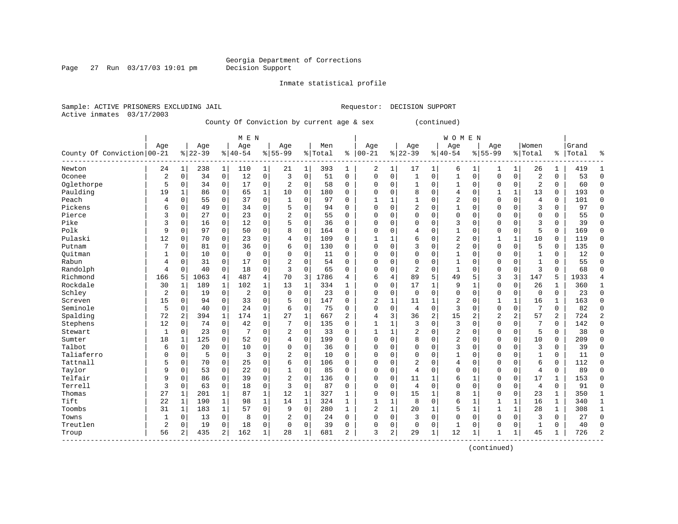Page 27 Run  $03/17/03$  19:01 pm

Inmate statistical profile

Active inmates 03/17/2003

Sample: ACTIVE PRISONERS EXCLUDING JAIL Requestor: DECISION SUPPORT

County Of Conviction by current age & sex (continued)

|                            |                |                |           |                | M E N          |                |                |              |           |                |                |   |                |              | <b>WOMEN</b>   |                |                |              |                |              |       |                |
|----------------------------|----------------|----------------|-----------|----------------|----------------|----------------|----------------|--------------|-----------|----------------|----------------|---|----------------|--------------|----------------|----------------|----------------|--------------|----------------|--------------|-------|----------------|
|                            | Age            |                | Age       |                | Age            |                | Age            |              | Men       |                | Age            |   | Age            |              | Age            |                | Age            |              | Women          |              | Grand |                |
| County Of Conviction 00-21 |                |                | $8 22-39$ |                | $ 40-54$       |                | $8 55-99$      |              | %   Total | နွ             | $ 00-21$       |   | $ 22-39$       |              | $8 40-54$      |                | $8155 - 99$    |              | % Total        | ႜ            | Total | န္             |
| Newton                     | 24             | 1              | 238       | $\mathbf 1$    | 110            | 1              | 21             | 1            | 393       | 1              | 2              | 1 | 17             | 1            | 6              | 1              | 1              | 1            | 26             | $\mathbf 1$  | 419   |                |
| Oconee                     | $\sqrt{2}$     | 0              | 34        | 0              | 12             | $\mathsf 0$    | 3              | $\mathbf 0$  | 51        | 0              | 0              | 0 | $\mathbf{1}$   | 0            | 1              | $\mathbf 0$    | $\Omega$       | $\mathbf 0$  | $\overline{a}$ | 0            | 53    | $\Omega$       |
| Oglethorpe                 | 5              | $\mathbf 0$    | 34        | $\mathbf 0$    | 17             | 0              | $\sqrt{2}$     | $\mathbf 0$  | 58        | 0              | 0              | 0 |                | 0            | 1              | $\mathbf 0$    | 0              | $\mathbf 0$  | $\overline{2}$ | 0            | 60    | $\Omega$       |
| Paulding                   | 19             | $\mathbf{1}$   | 86        | 0              | 65             | $\mathbf 1$    | 10             | $\mathbf 0$  | 180       | 0              | 0              | 0 | 8              | 0            | 4              | $\mathbf 0$    | 1              | $\mathbf{1}$ | 13             | 0            | 193   | $\Omega$       |
| Peach                      | 4              | $\mathbf 0$    | 55        | 0              | 37             | $\mathbf 0$    | $\mathbf{1}$   | $\mathbf 0$  | 97        | 0              | $\mathbf{1}$   | 1 | 1              | $\Omega$     | $\overline{2}$ | $\Omega$       | $\Omega$       | 0            | $\overline{4}$ | 0            | 101   | $\Omega$       |
| Pickens                    | 6              | $\mathbf 0$    | 49        | $\mathbf 0$    | 34             | $\mathbf 0$    | 5              | 0            | 94        | 0              | $\Omega$       | 0 | $\overline{2}$ | $\Omega$     | 1              | $\mathbf 0$    | $\Omega$       | 0            | 3              | 0            | 97    | $\Omega$       |
| Pierce                     | 3              | 0              | 27        | $\mathbf 0$    | 23             | $\mathbf 0$    | $\overline{2}$ | 0            | 55        | $\Omega$       | 0              | 0 | $\Omega$       | 0            | 0              | $\mathbf 0$    | 0              | $\Omega$     | 0              | 0            | 55    | $\Omega$       |
| Pike                       | 3              | 0              | 16        | 0              | 12             | $\mathbf 0$    | 5              | $\mathbf 0$  | 36        | 0              | 0              | 0 | $\Omega$       | $\Omega$     | 3              | $\Omega$       | $\Omega$       | $\Omega$     | 3              | 0            | 39    | $\Omega$       |
| Polk                       | 9              | $\Omega$       | 97        | 0              | 50             | $\mathbf 0$    | 8              | $\mathbf 0$  | 164       | 0              | 0              | 0 | 4              | $\Omega$     | 1              | $\Omega$       | $\Omega$       | $\Omega$     | 5              | $\Omega$     | 169   | $\Omega$       |
| Pulaski                    | 12             | $\Omega$       | 70        | $\Omega$       | 23             | $\Omega$       | 4              | $\mathbf 0$  | 109       | $\Omega$       | $\mathbf{1}$   | 1 | 6              | $\Omega$     | $\overline{2}$ | $\Omega$       | $\mathbf{1}$   | $\mathbf{1}$ | 10             | $\Omega$     | 119   | $\Omega$       |
| Putnam                     |                | $\Omega$       | 81        | $\mathbf 0$    | 36             | $\mathbf 0$    | 6              | 0            | 130       | $\Omega$       | $\Omega$       | 0 | 3              | $\Omega$     | $\overline{2}$ | $\Omega$       | $\Omega$       | $\Omega$     | 5              | 0            | 135   | $\Omega$       |
| Ouitman                    |                | 0              | 10        | $\mathbf 0$    | $\mathbf 0$    | $\mathbf 0$    | $\Omega$       | $\mathbf 0$  | 11        | 0              | 0              | 0 | $\Omega$       | 0            | 1              | 0              | $\Omega$       | $\Omega$     | $\mathbf{1}$   | 0            | 12    | $\Omega$       |
| Rabun                      | 4              | 0              | 31        | 0              | 17             | 0              | $\overline{2}$ | $\mathbf 0$  | 54        | 0              | O              | 0 | $\Omega$       | $\Omega$     | $\mathbf{1}$   | $\Omega$       | $\Omega$       | $\Omega$     | $\mathbf{1}$   | 0            | 55    | $\Omega$       |
| Randolph                   | 4              | $\Omega$       | 40        | $\mathbf 0$    | 18             | $\mathbf 0$    | 3              | $\mathbf 0$  | 65        | $\Omega$       | $\Omega$       | 0 | $\overline{2}$ | $\Omega$     | $\mathbf{1}$   | $\Omega$       | $\Omega$       | $\Omega$     | 3              | $\Omega$     | 68    | $\Omega$       |
| Richmond                   | 166            | 5              | 1063      | 4              | 487            | $\overline{4}$ | 70             | 3            | 1786      | 4              | 6              | 4 | 89             | 5            | 49             | 5              | 3              | 3            | 147            | 5            | 1933  | $\overline{4}$ |
| Rockdale                   | 30             | 1              | 189       | $\mathbf{1}$   | 102            | $\mathbf 1$    | 13             | 1            | 334       | 1              | $\Omega$       | 0 | 17             | $\mathbf{1}$ | 9              | 1              | $\Omega$       | 0            | 26             | 1            | 360   | 1              |
| Schley                     | $\overline{2}$ | 0              | 19        | 0              | $\overline{2}$ | 0              | $\mathbf 0$    | $\mathbf 0$  | 23        | 0              | $\Omega$       | 0 | $\mathbf 0$    | 0            | 0              | $\Omega$       | $\Omega$       | 0            | $\mathbf 0$    | 0            | 23    | $\mathbf 0$    |
| Screven                    | 15             | 0              | 94        | 0              | 33             | $\mathbf 0$    | 5              | $\mathbf 0$  | 147       | 0              | $\overline{2}$ | 1 | 11             | 1            | 2              | $\Omega$       | $\mathbf{1}$   | $\mathbf{1}$ | 16             | 1            | 163   | $\Omega$       |
| Seminole                   | 5              | $\Omega$       | 40        | $\mathbf 0$    | 24             | $\mathbf 0$    | 6              | $\mathbf 0$  | 75        | $\Omega$       | $\Omega$       | 0 | 4              | $\Omega$     | 3              | $\Omega$       | $\Omega$       | $\Omega$     | 7              | $\mathbf 0$  | 82    | $\Omega$       |
| Spalding                   | 72             | 2              | 394       | $\mathbf 1$    | 174            | $\mathbf 1$    | 27             | $\mathbf{1}$ | 667       | 2              | 4              | 3 | 36             | 2            | 15             | $\overline{2}$ | $\overline{2}$ | 2            | 57             | 2            | 724   | $\overline{2}$ |
| Stephens                   | 12             | $\mathbf 0$    | 74        | $\mathbf 0$    | 42             | $\mathbf 0$    | 7              | $\mathbf 0$  | 135       | 0              | $\mathbf{1}$   | 1 | 3              | 0            | $\overline{3}$ | $\mathbf 0$    | $\Omega$       | 0            |                | 0            | 142   | $\Omega$       |
| Stewart                    | $\mathbf 1$    | 0              | 23        | $\mathbf 0$    | 7              | $\mathbf 0$    | 2              | $\mathbf 0$  | 33        | 0              | $\mathbf{1}$   | 1 | 2              | $\Omega$     | 2              | 0              | $\Omega$       | $\Omega$     | 5              | 0            | 38    | $\Omega$       |
| Sumter                     | 18             | $\mathbf{1}$   | 125       | $\mathbf 0$    | 52             | 0              | 4              | $\mathbf 0$  | 199       | 0              | $\Omega$       | 0 | 8              | $\Omega$     | 2              | $\Omega$       | $\Omega$       | $\Omega$     | 10             | 0            | 209   | $\Omega$       |
| Talbot                     | 6              | 0              | 20        | $\mathbf 0$    | 10             | $\mathbf 0$    | 0              | 0            | 36        | $\Omega$       | $\Omega$       | 0 | $\Omega$       | $\Omega$     | 3              | $\Omega$       | $\Omega$       | $\Omega$     | 3              | 0            | 39    | $\Omega$       |
| Taliaferro                 | $\Omega$       | 0              | 5         | $\mathbf 0$    | 3              | $\mathbf 0$    | 2              | 0            | 10        | $\Omega$       | $\Omega$       | 0 | $\Omega$       | $\Omega$     | 1              | 0              | $\Omega$       | $\Omega$     | $\mathbf{1}$   | 0            | 11    | $\Omega$       |
| Tattnall                   | 5              | 0              | 70        | 0              | 25             | $\mathbf 0$    | 6              | $\mathbf 0$  | 106       | 0              | $\Omega$       | 0 | $\overline{2}$ | $\Omega$     | 4              | 0              | $\Omega$       | $\Omega$     | 6              | 0            | 112   | $\Omega$       |
| Taylor                     | 9              | $\Omega$       | 53        | 0              | 22             | $\mathbf 0$    | 1              | $\mathbf 0$  | 85        | 0              | $\Omega$       | 0 | 4              | $\Omega$     | 0              | $\Omega$       | $\Omega$       | $\Omega$     | $\overline{4}$ | $\Omega$     | 89    | $\Omega$       |
| Telfair                    | 9              | $\Omega$       | 86        | $\mathbf 0$    | 39             | 0              | $\overline{2}$ | $\mathbf 0$  | 136       | 0              | $\Omega$       | 0 | 11             | 1            | 6              | $\mathbf{1}$   | $\Omega$       | $\Omega$     | 17             | 1            | 153   | $\Omega$       |
| Terrell                    | 3              | $\Omega$       | 63        | $\mathbf 0$    | 18             | $\mathbf 0$    | 3              | $\mathbf 0$  | 87        | $\Omega$       | $\Omega$       | 0 | 4              | $\Omega$     | $\Omega$       | $\Omega$       | $\Omega$       | 0            | $\overline{4}$ | 0            | 91    | $\Omega$       |
| Thomas                     | 27             | 1              | 201       | $\mathbf 1$    | 87             | $\mathbf 1$    | 12             | $\mathbf{1}$ | 327       | $\mathbf{1}$   | 0              | 0 | 15             | 1            | 8              | $\mathbf{1}$   | $\Omega$       | $\mathbf 0$  | 23             | 1            | 350   | $\mathbf{1}$   |
| Tift                       | 22             | $\mathbf{1}$   | 190       | $\mathbf 1$    | 98             | $\mathbf{1}$   | 14             | $\mathbf{1}$ | 324       | $\mathbf{1}$   | $\mathbf{1}$   | 1 | 8              | 0            | б              | $\mathbf{1}$   | $\mathbf{1}$   | $\mathbf 1$  | 16             | $\mathbf{1}$ | 340   | $\mathbf{1}$   |
| Toombs                     | 31             | $\mathbf{1}$   | 183       | $\mathbf{1}$   | 57             | 0              | 9              | $\mathbf 0$  | 280       | $\mathbf{1}$   | 2              | 1 | 20             | $\mathbf{1}$ | 5              | $\mathbf{1}$   | $\mathbf{1}$   | $\mathbf{1}$ | 28             | $\mathbf{1}$ | 308   | $\mathbf{1}$   |
| Towns                      | $\mathbf{1}$   | 0              | 13        | 0              | 8              | $\mathbf 0$    | $\overline{2}$ | $\mathbf 0$  | 24        | 0              | $\Omega$       | 0 | 3              | 0            | $\Omega$       | $\Omega$       | $\Omega$       | 0            | 3              | 0            | 27    | $\Omega$       |
| Treutlen                   | $\overline{2}$ | 0              | 19        | $\mathbf 0$    | 18             | $\mathbf 0$    | 0              | 0            | 39        | 0              | $\Omega$       | 0 | $\Omega$       | 0            | 1              | 0              | $\Omega$       | 0            | 1              | 0            | 40    | $\Omega$       |
| Troup                      | 56             | $\overline{a}$ | 435       | $\overline{a}$ | 162            | $\mathbf{1}$   | 28             | 1            | 681       | $\overline{a}$ | 3              | 2 | 29             | 1            | 12             | 1              | 1              | 1            | 45             | 1            | 726   | $\overline{2}$ |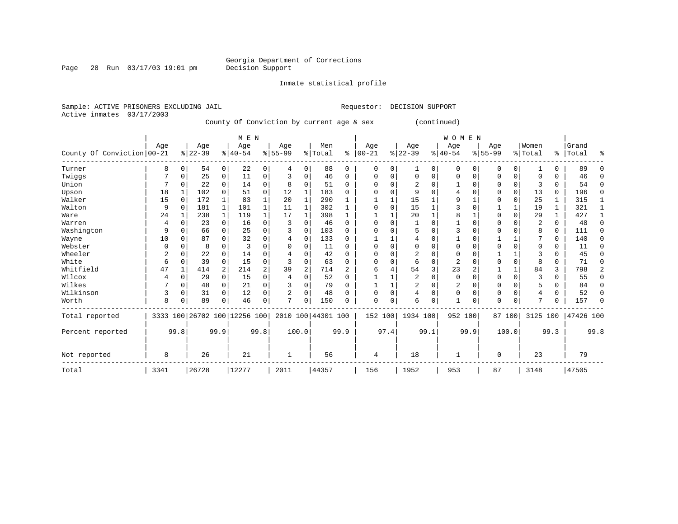Page 28 Run 03/17/03 19:01 pm Decision Support

------------------------------------------------------------------------------------------------------------------------------------

Inmate statistical profile

| M E N | W O M E N

 | | | | | | | | | | | | | | | | | | | | | | Not reported | 8 | 26 | 21 | 1 | 56 | 4 | 18 | 1 | 0 | 23 | 79

Total | 3341 |26728 |12277 | 2011 |44357 | 156 | 1952 | 953 | 87 | 3148 |47505

Sample: ACTIVE PRISONERS EXCLUDING JAIL **Requestor: DECISION SUPPORT** Active inmates 03/17/2003 County Of Conviction by current age & sex (continued)

 | Age | Age | Age | Age | Men | Age | Age | Age | Age |Women |Grand County Of Conviction 00-21  $\frac{1}{8}$  22-39  $\frac{1}{8}$  40-54  $\frac{1}{8}$  55-99  $\frac{1}{8}$  Total  $\frac{1}{8}$  Total  $\frac{1}{8}$   $\frac{1}{22-39}$   $\frac{1}{8}$   $\frac{1}{40-54}$   $\frac{1}{8}$   $\frac{1}{55-99}$   $\frac{1}{8}$   $\frac{1}{1}$  Total  $\frac{1}{8}$   $\frac{1}{$ ------------------------------------------------------------------------------------------------------------------------------------Turner | 8 0| 54 0| 22 0| 4 0| 88 0 | 0 0| 1 0| 0 0| 0 0| 1 0 | 89 0 Twiggs | 7 0| 25 0| 11 0| 3 0| 46 0 | 0 0| 0 0| 0 0| 0 0| 0 0 | 46 0 Union | 7 0| 22 0| 14 0| 8 0| 51 0 | 0 0| 2 0| 1 0| 0 0| 3 0 | 54 0 Upson | 18 1| 102 0| 51 0| 12 1| 183 0 | 0 0| 9 0| 4 0| 0 0| 13 0 | 196 0 Walker | 15 0| 172 1| 83 1| 20 1| 290 1 | 1 1| 15 1| 9 1| 0 0| 25 1 | 315 1 Walton | 9 0| 181 1| 101 1| 11 1| 302 1 | 0 0| 15 1| 3 0| 1 1| 19 1 | 321 1 Ware | 24 1| 238 1| 119 1| 17 1| 398 1 | 1 1| 20 1| 8 1| 0 0| 29 1 | 427 1 Warren | 4 0| 23 0| 16 0| 3 0| 46 0 | 0 0| 1 0| 1 0| 0 0| 2 0 | 48 0 Washington | 9 0| 66 0| 25 0| 3 0| 103 0 | 0 0| 5 0| 3 0| 0 0| 8 0 | 111 0 Wayne | 10 0| 87 0| 32 0| 4 0| 133 0 | 1 1| 4 0| 1 0| 1 1| 7 0 | 140 0 Webster | 0 0| 8 0| 3 0| 0 0| 11 0 | 0 0| 0 0| 0 0| 0 0| 0 0 | 11 0 Wheeler | 2 0| 22 0| 14 0| 4 0| 42 0 | 0 0| 2 0| 0 0| 1 1| 3 0 | 45 0 White | 6 0| 39 0| 15 0| 3 0| 63 0 | 0 0| 6 0| 2 0| 0 0| 8 0 | 71 0 Whitfield | 47 1| 414 2| 214 2| 39 2| 714 2 | 6 4| 54 3| 23 2| 1 1| 84 3 | 798 2 Wilcox | 4 0| 29 0| 15 0| 4 0| 52 0 | 1 1| 2 0| 0 0| 0 0| 3 0 | 55 0 Wilkes | 7 0| 48 0| 21 0| 3 0| 79 0 | 1 1| 2 0| 2 0| 0 0| 5 0 | 84 0 Wilkinson | 3 0| 31 0| 12 0| 2 0| 48 0 | 0 0| 4 0| 0 0| 0 0| 4 0 | 52 0 Worth | 8 0| 89 0| 46 0| 7 0| 150 0 | 0 0| 6 0| 1 0| 0 0| 7 0 | 157 0 ------------------------------------------------------------------------------------------------------------------------------------Total reported | 3333 100|26702 100|12256 100| 2010 100|44301 100 | 152 100| 1934 100| 952 100| 87 100| 3125 100 |47426 100 | | | | | | | | | | | Percent reported | 99.8| 99.9| 99.8| 100.0| 99.9 | 97.4| 99.1| 99.9| 100.0| 99.3 | 99.8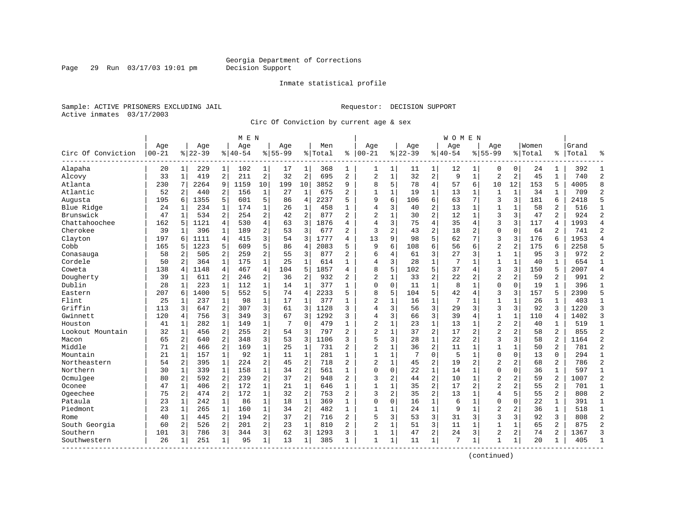Page 29 Run  $03/17/03$  19:01 pm

#### Inmate statistical profile

Sample: ACTIVE PRISONERS EXCLUDING JAIL Requestor: DECISION SUPPORT Active inmates 03/17/2003

Circ Of Conviction by current age & sex

| $00 - 21$<br>Circ Of Conviction<br>Alapaha<br>Alcovy | Age<br>20<br>33<br>230 | 1<br>$\mathbf{1}$ | Age<br>$ 22-39$<br>229 |                | Age<br>$ 40-54$ |                | Aqe<br>$8155 - 99$ |                | Men<br>% Total | ి              | Aqe<br>$ 00-21$ |              | Aqe         |                | Aqe         |                | Aqe            |                | Women   |                | Grand |                |
|------------------------------------------------------|------------------------|-------------------|------------------------|----------------|-----------------|----------------|--------------------|----------------|----------------|----------------|-----------------|--------------|-------------|----------------|-------------|----------------|----------------|----------------|---------|----------------|-------|----------------|
|                                                      |                        |                   |                        |                |                 |                |                    |                |                |                |                 |              | $8122 - 39$ |                | $8140 - 54$ |                | $8155 - 99$    |                | % Total | ి              | Total | ٩,             |
|                                                      |                        |                   |                        | 1              | 102             | 1              | 17                 | 1              | 368            | 1              | 1               | 1            | 11          | 1              | 12          | 1              | $\Omega$       | 0              | 24      | 1              | 392   | $\mathbf{1}$   |
|                                                      |                        |                   | 419                    | $\overline{a}$ | 211             | 2              | 32                 | $\overline{2}$ | 695            | $\overline{a}$ | $\overline{2}$  | $\mathbf{1}$ | 32          | $\overline{2}$ | 9           | $\mathbf{1}$   | $\overline{2}$ | $\overline{2}$ | 45      | $\mathbf{1}$   | 740   | $\overline{2}$ |
| Atlanta                                              |                        | 7                 | 2264                   | 9              | 1159            | 10             | 199                | 10             | 3852           | 9              | 8               | 5            | 78          | $\overline{4}$ | 57          | 6              | 10             | 12             | 153     | 5              | 4005  | 8              |
| Atlantic                                             | 52                     | 2                 | 440                    | 2              | 156             | 1              | 27                 | 1              | 675            | 2              | 1               | $\mathbf 1$  | 19          | 1              | 13          | 1              | $\mathbf{1}$   | $\mathbf 1$    | 34      | 1              | 709   | $\overline{2}$ |
| Augusta                                              | 195                    | 6                 | 1355                   | 5              | 601             | 5              | 86                 | $\overline{4}$ | 2237           | 5              | 9               | 6            | 106         | 6              | 63          | 7              | 3              | 3              | 181     | 6              | 2418  | 5              |
| Blue Ridge                                           | 24                     | $\mathbf{1}$      | 234                    | $\mathbf{1}$   | 174             | $\mathbf{1}$   | 26                 | $\mathbf{1}$   | 458            | $\mathbf{1}$   | $\overline{4}$  | 3            | 40          | $\overline{c}$ | 13          | $\mathbf{1}$   | $\mathbf{1}$   | $\mathbf{1}$   | 58      | $\overline{a}$ | 516   | $\mathbf{1}$   |
| Brunswick                                            | 47                     | $\mathbf{1}$      | 534                    | 2              | 254             | 2              | 42                 | $\overline{2}$ | 877            | $\overline{2}$ | $\overline{c}$  | $\mathbf 1$  | 30          | $\overline{c}$ | 12          | $\mathbf{1}$   | 3              | 3              | 47      | $\overline{a}$ | 924   | $\overline{2}$ |
| Chattahoochee                                        | 162                    | 5                 | 1121                   | 4              | 530             | 4              | 63                 | 3              | 1876           | 4              | $\overline{4}$  | 3            | 75          | 4              | 35          | 4              | 3              | 3              | 117     | 4              | 1993  | $\overline{4}$ |
| Cherokee                                             | 39                     | $\mathbf{1}$      | 396                    | $\mathbf{1}$   | 189             | 2              | 53                 | 3              | 677            | $\overline{a}$ | 3               | 2            | 43          | $\overline{a}$ | 18          | $\overline{2}$ | $\mathbf{0}$   | $\Omega$       | 64      | 2              | 741   | $\overline{2}$ |
| Clayton                                              | 197                    | 6                 | 1111                   | 4              | 415             | 3              | 54                 | 3              | 1777           | 4              | 13              | 9            | 98          | 5              | 62          | 7              | 3              | 3              | 176     | 6              | 1953  | $\overline{4}$ |
| Cobb                                                 | 165                    | 5                 | 1223                   | 5              | 609             | 5              | 86                 | $\overline{4}$ | 2083           | 5              | 9               | 6            | 108         | 6              | 56          | 6              | $\overline{a}$ | $\overline{2}$ | 175     | 6              | 2258  | 5              |
| Conasauga                                            | 58                     | 2                 | 505                    | $\overline{2}$ | 259             | $\overline{c}$ | 55                 | 3              | 877            | 2              | 6               | 4            | 61          | 3              | 27          | 3              | $\mathbf{1}$   | $\mathbf 1$    | 95      | 3              | 972   | $\overline{2}$ |
| Cordele                                              | 50                     | 2                 | 364                    | $\mathbf 1$    | 175             | $\mathbf{1}$   | 25                 | $\mathbf{1}$   | 614            | $\mathbf{1}$   | $\overline{4}$  | 3            | 28          | $\mathbf 1$    | 7           | $\mathbf 1$    | $\mathbf{1}$   | $\mathbf 1$    | 40      | $\mathbf{1}$   | 654   | $\mathbf{1}$   |
| Coweta                                               | 138                    | 4                 | 1148                   | 4              | 467             | 4              | 104                | 5              | 1857           | 4              | 8               | 5            | 102         | 5              | 37          | 4              | 3              | 3              | 150     | 5              | 2007  | $\overline{4}$ |
| Dougherty                                            | 39                     | 1                 | 611                    | 2              | 246             | 2              | 36                 | $\overline{2}$ | 932            | 2              | $\overline{c}$  | $\mathbf{1}$ | 33          | 2              | 22          | $\overline{2}$ | $\overline{2}$ | 2              | 59      | 2              | 991   | $\overline{2}$ |
| Dublin                                               | 28                     | 1                 | 223                    | $\mathbf{1}$   | 112             | $\mathbf{1}$   | 14                 | 1              | 377            | 1              | $\Omega$        | $\mathbf 0$  | 11          | $\mathbf 1$    | 8           | $\mathbf 1$    | $\mathbf 0$    | $\Omega$       | 19      | 1              | 396   | $\mathbf{1}$   |
| Eastern                                              | 207                    | 6                 | 1400                   | 5              | 552             | 5              | 74                 | $\overline{4}$ | 2233           | 5              | 8               | 5            | 104         | 5              | 42          | 4              | 3              | 3              | 157     | 5              | 2390  | 5              |
| Flint                                                | 25                     | 1                 | 237                    | 1              | 98              | $\mathbf{1}$   | 17                 | 1              | 377            | $\mathbf{1}$   | $\overline{2}$  | $\mathbf 1$  | 16          | $\mathbf 1$    | 7           | 1              | $\mathbf{1}$   | 1              | 26      | 1              | 403   | $\mathbf{1}$   |
| Griffin                                              | 113                    | 3                 | 647                    | $\overline{2}$ | 307             | 3              | 61                 | 3              | 1128           | 3              | 4               | 3            | 56          | 3              | 29          | 3              | 3              | 3              | 92      | 3              | 1220  | 3              |
| Gwinnett                                             | 120                    | 4                 | 756                    | 3              | 349             | 3              | 67                 | 3              | 1292           | 3              | 4               | 3            | 66          | 3              | 39          | $\overline{4}$ | $\mathbf 1$    | $\mathbf{1}$   | 110     | 4              | 1402  | 3              |
| Houston                                              | 41                     | 1                 | 282                    | $\mathbf 1$    | 149             | $\mathbf 1$    | 7                  | $\mathbf 0$    | 479            | $\mathbf{1}$   | $\overline{2}$  | $\mathbf{1}$ | 23          | $\mathbf 1$    | 13          | 1              | $\overline{2}$ | 2              | 40      | 1              | 519   | $\mathbf 1$    |
| Lookout Mountain                                     | 32                     | 1                 | 456                    | 2              | 255             | $\overline{a}$ | 54                 | 3              | 797            | $\overline{a}$ | $\overline{c}$  | $\mathbf{1}$ | 37          | $\overline{2}$ | 17          | $\overline{2}$ | $\overline{2}$ | $\overline{a}$ | 58      | $\overline{2}$ | 855   | $\overline{2}$ |
| Macon                                                | 65                     | 2                 | 640                    | 2              | 348             | 3              | 53                 | 3              | 1106           | 3              | 5               | 3            | 28          | $\mathbf{1}$   | 22          | 2              | 3              | 3              | 58      | $\overline{a}$ | 1164  | $\overline{2}$ |
| Middle                                               | 71                     | $\overline{a}$    | 466                    | 2              | 169             | $\mathbf{1}$   | 25                 | $\mathbf{1}$   | 731            | $\overline{a}$ | 2               | $\mathbf 1$  | 36          | $\overline{2}$ | 11          | 1              | $\mathbf{1}$   | $\mathbf{1}$   | 50      | $\overline{a}$ | 781   | $\overline{2}$ |
| Mountain                                             | 21                     | $\mathbf{1}$      | 157                    | $\mathbf 1$    | 92              | $\mathbf 1$    | 11                 | $\mathbf{1}$   | 281            | $\mathbf{1}$   | $\mathbf{1}$    | $\mathbf 1$  | 7           | $\mathbf 0$    | 5           | $\mathbf{1}$   | $\mathbf 0$    | $\mathbf 0$    | 13      | 0              | 294   | $\mathbf{1}$   |
| Northeastern                                         | 54                     | 2                 | 395                    | $\mathbf 1$    | 224             | 2              | 45                 | $\overline{2}$ | 718            | 2              | $\overline{a}$  | $\mathbf 1$  | 45          | 2              | 19          | $\overline{2}$ | $\overline{2}$ | 2              | 68      | 2              | 786   | $\overline{c}$ |
| Northern                                             | 30                     | 1                 | 339                    | $\mathbf 1$    | 158             | $\mathbf 1$    | 34                 | 2              | 561            | 1              | $\Omega$        | $\mathbf 0$  | 22          | $\mathbf 1$    | 14          | 1              | $\mathbf 0$    | $\Omega$       | 36      | 1              | 597   | 1              |
| Ocmulgee                                             | 80                     | 2                 | 592                    | 2              | 239             | 2              | 37                 | $\overline{2}$ | 948            | $\overline{a}$ | 3               | 2            | 44          | $\overline{2}$ | 10          | $\mathbf 1$    | $\overline{2}$ | $\overline{a}$ | 59      | $\overline{a}$ | 1007  | $\overline{2}$ |
| Oconee                                               | 47                     | $\mathbf{1}$      | 406                    | $\overline{a}$ | 172             | $\mathbf{1}$   | 21                 | 1              | 646            | $\mathbf{1}$   | $\mathbf{1}$    | $\mathbf 1$  | 35          | $\overline{2}$ | 17          | 2              | $\overline{a}$ | $\overline{2}$ | 55      | $\overline{2}$ | 701   | $\mathbf{1}$   |
| Ogeechee                                             | 75                     | 2                 | 474                    | $\overline{2}$ | 172             | $\mathbf{1}$   | 32                 | $\overline{2}$ | 753            | $\overline{a}$ | 3               | 2            | 35          | $\overline{2}$ | 13          | 1              | $\overline{4}$ | 5              | 55      | $\overline{2}$ | 808   | $\overline{2}$ |
| Pataula                                              | 23                     | 1                 | 242                    | $\mathbf 1$    | 86              | $\mathbf 1$    | 18                 | $\mathbf{1}$   | 369            | $\mathbf{1}$   | $\mathbf 0$     | $\mathbf 0$  | 16          | $\mathbf 1$    | 6           | $\mathbf 1$    | $\mathbf 0$    | $\mathbf 0$    | 22      | 1              | 391   | $\mathbf{1}$   |
| Piedmont                                             | 23                     | 1                 | 265                    | $\mathbf{1}$   | 160             | $\mathbf{1}$   | 34                 | $\overline{2}$ | 482            | $\mathbf{1}$   | $\mathbf{1}$    | 1            | 24          | $\mathbf{1}$   | 9           | $\mathbf 1$    | $\overline{2}$ | 2              | 36      | $\mathbf{1}$   | 518   | $\mathbf{1}$   |
| Rome                                                 | 40                     | 1                 | 445                    | 2              | 194             | 2              | 37                 | $\overline{2}$ | 716            | $\mathfrak{D}$ | 5               | 3            | 53          | 3              | 31          | 3              | 3              | 3              | 92      | 3              | 808   | $\overline{2}$ |
| South Georgia                                        | 60                     | 2                 | 526                    | $\overline{2}$ | 201             | 2              | 23                 | $\mathbf{1}$   | 810            | $\mathfrak{D}$ | $\overline{c}$  | $\mathbf{1}$ | 51          | 3              | 11          | 1              | $\mathbf{1}$   | 1              | 65      | $\overline{2}$ | 875   | $\overline{2}$ |
| Southern                                             | 101                    | 3                 | 786                    | 3              | 344             | 3              | 62                 | 3              | 1293           | 3              | 1               | 1            | 47          | 2              | 24          | 3              | $\overline{2}$ | 2              | 74      | 2              | 1367  | 3              |
| Southwestern                                         | 26                     | 1                 | 251                    | 1              | 95              | $\mathbf{1}$   | 13                 | $\mathbf{1}$   | 385            | 1              | $\mathbf{1}$    | 1            | 11          | $\mathbf 1$    | 7           | 1              | 1              | 1              | 20      | 1              | 405   | $\mathbf{1}$   |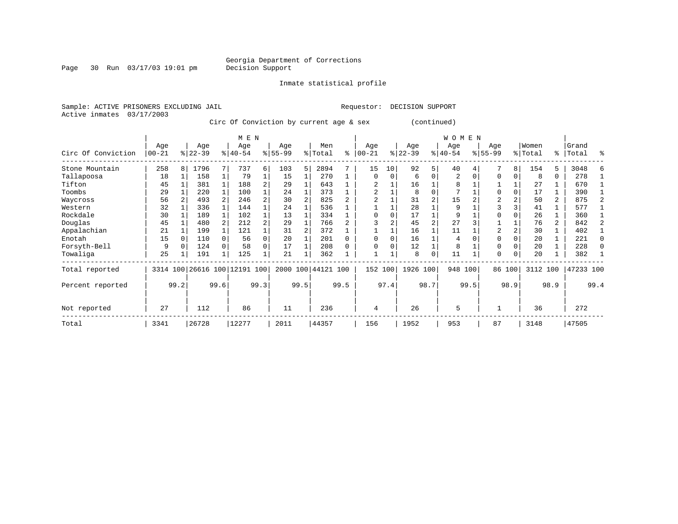Page 30 Run  $03/17/03$  19:01 pm

Inmate statistical profile

Active inmates 03/17/2003

Sample: ACTIVE PRISONERS EXCLUDING JAIL Requestor: DECISION SUPPORT

Circ Of Conviction by current age & sex (continued)

|                    |                  |      |                  |      | M E N                   |                |                  |      |                    |      |                   |          |                 |                | <b>WOMEN</b>     |      |                  |          |                  |                |                |          |
|--------------------|------------------|------|------------------|------|-------------------------|----------------|------------------|------|--------------------|------|-------------------|----------|-----------------|----------------|------------------|------|------------------|----------|------------------|----------------|----------------|----------|
| Circ Of Conviction | Age<br>$00 - 21$ |      | Age<br>$ 22-39 $ |      | Age<br>$8 40-54$        |                | Age<br>$8 55-99$ |      | Men<br>% Total     | ႜ    | Age<br>$100 - 21$ |          | Age<br>$ 22-39$ |                | Age<br>$ 40-54 $ |      | Age<br>$8 55-99$ |          | Women<br>% Total | ႜႂ             | Grand<br>Total | ႜ        |
| Stone Mountain     | 258              | 8    | 1796             |      | 737                     | б.             | 103              | 5    | 2894               |      | 15                | 10       | 92              | 5              | 40               |      |                  | 8        | 154              | 5              | 3048           |          |
| Tallapoosa         | 18               |      | 158              |      | 79                      | 1              | 15               |      | 270                |      | $\Omega$          | $\Omega$ | 6               | $\Omega$       | 2                |      | $\Omega$         |          | 8                | 0              | 278            |          |
| Tifton             | 45               |      | 381              |      | 188                     | 2              | 29               |      | 643                |      |                   |          | 16              |                | 8                |      |                  |          | 27               |                | 670            |          |
| Toombs             | 29               |      | 220              |      | 100                     |                | 24               |      | 373                |      | 2                 |          | 8               | $\Omega$       | 7                |      | $\Omega$         |          | 17               |                | 390            |          |
| Waycross           | 56               |      | 493              |      | 246                     |                | 30               |      | 825                |      |                   |          | 31              | $\overline{2}$ | 15               |      | 2                |          | 50               | 2              | 875            |          |
| Western            | 32               |      | 336              |      | 144                     |                | 24               |      | 536                |      |                   |          | 28              |                | 9                |      | 3                |          | 41               |                | 577            |          |
| Rockdale           | 30               |      | 189              |      | 102                     |                | 13               |      | 334                |      | $\Omega$          |          | 17              |                | 9                |      | $\Omega$         |          | 26               |                | 360            |          |
| Douglas            | 45               |      | 480              |      | 212                     | $\overline{a}$ | 29               |      | 766                |      |                   |          | 45              |                | 27               |      |                  |          | 76               | $\overline{a}$ | 842            |          |
| Appalachian        | 21               |      | 199              |      | 121                     |                | 31               |      | 372                |      |                   |          | 16              |                | 11               |      | $\overline{2}$   |          | 30               |                | 402            |          |
| Enotah             | 15               |      | 110              |      | 56                      | 0              | 20               |      | 201                |      | $\Omega$          | $\Omega$ | 16              |                | 4                |      | $\Omega$         |          | 20               |                | 221            | $\Omega$ |
| Forsyth-Bell       | 9                |      | 124              |      | 58                      | 0              | 17               |      | 208                |      | $\Omega$          | O        | 12              |                | 8                |      | $\Omega$         |          | 20               |                | 228            | $\Omega$ |
| Towaliga           | 25               |      | 191              | 1    | 125                     |                | 21               |      | 362                |      |                   |          | 8               | $\mathbf 0$    | 11               |      | $\Omega$         | $\Omega$ | 20               |                | 382            |          |
| Total reported     | 3314             |      |                  |      | 100 26616 100 12191 100 |                |                  |      | 2000 100 44121 100 |      | 152 100           |          | 1926 100        |                | 948 100          |      |                  | 86 100   | 3112 100         |                | 47233 100      |          |
| Percent reported   |                  | 99.2 |                  | 99.6 |                         | 99.3           |                  | 99.5 |                    | 99.5 |                   | 97.4     |                 | 98.7           |                  | 99.5 |                  | 98.9     |                  | 98.9           |                | 99.4     |
| Not reported       | 27               |      | 112              |      | 86                      |                | 11               |      | 236                |      | 4                 |          | 26              |                | 5                |      |                  |          | 36               |                | 272            |          |
| Total              | 3341             |      | 26728            |      | 12277                   |                | 2011             |      | 44357              |      | 156               |          | 1952            |                | 953              |      | 87               |          | 3148             |                | 47505          |          |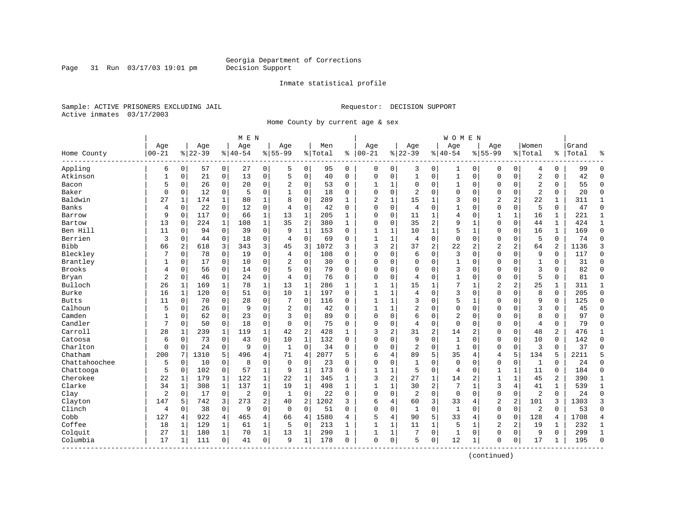Page 31 Run  $03/17/03$  19:01 pm

#### Inmate statistical profile

Sample: ACTIVE PRISONERS EXCLUDING JAIL Requestor: DECISION SUPPORT Active inmates 03/17/2003

Home County by current age & sex

|                      |                  |              |                  |                | M E N           |                |                  |                |                  |              |                   |              |                  |                         | W O M E N          |              |                    |                |                  |              |                |                |
|----------------------|------------------|--------------|------------------|----------------|-----------------|----------------|------------------|----------------|------------------|--------------|-------------------|--------------|------------------|-------------------------|--------------------|--------------|--------------------|----------------|------------------|--------------|----------------|----------------|
| Home County          | Age<br>$00 - 21$ |              | Age<br>$8 22-39$ |                | Age<br>$ 40-54$ |                | Age<br>$8 55-99$ |                | Men<br>%   Total | ႜ            | Age<br>$100 - 21$ |              | Age<br>$8 22-39$ |                         | Age<br>$8140 - 54$ |              | Aqe<br>$8155 - 99$ |                | Women<br>% Total | ႜ            | Grand<br>Total | ٩,             |
| Appling              | 6                | 0            | 57               | $\overline{0}$ | 27              | 0              | 5                | 0              | 95               | 0            | 0                 | 0            | 3                | 0                       | 1                  | 0            | 0                  | 0              | 4                | 0            | 99             | $\Omega$       |
| Atkinson             | $\mathbf{1}$     | 0            | 21               | 0              | 13              | 0              | 5                | $\mathbf 0$    | 40               | 0            | $\mathbf 0$       | 0            | $1\,$            | 0                       | $\mathbf{1}$       | $\mathbf 0$  | $\mathbf 0$        | $\mathbf 0$    | $\overline{a}$   | 0            | 42             | $\Omega$       |
| Bacon                | 5                | 0            | 26               | 0              | 20              | 0              | 2                | 0              | 53               | 0            | $\mathbf{1}$      | 1            | $\mathbf 0$      | 0                       | 1                  | $\mathbf 0$  | 0                  | $\mathbf 0$    | $\overline{2}$   | 0            | 55             | $\Omega$       |
| Baker                | $\Omega$         | $\Omega$     | 12               | $\mathbf 0$    | 5               | 0              | $\mathbf{1}$     | $\Omega$       | 18               | $\Omega$     | $\Omega$          | $\Omega$     | $\overline{c}$   | $\Omega$                | 0                  | $\Omega$     | $\Omega$           | $\Omega$       | $\overline{2}$   | $\Omega$     | 20             | $\Omega$       |
| Baldwin              | 27               | 1            | 174              | 1              | 80              | $\mathbf{1}$   | $\mathsf{R}$     | $\Omega$       | 289              | $\mathbf{1}$ | 2                 | $\mathbf{1}$ | 15               | 1                       | 3                  | $\Omega$     | $\overline{2}$     | 2              | 22               | $\mathbf{1}$ | 311            | 1              |
| Banks                | 4                | $\Omega$     | 22               | $\mathbf 0$    | 12              | 0              | $\overline{4}$   | $\mathbf 0$    | 42               | $\Omega$     | $\mathbf{0}$      | 0            | $\overline{4}$   | $\Omega$                | $\mathbf 1$        | $\mathbf 0$  | $\Omega$           | $\Omega$       | 5                | 0            | 47             | $\Omega$       |
| Barrow               | 9                | 0            | 117              | 0              | 66              | 1              | 13               | $\mathbf 1$    | 205              | 1            | $\Omega$          | 0            | 11               | 1                       | 4                  | 0            | 1                  | 1              | 16               | 1            | 221            | 1              |
| Bartow               | 13               | $\Omega$     | 224              | $\mathbf{1}$   | 108             | $\mathbf{1}$   | 35               | 2              | 380              | $\mathbf{1}$ | $\Omega$          | 0            | 35               | $\overline{2}$          | 9                  | $\mathbf 1$  | $\Omega$           | 0              | 44               | $\mathbf{1}$ | 424            | $\mathbf{1}$   |
| Ben Hill             | 11               | 0            | 94               | $\mathbf 0$    | 39              | 0              | 9                | $\mathbf{1}$   | 153              | $\Omega$     | $\mathbf{1}$      | 1            | 10               | 1                       | 5                  | $\mathbf{1}$ | $\Omega$           | $\Omega$       | 16               | $\mathbf{1}$ | 169            | $\Omega$       |
| Berrien              | 3                | 0            | 44               | 0              | 18              | 0              | $\overline{4}$   | $\mathbf 0$    | 69               | $\Omega$     | $\mathbf{1}$      | $\mathbf{1}$ | 4                | 0                       | $\mathbf{0}$       | $\mathbf 0$  | $\Omega$           | 0              | 5                | 0            | 74             | $\Omega$       |
| <b>Bibb</b>          | 66               | 2            | 618              | 3              | 343             | 3              | 45               | 3              | 1072             | ς            | 3                 | 2            | 37               | $\overline{2}$          | 22                 | 2            | $\overline{2}$     | $\overline{a}$ | 64               | 2            | 1136           | 3              |
| Bleckley             | 7                | $\Omega$     | 78               | $\Omega$       | 19              | 0              | $\overline{4}$   | $\Omega$       | 108              | $\Omega$     | $\Omega$          | 0            | 6                | $\Omega$                | 3                  | $\Omega$     | $\Omega$           | $\Omega$       | 9                | $\Omega$     | 117            | $\Omega$       |
| Brantley             |                  | $\Omega$     | 17               | $\mathbf 0$    | 10              | 0              | $\overline{2}$   | $\mathbf 0$    | 30               | $\Omega$     | $\Omega$          | $\Omega$     | $\mathbf{0}$     | 0                       | $\mathbf{1}$       | $\Omega$     | $\Omega$           | $\Omega$       | $\mathbf{1}$     | 0            | 31             | $\Omega$       |
| <b>Brooks</b>        | 4                | 0            | 56               | $\mathbf 0$    | 14              | 0              | 5                | $\Omega$       | 79               | $\Omega$     | $\Omega$          | O            | $\mathbf 0$      | $\Omega$                | 3                  | $\Omega$     | $\Omega$           | $\Omega$       | 3                | $\Omega$     | 82             | $\Omega$       |
| Bryan                | 2                | 0            | 46               | 0              | 24              | 0              | 4                | 0              | 76               | $\Omega$     | $\Omega$          | 0            | $\overline{4}$   | $\Omega$                | 1                  | $\Omega$     | $\Omega$           | $\Omega$       | 5                | 0            | 81             | $\Omega$       |
| Bulloch              | 26               | 1            | 169              | 1              | 78              | $\mathbf 1$    | 13               | $\mathbf 1$    | 286              | $\mathbf{1}$ | $\mathbf{1}$      | 1            | 15               | $\mathbf{1}$            | 7                  | $\mathbf{1}$ | $\overline{2}$     | 2              | 25               | 1            | 311            | 1              |
| Burke                | 16               | $\mathbf{1}$ | 120              | $\Omega$       | 51              | 0              | 10               | $\mathbf{1}$   | 197              | $\Omega$     | $\mathbf{1}$      | $\mathbf{1}$ | 4                | $\Omega$                | 3                  | $\Omega$     | $\Omega$           | $\Omega$       | 8                | $\Omega$     | 205            | $\Omega$       |
| <b>Butts</b>         | 11               | $\Omega$     | 70               | $\mathbf 0$    | 28              | 0              | 7                | $\Omega$       | 116              | $\Omega$     | 1                 | 1            | 3                | $\Omega$                | 5                  | 1            | $\Omega$           | $\Omega$       | 9                | 0            | 125            | $\Omega$       |
| Calhoun              | 5                | 0            | 26               | $\mathbf 0$    | 9               | 0              | $\overline{2}$   | $\mathbf 0$    | 42               | $\Omega$     | 1                 | $\mathbf{1}$ | 2                | 0                       | 0                  | $\mathbf 0$  | $\Omega$           | 0              | $\overline{3}$   | 0            | 45             | $\Omega$       |
| Camden               | 1                | 0            | 62               | 0              | 23              | 0              | 3                | 0              | 89               | $\Omega$     | $\Omega$          | 0            | 6                | 0                       | 2                  | 0            | $\Omega$           | 0              | 8                | 0            | 97             | $\Omega$       |
| Candler              | 7                | $\Omega$     | 50               | $\mathbf 0$    | 18              | 0              | $\Omega$         | $\Omega$       | 75               | $\Omega$     | $\Omega$          | 0            | 4                | $\Omega$                | $\mathbf 0$        | $\Omega$     | $\Omega$           | $\Omega$       | $\overline{4}$   | $\mathbf 0$  | 79             | $\Omega$       |
| Carroll              | 28               | 1            | 239              | 1              | 119             | $\mathbf 1$    | 42               | $\overline{2}$ | 428              | 1            | 3                 | 2            | 31               | $\overline{\mathbf{c}}$ | 14                 | 2            | 0                  | $\Omega$       | 48               | 2            | 476            | $\mathbf{1}$   |
| Catoosa              | 6                | 0            | 73               | $\mathbf 0$    | 43              | 0              | 10               | $\mathbf 1$    | 132              | $\Omega$     | $\Omega$          | O            | 9                | $\Omega$                | $\mathbf{1}$       | $\mathbf 0$  | $\Omega$           | 0              | 10               | 0            | 142            | $\Omega$       |
| Charlton             | 0                | 0            | 24               | 0              | 9               | 0              | 1                | $\Omega$       | 34               | 0            | $\Omega$          | 0            | $\overline{2}$   | 0                       | 1                  | $\mathbf 0$  | $\Omega$           | $\mathbf 0$    | 3                | 0            | 37             | $\Omega$       |
| Chatham              | 200              | 7            | 1310             | 5              | 496             | 4              | 71               | $\overline{4}$ | 2077             | 5            | 6                 | 4            | 89               | 5                       | 35                 | 4            | $\overline{4}$     | 5              | 134              | 5            | 2211           | 5              |
| Chattahoochee        | 5                | 0            | 10               | $\mathbf 0$    | 8               | 0              | $\Omega$         | $\Omega$       | 23               | $\Omega$     | $\Omega$          | 0            | $\mathbf{1}$     | 0                       | $\mathbf 0$        | $\Omega$     | $\mathbf 0$        | 0              | $\mathbf{1}$     | $\Omega$     | 24             | $\Omega$       |
| Chattooga            | 5                | 0            | 102              | $\mathbf 0$    | 57              | $\mathbf{1}$   | 9                | $\mathbf 1$    | 173              | $\Omega$     | $\mathbf{1}$      | 1            | 5                | 0                       | 4                  | $\mathbf 0$  | 1                  | 1              | 11               | 0            | 184            | $\Omega$       |
| Cherokee             | 22               | 1            | 179              | 1              | 122             | 1              | 22               | 1              | 345              | 1            | 3                 | 2            | 27               | 1                       | 14                 | 2            | 1                  | 1              | 45               | 2            | 390            | 1              |
| Clarke               | 34               | $\mathbf{1}$ | 308              | $\mathbf 1$    | 137             | $\mathbf{1}$   | 19               | $\mathbf 1$    | 498              | $\mathbf{1}$ | $\mathbf{1}$      | $\mathbf{1}$ | 30               | 2                       | 7                  | $\mathbf{1}$ | 3                  | 4              | 41               | $\mathbf{1}$ | 539            | $\mathbf{1}$   |
| Clay                 | $\overline{c}$   | $\Omega$     | 17               | 0              | $\overline{2}$  | 0              | 1                | $\Omega$       | 22               | $\Omega$     | $\Omega$          | $\Omega$     | $\overline{2}$   | $\Omega$                | $\mathbf 0$        | $\Omega$     | $\mathbf 0$        | $\mathbf 0$    | $\overline{2}$   | $\Omega$     | 24             | $\Omega$       |
| Clayton              | 147              | 5            | 742              | 3              | 273             | $\overline{a}$ | 40               | 2              | 1202             | 3            | 6                 | 4            | 60               | 3                       | 33                 | 4            | $\overline{2}$     | 2              | 101              | 3            | 1303           | 3              |
| Clinch               | 4                | 0            | 38               | $\mathbf 0$    | 9               | 0              | $\mathbf 0$      | $\mathbf 0$    | 51               | $\Omega$     | $\Omega$          | 0            | $\mathbf{1}$     | 0                       | $\mathbf{1}$       | $\mathbf 0$  | $\mathbf{0}$       | $\mathbf 0$    | $\overline{2}$   | $\Omega$     | 53             | $\Omega$       |
| Cobb                 | 127              | 4            | 922              | $\overline{4}$ | 465             | 4              | 66               | 4              | 1580             | 4            | 5                 | 4            | 90               | 5                       | 33                 | 4            | $\mathbf{0}$       | $\mathbf 0$    | 128              | 4            | 1708           | $\overline{4}$ |
| Coffee               | 18               | 1            | 129              | 1              | 61              | $\mathbf 1$    | 5                | 0              | 213              | 1            |                   | 1            | 11               | $\mathbf{1}$            | 5                  | 1            | 2                  | 2              | 19               | 1            | 232            | 1              |
| Colquit              | 27               | 1            | 180              | 1              | 70              | $\mathbf 1$    | 13               | 1              | 290              | 1            | $\mathbf{1}$      | $\mathbf 1$  |                  | $\mathbf 0$             | $\mathbf{1}$       | 0            | $\Omega$           | 0              | 9                | 0            | 299            | $\mathbf{1}$   |
| Columbia<br>-------- | 17               | 1            | 111              | 0              | 41              | 0              | 9                | 1              | 178              | 0            | $\mathbf{0}$      | $\mathbf 0$  | 5                | $\mathbf 0$             | 12                 | 1            | $\Omega$           | $\mathbf 0$    | 17               | 1            | 195            | $\Omega$       |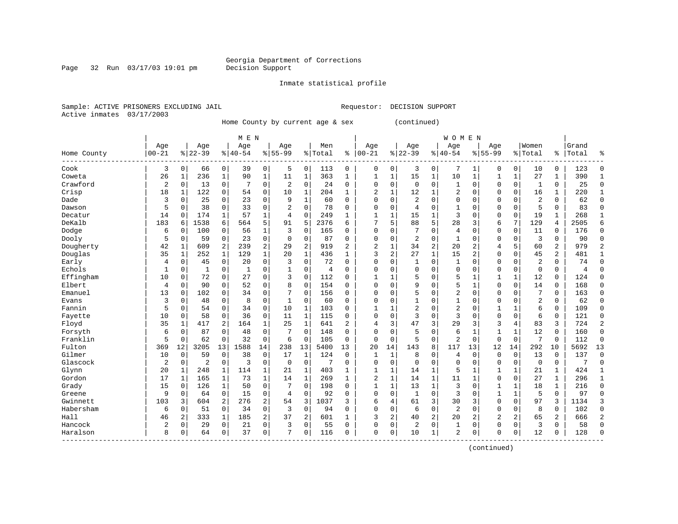#### Inmate statistical profile

Sample: ACTIVE PRISONERS EXCLUDING JAIL Requestor: DECISION SUPPORT Active inmates 03/17/2003

Page 32 Run 03/17/03 19:01 pm

Home County by current age & sex (continued)

|             |                |              |                |              | M E N        |              |                |                |         |                |                |              |                |                | <b>WOMEN</b>   |                |              |              |                |                |                |                |
|-------------|----------------|--------------|----------------|--------------|--------------|--------------|----------------|----------------|---------|----------------|----------------|--------------|----------------|----------------|----------------|----------------|--------------|--------------|----------------|----------------|----------------|----------------|
|             | Age            |              | Age            |              | Age          |              | Age            |                | Men     |                | Age            |              | Age            |                | Age            |                | Age          |              | Women          |                | Grand          |                |
| Home County | $00 - 21$      |              | $8 22-39$      |              | $8 40-54$    |              | $8155 - 99$    |                | % Total | ి              | $ 00-21$       |              | $ 22-39$       |                | $8 40-54$      |                | $8155 - 99$  |              | % Total        | နွ             | Total          |                |
| Cook        | 3              | $\mathbf 0$  | 66             | $\mathbf 0$  | 39           | 0            | 5              | 0              | 113     | $\mathbf 0$    | 0              | 0            | 3              | 0              | 7              | 1              | 0            | 0            | 10             | 0              | 123            | $\Omega$       |
| Coweta      | 26             | 1            | 236            | $\mathbf{1}$ | 90           | $\mathbf{1}$ | 11             | $\mathbf{1}$   | 363     | 1              | 1              | $\mathbf 1$  | 15             | $\mathbf 1$    | 10             | $\mathbf 1$    | 1            | $\mathbf 1$  | 27             | 1              | 390            | $\mathbf{1}$   |
| Crawford    | 2              | $\mathbf 0$  | 13             | $\mathbf 0$  | 7            | $\mathbf 0$  | $\overline{2}$ | $\mathbf 0$    | 24      | 0              | 0              | $\mathbf 0$  | $\mathbf 0$    | $\mathbf 0$    | 1              | $\mathbf 0$    | $\Omega$     | $\mathbf 0$  | 1              | 0              | 25             | $\Omega$       |
| Crisp       | 18             | 1            | 122            | $\mathbf 0$  | 54           | 0            | 10             | 1              | 204     | $\mathbf{1}$   | 2              | 1            | 12             | 1              | $\overline{2}$ | 0              | $\Omega$     | $\mathbf 0$  | 16             | $\mathbf{1}$   | 220            | $\mathbf{1}$   |
| Dade        | 3              | 0            | 25             | $\Omega$     | 23           | $\mathbf 0$  | 9              | $\mathbf{1}$   | 60      | $\Omega$       | $\Omega$       | $\Omega$     | 2              | $\Omega$       | $\mathbf 0$    | $\mathbf 0$    | $\Omega$     | $\Omega$     | $\overline{2}$ | $\Omega$       | 62             | $\Omega$       |
| Dawson      | 5              | $\mathbf 0$  | 38             | $\mathbf 0$  | 33           | $\mathbf 0$  | $\overline{a}$ | $\mathbf 0$    | 78      | $\Omega$       | $\Omega$       | $\mathbf 0$  | 4              | $\mathbf 0$    | 1              | $\mathbf 0$    | $\mathbf{0}$ | $\mathbf 0$  | 5              | 0              | 83             | $\mathbf{0}$   |
| Decatur     | 14             | 0            | 174            | 1            | 57           | $\mathbf 1$  | $\overline{4}$ | $\mathbf 0$    | 249     | 1              | 1              | 1            | 15             | $\mathbf{1}$   | 3              | $\mathbf 0$    | $\mathbf{0}$ | $\mathbf 0$  | 19             | 1              | 268            | 1              |
| DeKalb      | 183            | 6            | 1538           | 6            | 564          | 5            | 91             | 5              | 2376    | 6              |                | 5            | 88             | 5              | 28             | 3              | 6            | 7            | 129            | 4              | 2505           | 6              |
| Dodge       | 6              | $\Omega$     | 100            | 0            | 56           | 1            | 3              | $\Omega$       | 165     | $\Omega$       | $\mathbf 0$    | $\Omega$     | 7              | $\Omega$       | 4              | $\mathbf 0$    | $\mathbf 0$  | 0            | 11             | 0              | 176            | $\Omega$       |
| Dooly       | 5              | $\mathbf 0$  | 59             | $\mathbf 0$  | 23           | $\mathbf 0$  | $\Omega$       | $\mathbf 0$    | 87      | $\Omega$       | $\mathbf 0$    | $\Omega$     | 2              | $\Omega$       | $\mathbf{1}$   | $\Omega$       | $\Omega$     | $\Omega$     | 3              | 0              | 90             | $\Omega$       |
| Dougherty   | 42             | -1           | 609            | 2            | 239          | 2            | 29             | $\overline{2}$ | 919     | $\overline{a}$ | $\overline{2}$ | 1            | 34             | $\overline{a}$ | 20             | $\overline{2}$ | 4            | 5            | 60             | 2              | 979            | $\overline{2}$ |
| Douglas     | 35             | 1            | 252            | $\mathbf{1}$ | 129          | $\mathbf{1}$ | 20             | $\mathbf{1}$   | 436     | 1              | 3              | 2            | 27             | $\mathbf{1}$   | 15             | $\overline{2}$ | $\mathbf 0$  | $\mathbf 0$  | 45             | $\overline{2}$ | 481            | $\mathbf{1}$   |
| Early       | 4              | 0            | 45             | $\Omega$     | 20           | $\mathbf 0$  | 3              | $\Omega$       | 72      | $\Omega$       | $\Omega$       | $\Omega$     | $\mathbf{1}$   | $\mathbf 0$    | 1              | $\mathbf 0$    | $\Omega$     | $\Omega$     | $\overline{2}$ | $\Omega$       | 74             | $\Omega$       |
| Echols      | $\mathbf{1}$   | $\mathbf 0$  | $\mathbf{1}$   | $\mathbf 0$  | $\mathbf{1}$ | 0            | 1              | 0              | 4       | $\Omega$       | $\Omega$       | $\Omega$     | $\mathbf 0$    | $\Omega$       | 0              | $\mathbf 0$    | $\mathbf 0$  | $\mathbf 0$  | $\mathbf 0$    | $\Omega$       | $\overline{4}$ | $\Omega$       |
| Effingham   | 10             | 0            | 72             | 0            | 27           | 0            | 3              | $\mathbf 0$    | 112     | $\Omega$       | $\mathbf{1}$   | 1            | 5              | 0              | 5              | 1              | 1            | $\mathbf 1$  | 12             | $\Omega$       | 124            | $\Omega$       |
| Elbert      | 4              | 0            | 90             | $\mathbf 0$  | 52           | 0            | 8              | $\mathbf 0$    | 154     | $\Omega$       | $\mathbf 0$    | $\mathbf 0$  | 9              | $\mathbf 0$    | 5              | $\mathbf 1$    | $\mathbf{0}$ | $\mathbf 0$  | 14             | 0              | 168            | $\Omega$       |
| Emanuel     | 13             | 0            | 102            | $\Omega$     | 34           | 0            |                | $\Omega$       | 156     | 0              | $\Omega$       | $\Omega$     | 5              | $\Omega$       | $\overline{2}$ | $\mathbf 0$    | $\Omega$     | $\Omega$     | 7              | 0              | 163            | $\Omega$       |
| Evans       | 3              | 0            | 48             | $\Omega$     | 8            | 0            | 1              | $\Omega$       | 60      | 0              | $\Omega$       | $\Omega$     | $\mathbf{1}$   | $\Omega$       | $\mathbf{1}$   | $\mathbf 0$    | $\mathbf{0}$ | $\Omega$     | $\overline{a}$ | $\Omega$       | 62             | $\Omega$       |
| Fannin      | 5              | $\Omega$     | 54             | $\Omega$     | 34           | $\Omega$     | 10             | 1              | 103     | 0              | 1              | 1            | $\overline{2}$ | $\Omega$       | 2              | $\Omega$       | 1            | $\mathbf{1}$ | 6              | $\Omega$       | 109            | $\Omega$       |
| Fayette     | 10             | $\Omega$     | 58             | $\Omega$     | 36           | $\mathbf 0$  | 11             | $\mathbf{1}$   | 115     | $\Omega$       | $\Omega$       | $\Omega$     | 3              | $\Omega$       | 3              | $\mathbf 0$    | $\mathbf{0}$ | $\Omega$     | 6              | 0              | 121            | $\Omega$       |
| Floyd       | 35             | $\mathbf{1}$ | 417            | 2            | 164          | $\mathbf 1$  | 25             | $\mathbf{1}$   | 641     | 2              | 4              | 3            | 47             | 3              | 29             | 3              | 3            | 4            | 83             | 3              | 724            | $\overline{2}$ |
| Forsyth     | 6              | 0            | 87             | $\Omega$     | 48           | $\mathbf 0$  | 7              | $\Omega$       | 148     | $\Omega$       | $\Omega$       | $\Omega$     | 5              | $\Omega$       | 6              | 1              | $\mathbf{1}$ | 1            | 12             | 0              | 160            | $\Omega$       |
| Franklin    | 5              | 0            | 62             | $\mathbf 0$  | 32           | $\mathbf 0$  | 6              | $\mathbf 0$    | 105     | $\Omega$       | $\mathbf 0$    | $\mathbf 0$  | 5              | $\mathbf 0$    | $\overline{a}$ | $\mathbf 0$    | $\mathbf{0}$ | $\mathbf 0$  | 7              | $\mathbf 0$    | 112            | $\Omega$       |
| Fulton      | 369            | 12           | 3205           | 13           | 1588         | 14           | 238            | 13             | 5400    | 13             | 20             | 14           | 143            | 8              | 117            | 13             | 12           | 14           | 292            | 10             | 5692           | 13             |
| Gilmer      | 10             | $\mathbf 0$  | 59             | $\Omega$     | 38           | 0            | 17             | 1              | 124     | 0              | 1              | 1            | 8              | $\mathbf 0$    | 4              | $\mathbf 0$    | $\mathbf 0$  | $\mathbf 0$  | 13             | $\Omega$       | 137            | $\Omega$       |
| Glascock    | $\overline{2}$ | 0            | $\overline{c}$ | $\mathbf 0$  | 3            | 0            | $\mathbf 0$    | $\mathbf 0$    | 7       | 0              | $\Omega$       | $\mathbf 0$  | $\mathbf 0$    | $\mathbf 0$    | $\Omega$       | $\mathbf 0$    | $\mathbf 0$  | $\mathbf 0$  | $\mathbf 0$    | 0              |                | $\Omega$       |
| Glynn       | 20             |              | 248            | 1            | 114          | 1            | 21             | 1              | 403     | 1              | $\mathbf{1}$   | $\mathbf{1}$ | 14             | $\mathbf{1}$   | 5              | 1              | $\mathbf{1}$ | $\mathbf{1}$ | 21             | 1              | 424            | 1              |
| Gordon      | 17             | 1            | 165            | 1            | 73           | 1            | 14             | 1              | 269     | 1              | $\overline{2}$ | 1            | 14             | $\mathbf 1$    | 11             | $\mathbf{1}$   | $\mathbf{0}$ | $\Omega$     | 27             | 1              | 296            | $\mathbf{1}$   |
| Grady       | 15             | $\Omega$     | 126            | $\mathbf{1}$ | 50           | 0            | 7              | $\Omega$       | 198     | $\Omega$       | 1              | 1            | 13             | $\mathbf{1}$   | 3              | $\Omega$       | 1            | $\mathbf{1}$ | 18             | 1              | 216            | $\Omega$       |
| Greene      | 9              | $\Omega$     | 64             | $\Omega$     | 15           | $\mathbf 0$  | 4              | $\Omega$       | 92      | $\Omega$       | $\Omega$       | $\Omega$     | 1              | $\Omega$       | 3              | $\Omega$       | 1            | 1            | 5              | $\Omega$       | 97             | $\Omega$       |
| Gwinnett    | 103            | 3            | 604            | 2            | 276          | 2            | 54             | 3              | 1037    | 3              | 6              | 4            | 61             | 3              | 30             | 3              | $\mathbf 0$  | $\Omega$     | 97             | 3              | 1134           | 3              |
| Habersham   | 6              | $\mathbf 0$  | 51             | $\mathbf 0$  | 34           | 0            | 3              | $\mathbf 0$    | 94      | 0              | $\Omega$       | 0            | 6              | $\mathbf 0$    | $\overline{a}$ | $\mathbf 0$    | $\mathbf 0$  | $\mathbf 0$  | 8              | 0              | 102            | $\Omega$       |
| Hall        | 46             | 2            | 333            | $\mathbf{1}$ | 185          | 2            | 37             | $\overline{2}$ | 601     | $\mathbf{1}$   | 3              | 2            | 40             | 2              | 20             | 2              | 2            | 2            | 65             | 2              | 666            | $\overline{2}$ |
| Hancock     | 2              | $\mathbf 0$  | 29             | $\Omega$     | 21           | 0            | 3              | 0              | 55      | $\Omega$       | $\Omega$       | 0            | $\overline{c}$ | $\mathbf 0$    | 1              | $\mathbf 0$    | $\mathbf 0$  | $\Omega$     | 3              | $\Omega$       | 58             | $\Omega$       |
| Haralson    | 8              | 0            | 64             | 0            | 37           | 0            | 7              | $\Omega$       | 116     | $\Omega$       | $\Omega$       | $\mathbf 0$  | 10             | $\mathbf 1$    | 2              | $\Omega$       | $\Omega$     | 0            | 12             | $\Omega$       | 128            | $\Omega$       |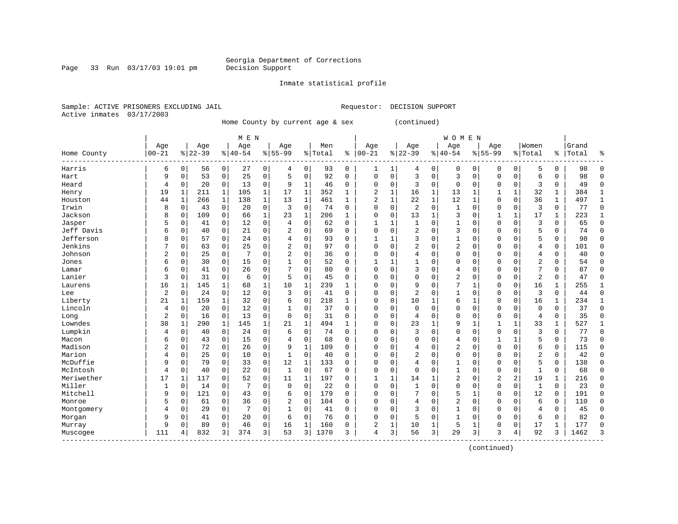Page 33 Run 03/17/03 19:01 pm

#### Inmate statistical profile

Sample: ACTIVE PRISONERS EXCLUDING JAIL Requestor: DECISION SUPPORT Active inmates 03/17/2003

Home County by current age & sex (continued)

|                    |                |              |           |              | M E N     |              |                |              |         |              |                |              |                |              | <b>WOMEN</b>   |              |              |              |                |              |       |              |
|--------------------|----------------|--------------|-----------|--------------|-----------|--------------|----------------|--------------|---------|--------------|----------------|--------------|----------------|--------------|----------------|--------------|--------------|--------------|----------------|--------------|-------|--------------|
|                    | Age            |              | Age       |              | Age       |              | Age            |              | Men     |              | Age            |              | Age            |              | Age            |              | Age          |              | Women          |              | Grand |              |
| Home County        | $ 00 - 21$     |              | $8 22-39$ |              | $8 40-54$ |              | $8 55-99$      |              | % Total | နွ           | $00 - 21$      |              | $8 22-39$      |              | $8140 - 54$    |              | $8155 - 99$  |              | % Total        | ႜ            | Total | န္           |
| Harris             | 6              | 0            | 56        | $\mathbf 0$  | 27        | 0            | 4              | 0            | 93      | $\mathbf 0$  | 1              | 1            | 4              | 0            | $\mathbf 0$    | 0            | 0            | 0            | 5              | 0            | 98    | $\Omega$     |
| Hart               | 9              | $\mathbf 0$  | 53        | $\mathbf 0$  | 25        | 0            | 5              | $\mathbf 0$  | 92      | 0            | $\mathbf 0$    | $\mathbf 0$  | 3              | $\mathbf 0$  | 3              | $\mathbf 0$  | $\mathbf 0$  | $\mathbf 0$  | 6              | 0            | 98    | $\Omega$     |
| Heard              | 4              | $\mathbf 0$  | 20        | $\mathbf 0$  | 13        | 0            | 9              | 1            | 46      | 0            | $\mathbf 0$    | $\mathbf 0$  | 3              | $\mathbf 0$  | $\mathbf 0$    | 0            | 0            | $\mathbf 0$  | 3              | 0            | 49    | $\Omega$     |
| Henry              | 19             | 1            | 211       | $\mathbf 1$  | 105       | 1            | 17             | $\mathbf{1}$ | 352     | 1            | $\overline{2}$ | $\mathbf 1$  | 16             | $\mathbf 1$  | 13             | 1            | 1            | $\mathbf{1}$ | 32             | 1            | 384   | $\mathbf{1}$ |
| Houston            | 44             | $\mathbf{1}$ | 266       | $\mathbf{1}$ | 138       | $\mathbf{1}$ | 13             | 1            | 461     | $\mathbf{1}$ | $\overline{2}$ | $\mathbf 1$  | 22             | $\mathbf{1}$ | 12             | $\mathbf{1}$ | $\mathbf 0$  | $\mathbf 0$  | 36             | $\mathbf{1}$ | 497   | $\mathbf{1}$ |
| Irwin              | 8              | $\mathbf 0$  | 43        | $\mathbf 0$  | 20        | 0            | 3              | $\mathbf 0$  | 74      | 0            | $\Omega$       | $\mathbf 0$  | 2              | $\mathbf 0$  | $\mathbf{1}$   | $\mathbf 0$  | $\mathsf 0$  | $\mathbf 0$  | 3              | $\Omega$     | 77    | $\Omega$     |
| Jackson            | 8              | 0            | 109       | $\mathbf 0$  | 66        | 1            | 23             | $\mathbf{1}$ | 206     | 1            | $\mathbf 0$    | $\mathbf 0$  | 13             | $\mathbf{1}$ | 3              | $\mathbf 0$  | 1            | $\mathbf 1$  | 17             | 1            | 223   | 1            |
| Jasper             | 5              | $\mathbf 0$  | 41        | $\Omega$     | 12        | 0            | 4              | 0            | 62      | 0            |                | 1            | $\mathbf{1}$   | $\Omega$     | 1              | 0            | $\Omega$     | $\Omega$     | 3              | 0            | 65    | $\Omega$     |
| Jeff Davis         | 6              | $\mathbf 0$  | 40        | 0            | 21        | 0            | $\overline{2}$ | 0            | 69      | O            | $\bigcap$      | 0            | 2              | $\Omega$     | 3              | $\mathbf 0$  | $\Omega$     | $\Omega$     | 5              | 0            | 74    | $\Omega$     |
| Jefferson          | 8              | $\Omega$     | 57        | $\Omega$     | 24        | 0            | 4              | $\Omega$     | 93      | $\Omega$     | $\mathbf{1}$   | 1            | 3              | $\Omega$     | 1              | $\Omega$     | $\Omega$     | $\Omega$     | 5              | $\Omega$     | 98    | $\Omega$     |
| Jenkins            |                | $\Omega$     | 63        | $\Omega$     | 25        | 0            | $\overline{2}$ | $\Omega$     | 97      | $\Omega$     | $\Omega$       | $\Omega$     | 2              | $\Omega$     | $\overline{2}$ | $\mathbf 0$  | $\Omega$     | $\Omega$     | 4              | 0            | 101   | $\Omega$     |
| Johnson            | $\overline{2}$ | $\mathbf 0$  | 25        | $\mathbf 0$  | 7         | 0            | $\overline{c}$ | 0            | 36      | 0            | $\Omega$       | $\Omega$     | 4              | $\Omega$     | $\Omega$       | $\mathbf 0$  | $\Omega$     | $\Omega$     | $\overline{4}$ | 0            | 40    | $\Omega$     |
| Jones              | 6              | $\mathbf 0$  | 30        | $\mathbf 0$  | 15        | 0            |                | 0            | 52      | 0            |                | $\mathbf{1}$ | $\mathbf{1}$   | $\mathbf 0$  | 0              | $\mathbf 0$  | 0            | $\mathbf 0$  | $\overline{c}$ | 0            | 54    | $\Omega$     |
| Lamar              | 6              | $\mathbf 0$  | 41        | 0            | 26        | 0            |                | 0            | 80      | 0            | $\Omega$       | $\mathbf 0$  | 3              | 0            | 4              | $\mathbf 0$  | 0            | 0            | 7              | 0            | 87    | $\Omega$     |
| Lanier             | 3              | $\mathbf 0$  | 31        | 0            | 6         | 0            | 5              | $\mathbf 0$  | 45      | $\Omega$     | $\bigcap$      | $\Omega$     | $\Omega$       | $\Omega$     | $\overline{2}$ | $\mathbf 0$  | 0            | $\Omega$     | $\overline{2}$ | $\Omega$     | 47    | $\Omega$     |
| Laurens            | 16             | 1            | 145       | 1            | 68        | 1            | 10             | 1            | 239     | 1            | $\bigcap$      | 0            | 9              | $\Omega$     | 7              | 1            | 0            | 0            | 16             | 1            | 255   | $\mathbf{1}$ |
| Lee                | $\overline{2}$ | $\mathbf 0$  | 24        | $\mathbf 0$  | 12        | 0            | 3              | 0            | 41      | 0            | $\mathbf 0$    | $\mathbf 0$  | 2              | $\mathbf 0$  | 1              | $\mathbf 0$  | $\mathbf 0$  | $\mathbf 0$  | 3              | $\mathbf 0$  | 44    | $\Omega$     |
| Liberty            | 21             | 1            | 159       | 1            | 32        | 0            | 6              | 0            | 218     | 1            | $\Omega$       | $\mathbf 0$  | 10             | 1            | 6              | 1            | $\Omega$     | $\mathbf 0$  | 16             | 1            | 234   | $\mathbf{1}$ |
| Lincoln            | 4              | $\mathbf 0$  | 20        | 0            | 12        | 0            |                | 0            | 37      | 0            | $\mathbf 0$    | 0            | $\mathbf 0$    | $\Omega$     | 0              | $\mathbf 0$  | $\Omega$     | 0            | $\mathbf 0$    | 0            | 37    | $\Omega$     |
| Long               | $\overline{c}$ | $\mathbf 0$  | 16        | 0            | 13        | 0            | $\mathbf 0$    | $\Omega$     | 31      | 0            | $\mathbf 0$    | 0            | 4              | $\Omega$     | $\mathbf 0$    | $\mathbf 0$  | $\Omega$     | $\mathbf 0$  | $\overline{4}$ | 0            | 35    | ∩            |
| Lowndes            | 38             | 1            | 290       | $\mathbf{1}$ | 145       | 1            | 21             | $\mathbf{1}$ | 494     | 1            | $\Omega$       | $\Omega$     | 23             | $\mathbf{1}$ | 9              | 1            | 1            | $\mathbf{1}$ | 33             | 1            | 527   |              |
| Lumpkin            | 4              | $\mathbf 0$  | 40        | $\mathbf 0$  | 24        | 0            | 6              | 0            | 74      | 0            | $\Omega$       | $\Omega$     | 3              | $\Omega$     | $\Omega$       | 0            | 0            | $\Omega$     | 3              | 0            | 77    | $\Omega$     |
| Macon              | 6              | $\mathbf 0$  | 43        | 0            | 15        | 0            | 4              | $\mathbf 0$  | 68      | 0            | $\Omega$       | $\mathbf 0$  | $\Omega$       | $\Omega$     | 4              | $\mathbf 0$  | $\mathbf{1}$ | $\mathbf{1}$ | 5              | 0            | 73    | $\Omega$     |
| Madison            | 2              | $\mathbf 0$  | 72        | 0            | 26        | 0            | 9              | $\mathbf{1}$ | 109     | $\Omega$     | $\Omega$       | $\mathbf 0$  | 4              | $\Omega$     | $\overline{2}$ | $\mathbf 0$  | $\mathbf 0$  | $\mathbf 0$  | 6              | 0            | 115   | $\Omega$     |
| Marion             | 4              | $\Omega$     | 25        | 0            | 10        | 0            | $\mathbf{1}$   | 0            | 40      | 0            | $\bigcap$      | 0            | $\overline{2}$ | $\mathbf 0$  | $\Omega$       | $\mathbf 0$  | $\mathbf 0$  | $\Omega$     | $\overline{2}$ | 0            | 42    | $\Omega$     |
| McDuffie           | 9              | $\circ$      | 79        | 0            | 33        | 0            | 12             | $\mathbf{1}$ | 133     | 0            | $\Omega$       | 0            | 4              | $\mathbf 0$  | 1              | $\mathbf 0$  | $\mathbf 0$  | 0            | 5              | 0            | 138   | $\mathbf 0$  |
| McIntosh           | 4              | $\Omega$     | 40        | 0            | 22        | 0            | 1              | 0            | 67      | 0            | $\Omega$       | $\mathbf 0$  | $\Omega$       | $\Omega$     | 1              | $\mathbf 0$  | $\mathbf 0$  | $\Omega$     | $\mathbf{1}$   | 0            | 68    | $\Omega$     |
| Meriwether         | 17             | 1            | 117       | 0            | 52        | 0            | 11             | 1            | 197     | O            | $\mathbf{1}$   | $\mathbf{1}$ | 14             | 1            | 2              | 0            | 2            | 2            | 19             | 1            | 216   | $\Omega$     |
| Miller             | $\mathbf{1}$   | $\mathbf 0$  | 14        | 0            | 7         | 0            | $\Omega$       | 0            | 22      | O            | $\Omega$       | $\Omega$     | $\mathbf{1}$   | $\Omega$     | $\mathbf 0$    | $\mathbf 0$  | $\mathbf 0$  | $\mathbf 0$  | $\mathbf{1}$   | $\Omega$     | 23    | $\Omega$     |
| Mitchell           | 9              | $\mathbf 0$  | 121       | $\Omega$     | 43        | 0            | 6              | 0            | 179     | $\Omega$     | $\Omega$       | $\Omega$     | 7              | $\Omega$     | 5              | 1            | $\mathbf 0$  | $\Omega$     | 12             | $\Omega$     | 191   | $\Omega$     |
| Monroe             | 5              | $\mathbf 0$  | 61        | $\mathbf 0$  | 36        | 0            | 2              | $\mathbf 0$  | 104     | 0            | $\Omega$       | $\mathbf 0$  | 4              | $\Omega$     | $\overline{2}$ | $\mathbf 0$  | $\Omega$     | $\mathbf 0$  | 6              | 0            | 110   | ∩            |
| Montgomery         | 4              | $\mathbf 0$  | 29        | $\Omega$     | 7         | 0            |                | 0            | 41      | 0            | $\Omega$       | $\Omega$     | 3              | $\Omega$     | 1              | $\mathbf 0$  | $\Omega$     | $\Omega$     | 4              | $\Omega$     | 45    | $\Omega$     |
| Morgan             | 9              | $\Omega$     | 41        | 0            | 20        | 0            | 6              | 0            | 76      | 0            | $\Omega$       | $\mathbf 0$  | 5              | 0            |                | 0            | $\Omega$     | 0            | 6              | 0            | 82    | $\Omega$     |
| Murray             | 9              | $\mathbf 0$  | 89        | 0            | 46        | 0            | 16             | 1            | 160     | 0            | 2              | 1            | 10             | 1            | 5              | 1            | 0            | 0            | 17             | 1            | 177   | $\Omega$     |
| Muscogee<br>------ | 111            | 4            | 832       | 3            | 374       | 3            | 53             | 3            | 1370    | 3            | 4              | 3            | 56             | 3            | 29             | 3            | 3            | 4            | 92             | 3            | 1462  | 3            |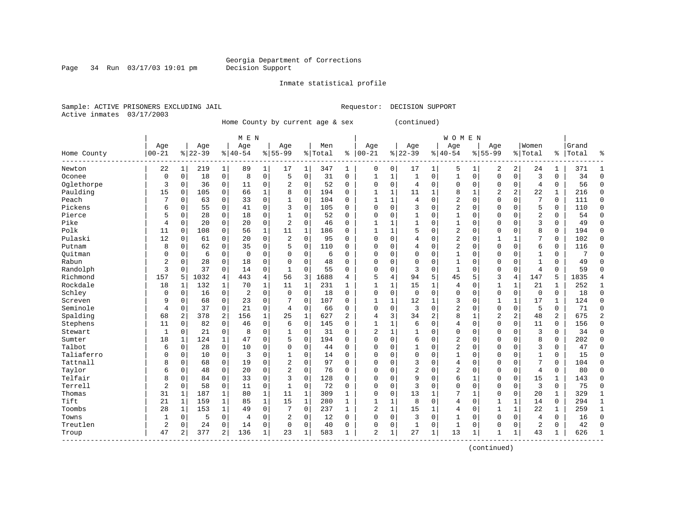Page 34 Run  $03/17/03$  19:01 pm

#### Inmate statistical profile

Sample: ACTIVE PRISONERS EXCLUDING JAIL **Requestor: DECISION SUPPORT** Active inmates 03/17/2003

Home County by current age & sex (continued)

|             |                |              |           |              | M E N          |              |              |              |         |                |                |              |                |                | <b>WOMEN</b>   |             |                |             |                |                |       |                |
|-------------|----------------|--------------|-----------|--------------|----------------|--------------|--------------|--------------|---------|----------------|----------------|--------------|----------------|----------------|----------------|-------------|----------------|-------------|----------------|----------------|-------|----------------|
|             | Age            |              | Age       |              | Age            |              | Age          |              | Men     |                | Age            |              | Age            |                | Age            |             | Age            |             | Women          |                | Grand |                |
| Home County | $00 - 21$      |              | $8 22-39$ |              | $8 40-54$      |              | $8155 - 99$  |              | % Total | ి              | $00 - 21$      |              | $8 22-39$      |                | $8 40-54$      |             | $8155 - 99$    |             | % Total        | ి              | Total | ႜ              |
| Newton      | 22             | 1            | 219       | $\mathbf 1$  | 89             | 1            | 17           | 1            | 347     | 1              | $\mathbf 0$    | 0            | 17             | 1              | 5              | 1           | 2              | 2           | 24             | 1              | 371   | -1             |
| Oconee      | $\mathbf 0$    | $\mathbf 0$  | 18        | $\mathbf 0$  | 8              | 0            | 5            | $\mathbf 0$  | 31      | $\mathbf 0$    | 1              | $\mathbf{1}$ | $\mathbf{1}$   | $\mathbf 0$    | $\mathbf{1}$   | $\mathbf 0$ | $\Omega$       | 0           | 3              | 0              | 34    | $\mathbf 0$    |
| Oglethorpe  | 3              | 0            | 36        | $\mathbf 0$  | 11             | 0            | 2            | $\mathbf 0$  | 52      | 0              | $\mathbf 0$    | $\Omega$     | 4              | $\mathbf 0$    | $\Omega$       | $\mathbf 0$ | $\Omega$       | 0           | 4              | 0              | 56    | $\Omega$       |
| Paulding    | 15             | 0            | 105       | $\mathbf 0$  | 66             | 1            | 8            | $\mathbf 0$  | 194     | 0              | $\mathbf{1}$   | 1            | 11             | 1              | 8              | $\mathbf 1$ | $\overline{2}$ | 2           | 22             | 1              | 216   | $\Omega$       |
| Peach       |                | $\mathbf 0$  | 63        | $\mathbf 0$  | 33             | 0            | $\mathbf{1}$ | $\mathbf 0$  | 104     | 0              | $\mathbf{1}$   | $\mathbf{1}$ | $\overline{4}$ | $\Omega$       | 2              | $\Omega$    | $\Omega$       | $\Omega$    | 7              | $\Omega$       | 111   | $\Omega$       |
| Pickens     | 6              | $\mathbf 0$  | 55        | $\mathbf 0$  | 41             | 0            | 3            | 0            | 105     | 0              | $\mathbf 0$    | $\mathbf 0$  | 3              | $\Omega$       | 2              | $\Omega$    | $\Omega$       | $\Omega$    | 5              | 0              | 110   | $\mathbf 0$    |
| Pierce      | 5              | $\mathbf 0$  | 28        | $\mathbf 0$  | 18             | 0            | 1            | 0            | 52      | 0              | $\mathbf 0$    | 0            | $\mathbf{1}$   | $\Omega$       | 1              | $\Omega$    | $\Omega$       | $\Omega$    | $\overline{2}$ | 0              | 54    | $\mathbf 0$    |
| Pike        | 4              | 0            | 20        | 0            | 20             | 0            | 2            | 0            | 46      | 0              |                |              | 1              | $\Omega$       | 1              | $\Omega$    | $\Omega$       | $\Omega$    | 3              | 0              | 49    | $\mathbf 0$    |
| Polk        | 11             | 0            | 108       | 0            | 56             | 1            | 11           | 1            | 186     | 0              | $\mathbf{1}$   | 1            | 5              | $\Omega$       | 2              | $\Omega$    | $\Omega$       | $\Omega$    | 8              | 0              | 194   | $\mathbf 0$    |
| Pulaski     | 12             | $\mathbf 0$  | 61        | 0            | 20             | 0            | 2            | 0            | 95      | $\Omega$       | $\Omega$       | $\Omega$     | 4              | $\Omega$       | 2              | $\Omega$    | $\mathbf{1}$   |             | 7              | 0              | 102   | $\Omega$       |
| Putnam      | 8              | $\mathbf 0$  | 62        | $\Omega$     | 35             | 0            | 5            | 0            | 110     | 0              | $\Omega$       | $\Omega$     | 4              | $\Omega$       | 2              | $\Omega$    | $\Omega$       | $\Omega$    | 6              | 0              | 116   | $\Omega$       |
| Ouitman     | $\Omega$       | $\mathbf 0$  | 6         | $\mathbf 0$  | $\mathbf 0$    | 0            | O            | 0            | 6       | 0              | $\Omega$       | $\Omega$     | $\mathbf 0$    | 0              | $\mathbf{1}$   | $\Omega$    | $\Omega$       | $\Omega$    | $\mathbf{1}$   | 0              | 7     | $\cap$         |
| Rabun       | $\overline{2}$ | $\mathbf 0$  | 28        | $\mathbf 0$  | 18             | 0            | 0            | 0            | 48      | 0              | $\Omega$       | $\mathbf 0$  | $\mathbf 0$    | 0              | 1              | $\Omega$    | $\Omega$       | 0           | $\mathbf{1}$   | 0              | 49    | $\Omega$       |
| Randolph    | 3              | $\mathbf 0$  | 37        | $\mathbf 0$  | 14             | 0            | $\mathbf{1}$ | 0            | 55      | 0              | $\Omega$       | $\mathbf 0$  | 3              | $\Omega$       | $\mathbf{1}$   | 0           | $\Omega$       | 0           | $\overline{4}$ | 0              | 59    | $\cap$         |
| Richmond    | 157            | 5            | 1032      | 4            | 443            | 4            | 56           | 3            | 1688    | 4              | 5              | 4            | 94             | 5              | 45             | 5           | 3              | 4           | 147            | 5              | 1835  | 4              |
| Rockdale    | 18             | 1            | 132       | 1            | 70             | $\mathbf 1$  | 11           | 1            | 231     | 1              | $\mathbf{1}$   | 1            | 15             | $\mathbf{1}$   | 4              | $\Omega$    | 1              | 1           | 21             | 1              | 252   | 1              |
| Schley      | 0              | $\mathbf 0$  | 16        | $\mathbf 0$  | 2              | 0            | $\mathbf 0$  | $\mathbf 0$  | 18      | 0              | $\mathbf 0$    | $\mathbf 0$  | $\mathbf 0$    | $\mathbf 0$    | 0              | $\mathbf 0$ | $\Omega$       | 0           | $\mathbf 0$    | $\mathbf 0$    | 18    | $\mathbf 0$    |
| Screven     | 9              | 0            | 68        | 0            | 23             | 0            |              | 0            | 107     | 0              | $\mathbf{1}$   | 1            | 12             | 1              | 3              | 0           | $\mathbf{1}$   | 1           | 17             | 1              | 124   | $\mathbf 0$    |
| Seminole    | 4              | $\mathbf 0$  | 37        | $\mathbf 0$  | 21             | 0            | 4            | $\mathbf 0$  | 66      | 0              | $\mathbf 0$    | 0            | 3              | $\mathbf 0$    | $\overline{2}$ | $\Omega$    | $\Omega$       | 0           | 5              | 0              | 71    | $\Omega$       |
| Spalding    | 68             | 2            | 378       | 2            | 156            | $\mathbf 1$  | 25           | 1            | 627     | $\overline{a}$ | 4              | 3            | 34             | $\overline{2}$ | 8              | 1           | $\overline{c}$ | 2           | 48             | $\overline{2}$ | 675   | $\overline{2}$ |
| Stephens    | 11             | 0            | 82        | $\Omega$     | 46             | 0            | 6            | $\Omega$     | 145     | 0              | $\mathbf{1}$   | $\mathbf{1}$ | 6              | $\Omega$       | 4              | $\Omega$    | $\Omega$       | $\Omega$    | 11             | 0              | 156   | $\Omega$       |
| Stewart     | 1              | 0            | 21        | $\mathbf 0$  | 8              | 0            | 1            | $\mathbf 0$  | 31      | 0              | 2              | $\mathbf{1}$ | 1              | $\Omega$       | 0              | $\Omega$    | $\Omega$       | $\Omega$    | $\overline{3}$ | 0              | 34    | $\Omega$       |
| Sumter      | 18             | $\mathbf{1}$ | 124       | $\mathbf 1$  | 47             | 0            | 5            | 0            | 194     | 0              | $\Omega$       | $\mathbf 0$  | 6              | 0              | 2              | $\Omega$    | $\Omega$       | 0           | 8              | 0              | 202   | $\Omega$       |
| Talbot      | 6              | $\mathbf 0$  | 28        | $\mathbf 0$  | 10             | 0            | $\Omega$     | 0            | 44      | 0              | $\Omega$       | 0            | $\mathbf{1}$   | $\Omega$       | 2              | 0           | $\Omega$       | $\Omega$    | 3              | 0              | 47    | $\Omega$       |
| Taliaferro  | $\Omega$       | $\mathbf 0$  | 10        | $\mathbf 0$  | $\overline{3}$ | 0            | 1            | 0            | 14      | 0              | $\mathbf 0$    | $\Omega$     | $\mathbf 0$    | $\Omega$       | $\mathbf{1}$   | $\Omega$    | $\Omega$       | $\Omega$    | $\mathbf{1}$   | 0              | 15    | $\mathbf 0$    |
| Tattnall    | 8              | $\mathbf 0$  | 68        | $\mathbf 0$  | 19             | 0            | 2            | 0            | 97      | 0              | $\mathbf 0$    | 0            | 3              | $\Omega$       | 4              | $\Omega$    | 0              | 0           | 7              | 0              | 104   | $\mathbf 0$    |
| Taylor      | 6              | 0            | 48        | 0            | 20             | 0            | 2            | 0            | 76      | 0              | $\Omega$       | $\Omega$     | $\overline{2}$ | $\Omega$       | 2              | $\Omega$    | $\Omega$       | $\Omega$    | 4              | 0              | 80    | $\mathbf 0$    |
| Telfair     | 8              | 0            | 84        | 0            | 33             | 0            | 3            | 0            | 128     | 0              | $\Omega$       | $\Omega$     | 9              | $\Omega$       | 6              | 1           | $\Omega$       | $\Omega$    | 15             | 1              | 143   | $\Omega$       |
| Terrell     | $\overline{2}$ | $\mathbf 0$  | 58        | $\mathbf 0$  | 11             | 0            | $\mathbf{1}$ | 0            | 72      | O              | $\mathbf 0$    | $\Omega$     | 3              | $\Omega$       | $\Omega$       | $\Omega$    | $\Omega$       | $\Omega$    | 3              | 0              | 75    | $\bigcap$      |
| Thomas      | 31             | 1            | 187       | $\mathbf{1}$ | 80             | $\mathbf{1}$ | 11           | $\mathbf{1}$ | 309     | $\mathbf{1}$   | $\mathbf 0$    | $\Omega$     | 13             | 1              | 7              | 1           | $\Omega$       | $\Omega$    | 20             | 1              | 329   | 1              |
| Tift        | 21             | $\mathbf{1}$ | 159       | $\mathbf{1}$ | 85             | $\mathbf 1$  | 15           | $\mathbf{1}$ | 280     | $\mathbf{1}$   | 1              | $\mathbf{1}$ | 8              | 0              | $\overline{4}$ | $\Omega$    | 1              | 1           | 14             | $\mathbf 0$    | 294   | $\mathbf{1}$   |
| Toombs      | 28             | $\mathbf{1}$ | 153       | $\mathbf{1}$ | 49             | $\Omega$     |              | $\mathbf 0$  | 237     | $\mathbf{1}$   | $\overline{c}$ | $\mathbf{1}$ | 15             | $\mathbf{1}$   | 4              | $\Omega$    | $\mathbf{1}$   | $\mathbf 1$ | 22             | 1              | 259   | $\mathbf{1}$   |
| Towns       | 1              | 0            | 5         | 0            | 4              | 0            | 2            | 0            | 12      | 0              | $\Omega$       | $\mathbf 0$  | 3              | $\mathbf 0$    | $\mathbf{1}$   | $\Omega$    | $\Omega$       | 0           | 4              | 0              | 16    | $\Omega$       |
| Treutlen    | $\overline{a}$ | 0            | 24        | 0            | 14             | 0            | $\Omega$     | 0            | 40      | 0              | $\Omega$       | 0            | 1              | 0              | 1              | $\Omega$    | $\Omega$       | 0           | 2              | 0              | 42    | $\cap$         |
| Troup       | 47             | 2            | 377       | 2            | 136            | 1            | 23           | 1            | 583     | 1              | $\overline{2}$ | 1            | 27             | $\mathbf 1$    | 13             | 1           | 1              | 1           | 43             | 1              | 626   | $\mathbf{1}$   |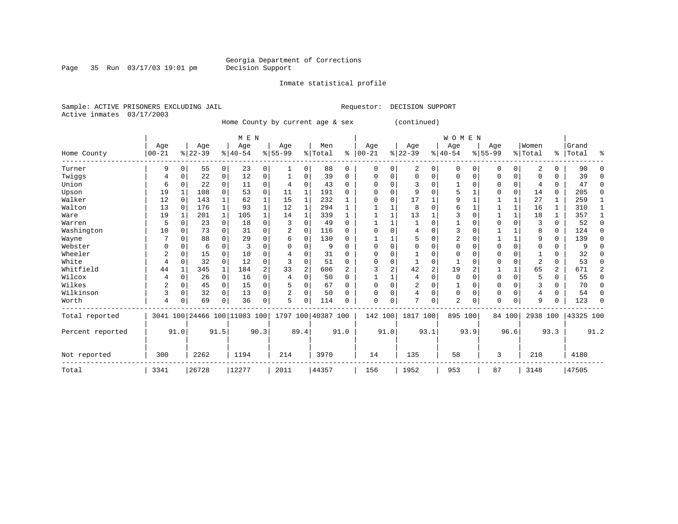Inmate statistical profile

Page 35 Run  $03/17/03$  19:01 pm

Sample: ACTIVE PRISONERS EXCLUDING JAIL **Requestor: DECISION SUPPORT** Active inmates 03/17/2003

Home County by current age & sex (continued)

|                  |            |             |          |              |                              | M E N    |                    |                |         |          |            |          |           |                | W O M E N      |                |             |                |                |               |           |                |
|------------------|------------|-------------|----------|--------------|------------------------------|----------|--------------------|----------------|---------|----------|------------|----------|-----------|----------------|----------------|----------------|-------------|----------------|----------------|---------------|-----------|----------------|
|                  | Age        |             | Age      |              | Age                          |          | Age                |                | Men     |          | Age        |          | Age       |                | Age            |                | Age         |                | Women          |               | Grand     |                |
| Home County      | $ 00 - 21$ |             | $ 22-39$ |              | $8 40-54$                    |          | $8155 - 99$        |                | % Total | ⊱        | $ 00 - 21$ |          | $ 22-39 $ |                | $ 40-54$       |                | $8155 - 99$ |                | % Total        | $\frac{1}{6}$ | Total     | ៖              |
| Turner           | 9          | $\Omega$    | 55       | $\mathbf{0}$ | 23                           | 0        | 1                  | 0              | 88      | 0        | $\Omega$   | 0        | 2         | 0              | 0              | $\Omega$       | 0           | $\overline{0}$ | 2              | 0             | 90        | $\Omega$       |
| Twiggs           | 4          | $\Omega$    | 22       | 0            | 12                           | 0        |                    | 0              | 39      | $\Omega$ | O          | O        | $\Omega$  | 0              | $\Omega$       | $\Omega$       |             | 0              | <sup>0</sup>   | U             | 39        | $\Omega$       |
| Union            | 6          | $\Omega$    | 22       | 0            | 11                           | 0        | 4                  | 0              | 43      | $\Omega$ | U          |          | 3         | U              |                | U              |             | 0              |                | 0             | 47        | $\Omega$       |
| Upson            | 19         |             | 108      | 0            | 53                           | 0        | 11                 | 1              | 191     | 0        |            |          | 9         | O              |                |                |             | $\Omega$       | 14             | 0             | 205       | $\Omega$       |
| Walker           | 12         | $\Omega$    | 143      |              | 62                           | 1        | 15                 | 1              | 232     |          |            | $\Omega$ | 17        |                |                |                |             | 1              | 27             |               | 259       | 1              |
| Walton           | 13         | $\Omega$    | 176      | 1            | 93                           |          | 12                 | 1              | 294     |          |            |          | 8         | U              |                |                |             | 1              | 16             | 1             | 310       | 1              |
| Ware             | 19         | 1           | 201      | $\mathbf{1}$ | 105                          | 1        | 14                 | 1              | 339     | 1        |            |          | 13        |                |                |                |             | $\mathbf{1}$   | 18             |               | 357       | 1              |
| Warren           | 5          | $\Omega$    | 23       | 0            | 18                           | 0        | 3                  | $\Omega$       | 49      | $\Omega$ |            |          |           | O              |                |                |             | 0              | 3              | 0             | 52        | $\Omega$       |
| Washington       | 10         | O           | 73       | $\Omega$     | 31                           | $\Omega$ | 2                  | $\Omega$       | 116     | $\Omega$ |            |          | 4         |                | 3              |                |             |                | 8              | 0             | 124       | $\Omega$       |
| Wayne            |            | $\Omega$    | 88       | 0            | 29                           | 0        | 6                  | 0              | 130     | O        |            |          | 5         | U              |                |                |             | $\mathbf 1$    | 9              | 0             | 139       | $\Omega$       |
| Webster          |            | C           | 6        | 0            | 3                            | N        |                    | O              | 9       | O        |            |          | U         |                |                |                |             | 0              |                | 0             |           | $\Omega$       |
| Wheeler          | 2          | $\Omega$    | 15       | $\Omega$     | 10                           | N        |                    | $\Omega$       | 31      | O        |            |          |           |                | U              |                |             | 0              |                | U             | 32        | O              |
| White            | 4          | $\Omega$    | 32       | $\Omega$     | 12                           | 0        |                    | $\Omega$       | 51      | $\Omega$ |            |          |           | O              |                |                |             | 0              | $\overline{c}$ | U             | 53        | $\Omega$       |
| Whitfield        | 44         |             | 345      | $\mathbf{1}$ | 184                          | 2        | 33                 | $\overline{a}$ | 606     | 2        |            |          | 42        | $\overline{2}$ | 19             | $\overline{a}$ |             | 1              | 65             | 2             | 671       | $\overline{2}$ |
| Wilcox           |            | $\mathbf 0$ | 26       | 0            | 16                           | 0        | 4                  | $\Omega$       | 50      | $\Omega$ |            |          | 4         | 0              | $\Omega$       | $\Omega$       | O           | 0              | 5              | 0             | 55        | $\Omega$       |
| Wilkes           | 2          | 0           | 45       | 0            | 15                           | 0        |                    | $\Omega$       | 67      | $\Omega$ |            |          | 2         | 0              |                | O              |             | 0              |                | U             | 70        | $\Omega$       |
| Wilkinson        | 3          | $\mathbf 0$ | 32       | $\Omega$     | 13                           | 0        | 2                  | $\Omega$       | 50      | O        | O          | $\Omega$ | 4         | 0              | $\Omega$       | $\Omega$       | 0           | $\Omega$       | 4              | $\Omega$      | 54        | $\Omega$       |
| Worth            | 4          | C           | 69       | 0            | 36                           | 0        | 5                  | $\Omega$       | 114     | n        | $\Omega$   | $\Omega$ | 7         | 0              | $\overline{2}$ | 0              | U           | 0              | 9              |               | 123       | $\Omega$       |
| Total reported   |            |             |          |              | 3041 100 24466 100 11083 100 |          | 1797 100 40387 100 |                |         |          | 142 100    |          | 1817 100  |                | 895 100        |                |             | 84 100         | 2938 100       |               | 43325 100 |                |
| Percent reported |            | 91.0        |          | 91.5         |                              | 90.3     |                    | 89.4           |         | 91.0     |            | 91.0     |           | 93.1           |                | 93.9           |             | 96.6           |                | 93.3          |           | 91.2           |
| Not reported     | 300        |             | 2262     |              | 1194                         |          | 214                |                | 3970    |          | 14         |          | 135       |                | 58             |                | 3           |                | 210            |               | 4180      |                |
| Total            | 3341       |             | 26728    |              | 12277                        |          | 2011               |                | 44357   |          | 156        |          | 1952      |                | 953            |                | 87          |                | 3148           |               | 47505     |                |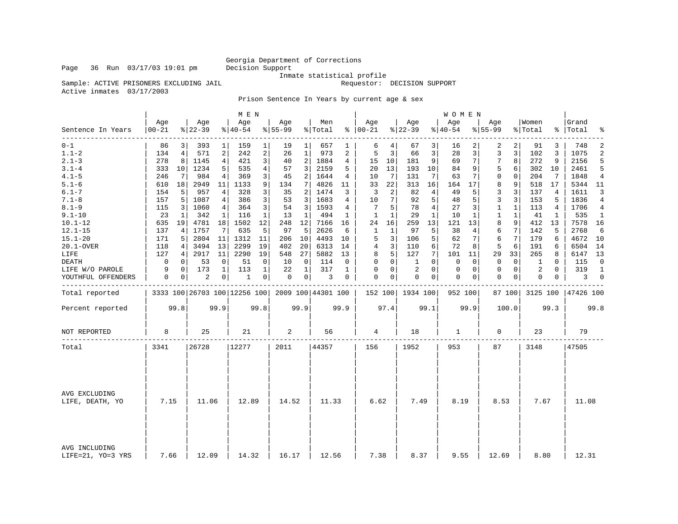### Georgia Department of Corrections<br>Decision Support

Inmate statistical profile<br>Requestor: DECISION SUPPORT

Sample: ACTIVE PRISONERS EXCLUDING JAIL

Active inmates 03/17/2003

Prison Sentence In Years by current age & sex

|                                    |                 |             |                              |                | M E N            |                |                  |                |                    |          |                      |                |                  |                | W O M E N       |              |                    |              |                  |              |                    |                |
|------------------------------------|-----------------|-------------|------------------------------|----------------|------------------|----------------|------------------|----------------|--------------------|----------|----------------------|----------------|------------------|----------------|-----------------|--------------|--------------------|--------------|------------------|--------------|--------------------|----------------|
| Sentence In Years                  | Age<br>$ 00-21$ |             | Age<br>$ 22-39$              |                | Age<br>$8 40-54$ |                | Age<br>$8 55-99$ |                | Men<br>% Total     |          | Age<br>$8   00 - 21$ |                | Age<br>$ 22-39$  |                | Age<br>$ 40-54$ |              | Age<br>$8 55 - 99$ |              | Women<br>% Total |              | Grand<br>%   Total | ್ಠಿ            |
| --------<br>$0 - 1$                | 86              | 3           | 393                          | 1              | 159              | $\mathbf{1}$   | 19               | $1 \mid$       | 657                | 1        | 6                    | 4              | 67               | 3              | 16              | 2            | 2                  | 2            | 91               | 3            | 748                | 2              |
| $1.1 - 2$                          | 134             | 4           | 571                          | $\mathbf{2}$   | 242              | 2              | 26               | 1              | 973                | 2        | 5                    | 3              | 66               | 3              | 28              | 3            | 3                  | 3            | 102              | 3            | 1075               | $\overline{2}$ |
| $2.1 - 3$                          | 278             | 8           | 1145                         | $\overline{4}$ | 421              | 3 <sup>1</sup> | 40               | 2              | 1884               | 4        | 15                   | 10             | 181              | 9              | 69              | 7            | 7                  | 8            | 272              | 9            | 2156               | 5              |
| $3.1 - 4$                          | 333             | 10          | 1234                         | 5              | 535              | 4              | 57               | 3              | 2159               | 5        | 20                   | 13             | 193              | 10             | 84              | 9            | 5                  | 6            | 302              | 10           | 2461               | 5              |
| $4.1 - 5$                          | 246             | 7           | 984                          | 4              | 369              | 3              | 45               | $\overline{2}$ | 1644               | 4        | 10                   | $7 \vert$      | 131              | 7              | 63              | 7            | $\mathbf 0$        | $\mathbf 0$  | 204              | 7            | 1848               | $\overline{4}$ |
| $5.1 - 6$                          | 610             | 18          | 2949                         | 11             | 1133             | 9              | 134              | $\overline{7}$ | 4826               | 11       | 33                   | 22             | 313              | 16             | 164             | 17           | 8                  | 9            | 518              | 17           | 5344 11            |                |
| $6.1 - 7$                          | 154             | 5           | 957                          | 4              | 328              | 3              | 35               | 2              | 1474               | 3        | 3                    | 2              | 82               | 4              | 49              | 5            | 3                  | 3            | 137              | 4            | 1611               | 3              |
| $7.1 - 8$                          | 157             | 5           | 1087                         | 4              | 386              | 3              | 53               | 3              | 1683               | 4        | 10                   | 7              | 92               | 5              | 48              | 5            | $\overline{3}$     | 3            | 153              | 5            | 1836               | $\overline{4}$ |
| $8.1 - 9$                          | 115             | 3           | 1060                         | 4 <sup>1</sup> | 364              | 3              | 54               | 3              | 1593               | 4        | 7                    | 5              | 78               | $\overline{4}$ | 27              | 3            | $\mathbf{1}$       | $\mathbf{1}$ | 113              | 4            | 1706               | 4              |
| $9.1 - 10$                         | 23              | 1           | 342                          | 1              | 116              | $\mathbf{1}$   | 13               | $\mathbf{1}$   | 494                | 1        | $\mathbf{1}$         | $\mathbf{1}$   | 29               | $\mathbf{1}$   | 10              | $\mathbf{1}$ | $\mathbf{1}$       | $\mathbf{1}$ | 41               | $\mathbf{1}$ | 535                | $\mathbf{1}$   |
| $10.1 - 12$                        | 635             | 19          | 4781                         | 18             | 1502             | 12             | 248              | 12             | 7166               | 16       | 24                   | 16             | 259              | 13             | 121             | 13           | 8                  | 9            | 412              | 13           | 7578               | 16             |
| $12.1 - 15$                        | 137             | 4           | 1757                         | 7              | 635              | 5              | 97               | 5              | 2626               | 6        | $\mathbf{1}$         | 1              | 97               | 5              | 38              | 4            | 6                  | 7            | 142              | 5            | 2768               | 6              |
| $15.1 - 20$                        | 171             | 5           | 2804                         | 11             | 1312             | 11             | 206              | 10             | 4493               | 10       | 5                    | 3              | 106              | 5              | 62              | 7            | 6                  | 7            | 179              | 6            | 4672               | 10             |
| 20.1-OVER                          | 118             | 4           | 3494                         | 13             | 2299             | 19             | 402              | 20             | 6313               | 14       | 4                    | 3              | 110              | 6              | 72              | 8            | 5                  | 6            | 191              | 6            | 6504               | 14             |
| LIFE                               | 127             | 4           | 2917                         | 11             | 2290             | 19             | 548              | 27             | 5882               | 13       | 8                    | 5              | 127              | 7              | 101             | 11           | 29                 | 33           | 265              | 8            | 6147               | 13             |
| DEATH                              | $\mathbf 0$     | 0           | 53                           | $\mathbf 0$    | 51               | $\Omega$       | 10               | $\mathbf 0$    | 114                | $\Omega$ | $\Omega$             | 0 <sup>1</sup> | 1                | $\Omega$       | 0               | $\Omega$     | $\Omega$           | 0            | 1                | $\Omega$     | 115                | $\Omega$       |
| LIFE W/O PAROLE                    | 9               | $\mathbf 0$ | 173                          | $\mathbf 1$    | 113              | $\mathbf 1$    | 22               | 1              | 317                | 1        | $\mathbf 0$          | 0              | $\overline{2}$   | $\Omega$       | $\mathbf 0$     | 0            | $\mathbf{0}$       | $\mathbf 0$  | 2                | $\Omega$     | 319                | $\mathbf{1}$   |
| YOUTHFUL OFFENDERS                 | 0               | $\circ$     | 2                            | $\overline{0}$ | 1                | 0 <sup>1</sup> | 0                | 0 <sup>1</sup> | 3                  | 0        | 0                    | 0 <sup>1</sup> | 0                | $\overline{0}$ | 0               | 0            | $\mathbf 0$        | $\mathbf{0}$ | 0                | 0            | 3                  | $\mathbf 0$    |
| Total reported                     |                 |             | 3333 100 26703 100 12256 100 |                |                  |                |                  |                | 2009 100 44301 100 |          |                      |                | 152 100 1934 100 |                | 952 100         |              |                    | 87 100       | 3125 100         |              | 47426 100          |                |
| Percent reported                   |                 | 99.8        |                              | 99.9           |                  | 99.8           |                  | 99.9           |                    | 99.9     |                      | 97.4           |                  | 99.1           |                 | 99.9         |                    | 100.0        |                  | 99.3         |                    | 99.8           |
| NOT REPORTED                       | 8               |             | 25                           |                | 21               |                | 2                |                | 56                 |          | 4                    |                | 18               |                | 1               |              | 0                  |              | 23               |              | 79                 |                |
| Total                              | 3341            |             | 26728                        |                | 12277            |                | 2011             |                | 44357              |          | 156                  |                | 1952             |                | 953             |              | 87                 |              | 3148             |              | 47505              |                |
|                                    |                 |             |                              |                |                  |                |                  |                |                    |          |                      |                |                  |                |                 |              |                    |              |                  |              |                    |                |
| AVG EXCLUDING<br>LIFE, DEATH, YO   | 7.15            |             | 11.06                        |                | 12.89            |                | 14.52            |                | 11.33              |          | 6.62                 |                | 7.49             |                | 8.19            |              | 8.53               |              | 7.67             |              | 11.08              |                |
| AVG INCLUDING<br>LIFE=21, YO=3 YRS | 7.66            |             | 12.09                        |                | 14.32            |                | 16.17            |                | 12.56              |          | 7.38                 |                | 8.37             |                | 9.55            |              | 12.69              |              | 8.80             |              | 12.31              |                |

Page 36 Run 03/17/03 19:01 pm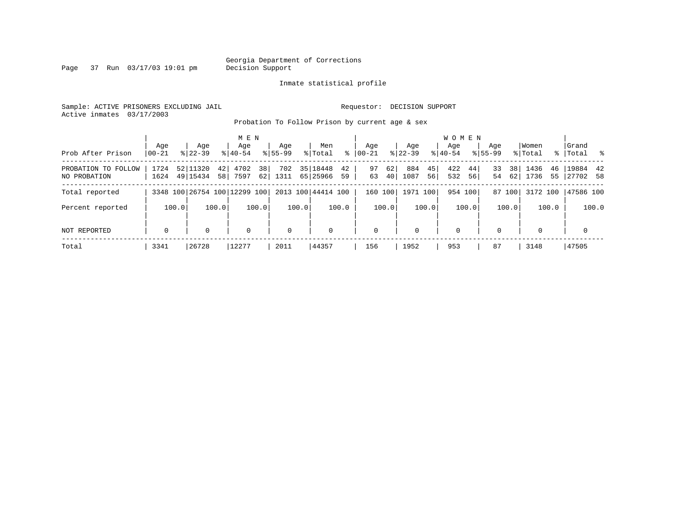Page 37 Run 03/17/03 19:01 pm

#### Inmate statistical profile

Sample: ACTIVE PRISONERS EXCLUDING JAIL **Requestor: DECISION SUPPORT** Active inmates 03/17/2003

Probation To Follow Prison by current age & sex

|                                     |                  |                        | M E N                        |                          |                                 |                      |                         | <b>WOMEN</b>           |                                    |                          |                       |
|-------------------------------------|------------------|------------------------|------------------------------|--------------------------|---------------------------------|----------------------|-------------------------|------------------------|------------------------------------|--------------------------|-----------------------|
| Prob After Prison                   | Aqe<br>$00 - 21$ | Age<br>$8122 - 39$     | Age<br>$8140 - 54$           | Aqe<br>$8155 - 99$       | Men<br>ႜ<br>% Total             | Aqe<br>$00 - 21$     | Aqe<br>$8122 - 39$      | Aqe<br>$8140 - 54$     | Aqe<br>$8155 - 99$                 | Women<br>% Total<br>ႜႂ   | Grand<br> Total<br>ိ  |
| PROBATION TO FOLLOW<br>NO PROBATION | 1724<br>1624     | 52 11320<br>49   15434 | 4702<br>42<br>7597<br>58     | 38<br>702<br>62 <br>1311 | 35   18448<br>42<br>65 25966 59 | 62<br>97<br>63<br>40 | 884<br>45<br>1087<br>56 | 422<br>44<br>532<br>56 | 38 <sup>1</sup><br>33<br>62 <br>54 | 1436<br>46<br>1736<br>55 | 19884 42<br> 27702 58 |
| Total reported                      |                  |                        | 3348 100 26754 100 12299 100 |                          | 2013 100 44414 100              | 160 100              | 1971 100                | 954 100                | 87 100                             | 3172 100                 | 47586 100             |
| Percent reported                    | 100.0            | 100.0                  | 100.0                        | 100.0                    | 100.0                           | 100.0                | 100.0                   | 100.0                  | 100.0                              | 100.0                    | 100.0                 |
| NOT REPORTED                        | $\mathbf 0$      |                        | $\mathbf 0$                  | $\mathbf 0$              | $\Omega$                        | $\mathbf{0}$         | $\Omega$                | 0                      | $\Omega$                           | $\Omega$                 | 0                     |
| Total                               | 3341             | 26728                  | 12277                        | 2011                     | 44357                           | 156                  | 1952                    | 953                    | 87                                 | 3148                     | 47505                 |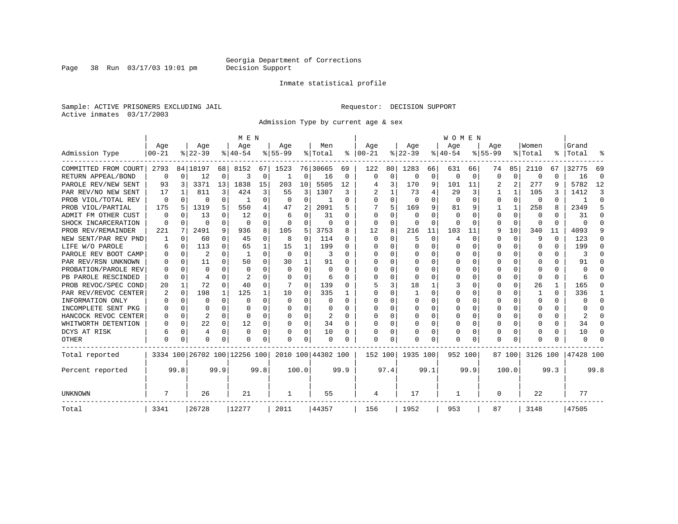Page 38 Run 03/17/03 19:01 pm

#### Inmate statistical profile

Sample: ACTIVE PRISONERS EXCLUDING JAIL **Requestor: DECISION SUPPORT** Active inmates 03/17/2003

Admission Type by current age & sex

|                      |           |          |                              |              | M E N         |          |              |              |                    |          |              |             |           |          | WOMEN    |          |           |          |              |           |           |          |
|----------------------|-----------|----------|------------------------------|--------------|---------------|----------|--------------|--------------|--------------------|----------|--------------|-------------|-----------|----------|----------|----------|-----------|----------|--------------|-----------|-----------|----------|
|                      | Age       |          | Age                          |              | Age           |          | Age          |              | Men                |          | Age          |             | Age       |          | Age      |          | Age       |          | Women        |           | Grand     |          |
| Admission Type       | $00 - 21$ |          | $8 22-39$                    |              | $8 40-54$     |          | $8 55-99$    |              | % Total            | ႜ        | $ 00-21$     |             | $ 22-39 $ |          | $ 40-54$ |          | $8 55-99$ |          | % Total      | $\approx$ | Total     |          |
| COMMITTED FROM COURT | 2793      |          | 84   18197                   | 68           | 8152          | 67       | 1523         |              | 76 30665           | 69       | 122          | 80          | 1283      | 66       | 631      | 66       | 74        | 85       | 2110         | 67        | 32775     | 69       |
| RETURN APPEAL/BOND   | 0         | $\Omega$ | 12                           | 0            | 3             | 0        | -1           | 0            | 16                 | 0        | $\Omega$     | $\mathbf 0$ | $\Omega$  | 0        | 0        | $\Omega$ | $\Omega$  | $\Omega$ | 0            | U         | 16        | $\Omega$ |
| PAROLE REV/NEW SENT  | 93        | 3        | 3371                         | 13           | 1838          | 15       | 203          | 10           | 5505               | 12       |              | 3           | 170       | 9        | 101      | 11       |           | 2        | 277          | 9         | 5782      | 12       |
| PAR REV/NO NEW SENT  | 17        |          | 811                          | 3            | 424           | 3        | 55           | 3            | 1307               | 3        |              | 1           | 73        | 4        | 29       | 3        |           |          | 105          | 3         | 1412      | 3        |
| PROB VIOL/TOTAL REV  | $\Omega$  | $\Omega$ | U                            | 0            |               | $\Omega$ | $\Omega$     | $\Omega$     |                    | O        | <sup>0</sup> | $\Omega$    | $\Omega$  | $\Omega$ | $\Omega$ | $\Omega$ | $\Omega$  | $\Omega$ | $\Omega$     | U         |           | $\Omega$ |
| PROB VIOL/PARTIAL    | 175       | 5        | 1319                         | 5.           | 550           | 4        | 47           | 2            | 2091               | 5        |              | 5           | 169       | 9        | 81       | 9        |           |          | 258          | 8         | 2349      | 5        |
| ADMIT FM OTHER CUST  | $\Omega$  | $\Omega$ | 13                           | 0            | 12            | 0        | 6            | $\Omega$     | 31                 | 0        | $\Omega$     | $\Omega$    | $\Omega$  | $\Omega$ | $\Omega$ | O        | $\Omega$  | $\Omega$ | $\Omega$     | 0         | 31        | ∩        |
| SHOCK INCARCERATION  | $\Omega$  | 0        | O                            | 0            | $\Omega$      | 0        | $\Omega$     | 0            | 0                  | $\Omega$ | 0            | 0           | 0         | 0        | 0        | $\Omega$ | $\Omega$  | $\Omega$ | <sup>0</sup> | 0         | U         | ∩        |
| PROB REV/REMAINDER   | 221       | 7        | 2491                         | 9            | 936           | 8        | 105          | 5            | 3753               | 8        | 12           | 8           | 216       | 11       | 103      | 11       | 9         | 10       | 340          | 11        | 4093      |          |
| NEW SENT/PAR REV PND |           | 0        | 60                           | 0            | 45            | 0        | 8            | 0            | 114                | 0        | $\Omega$     | 0           | 5         | 0        | 4        | 0        | $\Omega$  | 0        | 9            | 0         | 123       | n        |
| LIFE W/O PAROLE      |           | $\Omega$ | 113                          | 0            | 65            | 1        | 15           | 1            | 199                | 0        |              | 0           | $\Omega$  | $\Omega$ | 0        | O        | 0         | $\Omega$ | O            | 0         | 199       | n        |
| PAROLE REV BOOT CAMP |           | $\Omega$ | 2                            | $\Omega$     | -1            | $\Omega$ | $\Omega$     | $\Omega$     | 3                  | O        |              | 0           | $\Omega$  | $\Omega$ | Ω        | O        | O         | $\Omega$ | O            | 0         | 3         |          |
| PAR REV/RSN UNKNOWN  |           | $\Omega$ | 11                           | <sup>n</sup> | 50            | $\Omega$ | 30           | $\mathbf{1}$ | 91                 | U        |              | 0           | 0         | $\Omega$ | Ω        | O        | ∩         | $\Omega$ | n            | 0         | 91        |          |
| PROBATION/PAROLE REV |           | ∩        | U                            | n.           | $\Omega$      | 0        | <sup>0</sup> | $\Omega$     | $\Omega$           | U        | n            | 0           | n         | U        | U        | O        | ∩         | $\Omega$ | n            | U         | U         |          |
| PB PAROLE RESCINDED  | O         | $\Omega$ | 4                            |              | $\mathcal{D}$ | U        | $\Omega$     | $\Omega$     | 6                  | n        | ∩            | O           | ∩         | U        | U        | O        | ∩         | $\Omega$ | ∩            | U         |           |          |
| PROB REVOC/SPEC COND | 20        |          | 72                           | 0            | 40            | 0        |              | 0            | 139                | O        |              | 3           | 18        |          |          | O        | $\Omega$  | $\Omega$ | 26           | 1         | 165       |          |
| PAR REV/REVOC CENTER | 2         | $\Omega$ | 198                          | $\mathbf{1}$ | 125           |          | 10           | $\Omega$     | 335                |          | <sup>0</sup> | 0           |           | $\Omega$ | 0        | 0        | $\Omega$  |          |              | 0         | 336       |          |
| INFORMATION ONLY     |           | $\Omega$ | O                            | $\Omega$     | $\Omega$      | 0        | $\Omega$     | $\Omega$     | 0                  | 0        | <sup>0</sup> | 0           | 0         | O        | 0        | 0        | O         | U        | O            | 0         | U         | ∩        |
| INCOMPLETE SENT PKG  |           | $\Omega$ | O                            | 0            | <sup>0</sup>  | 0        | U            | $\Omega$     | 0                  | U        | ∩            | $\Omega$    | 0         | O        | 0        | 0        | O         | $\Omega$ | O            | 0         | U         | n        |
| HANCOCK REVOC CENTER |           | $\Omega$ | 2                            | 0            | $\Omega$      | 0        | O            | $\Omega$     | 2                  | 0        | <sup>0</sup> | $\Omega$    | 0         | 0        | 0        | 0        | O         | $\Omega$ |              | 0         | 2         | n        |
| WHITWORTH DETENTION  |           | $\Omega$ | 22                           | $\Omega$     | 12            | 0        | O            | $\Omega$     | 34                 | $\Omega$ | <sup>0</sup> | $\Omega$    | $\Omega$  | O        | U        | $\Omega$ | $\Omega$  | $\Omega$ |              | U         | 34        | n        |
| DCYS AT RISK         | 6         | 0        | 4                            | $\Omega$     | $\Omega$      | 0        | O            | 0            | 10                 | O        |              | 0           | O         | 0        | Ω        | 0        | $\Omega$  | $\Omega$ |              | U         | 10        | ſ        |
| OTHER                | $\Omega$  | $\Omega$ | O                            | 0            | n             | 0        | O            | $\Omega$     | $\Omega$           | O        | $\Omega$     | 0           | O         | $\Omega$ | 0        | 0        | $\Omega$  | $\Omega$ |              | U         | U         |          |
| Total reported       |           |          | 3334 100 26702 100 12256 100 |              |               |          |              |              | 2010 100 44302 100 |          | 152 100      |             | 1935 100  |          | 952 100  |          |           | 87 100   | 3126 100     |           | 47428 100 |          |
| Percent reported     |           | 99.8     |                              | 99.9         |               | 99.8     |              | 100.0        |                    | 99.9     |              | 97.4        |           | 99.1     |          | 99.9     |           | 100.0    |              | 99.3      |           | 99.8     |
| UNKNOWN              |           |          | 26                           |              | 21            |          | 1            |              | 55                 |          | 4            |             | 17        |          | 1        |          | 0         |          | 22           |           | 77        |          |
| Total                | 3341      |          | 26728                        |              | 12277         |          | 2011         |              | 44357              |          | 156          |             | 1952      |          | 953      |          | 87        |          | 3148         |           | 47505     |          |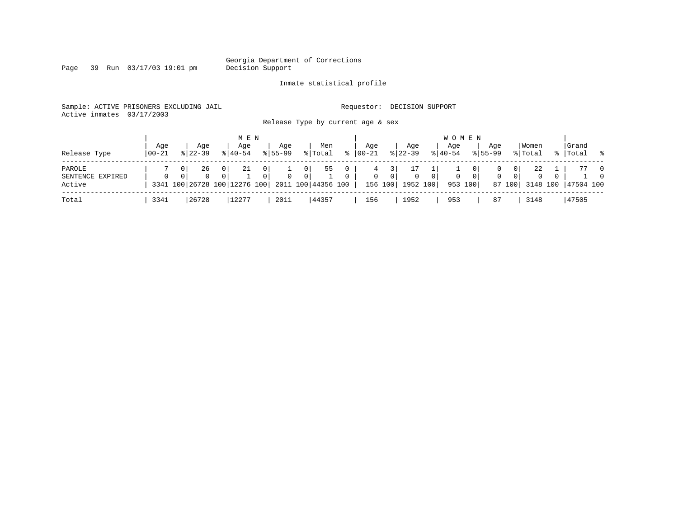Page 39 Run 03/17/03 19:01 pm

#### Inmate statistical profile

Sample: ACTIVE PRISONERS EXCLUDING JAIL **Requestor: DECISION SUPPORT** Active inmates 03/17/2003

Release Type by current age & sex

| Release Type                         | Aqe<br>$100 - 21$ | Aqe<br>$8122 - 39$      | M E N<br>Aqe<br>$8140 - 54$             | Aqe<br>$8155 - 99$                | Men<br>% Total                                                                            | ႜ             | Age<br>  00-21    | Aqe<br>$8 22-39$                                     | Age<br>$8 40-54$    | W O M E N<br>Aqe<br>$8155 - 99$ | Women<br>% Total                                                                                           |          | Grand<br>%   Total % |                            |
|--------------------------------------|-------------------|-------------------------|-----------------------------------------|-----------------------------------|-------------------------------------------------------------------------------------------|---------------|-------------------|------------------------------------------------------|---------------------|---------------------------------|------------------------------------------------------------------------------------------------------------|----------|----------------------|----------------------------|
| PAROLE<br>SENTENCE EXPIRED<br>Active | $\Omega$          | 26<br>0<br>$\mathbf{0}$ | -21<br>0 <sup>1</sup><br>0 <sup>1</sup> | $\mathbf{0}$<br>$\mathbf{0}$<br>0 | 55<br>$\overline{0}$<br>0 <sup>1</sup><br>3341 100 26728 100 12276 100 2011 100 44356 100 | 0<br>$\Omega$ | 4<br>$\mathbf{0}$ | $\overline{0}$<br>$\overline{0}$<br>156 100 1952 100 | 0 <sup>1</sup><br>0 | $\overline{0}$<br>953 100       | 22<br>$\mathbf{0}$<br>$\mathbf{0}$<br>$\mathbf{0}$<br>$\overline{0}$<br>$\mathbf{0}$<br>87 100<br>3148 100 | $\Omega$ | 47504 100            | $\overline{0}$<br>$\Omega$ |
| Total                                | 3341              | 26728                   | 12277                                   | 2011                              | 44357                                                                                     |               | 156               | 1952                                                 | 953                 | 87                              | 3148                                                                                                       |          | 47505                |                            |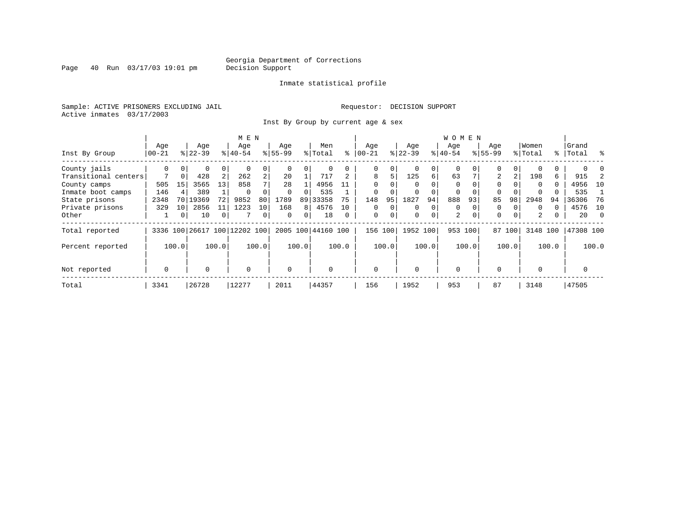Page 40 Run 03/17/03 19:01 pm

#### Inmate statistical profile

Sample: ACTIVE PRISONERS EXCLUDING JAIL **Requestor: DECISION SUPPORT** Active inmates 03/17/2003

Inst By Group by current age & sex

|                      |                  |                 |           |       | M E N                        |                |             |                |                    |          |              |       |           |          | <b>WOMEN</b> |          |             |       |          |       |           |          |
|----------------------|------------------|-----------------|-----------|-------|------------------------------|----------------|-------------|----------------|--------------------|----------|--------------|-------|-----------|----------|--------------|----------|-------------|-------|----------|-------|-----------|----------|
|                      | Age              |                 | Age       |       | Age                          |                | Age         |                | Men                |          | Aqe          |       | Age       |          | Aqe          |          | Age         |       | Women    |       | Grand     |          |
| Inst By Group        | $ 00-21$         |                 | $ 22-39 $ |       | $8 40-54$                    |                | $8155 - 99$ |                | % Total            | ⊱        | $00 - 21$    |       | $ 22-39 $ |          | $ 40-54 $    |          | $8155 - 99$ |       | % Total  |       | %   Total | း - ၁    |
| County jails         | 0                |                 | 0         | 0     | $\Omega$                     |                |             |                |                    |          | $\Omega$     |       | $\Omega$  |          | $\mathbf 0$  |          | $\Omega$    |       |          |       |           |          |
| Transitional centers |                  | $\Omega$        | 428       | 2     | 262                          | 2 <sub>1</sub> | 20          |                | 717                |          | 8            | 5     | 125       | 6        | 63           |          | 2           | 2     | 198      | 6     | 915       |          |
| County camps         | 505              | 15              | 3565      | 13    | 858                          |                | 28          |                | 4956               | 11       | $\Omega$     |       |           |          | $\Omega$     |          | $\Omega$    |       | $\Omega$ | 0     | 4956      | 10       |
| Inmate boot camps    | 146              |                 | 389       |       | $\Omega$                     |                | $\Omega$    | 0              | 535                |          | $\Omega$     |       | $\Omega$  |          | 0            | $\Omega$ | $\Omega$    |       | $\Omega$ |       | 535       |          |
| State prisons        | 2348             | 70              | 19369     | 72    | 9852                         | 80             | 1789        |                | 89 33358           | 75       | 148          | 95    | 1827      | 94       | 888          | 93       | 85          | 98    | 2948     | 94    | 36306     | -76      |
| Private prisons      | 329              | 10 <sup>1</sup> | 2856      | 11    | 1223                         | 10             | 168         | 8 <sup>1</sup> | 4576               | 10       | $\Omega$     |       | $\Omega$  | $\Omega$ | $\Omega$     |          | 0           |       | $\Omega$ | 0     | 4576      | 10       |
| Other                |                  | 0               | 10        | 0     | 7                            | 0              | $\mathbf 0$ | 0              | 18                 | $\Omega$ | $\mathbf 0$  | 0     | 0         | 0        | 2            | $\Omega$ | $\Omega$    | 0     | 2        | 0     | 20        | $\Omega$ |
| Total reported       |                  |                 |           |       | 3336 100 26617 100 12202 100 |                |             |                | 2005 100 44160 100 |          | 156          | 100   | 1952 100  |          | 953 100      |          | 87          | 100   | 3148 100 |       | 47308 100 |          |
| Percent reported     |                  | 100.0           |           | 100.0 |                              | 100.0          |             | 100.0          |                    | 100.0    |              | 100.0 |           | 100.0    |              | 100.0    |             | 100.0 |          | 100.0 |           | 100.0    |
| Not reported         | $\mathbf 0$<br>0 |                 |           |       | $\mathbf 0$                  |                | $\mathbf 0$ |                | O                  |          | $\mathbf{0}$ |       | $\Omega$  |          | $\mathbf 0$  |          | $\Omega$    |       | $\Omega$ |       | $\Omega$  |          |
| Total                | 3341             |                 | 26728     |       | 12277                        |                | 2011        |                | 44357              |          | 156          |       | 1952      |          | 953          |          | 87          |       | 3148     |       | 47505     |          |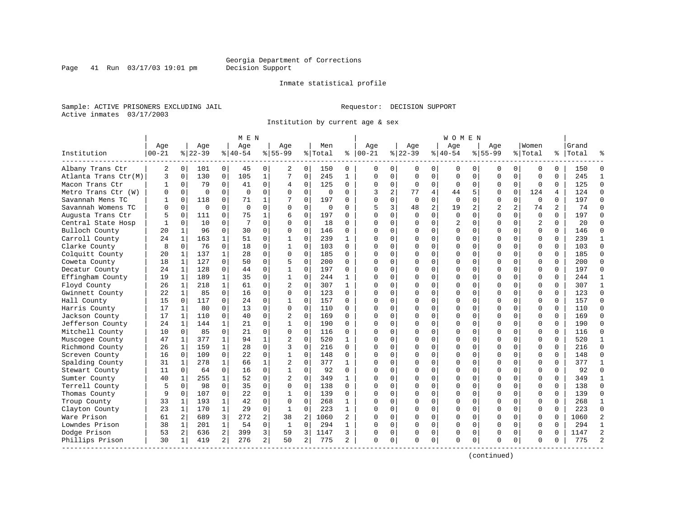Inmate statistical profile

Sample: ACTIVE PRISONERS EXCLUDING JAIL **Requestor: DECISION SUPPORT** Active inmates 03/17/2003

Institution by current age & sex

|                      |                   |                |                  |                | M E N            |                |                    |                |                |                |                   |                |                 |                | W O M E N          |             |                    |                |                  |          |                    |                |
|----------------------|-------------------|----------------|------------------|----------------|------------------|----------------|--------------------|----------------|----------------|----------------|-------------------|----------------|-----------------|----------------|--------------------|-------------|--------------------|----------------|------------------|----------|--------------------|----------------|
| Institution          | Age<br>$ 00 - 21$ |                | Age<br>$8 22-39$ |                | Age<br>$8 40-54$ |                | Aqe<br>$8155 - 99$ |                | Men<br>% Total | ి              | Aqe<br>$ 00 - 21$ |                | Aqe<br>$ 22-39$ |                | Aqe<br>$8140 - 54$ |             | Aqe<br>$8155 - 99$ |                | Women<br>% Total |          | Grand<br>%   Total |                |
| Albany Trans Ctr     | 2                 | $\overline{0}$ | 101              | $\overline{0}$ | 45               | 0              | 2                  | 0              | 150            | 0              | $\Omega$          | 0              | 0               | 0              | 0                  | 0           | 0                  | 0              | 0                | $\Omega$ | 150                | $\Omega$       |
| Atlanta Trans Ctr(M) | 3                 | $\mathbf 0$    | 130              | $\mathbf 0$    | 105              | $\mathbf{1}$   | 7                  | 0              | 245            | 1              | $\Omega$          | $\mathbf 0$    | $\mathbf 0$     | $\mathbf 0$    | $\mathbf 0$        | $\mathbf 0$ | $\mathbf 0$        | $\Omega$       | $\mathbf 0$      | $\Omega$ | 245                | $\mathbf{1}$   |
| Macon Trans Ctr      | 1                 | $\mathbf 0$    | 79               | 0              | 41               | 0              | 4                  | 0              | 125            | 0              | $\mathbf 0$       | 0              | $\mathbf 0$     | 0              | $\mathbf 0$        | 0           | 0                  | 0              | $\mathbf 0$      | 0        | 125                | $\Omega$       |
| Metro Trans Ctr (W)  | U                 | $\Omega$       | $\Omega$         | $\Omega$       | $\Omega$         | 0              | $\Omega$           | 0              | $\Omega$       | 0              | 3                 | $\overline{a}$ | 77              | 4              | 44                 | 5           | $\Omega$           | $\Omega$       | 124              | 4        | 124                | $\Omega$       |
| Savannah Mens TC     |                   | $\Omega$       | 118              | $\Omega$       | 71               | 1              |                    | $\Omega$       | 197            | U              | $\Omega$          | $\Omega$       | $\Omega$        | $\Omega$       | $\Omega$           | $\Omega$    | $\Omega$           | $\Omega$       | $\Omega$         | $\Omega$ | 197                | $\Omega$       |
| Savannah Womens TC   | U                 | $\Omega$       | $\Omega$         | $\Omega$       | $\Omega$         | 0              | $\Omega$           | 0              | 0              | 0              | 5                 | 3              | 48              | $\overline{c}$ | 19                 | 2           | $\overline{2}$     | $\overline{a}$ | 74               | 2        | 74                 | $\Omega$       |
| Augusta Trans Ctr    |                   | $\mathbf 0$    | 111              | 0              | 75               | 1              | 6                  | 0              | 197            | 0              | $\cap$            | $\mathbf 0$    | 0               | $\mathsf 0$    | $\Omega$           | $\mathbf 0$ | $\mathbf 0$        | $\mathbf 0$    | $\mathbf 0$      | $\Omega$ | 197                | $\Omega$       |
| Central State Hosp   |                   | $\Omega$       | 10               | $\Omega$       | 7                | 0              | $\Omega$           | $\Omega$       | 18             | $\Omega$       | $\cap$            | $\Omega$       | $\Omega$        | $\Omega$       | 2                  | $\Omega$    | $\Omega$           | $\Omega$       | 2                | $\Omega$ | 20                 | $\Omega$       |
| Bulloch County       | 20                | 1              | 96               | $\Omega$       | 30               | 0              | $\Omega$           | $\Omega$       | 146            | $\Omega$       | $\Omega$          | 0              | $\Omega$        | 0              | 0                  | 0           | $\Omega$           | $\Omega$       | 0                | $\Omega$ | 146                | $\Omega$       |
| Carroll County       | 24                | 1              | 163              |                | 51               | 0              |                    | 0              | 239            | 1              | n                 | 0              | U               | 0              | $\Omega$           | 0           | $\Omega$           | $\Omega$       | $\Omega$         | $\Omega$ | 239                | 1              |
| Clarke County        | 8                 | $\Omega$       | 76               | 0              | 18               | 0              | 1                  | 0              | 103            | $\Omega$       | $\cap$            | $\Omega$       | $\Omega$        | $\Omega$       | $\Omega$           | $\Omega$    | $\Omega$           | $\Omega$       | $\Omega$         | $\Omega$ | 103                | $\Omega$       |
| Colquitt County      | 20                | 1              | 137              | $\mathbf{1}$   | 28               | 0              | $\Omega$           | $\Omega$       | 185            | $\Omega$       | $\cap$            | $\Omega$       | $\Omega$        | $\Omega$       | $\Omega$           | $\Omega$    | $\Omega$           | $\Omega$       | $\Omega$         | $\Omega$ | 185                | $\Omega$       |
| Coweta County        | 18                | 1              | 127              | $\Omega$       | 50               | 0              | 5                  | 0              | 200            | 0              | $\cap$            | $\mathbf 0$    | $\Omega$        | $\mathbf 0$    | $\Omega$           | $\mathbf 0$ | $\Omega$           | $\Omega$       | $\mathbf 0$      | $\Omega$ | 200                | $\Omega$       |
| Decatur County       | 24                | 1              | 128              | $\Omega$       | 44               | $\Omega$       | 1                  | $\Omega$       | 197            | 0              | $\cap$            | $\Omega$       | $\Omega$        | $\Omega$       | U                  | $\Omega$    | $\Omega$           | $\Omega$       | $\Omega$         | $\Omega$ | 197                | $\Omega$       |
| Effingham County     | 19                | 1              | 189              | 1              | 35               | 0              | 1                  | 0              | 244            | 1              | $\Omega$          | $\Omega$       | $\Omega$        | 0              | $\Omega$           | 0           | $\Omega$           | $\Omega$       | $\Omega$         | 0        | 244                | 1              |
| Floyd County         | 26                | 1              | 218              |                | 61               | 0              | 2                  | $\Omega$       | 307            | $\mathbf{1}$   | $\cap$            | $\Omega$       | 0               | $\Omega$       | $\Omega$           | 0           | $\Omega$           | $\Omega$       | $\Omega$         | $\Omega$ | 307                | $\mathbf{1}$   |
| Gwinnett County      | 22                | 1              | 85               | $\Omega$       | 16               | 0              | $\Omega$           | $\Omega$       | 123            | 0              | $\cap$            | $\Omega$       | $\Omega$        | $\Omega$       | $\Omega$           | $\Omega$    | $\Omega$           | $\Omega$       | $\Omega$         | $\Omega$ | 123                | $\Omega$       |
| Hall County          | 15                | $\Omega$       | 117              | $\Omega$       | 24               | 0              | 1                  | $\Omega$       | 157            | $\Omega$       | n                 | $\Omega$       | $\Omega$        | $\Omega$       | $\Omega$           | $\Omega$    | $\Omega$           | $\Omega$       | $\Omega$         | $\Omega$ | 157                | $\Omega$       |
| Harris County        | 17                | 1              | 80               | 0              | 13               | 0              | 0                  | $\mathbf 0$    | 110            | 0              | C                 | $\mathbf 0$    | $\Omega$        | $\mathbf 0$    | $\Omega$           | $\mathbf 0$ | $\Omega$           | $\Omega$       | $\mathbf 0$      | $\Omega$ | 110                | $\Omega$       |
| Jackson County       | 17                | 1              | 110              | 0              | 40               | 0              | $\overline{2}$     | 0              | 169            | $\Omega$       | $\cap$            | 0              | $\Omega$        | 0              | $\Omega$           | $\mathbf 0$ | $\Omega$           | $\Omega$       | $\Omega$         | $\Omega$ | 169                | $\Omega$       |
| Jefferson County     | 24                | 1              | 144              | $\mathbf{1}$   | 21               | 0              | 1                  | $\Omega$       | 190            | 0              | $\Omega$          | $\Omega$       | $\Omega$        | $\Omega$       | 0                  | $\Omega$    | $\Omega$           | $\Omega$       | $\Omega$         | $\Omega$ | 190                | $\Omega$       |
| Mitchell County      | 10                | $\mathbf{0}$   | 85               | 0              | 21               | 0              | $\Omega$           | 0              | 116            | 0              | $\Omega$          | $\Omega$       | U               | 0              | $\Omega$           | 0           | $\Omega$           | $\Omega$       | $\Omega$         | $\Omega$ | 116                | $\Omega$       |
| Muscogee County      | 47                | 1              | 377              | 1              | 94               | 1              | 2                  | $\Omega$       | 520            | 1              | n                 | $\Omega$       | $\Omega$        | $\Omega$       | $\Omega$           | $\Omega$    | $\Omega$           | $\Omega$       | $\Omega$         | $\Omega$ | 520                | $\mathbf{1}$   |
| Richmond County      | 26                | 1              | 159              | 1              | 28               | 0              | 3                  | 0              | 216            | 0              | $\Omega$          | 0              | $\Omega$        | 0              | $\Omega$           | 0           | $\Omega$           | $\Omega$       | $\mathbf 0$      | $\Omega$ | 216                | $\Omega$       |
| Screven County       | 16                | $\Omega$       | 109              | 0              | 2.2              | $\Omega$       |                    | $\Omega$       | 148            | 0              | $\Omega$          | $\Omega$       | $\Omega$        | $\mathbf 0$    | $\Omega$           | $\mathbf 0$ | $\Omega$           | $\Omega$       | $\Omega$         | $\Omega$ | 148                | $\Omega$       |
| Spalding County      | 31                | $\mathbf{1}$   | 278              | $\mathbf{1}$   | 66               | $\mathbf{1}$   | $\overline{2}$     | $\Omega$       | 377            | $\mathbf{1}$   | $\bigcap$         | $\Omega$       | $\Omega$        | $\Omega$       | $\Omega$           | $\Omega$    | $\Omega$           | $\Omega$       | $\Omega$         | $\Omega$ | 377                | $\mathbf{1}$   |
| Stewart County       | 11                | $\mathbf 0$    | 64               | 0              | 16               | 0              | 1                  | 0              | 92             | $\Omega$       | $\Omega$          | 0              | U               | 0              | U                  | 0           | $\Omega$           | $\Omega$       | $\Omega$         | 0        | 92                 | $\Omega$       |
| Sumter County        | 40                | 1              | 255              | $\mathbf{1}$   | 52               | 0              | 2                  | $\Omega$       | 349            | $\mathbf{1}$   | $\cap$            | $\Omega$       | $\Omega$        | $\Omega$       | $\Omega$           | $\Omega$    | $\Omega$           | $\Omega$       | $\Omega$         | $\Omega$ | 349                | $\mathbf{1}$   |
| Terrell County       | 5                 | $\Omega$       | 98               | $\Omega$       | 35               | 0              | $\Omega$           | $\Omega$       | 138            | 0              | $\cap$            | $\Omega$       | $\Omega$        | $\Omega$       | $\Omega$           | $\Omega$    | $\Omega$           | $\Omega$       | $\Omega$         | $\Omega$ | 138                | $\Omega$       |
| Thomas County        | 9                 | $\Omega$       | 107              | $\Omega$       | 22               | 0              | 1                  | $\Omega$       | 139            | 0              | ∩                 | $\Omega$       | $\Omega$        | $\Omega$       | $\Omega$           | $\Omega$    | $\Omega$           | $\Omega$       | $\Omega$         | $\Omega$ | 139                | $\Omega$       |
| Troup County         | 33                | 1              | 193              | 1              | 42               | 0              | $\Omega$           | 0              | 268            | 1              | C                 | $\Omega$       | $\Omega$        | 0              | $\Omega$           | 0           | $\Omega$           | $\Omega$       | $\mathbf 0$      | $\Omega$ | 268                | -1             |
| Clayton County       | 23                | 1              | 170              | $\mathbf{1}$   | 29               | 0              | $\mathbf{1}$       | 0              | 223            | $\mathbf{1}$   | $\cap$            | 0              | $\Omega$        | 0              | $\Omega$           | $\mathbf 0$ | $\Omega$           | $\Omega$       | $\mathbf 0$      | $\Omega$ | 223                | $\Omega$       |
| Ware Prison          | 61                | 2              | 689              | 3              | 272              | 2              | 38                 | $\overline{c}$ | 1060           | $\overline{a}$ | $\cap$            | $\Omega$       | $\Omega$        | $\Omega$       | U                  | $\mathbf 0$ | $\Omega$           | $\Omega$       | $\Omega$         | $\Omega$ | 1060               | $\overline{2}$ |
| Lowndes Prison       | 38                | 1              | 201              | 1              | 54               | 0              | $\mathbf{1}$       | 0              | 294            | 1              | $\Omega$          | 0              | $\Omega$        | 0              | $\Omega$           | $\mathbf 0$ | $\Omega$           | $\Omega$       | $\mathbf 0$      | $\Omega$ | 294                | $\mathbf{1}$   |
| Dodge Prison         | 53                | 2              | 636              | 2              | 399              | 3              | 59                 | 3              | 1147           | 3              | O                 | 0              | 0               | 0              | 0                  | 0           | $\Omega$           | 0              | 0                | O        | 1147               | $\overline{2}$ |
| Phillips Prison      | 30                | 1              | 419              | 2              | 276              | $\overline{a}$ | 50                 | 2              | 775            | 2              | $\Omega$          | 0              | $\Omega$        | 0              | $\Omega$           | $\mathbf 0$ | $\Omega$           | 0              | $\Omega$         | $\Omega$ | 775                | $\mathcal{D}$  |

(continued)

Page 41 Run 03/17/03 19:01 pm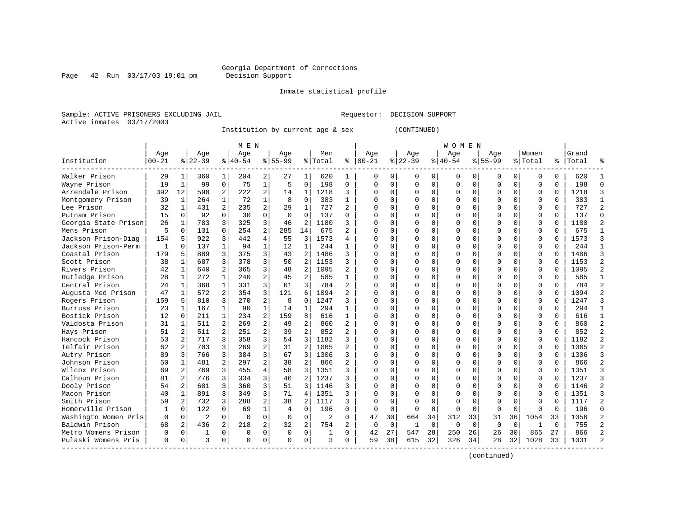## Georgia Department of Corrections<br>Decision Support

Page 42 Run 03/17/03 19:01 pm

Inmate statistical profile

Sample: ACTIVE PRISONERS EXCLUDING JAIL Requestor: DECISION SUPPORT Active inmates 03/17/2003

Institution by current age & sex (CONTINUED)

|                      |           |                   |                |                | M E N     |                |             |                |                |                          |              |          |          |          | W O M E N |             |             |          |              |              |           |                |
|----------------------|-----------|-------------------|----------------|----------------|-----------|----------------|-------------|----------------|----------------|--------------------------|--------------|----------|----------|----------|-----------|-------------|-------------|----------|--------------|--------------|-----------|----------------|
|                      | Age       |                   | Age            |                | Age       |                | Age         |                | Men            |                          | Age          |          | Age      |          | Age       |             | Age         |          | Women        |              | Grand     |                |
| Institution          | $00 - 21$ |                   | $8 22-39$      |                | $8 40-54$ |                | $8155 - 99$ |                | % Total        | နွ                       | $ 00 - 21$   |          | $ 22-39$ |          | $8 40-54$ |             | $8155 - 99$ |          | % Total      |              | %   Total |                |
| Walker Prison        | 29        | 1                 | 360            | 1              | 204       | 2              | 27          | 1              | 620            | 1                        | O            | 0        | 0        | 0        | 0         | 0           | 0           | 0        | $\Omega$     | 0            | 620       |                |
| Wayne Prison         | 19        | $\mathbf{1}$      | 99             | $\mathbf 0$    | 75        | $\mathbf{1}$   | 5           | $\mathbf 0$    | 198            | $\mathbf 0$              | $\Omega$     | $\Omega$ | $\Omega$ | 0        | O         | $\Omega$    | 0           | 0        | $\mathbf 0$  | $\Omega$     | 198       | $\Omega$       |
| Arrendale Prison     | 392       | $12 \overline{ }$ | 590            | 2              | 222       | $\overline{a}$ | 14          | $\mathbf 1$    | 1218           | 3                        |              | $\Omega$ | $\Omega$ | 0        |           | $\mathbf 0$ | O           | $\Omega$ | $\mathbf{0}$ | $\Omega$     | 1218      | 3              |
| Montgomery Prison    | 39        | $\mathbf{1}$      | 264            | $\mathbf{1}$   | 72        | $\mathbf{1}$   | 8           | $\mathbf 0$    | 383            | $\mathbf{1}$             | $\cap$       | $\Omega$ | $\Omega$ | $\Omega$ |           | $\Omega$    | O           | $\Omega$ | $\Omega$     | $\Omega$     | 383       | 1              |
| Lee Prison           | 32        | $\mathbf{1}$      | 431            | $\overline{2}$ | 235       | 2              | 29          | $\mathbf{1}$   | 727            | 2                        | $\cap$       | $\Omega$ | O        | $\Omega$ |           | $\Omega$    | U           | 0        | $\Omega$     | $\Omega$     | 727       | $\overline{2}$ |
| Putnam Prison        | 15        | $\Omega$          | 92             | $\Omega$       | 30        | $\Omega$       | $\Omega$    | 0              | 137            | $\Omega$                 |              | $\Omega$ | O        | O        |           | $\Omega$    | O           | 0        | $\Omega$     | $\Omega$     | 137       | $\Omega$       |
| Georgia State Prison | 26        | 1                 | 783            | 3              | 325       | 3              | 46          | 2              | 1180           | 3                        |              |          |          | O        |           | $\Omega$    | U           | 0        | $\Omega$     |              | 1180      | $\overline{2}$ |
| Mens Prison          | 5         | $\Omega$          | 131            | $\Omega$       | 254       | $\overline{a}$ | 285         | 14             | 675            | 2                        |              | U        | U        | U        |           | $\Omega$    | U           | 0        | $\Omega$     | $\Omega$     | 675       | $\mathbf{1}$   |
| Jackson Prison-Diag  | 154       | 5                 | 922            | 3              | 442       | 4              | 55          | 3              | 1573           | 4                        |              | U        | U        | U        |           | $\Omega$    | U           | 0        | $\Omega$     | <sup>0</sup> | 1573      | 3              |
| Jackson Prison-Perm  | 1         | $\Omega$          | 137            | $\mathbf{1}$   | 94        | $\mathbf{1}$   | 12          | $\mathbf{1}$   | 244            | 1                        |              | $\Omega$ | O        | O        |           | $\Omega$    | U           | $\Omega$ | $\Omega$     | 0            | 244       | 1              |
| Coastal Prison       | 179       | 5                 | 889            | 3              | 375       | 3              | 43          | $\overline{a}$ | 1486           | ς                        |              | $\Omega$ | $\Omega$ | O        |           | 0           | U           | $\Omega$ | $\mathbf 0$  | U            | 1486      | 3              |
| Scott Prison         | 38        | $\mathbf 1$       | 687            | 3              | 378       | 3              | 50          | $\overline{2}$ | 1153           | 3                        |              | $\Omega$ | $\Omega$ | O        |           | $\Omega$    | O           | 0        | $\mathbf{0}$ | $\Omega$     | 1153      | $\overline{c}$ |
| Rivers Prison        | 42        | 1                 | 640            | 2              | 365       | 3              | 48          | 2              | 1095           | $\overline{a}$           |              | $\Omega$ | O        | O        |           | $\Omega$    | U           | 0        | $\Omega$     | $\Omega$     | 1095      | $\overline{2}$ |
| Rutledge Prison      | 28        | $\mathbf 1$       | 272            | $\mathbf{1}$   | 240       | $\overline{a}$ | 45          | 2              | 585            | $\mathbf{1}$             |              | $\Omega$ | O        | O        |           | $\Omega$    | U           | 0        | $\Omega$     | 0            | 585       | $\mathbf{1}$   |
| Central Prison       | 24        | 1                 | 368            | $\mathbf{1}$   | 331       | 3              | 61          | 3              | 784            | 2                        |              | 0        | O        | O        |           | $\Omega$    | U           | 0        | $\Omega$     | U            | 784       | $\overline{2}$ |
| Augusta Med Prison   | 47        | $\mathbf{1}$      | 572            | 2              | 354       | 3              | 121         | 6              | 1094           |                          |              | $\Omega$ | $\cap$   | O        |           | $\Omega$    | O           | 0        | $\Omega$     | $\Omega$     | 1094      | $\overline{2}$ |
| Rogers Prison        | 159       | 5.                | 810            | 3              | 270       | 2              | 8           | $\Omega$       | 1247           | ς                        |              | $\Omega$ | $\Omega$ | O        |           | $\Omega$    | O           | 0        | $\Omega$     | $\Omega$     | 1247      | ζ              |
| Burruss Prison       | 23        | $\mathbf{1}$      | 167            | $\mathbf{1}$   | 90        | $\mathbf{1}$   | 14          | 1              | 294            | 1                        |              | $\Omega$ | $\Omega$ | $\Omega$ |           | $\Omega$    | O           | $\Omega$ | $\Omega$     | $\Omega$     | 294       | 1              |
| Bostick Prison       | 12        | $\Omega$          | 211            | $\mathbf{1}$   | 234       | $\overline{a}$ | 159         | 8              | 616            | $\mathbf{1}$             |              | $\Omega$ | 0        | 0        |           | $\Omega$    | 0           | 0        | $\Omega$     | 0            | 616       | 1              |
| Valdosta Prison      | 31        | 1                 | 511            | 2              | 269       | $\overline{a}$ | 49          | 2              | 860            | 2                        |              | $\Omega$ |          | U        |           | $\Omega$    | 0           | 0        | $\Omega$     | $\Omega$     | 860       | $\overline{a}$ |
| Hays Prison          | 51        | 2 <sup>1</sup>    | 511            | $\overline{a}$ | 251       | 2              | 39          | $\overline{2}$ | 852            | $\overline{a}$           |              | $\Omega$ | O        | U        |           | $\Omega$    | U           | 0        | $\Omega$     | $\Omega$     | 852       | $\overline{a}$ |
| Hancock Prison       | 53        | $\overline{2}$    | 717            | 3              | 358       | 3              | 54          | 3              | 1182           | ς                        |              | 0        | U        | U        |           | $\Omega$    | U           | 0        | $\Omega$     | $\Omega$     | 1182      | $\overline{a}$ |
| Telfair Prison       | 62        | 2                 | 703            | 3              | 269       | $\overline{a}$ | 31          | $\overline{2}$ | 1065           | 2                        |              | 0        | O        | O        |           | $\Omega$    | U           | 0        | $\Omega$     | U            | 1065      | $\overline{c}$ |
| Autry Prison         | 89        | 3                 | 766            | 3              | 384       | 3              | 67          | 3              | 1306           | ς                        |              |          |          | O        |           | $\Omega$    | O           | 0        | $\mathbf{0}$ |              | 1306      | 3              |
| Johnson Prison       | 50        | $\mathbf{1}$      | 481            | $\overline{a}$ | 297       | $\overline{a}$ | 38          | $\overline{2}$ | 866            | $\overline{\mathcal{L}}$ |              | U        | U        | O        |           | $\Omega$    | U           | 0        | $\Omega$     | $\cap$       | 866       | $\overline{2}$ |
| Wilcox Prison        | 69        | 2                 | 769            | 3              | 455       | 4              | 58          | 3              | 1351           | ς                        |              | $\cap$   | U        | O        |           | $\Omega$    | U           | 0        | $\Omega$     | $\Omega$     | 1351      | 3              |
| Calhoun Prison       | 81        | 2                 | 776            | 3              | 334       | 3              | 46          | 2              | 1237           | ς                        |              | $\Omega$ | O        | O        |           | $\Omega$    | U           | $\Omega$ | $\mathbf 0$  | $\Omega$     | 1237      | $\mathbf{z}$   |
| Dooly Prison         | 54        | 2                 | 681            | 3              | 360       | 3              | 51          | 3              | 1146           | ς                        |              | $\Omega$ | $\Omega$ | $\Omega$ |           | $\Omega$    | O           | $\Omega$ | $\mathbf{0}$ | $\Omega$     | 1146      | $\overline{a}$ |
| Macon Prison         | 40        | $\mathbf{1}$      | 891            | 3              | 349       | 3              | 71          | 4              | 1351           | ς                        |              | $\Omega$ | $\Omega$ | O        |           | $\Omega$    | O           | 0        | $\Omega$     | $\Omega$     | 1351      | $\mathbf{z}$   |
| Smith Prison         | 59        | 2 <sup>1</sup>    | 732            | 3              | 288       | 2              | 38          | 2              | 1117           | ς                        | $\cap$       | $\Omega$ | O        | $\Omega$ |           | $\Omega$    | O           | 0        | $\Omega$     | $\Omega$     | 1117      | $\mathfrak{D}$ |
| Homerville Prison    | 1         | 0                 | 122            | $\Omega$       | 69        | 1              | 4           | 0              | 196            | $\Omega$                 | <sup>0</sup> | $\Omega$ | $\Omega$ | 0        | ∩         | $\Omega$    | U           | 0        | ∩            | U            | 196       | $\Omega$       |
| Washingtn Women Pris | $\Omega$  | 0                 | $\overline{2}$ | $\Omega$       | $\Omega$  | $\Omega$       | $\Omega$    | $\Omega$       | $\mathfrak{D}$ | $\Omega$                 | 47           | 30       | 664      | 34       | 312       | 33          | 31          | 36       | 1054         | 33           | 1056      | $\overline{2}$ |
| Baldwin Prison       | 68        | 2                 | 436            | $\overline{a}$ | 218       | $\overline{a}$ | 32          | $\overline{2}$ | 754            |                          | <sup>0</sup> | $\Omega$ | -1       | $\Omega$ | ∩         | $\Omega$    | $\Omega$    | 0        | -1           | $\Omega$     | 755       | $\overline{a}$ |
| Metro Womens Prison  | $\Omega$  | $\Omega$          | 1              | 0              | $\Omega$  | $\Omega$       | $\Omega$    | $\Omega$       | 1              | $\Omega$                 | 42           | 27       | 547      | 28       | 250       | 26          | 26          | 30       | 865          | 27           | 866       | $\mathfrak{D}$ |
| Pulaski Womens Pris  | 0         | 0                 | 3              | 0              | $\Omega$  | 0              | $\Omega$    | 0              | 3              | $\Omega$                 | 59           | 38       | 615      | 32       | 326       | 34          | 28          | 32       | 1028         | 33           | 1031      | $\mathcal{D}$  |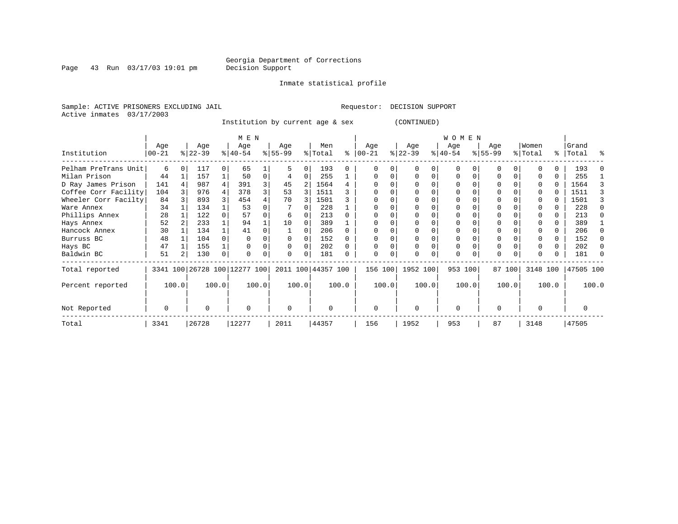Inmate statistical profile

Sample: ACTIVE PRISONERS EXCLUDING JAIL **Requestor: DECISION SUPPORT** Active inmates 03/17/2003

Institution by current age & sex (CONTINUED)

|                      |           |       |           |          | M E N                        |       |          |          |                    |       |          |       |           |          | <b>WOMEN</b> |          |           |        |          |       |           |       |
|----------------------|-----------|-------|-----------|----------|------------------------------|-------|----------|----------|--------------------|-------|----------|-------|-----------|----------|--------------|----------|-----------|--------|----------|-------|-----------|-------|
|                      | Age       |       | Age       |          | Age                          |       | Age      |          | Men                |       | Age      |       | Age       |          | Age          |          | Age       |        | Women    |       | Grand     |       |
| Institution          | $00 - 21$ |       | $ 22-39 $ |          | $8 40-54$                    |       | $ 55-99$ |          | % Total            | ႜ     | $ 00-21$ |       | $ 22-39 $ |          | $ 40-54 $    |          | $8 55-99$ |        | % Total  |       | %   Total | ႜ     |
| Pelham PreTrans Unit | 6         |       | 117       | $\Omega$ | 65                           |       |          | 0        | 193                |       |          |       |           |          | $\Omega$     |          |           |        |          |       | 193       |       |
| Milan Prison         | 44        |       | 157       |          | 50                           | 0     |          | 0        | 255                |       |          |       |           | $\Omega$ | $\Omega$     | O        |           |        |          | 0     | 255       |       |
| D Ray James Prison   | 141       |       | 987       |          | 391                          |       | 45       |          | 1564               |       |          |       |           |          | 0            |          |           |        |          | 0     | 1564      |       |
| Coffee Corr Facility | 104       |       | 976       |          | 378                          |       | 53       |          | 1511               |       |          |       |           |          |              |          |           |        |          |       | 1511      |       |
| Wheeler Corr Facilty | 84        |       | 893       |          | 454                          |       | 70       |          | 1501               |       |          |       |           |          | 0            |          |           |        |          |       | 1501      |       |
| Ware Annex           | 34        |       | 134       |          | 53                           |       |          |          | 228                |       |          |       |           |          |              |          |           |        |          |       | 228       |       |
| Phillips Annex       | 28        |       | 122       |          | 57                           |       | 6        |          | 213                |       |          |       |           |          |              |          |           |        |          | 0     | 213       |       |
| Hays Annex           | 52        |       | 233       |          | 94                           |       | 10       | $\Omega$ | 389                |       |          |       |           |          |              |          |           |        |          | 0     | 389       |       |
| Hancock Annex        | 30        |       | 134       |          | 41                           |       |          |          | 206                |       |          |       |           |          | 0            |          |           |        |          | 0     | 206       |       |
| Burruss BC           | 48        |       | 104       |          |                              |       | $\Omega$ |          | 152                |       |          |       |           |          |              |          |           |        |          | 0     | 152       |       |
| Hays BC              | 47        |       | 155       |          |                              |       | $\Omega$ | 0        | 202                |       |          |       |           |          | 0            |          | $\Omega$  |        |          | 0     | 202       |       |
| Baldwin BC           | 51        |       | 130       | 0        |                              |       | $\Omega$ | $\Omega$ | 181                |       | O        | 0     | $\Omega$  | 0        | 0            | $\Omega$ | $\Omega$  |        |          | 0     | 181       |       |
| Total reported       |           |       |           |          | 3341 100 26728 100 12277 100 |       |          |          | 2011 100 44357 100 |       | 156 100  |       | 1952 100  |          | 953 100      |          |           | 87 100 | 3148 100 |       | 47505 100 |       |
| Percent reported     |           | 100.0 |           | 100.0    |                              | 100.0 |          | 100.0    |                    | 100.0 |          | 100.0 | 100.0     |          |              | 100.0    |           | 100.0  |          | 100.0 |           | 100.0 |
| Not Reported         | $\Omega$  |       | U         |          | $\Omega$                     |       | $\Omega$ |          | $\Omega$           |       | $\Omega$ |       | $\Omega$  |          | $\Omega$     |          | $\Omega$  |        | U        |       | U         |       |
| Total                | 3341      |       | 26728     |          | 12277                        |       | 2011     |          | 44357              |       | 156      |       | 1952      |          | 953          |          | 87        |        | 3148     |       | 47505     |       |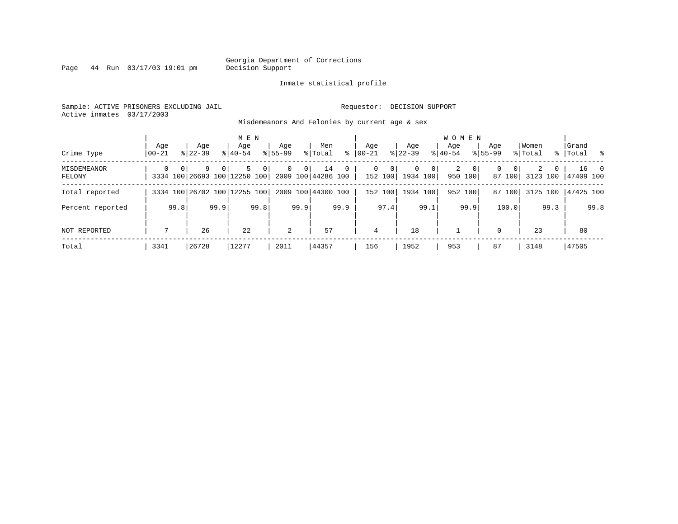Page 44 Run 03/17/03 19:01 pm

#### Inmate statistical profile

Sample: ACTIVE PRISONERS EXCLUDING JAIL **Requestor: DECISION SUPPORT** Active inmates 03/17/2003

Misdemeanors And Felonies by current age & sex

|                       |                   |      |                                   |                | M E N              |      |                    |                |                          |              |                    |                         |                      |                | WOMEN            |                         |                    |                       |                  |          |                    |      |
|-----------------------|-------------------|------|-----------------------------------|----------------|--------------------|------|--------------------|----------------|--------------------------|--------------|--------------------|-------------------------|----------------------|----------------|------------------|-------------------------|--------------------|-----------------------|------------------|----------|--------------------|------|
| Crime Type            | Aqe<br>$ 00 - 21$ |      | Age<br>$8122 - 39$                |                | Age<br>$8140 - 54$ |      | Aqe<br>$8155 - 99$ |                | Men<br>% Total           | ి            | Aqe<br>$ 00 - 21 $ |                         | Aqe<br>$ 22-39$      |                | Aqe<br>$8 40-54$ |                         | Aqe<br>$8155 - 99$ |                       | Women<br>% Total |          | Grand<br>%   Total | း    |
| MISDEMEANOR<br>FELONY | $\Omega$          |      | 9<br>3334 100 26693 100 12250 100 | 0 <sup>1</sup> |                    | 0    | $\Omega$           | 0 <sup>1</sup> | 14<br>2009 100 44286 100 | $\mathbf{0}$ | 0                  | $\mathbf{0}$<br>152 100 | $\Omega$<br>1934 100 | 0 <sup>1</sup> | 2                | $\mathbf{0}$<br>950 100 | $\mathbf{0}$       | $\mathbf 0$<br>87 100 | 2<br>3123 100    | $\Omega$ | 47409 100          | 16 0 |
| Total reported        |                   |      | 3334 100 26702 100 12255 100      |                |                    |      |                    |                | 2009 100 44300 100       |              |                    | 152 100                 | 1934 100             |                |                  | 952 100                 |                    | 87 100                | 3125 100         |          | 47425 100          |      |
| Percent reported      |                   | 99.8 |                                   | 99.9           |                    | 99.8 |                    | 99.9           |                          | 99.9         |                    | 97.4                    |                      | 99.1           |                  | 99.9                    |                    | 100.0                 |                  | 99.3     |                    | 99.8 |
| NOT REPORTED          | $\mathbf{\tau}$   |      | 26                                |                | 22                 |      | 2                  |                | 57                       |              | $\overline{4}$     |                         | 18                   |                |                  |                         | $\mathbf 0$        |                       | 23               |          | 80                 |      |
| Total                 | 3341              |      | 26728                             |                | 12277              |      | 2011               |                | 44357                    |              | 156                |                         | 1952                 |                | 953              |                         | 87                 |                       | 3148             |          | 47505              |      |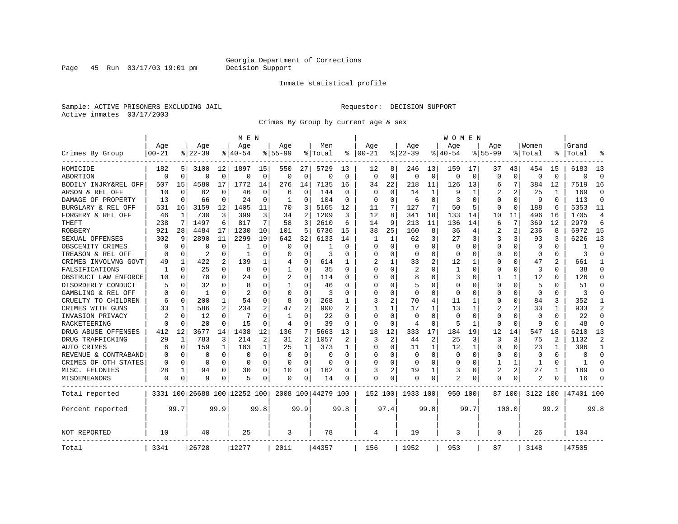Page 45 Run 03/17/03 19:01 pm

#### Inmate statistical profile

Sample: ACTIVE PRISONERS EXCLUDING JAIL **Requestor: DECISION SUPPORT** Active inmates 03/17/2003

Crimes By Group by current age & sex

|                      |             |             |                |             | M E N                        |             |             |                |                    |              |              |              |             |                | W O M E N      |             |                |                |             |              |           |                |
|----------------------|-------------|-------------|----------------|-------------|------------------------------|-------------|-------------|----------------|--------------------|--------------|--------------|--------------|-------------|----------------|----------------|-------------|----------------|----------------|-------------|--------------|-----------|----------------|
|                      | Age         |             | Age            |             | Age                          |             | Age         |                | Men                |              | Age          |              | Age         |                | Aqe            |             | Age            |                | Women       |              | Grand     |                |
| Crimes By Group      | $00 - 21$   |             | $8 22-39$      |             | % 40-54                      |             | $8155 - 99$ |                | % Total            | ႜ            | $ 00-21$     |              | $ 22-39$    |                | $ 40-54$       |             | $8155 - 99$    |                | % Total     | ⊱            | Total     |                |
| HOMICIDE             | 182         | 51          | 3100           | 12          | 1897                         | 15          | 550         | 27             | 5729               | 13           | 12           | 8            | 246         | 13             | 159            | 17          | 37             | 43             | 454         | 15           | 6183      | 13             |
| ABORTION             | $\Omega$    | $\mathbf 0$ | $\Omega$       | $\Omega$    | $\Omega$                     | $\mathbf 0$ | $\Omega$    | $\mathbf 0$    | $\Omega$           | $\Omega$     | $\Omega$     | $\mathbf 0$  | $\Omega$    | $\mathbf 0$    | $\Omega$       | $\mathbf 0$ | $\Omega$       | $\Omega$       | $\Omega$    | $\Omega$     | $\Omega$  | $\Omega$       |
| BODILY INJRY&REL OFF | 507         | 15          | 4580           | 17          | 1772                         | 14          | 276         | 14             | 7135               | 16           | 34           | 22           | 218         | 11             | 126            | 13          | 6              | 7              | 384         | 12           | 7519      | 16             |
| ARSON & REL OFF      | 10          | 0           | 82             | 0           | 46                           | $\Omega$    | 6           | 0              | 144                | 0            | $\Omega$     | $\Omega$     | 14          | 1              | q              | 1           |                | 2              | 25          | 1            | 169       | $\Omega$       |
| DAMAGE OF PROPERTY   | 13          | $\Omega$    | 66             | $\Omega$    | 24                           | $\Omega$    | 1           | 0              | 104                | $\Omega$     | $\Omega$     | $\Omega$     | 6           | $\Omega$       | 3              | 0           | $\Omega$       | $\Omega$       | 9           | $\Omega$     | 113       | $\Omega$       |
| BURGLARY & REL OFF   | 531         | 16          | 3159           | 12          | 1405                         | 11          | 70          | 3              | 5165               | 12           | 11           | 7            | 127         | 7              | 50             | 5           | 0              | $\Omega$       | 188         | 6            | 5353      | 11             |
| FORGERY & REL OFF    | 46          | 1           | 730            | 3           | 399                          | 3           | 34          | $\overline{a}$ | 1209               | 3            | 12           | 8            | 341         | 18             | 133            | 14          | 10             | 11             | 496         | 16           | 1705      | $\overline{4}$ |
| THEFT                | 238         | 7           | 1497           | 6           | 817                          | 7           | 58          | 3              | 2610               | 6            | 14           | 9            | 213         | 11             | 136            | 14          | 6              | 7              | 369         | 12           | 2979      | 6              |
| <b>ROBBERY</b>       | 921         | 28          | 4484           | 17          | 1230                         | 10          | 101         | 5              | 6736               | 15           | 38           | 25           | 160         | 8              | 36             | 4           | 2              | $\overline{2}$ | 236         | 8            | 6972      | 15             |
| SEXUAL OFFENSES      | 302         | 9           | 2890           | 11          | 2299                         | 19          | 642         | 32             | 6133               | 14           | -1           | $\mathbf{1}$ | 62          | 3              | 27             | 3           | 3              | 3              | 93          | 3            | 6226      | 13             |
| OBSCENITY CRIMES     | 0           | 0           | $\Omega$       | $\Omega$    | -1                           | $\Omega$    | 0           | 0              |                    | <sup>0</sup> | ∩            | 0            | $\Omega$    | 0              | $\Omega$       | $\Omega$    | 0              | 0              | $\Omega$    | $\Omega$     | -1        | ∩              |
| TREASON & REL OFF    | $\Omega$    | 0           | $\overline{2}$ | $\Omega$    | -1                           | $\Omega$    | O           | 0              | 3                  | O            | <sup>0</sup> | $\Omega$     | $\Omega$    | 0              | $\Omega$       | 0           | $\Omega$       | $\Omega$       | 0           | $\Omega$     | 3         | $\cap$         |
| CRIMES INVOLVNG GOVT | 49          | 1           | 422            | 2           | 139                          | 1           | 4           | 0              | 614                | 1            |              | 1            | 33          | 2              | 12             | 1           | $\Omega$       | $\Omega$       | 47          |              | 661       | -1             |
| FALSIFICATIONS       | 1           | 0           | 25             | $\Omega$    | 8                            | 0           | 1           | 0              | 35                 | $\Omega$     | $\Omega$     | 0            | 2           | 0              | 1              | $\mathbf 0$ | $\Omega$       | $\Omega$       | 3           | 0            | 38        | $\Omega$       |
| OBSTRUCT LAW ENFORCE | 10          | 0           | 78             | 0           | 24                           | $\Omega$    |             | $\Omega$       | 114                | 0            | $\Omega$     | O            | 8           | 0              | 3              | 0           | 1              | $\mathbf{1}$   | 12          | O            | 126       | $\Omega$       |
| DISORDERLY CONDUCT   | 5           | 0           | 32             | U           | 8                            | O           |             | 0              | 46                 | O            | <sup>0</sup> | 0            | 5           | U              | $\Omega$       | 0           | U              | $\Omega$       | 5           |              | 51        | ∩              |
| GAMBLING & REL OFF   | O           | $\Omega$    | 1              | $\Omega$    | $\mathfrak{D}$               | 0           | $\Omega$    | $\Omega$       | 3                  | U            | $\cap$       | 0            | $\Omega$    | 0              | $\Omega$       | $\Omega$    | O              | 0              | $\Omega$    | 0            | 3         | $\cap$         |
| CRUELTY TO CHILDREN  | 6           | 0           | 200            | $\mathbf 1$ | 54                           | 0           | 8           | $\mathbf 0$    | 268                | 1            | 3            | 2            | 70          | 4              | 11             | 1           | 0              | $\Omega$       | 84          | 3            | 352       | -1             |
| CRIMES WITH GUNS     | 33          | 1           | 586            | 2           | 234                          | 2           | 47          | $\overline{2}$ | 900                | 2            | -1           | $\mathbf{1}$ | 17          | $\mathbf{1}$   | 13             | 1           | $\overline{2}$ | 2              | 33          | 1            | 933       | $\overline{2}$ |
| INVASION PRIVACY     | 2           | 0           | 12             | $\Omega$    | 7                            | 0           | 1           | 0              | 22                 | $\Omega$     | $\Omega$     | 0            | $\Omega$    | $\Omega$       | $\Omega$       | 0           | 0              | $\Omega$       | $\mathbf 0$ | 0            | 22        | $\Omega$       |
| RACKETEERING         | $\Omega$    | 0           | 20             | 0           | 15                           | 0           | 4           | 0              | 39                 | 0            | $\Omega$     | 0            | 4           | 0              | 5              | 1           | $\Omega$       | 0              | 9           | $\Omega$     | 48        | $\Omega$       |
| DRUG ABUSE OFFENSES  | 412         | 12          | 3677           | 14          | 1438                         | 12          | 136         | 7              | 5663               | 13           | 18           | 12           | 333         | 17             | 184            | 19          | 12             | 14             | 547         | 18           | 6210      | 13             |
| DRUG TRAFFICKING     | 29          | 1           | 783            | 3           | 214                          | 2           | 31          | 2              | 1057               | 2            | 3            | 2            | 44          | $\overline{2}$ | 25             | 3           | 3              | 3              | 75          | $\mathbf{2}$ | 1132      | $\mathcal{D}$  |
| AUTO CRIMES          | 6           | 0           | 159            | 1           | 183                          | 1           | 25          | 1              | 373                | 1            | <sup>0</sup> | $\Omega$     | 11          | $\mathbf{1}$   | 12             | 1           | $\Omega$       | $\Omega$       | 23          | 1            | 396       | $\mathbf{1}$   |
| REVENUE & CONTRABAND | 0           | $\mathbf 0$ | $\Omega$       | $\Omega$    | $\mathbf 0$                  | $\Omega$    | $\Omega$    | $\mathbf 0$    | O                  | $\Omega$     | <sup>0</sup> | $\Omega$     | $\mathbf 0$ | $\Omega$       | 0              | $\mathbf 0$ | $\Omega$       | $\Omega$       | $\mathbf 0$ | $\Omega$     | $\Omega$  | $\Omega$       |
| CRIMES OF OTH STATES | 0           | 0           | 0              | $\Omega$    | 0                            | 0           | $\Omega$    | 0              | $\Omega$           | $\Omega$     | $\Omega$     | 0            | $\Omega$    | $\Omega$       | $\Omega$       | 0           | 1              | $\mathbf{1}$   | 1           | 0            | 1         | ∩              |
| MISC. FELONIES       | 28          | 1           | 94             | 0           | 30                           | 0           | 10          | 0              | 162                | O            | 3            | 2            | 19          | 1              | 3              | $\mathbf 0$ | $\overline{2}$ | $\overline{a}$ | 27          |              | 189       | $\Omega$       |
| MISDEMEANORS         | $\mathbf 0$ | 0           | 9              | 0           | 5                            | 0           | 0           | 0              | 14                 | 0            | $\Omega$     | 0            | 0           | 0              | $\overline{2}$ | 0           | $\Omega$       | 0              |             | 0            | 16        |                |
| Total reported       |             |             |                |             | 3331 100 26688 100 12252 100 |             |             |                | 2008 100 44279 100 |              | 152 100      |              | 1933 100    |                | 950 100        |             |                | 87 100         | 3122 100    |              | 47401 100 |                |
| Percent reported     |             | 99.7        |                | 99.9        |                              | 99.8        |             | 99.9           |                    | 99.8         |              | 97.4         |             | 99.0           |                | 99.7        |                | 100.0          |             | 99.2         |           | 99.8           |
| NOT REPORTED         | 10          |             | 40             |             | 25                           |             | 3           |                | 78                 |              | 4            |              | 19          |                | 3              |             | $\Omega$       |                | 26          |              | 104       |                |
| Total                | 3341        |             | 26728          |             | 12277                        |             | 2011        |                | 44357              |              | 156          |              | 1952        |                | 953            |             | 87             |                | 3148        |              | 47505     |                |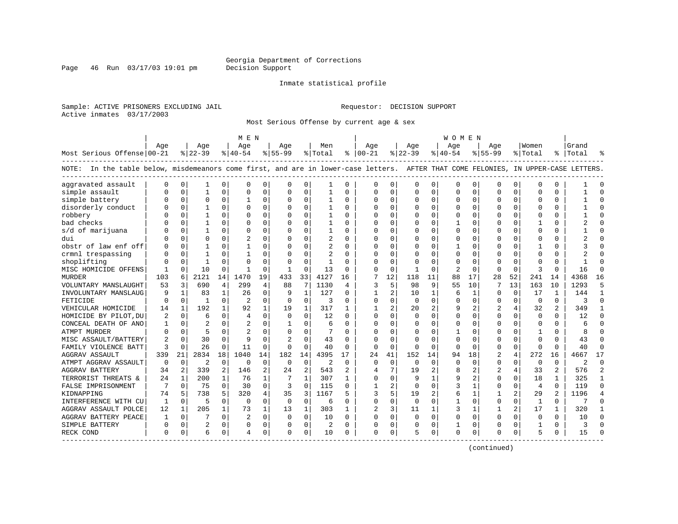Page 46 Run  $03/17/03$  19:01 pm

#### Inmate statistical profile

Sample: ACTIVE PRISONERS EXCLUDING JAIL **Requestor: DECISION SUPPORT** Active inmates 03/17/2003

Most Serious Offense by current age & sex

|                                                                                                                                    |          |              |                |              | M E N          |                |              |              |                |          |                |                |              |                | W O M E N      |              |                |                |               |                |           |                |
|------------------------------------------------------------------------------------------------------------------------------------|----------|--------------|----------------|--------------|----------------|----------------|--------------|--------------|----------------|----------|----------------|----------------|--------------|----------------|----------------|--------------|----------------|----------------|---------------|----------------|-----------|----------------|
|                                                                                                                                    | Age      |              | Age            |              | Age            |                | Age          |              | Men            |          | Age            |                | Aqe          |                | Aqe            |              | Age            |                | Women         |                | Grand     |                |
| Most Serious Offense 00-21                                                                                                         |          |              | $ 22-39$       |              | $ 40-54 $      |                | $8 55-99$    |              | % Total        |          | $8   00 - 21$  |                | $ 22-39$     |                | $ 40-54$       |              | $8 55-99$      |                | % Total       |                | %   Total |                |
| NOTE: In the table below, misdemeanors come first, and are in lower-case letters. AFTER THAT COME FELONIES, IN UPPER-CASE LETTERS. |          |              |                |              |                |                |              |              |                |          |                |                |              |                |                |              |                |                |               |                |           |                |
| aggravated assault                                                                                                                 |          | $\Omega$     | 1              | 0            | $\Omega$       | 0              | O            | 0            | 1              | $\Omega$ | $\Omega$       | 0              | $\Omega$     | 0              | $\Omega$       | 0            | $\Omega$       | $\Omega$       | $\mathbf 0$   | $\Omega$       |           |                |
| simple assault                                                                                                                     |          | $\Omega$     | 1              | $\Omega$     | $\Omega$       | $\Omega$       | O            | 0            | 1              | $\Omega$ | $\Omega$       | $\Omega$       | $\Omega$     | 0              | Ω              | $\mathbf 0$  | $\Omega$       | $\Omega$       | $\Omega$      | $\Omega$       |           | $\Omega$       |
| simple battery                                                                                                                     |          | $\Omega$     | 0              | $\Omega$     |                | 0              | 0            | $\Omega$     |                | $\Omega$ | $\Omega$       | 0              | $\Omega$     | 0              |                | 0            | 0              | $\Omega$       | $\cap$        | O              |           |                |
| disorderly conduct                                                                                                                 |          | $\Omega$     |                | 0            | $\Omega$       | 0              | U            | $\Omega$     | 1              | $\Omega$ | ∩              | 0              | $\Omega$     | O              | ∩              | $\Omega$     | $\Omega$       | 0              | $\Omega$      | $\Omega$       |           |                |
| robbery                                                                                                                            |          | $\Omega$     |                | 0            | $\Omega$       | 0              | U            | $\Omega$     | 1              | $\Omega$ | ∩              | $\Omega$       | U            | 0              | <sup>0</sup>   | $\Omega$     | U              | $\Omega$       | $\Omega$      | $\Omega$       |           | ∩              |
| bad checks                                                                                                                         |          | $\Omega$     |                | 0            | $\Omega$       | $\Omega$       | U            | $\Omega$     | 1              | $\Omega$ | O              | $\Omega$       | 0            | 0              |                | $\Omega$     | U              | 0              | -1            | $\Omega$       |           |                |
| s/d of marijuana                                                                                                                   |          | $\Omega$     |                | 0            | $\Omega$       | 0              | U            | $\mathbf 0$  | 1              | $\Omega$ |                | $\Omega$       | O            | 0              |                | $\mathbf 0$  | U              | 0              | $\Omega$      | $\Omega$       |           |                |
| dui                                                                                                                                |          | $\Omega$     | 0              | 0            | $\overline{c}$ | $\Omega$       | O            | $\Omega$     | 2              | $\Omega$ |                | $\Omega$       | $\Omega$     | 0              |                | $\Omega$     | $\Omega$       | 0              | $\cap$        | $\Omega$       |           |                |
| obstr of law enf off                                                                                                               |          | $\Omega$     |                | U            | -1             | 0              | U            | 0            | $\overline{2}$ | $\Omega$ | ∩              | 0              | U            | U              |                | 0            | U              | $\Omega$       | -1            | 0              |           |                |
| crmnl trespassing                                                                                                                  |          | $\Omega$     |                |              |                | $\Omega$       | U            | O            | 2              | $\Omega$ |                |                | O            | U              |                | 0            | U              | 0              | $\Omega$      | O              |           |                |
| shoplifting                                                                                                                        |          | $\Omega$     | $\mathbf{1}$   |              | $\Omega$       | 0              | $\Omega$     | $\Omega$     | $\mathbf{1}$   | $\Omega$ |                | $\cap$         | O            | O              |                | $\mathbf 0$  | $\Omega$       | U              | $\bigcap$     | $\cap$         |           |                |
| MISC HOMICIDE OFFENS                                                                                                               |          | $\Omega$     | 10             | $\Omega$     | -1             | $\Omega$       | $\mathbf{1}$ | $\Omega$     | 13             | $\Omega$ | $\Omega$       | $\Omega$       | $\mathbf{1}$ | O              | $\overline{2}$ | $\Omega$     | $\Omega$       | $\Omega$       | $\mathcal{R}$ | $\Omega$       | 16        | $\cap$         |
| <b>MURDER</b>                                                                                                                      | 103      | 6            | 2121           | 14           | 1470           | 19             | 433          | 33           | 4127           | 16       | 7              | 12             | 118          | 11             | 88             | 17           | 28             | 52             | 241           | 14             | 4368      | 16             |
| VOLUNTARY MANSLAUGHT                                                                                                               | 53       | 3            | 690            | 4            | 299            | 4              | 88           | 7            | 1130           | 4        | 3              | 5              | 98           | 9              | 55             | 10           | 7              | 13             | 163           | 10             | 1293      | 5              |
| INVOLUNTARY MANSLAUG                                                                                                               | 9        | $\mathbf{1}$ | 83             | $\mathbf{1}$ | 26             | 0              | 9            | $\mathbf{1}$ | 127            | 0        |                | 2              | 10           | $\mathbf 1$    | 6              | $\mathbf{1}$ | $\Omega$       | $\mathbf 0$    | 17            | 1              | 144       | $\mathbf{1}$   |
| FETICIDE                                                                                                                           | n        | $\Omega$     | $\mathbf{1}$   | $\Omega$     | $\overline{2}$ | $\Omega$       | $\Omega$     | $\mathbf 0$  | 3              | $\Omega$ | $\Omega$       | $\Omega$       | $\Omega$     | 0              |                | $\mathbf 0$  | $\Omega$       | $\Omega$       | $\Omega$      | $\Omega$       | 3         | $\Omega$       |
| VEHICULAR HOMICIDE                                                                                                                 | 14       | $\mathbf{1}$ | 192            | $\mathbf{1}$ | 92             | 1              | 19           | $\mathbf{1}$ | 317            | 1        |                | $\overline{a}$ | 20           | $\overline{a}$ | 9              | 2            | $\overline{a}$ | 4              | 32            | $\overline{2}$ | 349       | -1             |
| HOMICIDE BY PILOT, DU                                                                                                              | 2        | $\Omega$     | 6              | 0            | $\overline{4}$ | $\Omega$       | $\Omega$     | $\Omega$     | 12             | $\Omega$ |                | $\Omega$       | $\Omega$     | 0              |                | $\Omega$     | $\Omega$       | 0              | $\Omega$      | $\Omega$       | 12        | ∩              |
| CONCEAL DEATH OF ANO                                                                                                               |          | $\Omega$     |                | 0            |                | 0              | -1           | $\Omega$     | 6              | $\Omega$ | $\Omega$       | 0              | 0            | U              | 0              | $\Omega$     | $\Omega$       | 0              | $\Omega$      | $\Omega$       |           |                |
| ATMPT MURDER                                                                                                                       |          | $\Omega$     | 5              | U            |                | 0              | U            | $\Omega$     |                | $\Omega$ |                | U              | U            | U              |                | $\Omega$     | U              | U              |               | $\Omega$       |           |                |
| MISC ASSAULT/BATTERY                                                                                                               |          | $\Omega$     | 30             | <sup>0</sup> | 9              | 0              | 2            | $\Omega$     | 43             | $\Omega$ | ∩              | $\Omega$       | U            | O              | n              | $\Omega$     | U              | 0              | $\Omega$      | $\Omega$       | 43        | $\cap$         |
| FAMILY VIOLENCE BATT                                                                                                               | 3        | $\Omega$     | 26             | 0            | 11             | $\Omega$       | $\Omega$     | $\mathbf 0$  | 40             | $\Omega$ | $\Omega$       | $\Omega$       | U            | $\Omega$       | ∩              | $\Omega$     | $\Omega$       | $\Omega$       | $\mathbf 0$   | $\Omega$       | 40        | ∩              |
| <b>AGGRAV ASSAULT</b>                                                                                                              | 339      | 21           | 2834           | 18           | 1040           | 14             | 182          | 14           | 4395           | 17       | 24             | 41             | 152          | 14             | 94             | 18           | $\overline{2}$ | 4              | 272           | 16             | 4667      | 17             |
| ATMPT AGGRAV ASSAULT                                                                                                               | $\Omega$ | $\Omega$     | $\overline{c}$ | $\Omega$     | $\Omega$       | $\Omega$       | $\Omega$     | $\Omega$     | $\mathfrak{D}$ | $\Omega$ | $\Omega$       | $\Omega$       | $\Omega$     | $\Omega$       | $\Omega$       | $\Omega$     | $\Omega$       | $\Omega$       | $\Omega$      | $\Omega$       | 2         | $\Omega$       |
| <b>AGGRAV BATTERY</b>                                                                                                              | 34       | 2            | 339            | 2            | 146            | $\overline{a}$ | 24           | 2            | 543            | 2        | $\overline{4}$ | 7              | 19           | $\overline{a}$ |                | 2            | 2              | 4              | 33            | 2              | 576       | $\overline{2}$ |
| TERRORIST THREATS &                                                                                                                | 24       | 1            | 200            | 1            | 76             | 1              | 7            | 1            | 307            | 1        | $\Omega$       | 0              | 9            | 1              |                | 2            | 0              | 0              | 18            | 1              | 325       | 1              |
| FALSE IMPRISONMENT                                                                                                                 |          | $\Omega$     | 75             | $\Omega$     | 30             | 0              | 3            | 0            | 115            | $\Omega$ |                |                | $\Omega$     | O              |                | 1            | 0              | 0              | 4             | $\Omega$       | 119       | $\Omega$       |
| KIDNAPPING                                                                                                                         | 74       | 5            | 738            | 5.           | 320            | 4              | 35           | 3            | 1167           |          | 3              |                | 19           | 2              | 6              | $\mathbf{1}$ | 1              | 2              | 29            | $\overline{a}$ | 1196      | $\overline{4}$ |
| INTERFERENCE WITH CU                                                                                                               | 1        | $\Omega$     | 5              | $\Omega$     | $\Omega$       | $\Omega$       | $\Omega$     | $\Omega$     | 6              | $\Omega$ | $\Omega$       | $\Omega$       | $\Omega$     | $\Omega$       |                | $\Omega$     | $\Omega$       | $\Omega$       | $\mathbf{1}$  | $\Omega$       | 7         | $\Omega$       |
| AGGRAV ASSAULT POLCE                                                                                                               | 12       | 1            | 205            | $\mathbf{1}$ | 73             | 1              | 13           | $\mathbf{1}$ | 303            | 1        | 2              | 3              | 11           | 1              | 3              | 1            | 1              | $\overline{a}$ | 17            | 1              | 320       |                |
| AGGRAV BATTERY PEACE                                                                                                               |          | $\Omega$     |                | $\Omega$     | $\overline{2}$ | 0              | $\Omega$     | $\mathbf 0$  | 10             | $\Omega$ | $\Omega$       | $\Omega$       | $\Omega$     | 0              | 0              | $\Omega$     | $\Omega$       | $\Omega$       | $\mathbf 0$   | $\Omega$       | 10        | $\Omega$       |
| SIMPLE BATTERY                                                                                                                     |          | 0            | 2              | 0            | $\mathbf 0$    | 0              | U            | 0            | 2              | $\Omega$ | $\Omega$       | 0              | 0            | 0              |                | 0            | U              | 0              | $\mathbf{1}$  | $\Omega$       | 3         | $\cap$         |
| RECK COND                                                                                                                          | $\Omega$ | 0            | 6              | 0            | 4              | 0              | $\Omega$     | 0            | 10             | 0        | $\Omega$       | 0              | 5            | 0              | $\Omega$       | 0            | O              | 0              | 5             | 0              | 15        |                |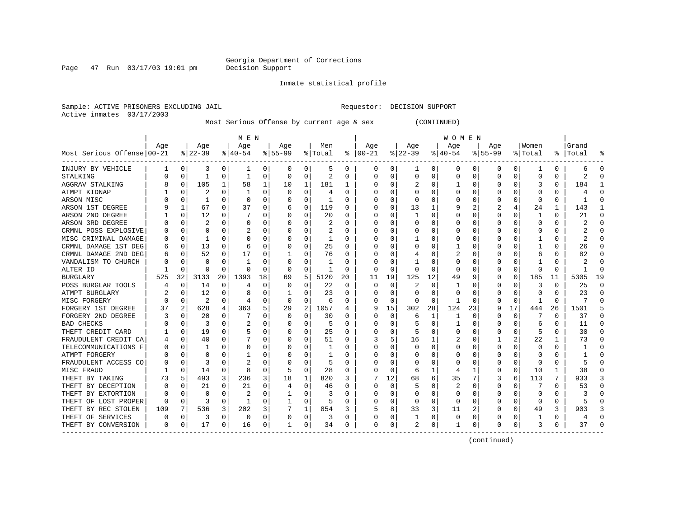Page  $47$  Run  $03/17/03$  19:01 pm

Inmate statistical profile

Sample: ACTIVE PRISONERS EXCLUDING JAIL **Requestor: DECISION SUPPORT** Active inmates 03/17/2003

Most Serious Offense by current age & sex (CONTINUED)

|                            |          |                |           |          | M E N     |    |           |                |         |    |          |          |              |          | <b>WOMEN</b> |          |              |          |          |          |           |          |
|----------------------------|----------|----------------|-----------|----------|-----------|----|-----------|----------------|---------|----|----------|----------|--------------|----------|--------------|----------|--------------|----------|----------|----------|-----------|----------|
|                            | Age      |                | Age       |          | Age       |    | Aqe       |                | Men     |    | Aqe      |          | Aqe          |          | Age          |          | Aqe          |          | Women    |          | Grand     |          |
| Most Serious Offense 00-21 |          |                | $8 22-39$ |          | $8 40-54$ |    | $8 55-99$ |                | % Total | ႜ  | $ 00-21$ |          | $ 22-39$     |          | $ 40-54$     |          | $8 55-99$    |          | % Total  |          | %   Total |          |
| INJURY BY VEHICLE          |          | 0              | 3         | 0        |           | 0  | 0         | 0              | 5       | 0  | 0        | 0        |              | 0        | 0            | 0        | 0            | 0        |          | 0        | 6         | O        |
| STALKING                   |          | 0              | 1         | 0        | -1        | 0  | $\Omega$  | 0              | 2       | O  | 0        | U        | $\Omega$     | 0        | 0            | C        | <sup>0</sup> | 0        | 0        | O        | 2         | ſ        |
| AGGRAV STALKING            | 8        | 0              | 105       |          | 58        | 1  | 10        | 1              | 181     |    | C        | U        |              | $\Omega$ |              | C        | <sup>0</sup> | O        | 3        | 0        | 184       |          |
| ATMPT KIDNAP               |          | $\Omega$       | 2         | U        |           | 0  | O         | $\Omega$       | 4       | U  | C        | U        | $\Omega$     | $\Omega$ | 0            | C        |              |          | O        | U        |           |          |
| ARSON MISC                 |          | $\Omega$       | 1         | U        | $\Omega$  | 0  | O         | 0              | -1      | U  |          | U        | O            | O        | O            | C        |              | U        | $\Omega$ | 0        |           |          |
| ARSON 1ST DEGREE           |          | 1              | 67        | 0        | 37        | 0  | 6         | 0              | 119     | 0  | C        | 0        | 13           |          | 9            | 2        |              | 4        | 24       | 1        | 143       |          |
| ARSON 2ND DEGREE           |          | 0              | 12        | 0        |           | U  |           | $\Omega$       | 20      | O  | C        | U        |              | $\Omega$ | ი            | $\Omega$ |              | 0        | -1       | 0        | 21        | ſ        |
| ARSON 3RD DEGREE           |          | 0              |           | 0        | 0         | 0  |           | $\Omega$       | 2       | O  |          | U        | $\Omega$     | $\Omega$ | 0            | $\Omega$ |              | O        | O        | U        | 2         | ſ        |
| CRMNL POSS EXPLOSIVE       |          | $\mathbf 0$    | 0         | O        | 2         | 0  |           | $\Omega$       | 2       | 0  |          | 0        |              | 0        | C            | 0        |              | O        | C        | 0        | 2         |          |
| MISC CRIMINAL DAMAGE       |          | $\mathbf 0$    |           | O        | 0         | 0  |           | 0              |         | O  |          | U        |              | $\Omega$ |              | C        |              |          |          | 0        | 2         | ſ        |
| CRMNL DAMAGE 1ST DEG       | 6        | 0              | 13        | 0        | 6         | 0  |           | $\Omega$       | 25      | O  | C        | 0        | $\Omega$     | $\Omega$ |              | C        |              | U        |          | 0        | 26        | ∩        |
| CRMNL DAMAGE 2ND DEG       | 6        | $\Omega$       | 52        | 0        | 17        | 0  |           | $\Omega$       | 76      | 0  | C        | 0        |              | $\Omega$ | 2            | C        |              | O        | 6        | 0        | 82        | ∩        |
| VANDALISM TO CHURCH        |          | $\Omega$       | $\Omega$  | O        |           | 0  |           | $\Omega$       | -1      | O  | O        | 0        |              | O        | 0            | C        |              | O        |          | 0        | 2         | n        |
| ALTER ID                   |          | 0              | O         | 0        | O         | 0  | O         | 0              |         | O  | 0        | 0        | O            | $\Omega$ | 0            | C        | O            | $\Omega$ | O        | 0        |           | $\Omega$ |
| BURGLARY                   | 525      | 32             | 3133      | 20       | 1393      | 18 | 69        | 5              | 5120    | 20 | 11       | 19       | 125          | 12       | 49           | 9        | <sup>0</sup> | $\Omega$ | 185      | 11       | 5305      | 19       |
| POSS BURGLAR TOOLS         |          | 0              | 14        | 0        | 4         | 0  | O         | $\Omega$       | 22      | O  | $\Omega$ | O        | 2            | $\Omega$ |              | C        |              |          | 3        | 0        | 25        | ſ        |
| ATMPT BURGLARY             |          | $\Omega$       | 12        | O        | 8         | U  |           | $\Omega$       | 23      | O  |          | U        | $\Omega$     | $\Omega$ | O            | C        | <sup>0</sup> | O        | O        | U        | 23        | C        |
| MISC FORGERY               | U        | $\Omega$       | 2         | O        | 4         | 0  | $\Omega$  | $\Omega$       | 6       | O  | O        | 0        | $\Omega$     | $\Omega$ | 1            | C        | ∩            | $\Omega$ | -1       | $\Omega$ |           |          |
| FORGERY 1ST DEGREE         | 37       | $\overline{2}$ | 628       | 4        | 363       | 5  | 29        | $\overline{2}$ | 1057    | 4  | 9        | 15       | 302          | 28       | 124          | 23       |              | 17       | 444      | 26       | 1501      |          |
| FORGERY 2ND DEGREE         |          | $\Omega$       | 20        | 0        |           | 0  | O         | $\Omega$       | 30      | 0  | O        | $\Omega$ | 6            |          |              | C        |              | $\Omega$ |          | 0        | 37        | n        |
| <b>BAD CHECKS</b>          |          | $\Omega$       | 3         | $\Omega$ |           | U  |           | $\Omega$       | 5       | 0  | C        | U        | 5            | $\Omega$ |              | O        |              | $\Omega$ | 6        | U        | 11        | n        |
| THEFT CREDIT CARD          |          | $\Omega$       | 19        | 0        | 5         | U  |           | $\Omega$       | 25      | 0  |          | 0        | 5            | O        | O            | O        |              | $\Omega$ | 5        | U        | 30        | n        |
| FRAUDULENT CREDIT CA       |          | $\Omega$       | 40        | 0        |           | 0  |           | $\Omega$       | 51      | O  |          | 5        | 16           |          | 2            | $\Omega$ |              | 2        | 22       | 1        | 73        | n        |
| TELECOMMUNICATIONS F       |          | $\mathbf 0$    |           | O        | 0         | 0  |           | 0              |         | N  |          | O        | 0            | $\Omega$ | 0            | C        |              | $\Omega$ | $\Omega$ | 0        |           |          |
| ATMPT FORGERY              |          | $\Omega$       | O         | O        |           | U  |           | $\Omega$       |         | O  |          | U        | <sup>0</sup> | $\Omega$ | Ω            | C        |              | 0        | O        | U        |           | ſ        |
| FRAUDULENT ACCESS CO       |          | $\Omega$       | 3         | O        | 2         | 0  |           | $\Omega$       | 5       | O  |          | 0        | 0            | O        | 0            | C        |              | $\Omega$ | O        | 0        |           | ſ        |
| MISC FRAUD                 |          | 0              | 14        | 0        | 8         | 0  |           | 0              | 28      | O  | O        | 0        | 6            | 1        | 4            | -1       | O            | 0        | 10       | 1        | 38        | ∩        |
| THEFT BY TAKING            | 73       | 5              | 493       | 3        | 236       | 3  | 18        | 1              | 820     | 3  |          | 12       | 68           | 6        | 35           | 7        | 3            | 6        | 113      | 7        | 933       |          |
| THEFT BY DECEPTION         | O        | 0              | 21        | O        | 21        | 0  | 4         | 0              | 46      | O  | n        | 0        | 5            | $\Omega$ | 2            | O        | <sup>0</sup> | $\Omega$ |          | 0        | 53        | ∩        |
| THEFT BY EXTORTION         |          | 0              | $\Omega$  | O        | 2         | 0  |           | 0              | 3       | U  | 0        | 0        | $\Omega$     | $\Omega$ | 0            | C        |              | O        | O        | 0        |           | n        |
| THEFT OF LOST PROPER       | 0        | 0              | 3         | 0        |           | 0  |           | $\Omega$       | 5       | 0  |          | 0        | 0            | $\Omega$ | 0            | C        |              |          | O        | 0        | 5         |          |
| THEFT BY REC STOLEN        | 109      |                | 536       | 3        | 202       | 3  |           | 1              | 854     | 3  |          | 8        | 33           | 3        | 11           |          | <sup>0</sup> | 0        | 49       | 3        | 903       |          |
| THEFT OF SERVICES          | 0        | 0              | 3         | 0        | 0         | 0  | $\Omega$  | 0              | 3       | 0  | 0        | 0        |              | 0        | 0            | C        |              | 0        |          | 0        | 4         |          |
| THEFT BY CONVERSION        | $\Omega$ | 0              | 17        | 0        | 16        | 0  | 1         | 0              | 34      | 0  | $\Omega$ | 0        |              | 0        | 1            | C        | ∩            | 0        | 3        | 0        | 37        |          |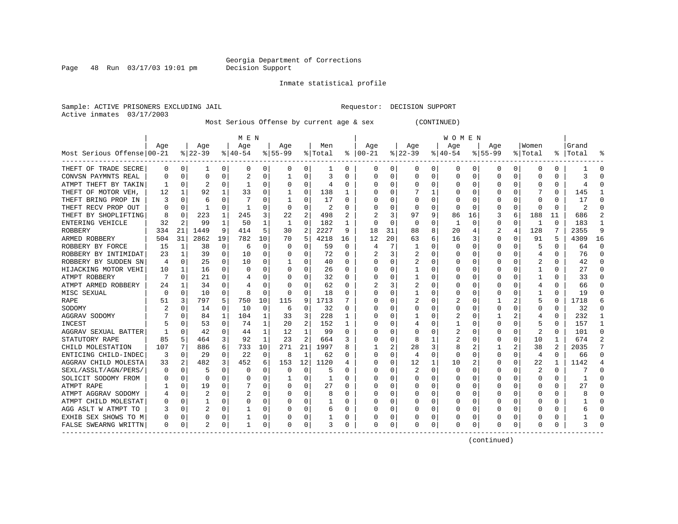Page  $48$  Run  $03/17/03$  19:01 pm

#### Inmate statistical profile

Sample: ACTIVE PRISONERS EXCLUDING JAIL **Requestor: DECISION SUPPORT** Active inmates 03/17/2003

Most Serious Offense by current age & sex (CONTINUED)

|                            |     |             |           |          | M E N     |              |           |                |                |          |          |    |          |          | <b>WOMEN</b> |          |              |                |         |                |           |          |
|----------------------------|-----|-------------|-----------|----------|-----------|--------------|-----------|----------------|----------------|----------|----------|----|----------|----------|--------------|----------|--------------|----------------|---------|----------------|-----------|----------|
|                            | Age |             | Age       |          | Age       |              | Aqe       |                | Men            |          | Age      |    | Age      |          | Aqe          |          | Aqe          |                | Women   |                | Grand     |          |
| Most Serious Offense 00-21 |     |             | $ 22-39 $ |          | $8 40-54$ |              | $8 55-99$ |                | % Total        | ႜ        | $ 00-21$ |    | $ 22-39$ |          | $ 40-54$     |          | $8155 - 99$  |                | ៖ Total |                | %   Total |          |
| THEFT OF TRADE SECRE       | 0   | 0           | ı         | 0        | 0         | 0            | 0         | 0              |                | 0        | 0        | 0  | 0        | 0        | 0            | 0        | 0            | 0              | 0       | 0              |           | 0        |
| CONVSN PAYMNTS REAL        | 0   | $\mathbf 0$ | $\Omega$  | 0        | 2         | 0            |           | $\Omega$       | 3              | N        | 0        | 0  | $\Omega$ | $\Omega$ | 0            | $\Omega$ | <sup>0</sup> | 0              | C       | 0              | 3         |          |
| ATMPT THEFT BY TAKIN       |     | $\mathbf 0$ |           | 0        |           | 0            |           | $\Omega$       | 4              | 0        |          | U  | $\Omega$ | $\Omega$ | 0            | C        |              |                |         | 0              | 4         |          |
| THEFT OF MOTOR VEH,        | 12  | 1           | 92        |          | 33        | U            |           | $\Omega$       | 138            |          |          | U  |          |          | Ω            | C        |              |                |         | O              | 145       |          |
| THEFT BRING PROP IN        |     | $\Omega$    | 6         |          |           | 0            |           | $\Omega$       | 17             | O        | C        | U  | O        | $\Omega$ | 0            | C        |              |                |         | U              | 17        |          |
| THEFT RECV PROP OUT        |     | $\Omega$    | 1         | O        |           | 0            | O         | $\Omega$       | $\overline{c}$ | U        | C        | 0  | $\Omega$ | $\Omega$ | 0            | C        |              | $\Omega$       | O       | 0              | 2         |          |
| THEFT BY SHOPLIFTING       | 8   | 0           | 223       | 1        | 245       | 3            | 22        | 2              | 498            |          |          | 3  | 97       | 9        | 86           | 16       | 3            | 6              | 188     | 11             | 686       |          |
| ENTERING VEHICLE           | 32  | 2           | 99        | 1        | 50        | 1            | 1         | $\Omega$       | 182            |          | 0        | 0  | 0        | $\Omega$ | 1            | 0        | 0            | $\Omega$       | -1      | 0              | 183       |          |
| ROBBERY                    | 334 | 21          | 1449      | 9        | 414       | 5            | 30        | 2              | 2227           | 9        | 18       | 31 | 88       | 8        | 20           |          | 2            | 4              | 128     | 7              | 2355      | 9        |
| ARMED ROBBERY              | 504 | 31          | 2862      | 19       | 782       | 10           | 70        | 5              | 4218           | 16       | 12       | 20 | 63       | 6        | 16           | 3        |              | 0              | 91      | 5              | 4309      | 16       |
| ROBBERY BY FORCE           | 15  | 1           | 38        | 0        | 6         | 0            |           | 0              | 59             | $\Omega$ | 4        | 7  |          | $\Omega$ | C            | C        |              | O              | 5       | 0              | 64        | $\Omega$ |
| ROBBERY BY INTIMIDAT       | 23  | 1           | 39        | $\Omega$ | 10        | 0            |           | $\Omega$       | 72             | O        |          | 3  |          | $\Omega$ | Ω            | C        |              | O              | 4       | 0              | 76        | $\Omega$ |
| ROBBERY BY SUDDEN SN       | 4   | $\Omega$    | 25        | 0        | 10        | 0            |           | $\Omega$       | 40             | 0        |          | 0  |          | $\Omega$ | ი            | C        |              | O              | 2       | 0              | 42        | $\Omega$ |
| HIJACKING MOTOR VEHI       | 10  | 1           | 16        | 0        | 0         | 0            |           | $\Omega$       | 26             | 0        | O        | 0  |          | 0        | 0            | C        |              | O              |         | 0              | 27        | n        |
| ATMPT ROBBERY              |     | 0           | 21        | 0        | 4         | 0            | $\left($  | 0              | 32             | 0        | 0        | 0  |          | 0        | $\Omega$     | C        |              | O              |         | 0              | 33        | n        |
| ATMPT ARMED ROBBERY        | 24  | 1           | 34        | 0        | 4         | 0            | $\left($  | 0              | 62             | 0        |          | 3  | 2        | 0        | $\Omega$     | C        |              |                | 4       | 0              | 66        | n        |
| MISC SEXUAL                | O   | 0           | 10        | 0        | 8         | 0            | $\Omega$  | $\Omega$       | 18             | O        |          | U  |          | $\Omega$ | 0            | C        |              |                |         | U              | 19        | n        |
| RAPE                       |     | 3           | 797       | 5        | 750       | 10           | 115       | 9              | 1713           |          |          | U  |          | O        | 2            |          |              |                | 5       | U              | 1718      |          |
| SODOMY                     |     | C           | 14        | 0        | 10        | 0            | 6         | $\Omega$       | 32             | O        | C        | U  | $\Omega$ | 0        | 0            | C        |              |                | 0       | 0              | 32        |          |
| AGGRAV SODOMY              |     | $\Omega$    | 84        | 1        | 104       | 1            | 33        | 3              | 228            | 1        |          | U  |          | O        | 2            | C        |              |                | 4       | 0              | 232       |          |
| <b>INCEST</b>              |     | ∩           | 53        | U        | 74        | 1            | 20        | 2              | 152            | 1        |          | U  |          | O        |              | C        |              | U              |         | 0              | 157       |          |
| AGGRAV SEXUAL BATTER       |     | $\Omega$    | 42        | O        | 44        | 1            | 12        | 1              | 99             | O        |          | U  | O        | ∩        | 2            | C        |              | $\Omega$       | 2       | U              | 101       | ∩        |
| STATUTORY RAPE             | 85  | 5           | 464       | 3        | 92        | $\mathbf{1}$ | 23        | $\overline{2}$ | 664            | 3        |          | O  | 8        |          | 2            | O        |              | $\Omega$       | 10      | 1              | 674       |          |
| CHILD MOLESTATION          | 107 | 7           | 886       | 6        | 733       | 10           | 271       | 21             | 1997           | 8        |          | 2  | 28       | 3        | 8            | 2        |              | $\overline{a}$ | 38      | $\overline{2}$ | 2035      |          |
| ENTICING CHILD-INDEC       | 3   | $\mathbf 0$ | 29        | 0        | 22        | 0            | 8         | $\mathbf{1}$   | 62             | N        |          | 0  | 4        | 0        | 0            | C        |              | $\Omega$       | 4       | 0              | 66        |          |
| AGGRAV CHILD MOLESTA       | 33  | 2           | 482       | 3        | 452       | 6            | 153       | 12             | 1120           |          |          | 0  | 12       | 1        | 10           |          |              | 0              | 22      | 1              | 1142      |          |
| SEXL/ASSLT/AGN/PERS/       | 0   | 0           | 5         | 0        | 0         | 0            | 0         | $\Omega$       | 5              | O        | C        | 0  |          | $\Omega$ | 0            | C        |              | O              | 2       | 0              |           | ſ        |
| SOLICIT SODOMY FROM        |     | $\Omega$    | $\Omega$  | 0        | O         | U            |           | $\Omega$       | 1              | O        |          | 0  | O        | O        | O            | C        |              | O              | Ω       | 0              |           | ſ        |
| ATMPT RAPE                 |     | $\Omega$    | 19        | 0        |           | 0            |           | $\Omega$       | 27             | O        | C        | 0  | 0        | O        | 0            | C        | n            | O              | Ω       | 0              | 27        | n        |
| ATMPT AGGRAV SODOMY        |     | $\mathbf 0$ |           | O        |           | 0            |           | 0              | 8              | O        | n        | 0  | O        | $\Omega$ | 0            | C        |              | 0              | Ω       | 0              |           | ∩        |
| ATMPT CHILD MOLESTAT       |     | 0           |           | O        | 0         | 0            |           | 0              |                | O        | O        | 0  | O        | $\Omega$ | 0            | C        |              | O              |         | 0              |           | O        |
| AGG ASLT W ATMPT TO        |     | 0           |           | 0        |           | 0            |           | 0              | 6              | 0        |          | 0  |          | 0        | 0            | C        |              | 0              |         | 0              |           |          |
| EXHIB SEX SHOWS TO M       |     | 0           | 0         | 0        |           | 0            |           | 0              |                | 0        |          | 0  |          | 0        | C            | C        |              | 0              |         | 0              |           |          |
| FALSE SWEARNG WRITTN       | 0   | 0           |           | 0        |           | 0            | $\Omega$  | 0              | 3              | 0        | $\Omega$ | 0  | 0        | 0        | 0            | 0        | <sup>0</sup> | 0              | O       | 0              |           |          |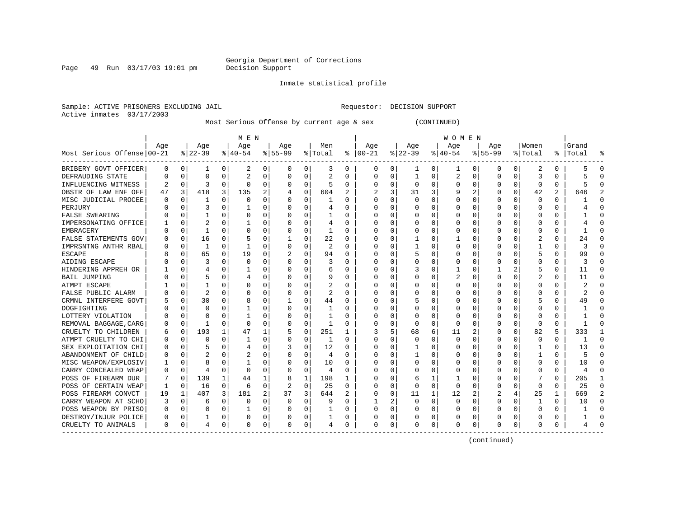Page 49 Run  $03/17/03$  19:01 pm

#### Inmate statistical profile

Sample: ACTIVE PRISONERS EXCLUDING JAIL **Requestor: DECISION SUPPORT** Active inmates 03/17/2003

Most Serious Offense by current age & sex (CONTINUED)

|                            |     |             |              |              | M E N          |          |          |             |         |          |               |                |          |   | W O M E N |             |             |          |              |          |           |          |
|----------------------------|-----|-------------|--------------|--------------|----------------|----------|----------|-------------|---------|----------|---------------|----------------|----------|---|-----------|-------------|-------------|----------|--------------|----------|-----------|----------|
|                            | Age |             | Age          |              | Age            |          | Age      |             | Men     |          | Age           |                | Age      |   | Age       |             | Age         |          | Women        |          | Grand     |          |
| Most Serious Offense 00-21 |     |             | $ 22-39 $    |              | $8 40-54$      |          | $ 55-99$ |             | % Total |          | $8   00 - 21$ |                | $ 22-39$ |   | $ 40-54 $ |             | $8155 - 99$ |          | % Total      |          | %   Total | န္       |
| BRIBERY GOVT OFFICER       | 0   | 0           | 1            | 0            | 2              | 0        | 0        | 0           | 3       | 0        | 0             | 0 <sup>1</sup> | 1        | 0 | 1         | 0           | 0           | 0        | 2            | 0        |           | $\Omega$ |
| DEFRAUDING STATE           | U   | $\mathbf 0$ | 0            | 0            | $\overline{a}$ | 0        | O        | 0           | 2       | 0        | <sup>0</sup>  | 0              | -1       | 0 | 2         | 0           | 0           | 0        | 3            | N        |           |          |
| INFLUENCING WITNESS        |     | 0           | 3            | U            | $\Omega$       | 0        |          | 0           |         | 0        |               | 0              | $\Omega$ | 0 | $\Omega$  | 0           | U           | 0        | $\Omega$     | O        |           |          |
| OBSTR OF LAW ENF OFF       | 47  | 3           | 418          | 3            | 135            | 2        |          | 0           | 604     |          |               | 3              | 31       | 3 |           | 2           | 0           | $\Omega$ | 42           | 2        | 646       |          |
| MISC JUDICIAL PROCEE       |     | 0           | 1            | U            | $\Omega$       | $\Omega$ |          | $\Omega$    |         | U        | ∩             | 0              | $\Omega$ | O |           | $\Omega$    | U           |          | $\Omega$     | 0        |           |          |
| PERJURY                    |     | $\Omega$    | 3            | O            |                | 0        |          | 0           | 4       | O        |               | 0              | O        | 0 |           | 0           | O           | U        | $\Omega$     | 0        |           |          |
| <b>FALSE SWEARING</b>      |     | $\Omega$    | 1            | 0            | $\Omega$       | $\Omega$ |          | $\Omega$    |         | O        |               | 0              | 0        | 0 |           | 0           | O           | 0        | <sup>0</sup> | 0        |           |          |
| IMPERSONATING OFFICE       |     | $\Omega$    |              | U            |                | 0        |          | $\Omega$    | 4       | 0        |               | 0              | 0        | 0 |           | 0           | 0           | $\Omega$ | 0            | 0        |           |          |
| EMBRACERY                  |     | $\Omega$    | 1            | U            | $\Omega$       | 0        |          | 0           | 1       | O        |               | $\Omega$       | $\Omega$ | 0 |           | 0           | U           | 0        | 0            | O        |           |          |
| FALSE STATEMENTS GOV       |     | $\mathbf 0$ | 16           | 0            |                | 0        |          | 0           | 22      | 0        |               | $\Omega$       |          | 0 |           | 0           | 0           | 0        | 2            | 0        | 24        |          |
| IMPRSNTNG ANTHR RBAL       |     | $\mathbf 0$ | $\mathbf{1}$ | 0            |                | 0        |          | 0           | 2       | O        |               | 0              |          | 0 |           | $\mathbf 0$ | 0           | O        |              | 0        |           |          |
| ESCAPE                     |     | 0           | 65           | 0            | 19             | $\Omega$ |          | $\Omega$    | 94      | $\Omega$ |               | 0              | 5        | U |           | 0           | U           | O        | 5            | $\Omega$ | 99        | ∩        |
| AIDING ESCAPE              |     | $\Omega$    | 3            | U            | $\Omega$       | $\Omega$ | U        | $\Omega$    | 3       | 0        | ∩             | 0              | 0        | 0 | C         | $\Omega$    | 0           | 0        | O            | 0        | 3         | ∩        |
| HINDERING APPREH OR        |     | $\mathbf 0$ | 4            | U            |                | 0        | U        | 0           | 6       | 0        | ∩             | 0              | 3        | 0 |           | 0           |             | 2        | ц            | 0        | 11        | ∩        |
| BAIL JUMPING               |     | 0           | 5            | U            |                | 0        | O        | $\Omega$    | 9       | O        |               | U              | Ω        | U | 2         | 0           | U           | 0        | 2            | O        | 11        |          |
| ATMPT ESCAPE               |     | 0           |              | O            | 0              | 0        |          | 0           | 2       | 0        |               | U              | 0        | 0 |           | 0           | 0           | O        | 0            | 0        |           |          |
| FALSE PUBLIC ALARM         |     | $\mathbf 0$ | 2            | U            | C              | 0        |          | 0           | 2       | O        |               | U              | 0        | 0 |           | 0           | 0           | O        | O            | N        |           |          |
| CRMNL INTERFERE GOVT       |     | 0           | 30           | U            | 8              | 0        |          | O           | 44      | $\Omega$ |               | U              | 5        | 0 |           | 0           | U           | U        |              | O        | 49        |          |
| DOGFIGHTING                |     | $\Omega$    | O            |              |                | 0        | O        | O           | 1       | O        |               | 0              | U        | 0 |           | 0           | O           | U        | <sup>0</sup> | 0        |           |          |
| LOTTERY VIOLATION          |     | $\Omega$    | n            | U            |                | 0        |          | $\Omega$    | 1       | U        |               | $\Omega$       | O        | U |           | 0           |             | 0        | $\Omega$     | 0        |           |          |
| REMOVAL BAGGAGE, CARG      |     | 0           | 1            | 0            | $\Omega$       | O        |          | 0           | -1      | O        |               | 0              | $\Omega$ | O | C         | $\Omega$    | U           | $\Omega$ | $\Omega$     | O        |           |          |
| CRUELTY TO CHILDREN        | b   | 0           | 193          | $\mathbf{1}$ | 47             |          |          | $\mathbf 0$ | 251     | 1        | 3             | 5.             | 68       | 6 | 11        | 2           | O           | $\Omega$ | 82           | 5        | 333       |          |
| ATMPT CRUELTY TO CHI       |     | $\mathbf 0$ | 0            | O            | -1             | $\Omega$ |          | $\mathbf 0$ | 1       | $\Omega$ |               | 0              | $\Omega$ | 0 | O         | 0           | 0           | $\Omega$ | 0            | 0        |           |          |
| SEX EXPLOITATION CHI       |     | $\mathbf 0$ | 5            | U            | 4              | 0        |          | 0           | 12      | 0        |               | 0              |          | 0 |           | 0           | 0           | 0        |              | 0        | 13        | ∩        |
| ABANDONMENT OF CHILD       |     | $\Omega$    |              |              |                | 0        |          | $\Omega$    | 4       | O        |               | 0              |          | 0 |           | 0           | 0           | O        |              | 0        |           | $\cap$   |
| MISC WEAPON/EXPLOSIV       |     | $\mathbf 0$ | 8            | U            |                | 0        |          | 0           | 10      | O        |               | 0              | 0        | 0 | U         | 0           | 0           | 0        | <sup>0</sup> | $\Omega$ | 10        | ∩        |
| CARRY CONCEALED WEAP       |     | 0           | 4            | $\Omega$     | $\Omega$       | 0        | O        | 0           | 4       | $\Omega$ | ∩             | 0              | O        | 0 | O         | 0           | O           | 0        | O            | 0        |           | ∩        |
| POSS OF FIREARM DUR        |     | 0           | 139          | $\mathbf{1}$ | 44             | 1        | 8        | 1           | 198     | 1        |               | 0              | 6        | 1 |           | 0           | U           | 0        |              | $\Omega$ | 205       | -1       |
| POSS OF CERTAIN WEAP       |     | $\Omega$    | 16           | $\Omega$     | 6              | $\Omega$ |          | 0           | 25      | $\Omega$ |               | $\Omega$       | 0        | 0 | $\Omega$  | $\Omega$    | 0           | 0        | $\Omega$     | O        | 25        | ∩        |
| POSS FIREARM CONVCT        | 19  | 1           | 407          | 3            | 181            | 2        | 37       | 3           | 644     | 2        |               | 0              | 11       | 1 | 12        | 2           | 2           |          | 25           | 1        | 669       |          |
| CARRY WEAPON AT SCHO       | 3   | 0           | 6            | U            | C.             | 0        | O        | 0           | 9       | O        |               | 2              | $\Omega$ | 0 | $\Omega$  | 0           | $\Omega$    | O        |              | 0        | 10        |          |
| POSS WEAPON BY PRISO       | O   | 0           | O            | U            |                | 0        | O        | 0           |         | 0        | ∩             | 0              | $\Omega$ | 0 | $\Omega$  | 0           | 0           | O        | $\Omega$     | 0        |           |          |
| DESTROY/INJUR POLICE       | O   | 0           | 1            | 0            | 0              | 0        | 0        | 0           |         | 0        |               | 0              | 0        | 0 | $\Omega$  | 0           |             |          | C            | 0        |           |          |
| CRUELTY TO ANIMALS         | 0   | 0           | 4            | 0            | $\Omega$       | 0        | O        | 0           | 4       | 0        | <sup>0</sup>  | 0              | $\Omega$ | 0 | $\Omega$  | 0           | U           | 0        | $\Omega$     | U        |           |          |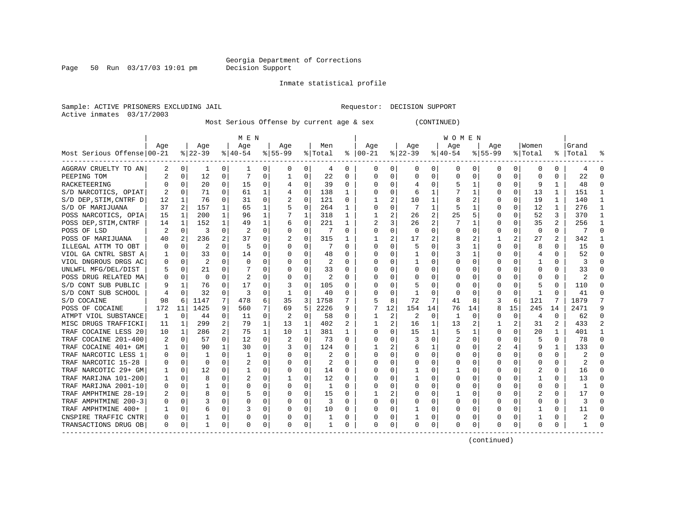Page 50 Run  $03/17/03$  19:01 pm

#### Inmate statistical profile

Sample: ACTIVE PRISONERS EXCLUDING JAIL **Requestor: DECISION SUPPORT** Active inmates 03/17/2003

Most Serious Offense by current age & sex (CONTINUED)

|                            |     |          |                |              | M E N          |          |           |          |         |              |              |    |          |                | WOMEN     |          |             |             |             |                |       |              |
|----------------------------|-----|----------|----------------|--------------|----------------|----------|-----------|----------|---------|--------------|--------------|----|----------|----------------|-----------|----------|-------------|-------------|-------------|----------------|-------|--------------|
|                            | Age |          | Age            |              | Age            |          | Age       |          | Men     |              | Age          |    | Age      |                | Age       |          | Age         |             | Women       |                | Grand |              |
| Most Serious Offense 00-21 |     |          | $ 22-39$       |              | $ 40-54$       |          | $8 55-99$ |          | % Total | ႜ            | $ 00-21$     |    | $ 22-39$ |                | $8 40-54$ |          | $8155 - 99$ |             | % Total     | ႜၟ             | Total |              |
| AGGRAV CRUELTY TO AN       | 2   | 0        | 1              | 0            |                | 0        | 0         | 0        | 4       | 0            | 0            | 0  | 0        | 0              | 0         | 0        | 0           | 0           | 0           | 0              | 4     | <sup>0</sup> |
| PEEPING TOM                |     | 0        | 12             | 0            | 7              | $\Omega$ |           | $\Omega$ | 22      | 0            | 0            | 0  | $\Omega$ | $\Omega$       | 0         | 0        | $\Omega$    | $\Omega$    | U           | 0              | 22    | ∩            |
| RACKETEERING               | U   | O        | 20             | $\Omega$     | 15             | 0        | 4         | $\Omega$ | 39      | 0            | 0            | 0  | 4        | $\Omega$       | 5         | 1        |             | 0           | 9           | 1              | 48    |              |
| S/D NARCOTICS, OPIAT       | 2   | $\Omega$ | 71             | $\Omega$     | 61             | 1        |           | $\Omega$ | 138     | $\mathbf{1}$ | 0            | 0  | 6        | 1              | 7         | -1       |             | $\Omega$    | 13          | $\mathbf{1}$   | 151   |              |
| S/D DEP, STIM, CNTRF D     | 12  | -1       | 76             | $\Omega$     | 31             | $\Omega$ | 2         | $\Omega$ | 121     | 0            |              | 2  | 10       | 1              | 8         | 2        |             | $\Omega$    | 19          | 1              | 140   |              |
| S/D OF MARIJUANA           | 37  | 2        | 157            |              | 65             | 1        | 5         | $\Omega$ | 264     | 1            | 0            | 0  |          | 1              | 5         |          |             | $\Omega$    | 12          | 1              | 276   |              |
| POSS NARCOTICS, OPIA       | 15  | 1        | 200            |              | 96             | 1        |           | 1        | 318     | 1            |              | 2  | 26       | 2              | 25        | 5        |             | $\Omega$    | 52          | 3              | 370   | $\mathbf{1}$ |
| POSS DEP, STIM, CNTRF      | 14  | 1        | 152            |              | 49             | 1        | 6         | 0        | 221     | $\mathbf{1}$ | 2            | 3  | 26       | $\overline{2}$ |           |          |             | $\Omega$    | 35          | $\overline{2}$ | 256   |              |
| POSS OF LSD                | 2   | 0        | 3              | $\Omega$     | 2              | $\Omega$ |           | 0        | 7       | $\Omega$     | 0            | 0  | 0        | $\Omega$       | 0         | O        |             | $\Omega$    | $\mathbf 0$ | 0              |       | ſ            |
| POSS OF MARIJUANA          | 40  | 2        | 236            | 2            | 37             | 0        |           | $\Omega$ | 315     | $\mathbf{1}$ |              | 2  | 17       | $\overline{2}$ | 8         |          |             | 2           | 27          | 2              | 342   |              |
| ILLEGAL ATTM TO OBT        | U   | 0        | $\overline{2}$ | $\Omega$     | 5              | 0        |           | $\Omega$ | 7       | 0            | $\Omega$     | 0  |          | $\Omega$       | 3         | 1        | ∩           | $\Omega$    | 8           | 0              | 15    | ∩            |
| VIOL GA CNTRL SBST A       |     | 0        | 33             | $\Omega$     | 14             | 0        |           | $\Omega$ | 48      | 0            | <sup>0</sup> | 0  |          | $\Omega$       | 3         | -1       |             | 0           | 4           | 0              | 52    | ∩            |
| VIOL DNGROUS DRGS AC       | 0   | $\Omega$ | 2              | 0            | $\Omega$       | 0        |           | $\Omega$ | 2       | U            | O            | 0  |          | $\Omega$       | 0         | 0        |             |             |             | 0              | 3     | O            |
| UNLWFL MFG/DEL/DIST        | 5   | 0        | 21             | $\Omega$     |                | 0        |           | $\Omega$ | 33      | U            | <sup>0</sup> | 0  |          | $\Omega$       | 0         |          |             |             | O           | 0              | 33    | n            |
| POSS DRUG RELATED MA       | U   | O        | $\Omega$       |              | $\overline{c}$ | O        |           | $\Omega$ | 2       | U            | <sup>0</sup> | U  |          | $\Omega$       | O         |          |             |             | O           | O              | 2     |              |
| S/D CONT SUB PUBLIC        | 9   |          | 76             |              | 17             | 0        |           | $\Omega$ | 105     | U            | O            | U  |          | $\Omega$       | O         |          |             |             | 5           | 0              | 110   | C            |
| S/D CONT SUB SCHOOL        | 4   | $\Omega$ | 32             | $\Omega$     | 3              | 0        | 1         | $\Omega$ | 40      | U            | <sup>0</sup> | 0  |          | $\Omega$       | 0         | O        | ∩           | $\Omega$    | -1          | O              | 41    | n            |
| S/D COCAINE                | 98  | 6        | 1147           | 7            | 478            | 6        | 35        | 3        | 1758    | 7            | 5            | 8  | 72       | 7              | 41        | 8        | 3           | 6           | 121         | 7              | 1879  |              |
| POSS OF COCAINE            | 172 | 11       | 1425           | 9            | 560            | 7        | 69        | 5        | 2226    | 9            | 7            | 12 | 154      | 14             | 76        | 14       | 8           | 15          | 245         | 14             | 2471  | q            |
| ATMPT VIOL SUBSTANCE       | 1   | 0        | 44             | 0            | 11             | 0        | 2         | 0        | 58      | 0            | 1            | 2  | 2        | 0              | 1         | 0        |             | $\mathbf 0$ | 4           | 0              | 62    | ∩            |
| MISC DRUGS TRAFFICKI       | 11  | 1        | 299            | 2            | 79             | 1        | 13        | 1        | 402     | 2            |              | 2  | 16       | 1              | 13        | 2        |             | 2           | 31          | 2              | 433   |              |
| TRAF COCAINE LESS 20       | 10  | 1        | 286            | 2            | 75             | 1        | 10        | 1        | 381     | 1            | 0            | 0  | 15       | 1              | 5         | 1        |             | $\Omega$    | 20          | $\mathbf{1}$   | 401   |              |
| TRAF COCAINE 201-400       | 2   | 0        | 57             | $\Omega$     | 12             | $\Omega$ |           | $\Omega$ | 73      | $\Omega$     | Ω            | 0  |          | $\Omega$       | 2         | $\Omega$ |             | $\Omega$    | 5           | 0              | 78    | $\Omega$     |
| TRAF COCAINE 401+ GM       | 1   | 0        | 90             | $\mathbf{1}$ | 30             | 0        | 3         | $\Omega$ | 124     | U            |              | 2  | 6        | 1              | 0         | $\Omega$ |             | 4           | 9           | 1              | 133   | ∩            |
| TRAF NARCOTIC LESS 1       | U   | 0        |                | $\Omega$     | 1              | 0        |           | $\Omega$ | 2       | 0            | $\Omega$     | 0  | $\Omega$ | $\Omega$       | O         | O        |             | $\Omega$    | U           | 0              | 2     | ∩            |
| TRAF NARCOTIC 15-28        | U   | 0        | O              | $\Omega$     | 2              | 0        |           | 0        | 2       | 0            | O            | 0  | O        | O              | O         | O        |             | 0           | O           | 0              | 2     | ∩            |
| TRAF NARCOTIC 29+ GM       | ı   | 0        | 12             | 0            |                | 0        | n         | 0        | 14      | 0            | 0            | 0  |          | $\Omega$       |           | 0        |             | 0           | 2           | 0              | 16    | 0            |
| TRAF MARIJNA 101-200       | 1   | 0        | 8              | $\Omega$     | 2              | 0        |           | 0        | 12      | U            | 0            | 0  |          | $\Omega$       | 0         | 0        |             | 0           |             | 0              | 13    | n            |
| TRAF MARIJNA 2001-10       | 0   | 0        |                |              | C              | 0        |           | $\Omega$ | 1       | U            | <sup>0</sup> | 0  |          | $\Omega$       | O         | O        |             |             | O           | U              |       | ſ            |
| TRAF AMPHTMINE 28-19       |     | 0        |                |              | 5              | 0        |           | $\Omega$ | 15      | 0            |              | 2  |          | $\Omega$       |           | 0        |             |             |             | 0              | 17    |              |
| TRAF AMPHTMINE 200-3       | U   | 0        | 3              | $\Omega$     | C              | 0        | O         | $\Omega$ | 3       | $\Omega$     | $\Omega$     | 0  | $\Omega$ | $\Omega$       | 0         | O        |             | 0           | O           | U              | ζ     |              |
| TRAF AMPHTMINE 400+        |     | O        | 6              | $\Omega$     | 3              | 0        | $\Omega$  | $\Omega$ | 10      | 0            | <sup>0</sup> | 0  |          | $\Omega$       | O         | O        | ∩           | 0           | -1          | 0              | 11    |              |
| CNSPIRE TRAFFIC CNTR       | U   | O        |                | $\Omega$     | O              | 0        |           | 0        | 1       | U            | 0            | 0  |          | $\Omega$       | 0         | O        |             | 0           |             | 0              | 2     |              |
| TRANSACTIONS DRUG OB       | 0   | 0        |                | 0            | $\Omega$       | 0        | $\Omega$  | 0        | 1       | 0            | $\Omega$     | 0  | 0        | 0              | 0         | 0        | $\Omega$    | 0           | U           | 0              |       |              |
|                            |     |          |                |              |                |          |           |          |         |              |              |    |          |                |           |          |             |             |             |                |       |              |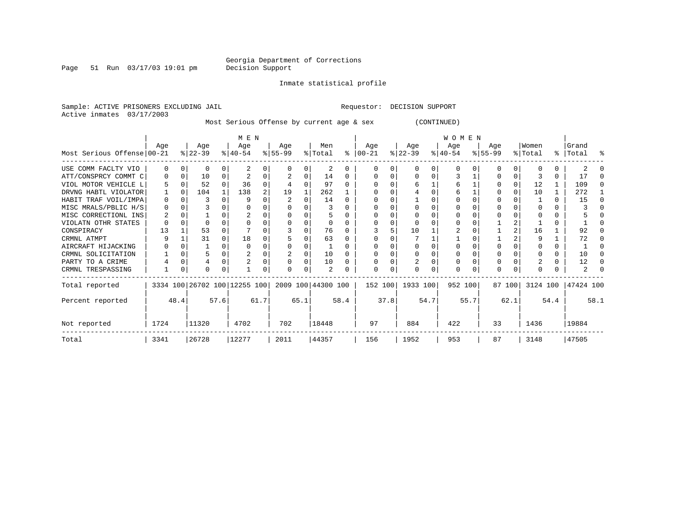Page 51 Run 03/17/03 19:01 pm

Inmate statistical profile

Sample: ACTIVE PRISONERS EXCLUDING JAIL **Requestor: DECISION SUPPORT** Active inmates 03/17/2003

Most Serious Offense by current age & sex (CONTINUED)

|                            | M E N        |          |                              |        |                  |                |                  |          |                    | <b>WOMEN</b> |                      |      |                  |          |                  |      |                    |          |                  |       |                    |   |
|----------------------------|--------------|----------|------------------------------|--------|------------------|----------------|------------------|----------|--------------------|--------------|----------------------|------|------------------|----------|------------------|------|--------------------|----------|------------------|-------|--------------------|---|
| Most Serious Offense 00-21 | Aqe          |          | Age<br>$ 22-39 $             |        | Age<br>$ 40-54 $ |                | Age<br>$ 55-99 $ |          | Men<br>% Total     |              | Aqe<br>$8   00 - 21$ |      | Age<br>$ 22-39 $ |          | Aqe<br>$ 40-54 $ |      | Age<br>$8155 - 99$ |          | Women<br>% Total |       | Grand<br>%   Total | ႜ |
| USE COMM FACLTY VIO        | $\Omega$     | $\left($ | <sup>0</sup>                 | 0      |                  | 0              |                  | $\Omega$ | 2                  |              | $\left( \right)$     | U    |                  | $\Omega$ | $^{\circ}$       |      |                    |          |                  |       |                    |   |
| ATT/CONSPRCY COMMT C       | $\Omega$     | 0        | 10                           |        |                  |                |                  |          | 14                 | 0            | n                    | U    |                  |          |                  |      |                    |          |                  | U     | 17                 |   |
| VIOL MOTOR VEHICLE L       |              | $\Omega$ | 52                           | $\cap$ | 36               | 0              |                  | $\Omega$ | 97                 |              |                      |      |                  |          | 6                |      |                    |          | 12               |       | 109                |   |
| DRVNG HABTL VIOLATOR       |              | $\Omega$ | 104                          |        | 138              | $\overline{a}$ | 19               |          | 262                |              |                      |      |                  |          | 6                |      |                    |          | 10               |       | 272                |   |
| HABIT TRAF VOIL/IMPA       | 0            |          | 3                            |        |                  |                |                  |          | 14                 |              |                      |      |                  |          |                  |      |                    |          |                  | U     | 15                 |   |
| MISC MRALS/PBLIC H/S       | $\Omega$     | $\Omega$ |                              |        |                  | U              |                  |          |                    |              |                      |      |                  |          |                  |      |                    |          |                  |       |                    |   |
| MISC CORRECTIONL INS       | 2            |          |                              |        |                  |                |                  |          | 5                  |              |                      |      |                  |          |                  |      |                    |          |                  |       |                    |   |
| VIOLATN OTHR STATES        | $\Omega$     |          |                              |        |                  | U              |                  |          | O                  | 0            |                      |      |                  |          | O                |      |                    |          |                  | U     |                    |   |
| CONSPIRACY                 | 13           |          | 53                           |        |                  |                |                  |          | 76                 |              |                      |      | 10               |          |                  |      |                    |          | 16               |       | 92                 |   |
| CRMNL ATMPT                |              |          | 31                           |        | 18               |                |                  |          | 63                 |              |                      |      |                  |          |                  |      |                    |          |                  |       | 72                 |   |
| AIRCRAFT HIJACKING         |              |          |                              |        |                  | O              |                  | $\Omega$ |                    |              |                      |      |                  |          |                  |      |                    |          |                  |       |                    |   |
| CRMNL SOLICITATION         |              |          |                              |        |                  |                |                  |          | 10                 |              |                      |      |                  |          |                  |      |                    |          |                  | U     | 10                 |   |
| PARTY TO A CRIME           |              |          |                              |        |                  | 0              |                  | $\Omega$ | 10                 |              |                      |      |                  |          | 0                |      |                    |          |                  |       | 12                 |   |
| CRMNL TRESPASSING          |              | C        | O                            | 0      |                  | 0              |                  | $\Omega$ |                    |              | 0                    | 0    |                  | $\Omega$ | 0                |      | <sup>0</sup>       | $\Omega$ |                  |       |                    |   |
| Total reported             |              |          | 3334 100 26702 100 12255 100 |        |                  |                |                  |          | 2009 100 44300 100 |              | 152 100              |      | 1933 100         |          | 952 100          |      |                    | 87 100   | 3124 100         |       | 47424 100          |   |
| Percent reported           | 48.4<br>57.6 |          | 61.7                         | 65.1   |                  | 58.4           |                  | 37.8     |                    | 54.7         |                      | 55.7 |                  | 62.1     |                  | 54.4 |                    | 58.1     |                  |       |                    |   |
| Not reported               | 1724         |          | 11320                        |        | 4702             |                | 702              |          | 18448              |              | 97                   |      | 884              |          | 422              |      | 33                 |          | 1436             |       | 19884              |   |
| Total                      | 3341         | 26728    |                              |        | 12277            | 2011           |                  | 44357    |                    | 156          |                      | 1952 |                  | 953      |                  | 87   |                    | 3148     |                  | 47505 |                    |   |